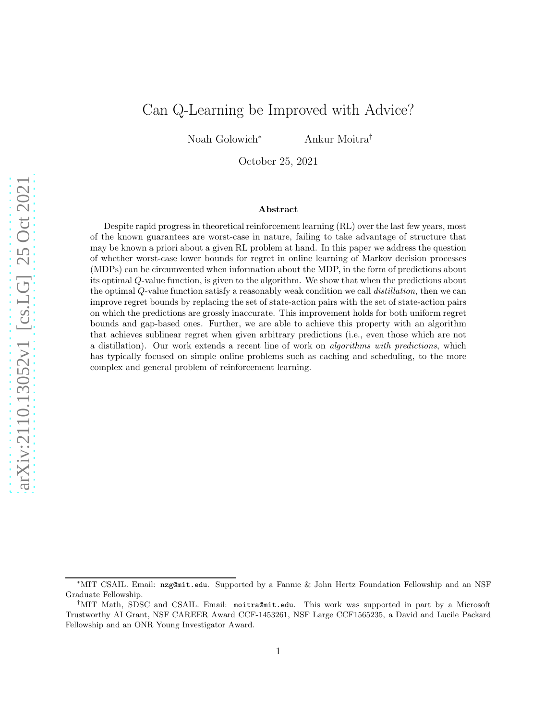# Can Q-Learning be Improved with Advice?

Noah Golowich<sup>∗</sup> Ankur Moitra†

October 25, 2021

#### Abstract

Despite rapid progress in theoretical reinforcement learning (RL) over the last few years, most of the known guarantees are worst-case in nature, failing to take advantage of structure that may be known a priori about a given RL problem at hand. In this paper we address the question of whether worst-case lower bounds for regret in online learning of Markov decision processes (MDPs) can be circumvented when information about the MDP, in the form of predictions about its optimal Q-value function, is given to the algorithm. We show that when the predictions about the optimal Q-value function satisfy a reasonably weak condition we call distillation, then we can improve regret bounds by replacing the set of state-action pairs with the set of state-action pairs on which the predictions are grossly inaccurate. This improvement holds for both uniform regret bounds and gap-based ones. Further, we are able to achieve this property with an algorithm that achieves sublinear regret when given arbitrary predictions (i.e., even those which are not a distillation). Our work extends a recent line of work on algorithms with predictions, which has typically focused on simple online problems such as caching and scheduling, to the more complex and general problem of reinforcement learning.

<sup>∗</sup>MIT CSAIL. Email: nzg@mit.edu. Supported by a Fannie & John Hertz Foundation Fellowship and an NSF Graduate Fellowship.

<sup>†</sup>MIT Math, SDSC and CSAIL. Email: moitra@mit.edu. This work was supported in part by a Microsoft Trustworthy AI Grant, NSF CAREER Award CCF-1453261, NSF Large CCF1565235, a David and Lucile Packard Fellowship and an ONR Young Investigator Award.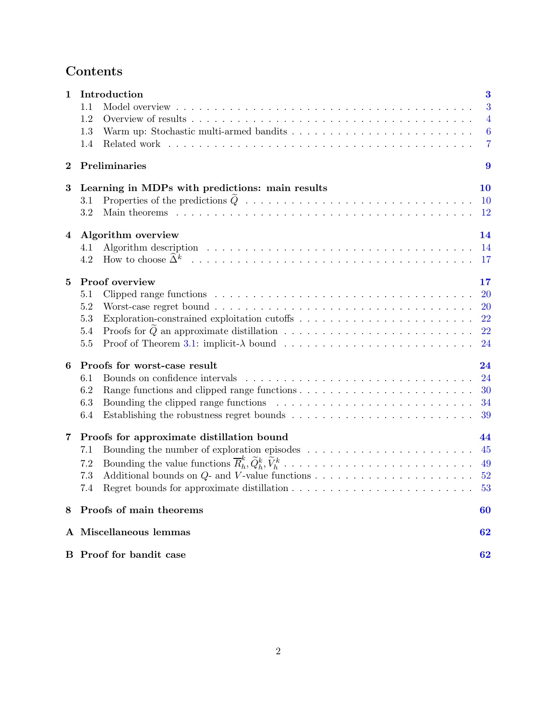# Contents

| 1        | Introduction                                                                                         | $\bf{3}$         |
|----------|------------------------------------------------------------------------------------------------------|------------------|
|          | 1.1                                                                                                  | 3                |
|          | 1.2                                                                                                  | $\overline{4}$   |
|          | 1.3                                                                                                  | $\boldsymbol{6}$ |
|          | 1.4<br>Related work                                                                                  | $\overline{7}$   |
| $\bf{2}$ | Preliminaries                                                                                        | 9                |
| 3        | Learning in MDPs with predictions: main results                                                      | 10               |
|          | 3.1                                                                                                  | <b>10</b>        |
|          | 3.2                                                                                                  | $12\,$           |
| 4        | Algorithm overview                                                                                   | 14               |
|          | 4.1                                                                                                  | 14               |
|          | How to choose $\widehat{\Delta}^k$<br>4.2                                                            | 17               |
| 5        | Proof overview                                                                                       | 17               |
|          | 5.1                                                                                                  | 20               |
|          | 5.2                                                                                                  | 20               |
|          | 5.3                                                                                                  | 22               |
|          | $5.4\,$                                                                                              | 22               |
|          | 5.5                                                                                                  | 24               |
| 6        | Proofs for worst-case result                                                                         | 24               |
|          | Bounds on confidence intervals<br>6.1                                                                | 24               |
|          | 6.2                                                                                                  | 30               |
|          | 6.3                                                                                                  | 34               |
|          | 6.4                                                                                                  | 39               |
| 7        | Proofs for approximate distillation bound                                                            | 44               |
|          | Bounding the number of exploration episodes $\dots \dots \dots \dots \dots \dots \dots \dots$<br>7.1 | 45               |
|          | 7.2                                                                                                  | 49               |
|          | 7.3                                                                                                  | 52               |
|          | 7.4                                                                                                  | 53               |
| 8        | Proofs of main theorems                                                                              | 60               |
|          | A Miscellaneous lemmas                                                                               | 62               |
|          | <b>B</b> Proof for bandit case                                                                       | 62               |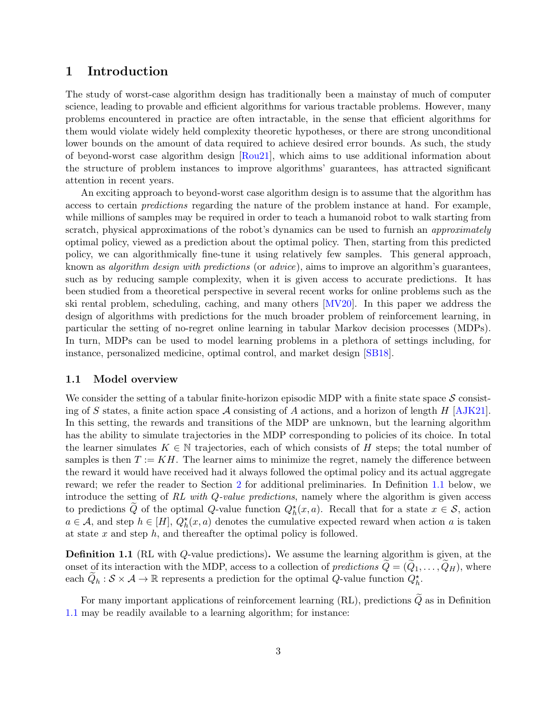# <span id="page-2-0"></span>1 Introduction

The study of worst-case algorithm design has traditionally been a mainstay of much of computer science, leading to provable and efficient algorithms for various tractable problems. However, many problems encountered in practice are often intractable, in the sense that efficient algorithms for them would violate widely held complexity theoretic hypotheses, or there are strong unconditional lower bounds on the amount of data required to achieve desired error bounds. As such, the study of beyond-worst case algorithm design [\[Rou21\]](#page-66-0), which aims to use additional information about the structure of problem instances to improve algorithms' guarantees, has attracted significant attention in recent years.

An exciting approach to beyond-worst case algorithm design is to assume that the algorithm has access to certain predictions regarding the nature of the problem instance at hand. For example, while millions of samples may be required in order to teach a humanoid robot to walk starting from scratch, physical approximations of the robot's dynamics can be used to furnish an *approximately* optimal policy, viewed as a prediction about the optimal policy. Then, starting from this predicted policy, we can algorithmically fine-tune it using relatively few samples. This general approach, known as algorithm design with predictions (or advice), aims to improve an algorithm's guarantees, such as by reducing sample complexity, when it is given access to accurate predictions. It has been studied from a theoretical perspective in several recent works for online problems such as the ski rental problem, scheduling, caching, and many others [\[MV20\]](#page-66-1). In this paper we address the design of algorithms with predictions for the much broader problem of reinforcement learning, in particular the setting of no-regret online learning in tabular Markov decision processes (MDPs). In turn, MDPs can be used to model learning problems in a plethora of settings including, for instance, personalized medicine, optimal control, and market design [\[SB18\]](#page-66-2).

#### <span id="page-2-1"></span>1.1 Model overview

We consider the setting of a tabular finite-horizon episodic MDP with a finite state space  $S$  consisting of S states, a finite action space A consisting of A actions, and a horizon of length H  $[AJK21]$ . In this setting, the rewards and transitions of the MDP are unknown, but the learning algorithm has the ability to simulate trajectories in the MDP corresponding to policies of its choice. In total the learner simulates  $K \in \mathbb{N}$  trajectories, each of which consists of H steps; the total number of samples is then  $T := KH$ . The learner aims to minimize the regret, namely the difference between the reward it would have received had it always followed the optimal policy and its actual aggregate reward; we refer the reader to Section [2](#page-8-0) for additional preliminaries. In Definition [1.1](#page-2-2) below, we introduce the setting of RL with Q-value predictions, namely where the algorithm is given access to predictions  $\tilde{Q}$  of the optimal Q-value function  $Q_h^*(x, a)$ . Recall that for a state  $x \in S$ , action  $a \in \mathcal{A}$ , and step  $h \in [H]$ ,  $Q_h^*(x, a)$  denotes the cumulative expected reward when action a is taken at state  $x$  and step  $h$ , and thereafter the optimal policy is followed.

<span id="page-2-2"></span>Definition 1.1 (RL with Q-value predictions). We assume the learning algorithm is given, at the onset of its interaction with the MDP, access to a collection of predictions  $\tilde{Q} = (Q_1, \ldots, Q_H)$ , where each  $\widetilde{Q}_h : \mathcal{S} \times \mathcal{A} \to \mathbb{R}$  represents a prediction for the optimal Q-value function  $Q_h^*$ .

For many important applications of reinforcement learning (RL), predictions  $\tilde{Q}$  as in Definition [1.1](#page-2-2) may be readily available to a learning algorithm; for instance: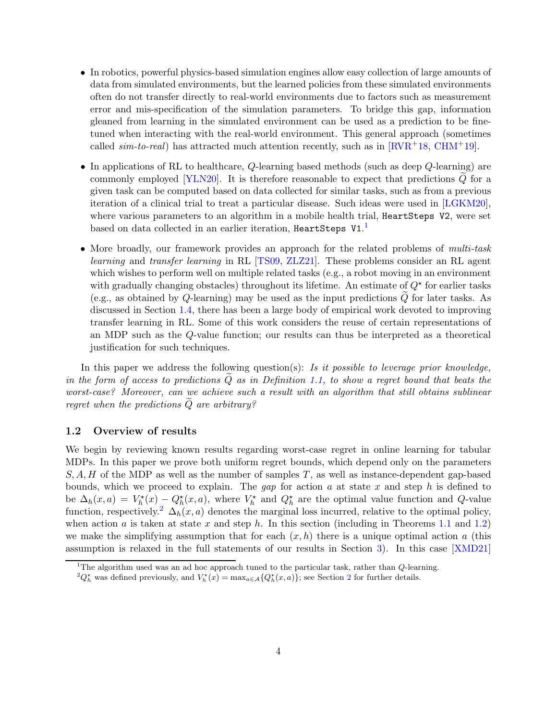- In robotics, powerful physics-based simulation engines allow easy collection of large amounts of data from simulated environments, but the learned policies from these simulated environments often do not transfer directly to real-world environments due to factors such as measurement error and mis-specification of the simulation parameters. To bridge this gap, information gleaned from learning in the simulated environment can be used as a prediction to be finetuned when interacting with the real-world environment. This general approach (sometimes called  $sim-to-real$ ) has attracted much attention recently, such as in  $RVR+18$ , [CHM](#page-65-1)+19.
- In applications of RL to healthcare,  $Q$ -learning based methods (such as deep  $Q$ -learning) are commonly employed  $[YLN20]$ . It is therefore reasonable to expect that predictions  $Q$  for a given task can be computed based on data collected for similar tasks, such as from a previous iteration of a clinical trial to treat a particular disease. Such ideas were used in [\[LGKM20\]](#page-65-2), where various parameters to an algorithm in a mobile health trial, HeartSteps V2, were set based on data collected in an earlier iteration, <code>HeartSteps V1. $^{\text{1}}$ </code>
- More broadly, our framework provides an approach for the related problems of *multi-task* learning and transfer learning in RL [\[TS09,](#page-67-0) [ZLZ21\]](#page-68-1). These problems consider an RL agent which wishes to perform well on multiple related tasks (e.g., a robot moving in an environment with gradually changing obstacles) throughout its lifetime. An estimate of  $Q^*$  for earlier tasks (e.g., as obtained by  $Q$ -learning) may be used as the input predictions  $Q$  for later tasks. As discussed in Section [1.4,](#page-6-0) there has been a large body of empirical work devoted to improving transfer learning in RL. Some of this work considers the reuse of certain representations of an MDP such as the Q-value function; our results can thus be interpreted as a theoretical justification for such techniques.

In this paper we address the following question(s): Is it possible to leverage prior knowledge, in the form of access to predictions  $Q$  as in Definition [1.1,](#page-2-2) to show a regret bound that beats the worst-case? Moreover, can we achieve such a result with an algorithm that still obtains sublinear regret when the predictions  $\widetilde{Q}$  are arbitrary?

#### <span id="page-3-0"></span>1.2 Overview of results

We begin by reviewing known results regarding worst-case regret in online learning for tabular MDPs. In this paper we prove both uniform regret bounds, which depend only on the parameters  $S, A, H$  of the MDP as well as the number of samples T, as well as instance-dependent gap-based bounds, which we proceed to explain. The gap for action a at state x and step h is defined to be  $\Delta_h(x,a) = V_h^*(x) - Q_h^*(x,a)$ , where  $V_h^*$  and  $Q_h^*$  are the optimal value function and Q-value function, respectively.<sup>2</sup>  $\Delta_h(x, a)$  denotes the marginal loss incurred, relative to the optimal policy, when action a is taken at state x and step h. In this section (including in Theorems [1.1](#page-4-0) and [1.2\)](#page-5-1) we make the simplifying assumption that for each  $(x, h)$  there is a unique optimal action a (this assumption is relaxed in the full statements of our results in Section [3\)](#page-9-0). In this case [\[XMD21\]](#page-68-2)

<sup>&</sup>lt;sup>1</sup>The algorithm used was an ad hoc approach tuned to the particular task, rather than  $Q$ -learning.

 ${}^2Q_h^{\star}$  ${}^2Q_h^{\star}$  ${}^2Q_h^{\star}$  was defined previously, and  $V_h^{\star}(x) = \max_{a \in \mathcal{A}} \{Q_h^{\star}(x, a)\}\;$  see Section 2 for further details.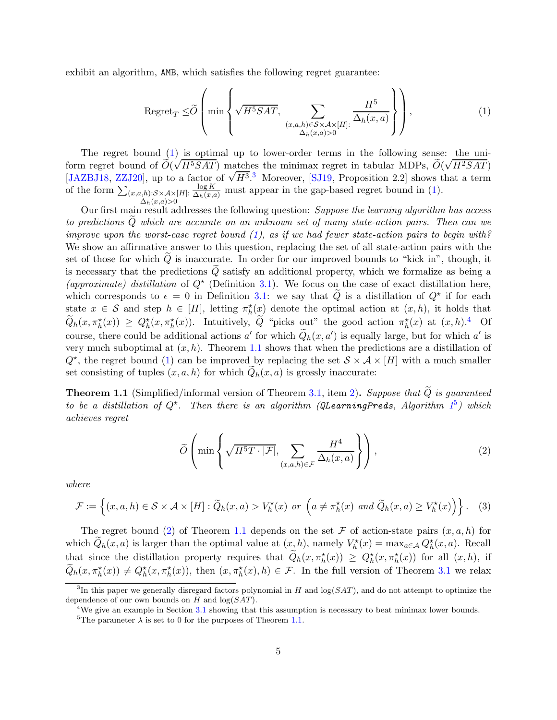exhibit an algorithm, AMB, which satisfies the following regret guarantee:

<span id="page-4-1"></span>
$$
\operatorname{Regret}_{T} \leq \widetilde{O}\left(\min\left\{\sqrt{H^5SAT}, \sum_{\substack{(x,a,h)\in S\times\mathcal{A}\times[H]:\\ \Delta_h(x,a)>0}}\frac{H^5}{\Delta_h(x,a)}\right\}\right),\tag{1}
$$

The regret bound [\(1\)](#page-4-1) is optimal up to lower-order terms in the following sense: the uniform regret bound of  $\tilde{O}(\sqrt{H^5SAT})$  matches the minimax regret in tabular MDPs,  $\tilde{O}(\sqrt{H^2SAT})$ [\[JAZBJ18,](#page-65-3) [ZZJ20\]](#page-68-3), up to a factor of  $\sqrt{H^3}$ .<sup>3</sup> Moreover, [\[SJ19,](#page-67-1) Proposition 2.2] shows that a term of the form  $\sum_{(x,a,h):S\times\mathcal{A}\times[H]:}\frac{\log K}{\Delta_h(x,a)}$  must appear in the gap-based regret bound in [\(1\)](#page-4-1).  $\Delta_h(x,a)$ >0

Our first main result addresses the following question: Suppose the learning algorithm has access to predictions Qe which are accurate on an unknown set of many state-action pairs. Then can we improve upon the worst-case regret bound  $(1)$ , as if we had fewer state-action pairs to begin with? We show an affirmative answer to this question, replacing the set of all state-action pairs with the set of those for which  $Q$  is inaccurate. In order for our improved bounds to "kick in", though, it is necessary that the predictions  $Q$  satisfy an additional property, which we formalize as being a (approximate) distillation of  $Q^*$  (Definition [3.1\)](#page-10-0). We focus on the case of exact distillation here, which corresponds to  $\epsilon = 0$  in Definition [3.1:](#page-10-0) we say that  $\tilde{Q}$  is a distillation of  $Q^*$  if for each state  $x \in S$  and step  $h \in [H]$ , letting  $\pi_h^{\star}(\underline{x})$  denote the optimal action at  $(x, h)$ , it holds that  $\widetilde{Q}_h(x,\pi_h^*(x)) \ge Q_h^*(x,\pi_h^*(x))$ . Intuitively,  $\widetilde{Q}$  "picks out" the good action  $\pi_h^*(x)$  at  $(x,h).^4$  Of course, there could be additional actions  $a'$  for which  $Q_h(x, a')$  is equally large, but for which  $a'$  is very much suboptimal at  $(x, h)$ . Theorem [1.1](#page-4-0) shows that when the predictions are a distillation of  $Q^*$ , the regret bound [\(1\)](#page-4-1) can be improved by replacing the set  $S \times A \times [H]$  with a much smaller set consisting of tuples  $(x, a, h)$  for which  $Q_h(x, a)$  is grossly inaccurate:

<span id="page-4-0"></span>**Theorem 1.1** (Simplified/informal version of Theorem [3.1,](#page-11-1) item [2\)](#page-11-2). Suppose that  $\tilde{Q}$  is guaranteed to be a distillation of  $Q^*$ . Then there is an algorithm (QLearningPreds, Algorithm  $1^5$  $1^5$ ) which achieves regret

<span id="page-4-3"></span><span id="page-4-2"></span>
$$
\widetilde{O}\left(\min\left\{\sqrt{H^5T\cdot|\mathcal{F}|},\sum_{(x,a,h)\in\mathcal{F}}\frac{H^4}{\Delta_h(x,a)}\right\}\right),\tag{2}
$$

where

$$
\mathcal{F} := \left\{ (x, a, h) \in \mathcal{S} \times \mathcal{A} \times [H] : \widetilde{Q}_h(x, a) > V_h^{\star}(x) \text{ or } \left( a \neq \pi_h^{\star}(x) \text{ and } \widetilde{Q}_h(x, a) \geq V_h^{\star}(x) \right) \right\}. \tag{3}
$$

The regret bound [\(2\)](#page-4-2) of Theorem [1.1](#page-4-0) depends on the set F of action-state pairs  $(x, a, h)$  for which  $\tilde{Q}_h(x,a)$  is larger than the optimal value at  $(x,h)$ , namely  $V_h^*(x) = \max_{a \in \mathcal{A}} Q_h^*(x,a)$ . Recall that since the distillation property requires that  $\tilde{Q}_h(x, \pi_h^{\star}(x)) \ge Q_h^{\star}(x, \pi_h^{\star}(x))$  for all  $(x, h)$ , if  $\widetilde{Q}_h(x, \pi_h^*(x)) \neq Q_h^*(x, \pi_h^*(x))$ , then  $(x, \pi_h^*(x), h) \in \mathcal{F}$ . In the full version of Theorem [3.1](#page-11-1) we relax

<sup>&</sup>lt;sup>3</sup>In this paper we generally disregard factors polynomial in H and  $log(SAT)$ , and do not attempt to optimize the dependence of our own bounds on  $H$  and  $log(SAT)$ .

<sup>&</sup>lt;sup>4</sup>We give an example in Section  $3.1$  showing that this assumption is necessary to beat minimax lower bounds.

<sup>&</sup>lt;sup>5</sup>The parameter  $\lambda$  is set to 0 for the purposes of Theorem [1.1.](#page-4-0)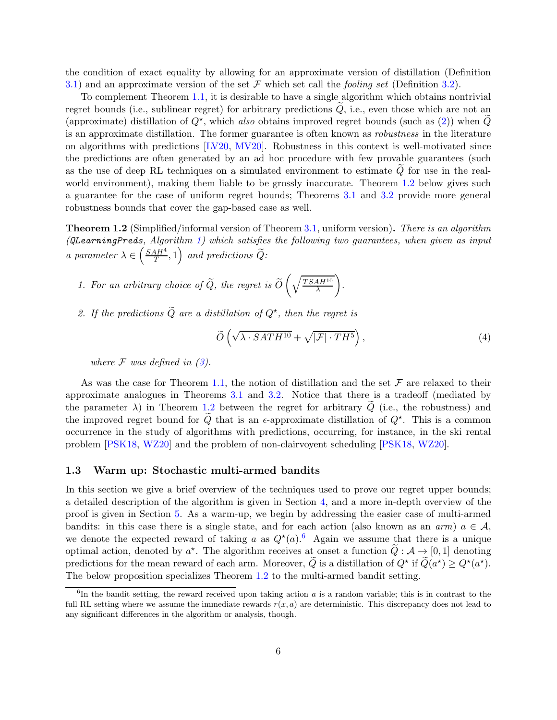the condition of exact equality by allowing for an approximate version of distillation (Definition [3.1\)](#page-10-0) and an approximate version of the set  $\mathcal F$  which set call the *fooling set* (Definition [3.2\)](#page-10-1).

To complement Theorem [1.1,](#page-4-0) it is desirable to have a single algorithm which obtains nontrivial regret bounds (i.e., sublinear regret) for arbitrary predictions  $Q$ , i.e., even those which are not an (approximate) distillation of  $Q^*$ , which also obtains improved regret bounds (such as [\(2\)](#page-4-2)) when  $\tilde{Q}$ is an approximate distillation. The former guarantee is often known as robustness in the literature on algorithms with predictions [\[LV20,](#page-66-4) [MV20\]](#page-66-1). Robustness in this context is well-motivated since the predictions are often generated by an ad hoc procedure with few provable guarantees (such as the use of deep RL techniques on a simulated environment to estimate  $Q$  for use in the real-world environment), making them liable to be grossly inaccurate. Theorem [1.2](#page-5-1) below gives such a guarantee for the case of uniform regret bounds; Theorems [3.1](#page-11-1) and [3.2](#page-12-0) provide more general robustness bounds that cover the gap-based case as well.

<span id="page-5-1"></span>Theorem 1.2 (Simplified/informal version of Theorem [3.1,](#page-11-1) uniform version). There is an algorithm (*QLearningPreds*, Algorithm [1\)](#page-17-0) which satisfies the following two guarantees, when given as input a parameter  $\lambda \in \left(\frac{SAH^4}{T}\right)$  $\left(\frac{4H^4}{T},1\right)$  and predictions  $\widetilde{Q}$ :

- 1. For an arbitrary choice of  $Q$ , the regret is  $O$  $\int \sqrt{TSAH^{10}}$ λ  $\setminus$ .
- 2. If the predictions  $\widetilde{Q}$  are a distillation of  $Q^*$ , then the regret is

$$
\widetilde{O}\left(\sqrt{\lambda \cdot SATH^{10}} + \sqrt{|\mathcal{F}| \cdot TH^5}\right),\tag{4}
$$

where  $\mathcal F$  was defined in [\(3\)](#page-4-3).

As was the case for Theorem [1.1,](#page-4-0) the notion of distillation and the set  $\mathcal F$  are relaxed to their approximate analogues in Theorems [3.1](#page-11-1) and [3.2.](#page-12-0) Notice that there is a tradeoff (mediated by the parameter  $\lambda$ ) in Theorem [1.2](#page-5-1) between the regret for arbitrary  $\tilde{Q}$  (i.e., the robustness) and the improved regret bound for  $\tilde{Q}$  that is an  $\epsilon$ -approximate distillation of  $Q^*$ . This is a common occurrence in the study of algorithms with predictions, occurring, for instance, in the ski rental problem [\[PSK18,](#page-66-5) [WZ20\]](#page-67-2) and the problem of non-clairvoyent scheduling [\[PSK18,](#page-66-5) [WZ20\]](#page-67-2).

#### <span id="page-5-0"></span>1.3 Warm up: Stochastic multi-armed bandits

In this section we give a brief overview of the techniques used to prove our regret upper bounds; a detailed description of the algorithm is given in Section [4,](#page-13-0) and a more in-depth overview of the proof is given in Section [5.](#page-16-1) As a warm-up, we begin by addressing the easier case of multi-armed bandits: in this case there is a single state, and for each action (also known as an arm)  $a \in \mathcal{A}$ , we denote the expected reward of taking a as  $Q^*(a)$ .<sup>6</sup> Again we assume that there is a unique optimal action, denoted by  $a^*$ . The algorithm receives at onset a function  $\tilde{Q}: A \to [0,1]$  denoting predictions for the mean reward of each arm. Moreover,  $\tilde{Q}$  is a distillation of  $Q^{\star}$  if  $\tilde{Q}(a^{\star}) \geq Q^{\star}(a^{\star})$ . The below proposition specializes Theorem [1.2](#page-5-1) to the multi-armed bandit setting.

 ${}^{6}$ In the bandit setting, the reward received upon taking action a is a random variable; this is in contrast to the full RL setting where we assume the immediate rewards  $r(x, a)$  are deterministic. This discrepancy does not lead to any significant differences in the algorithm or analysis, though.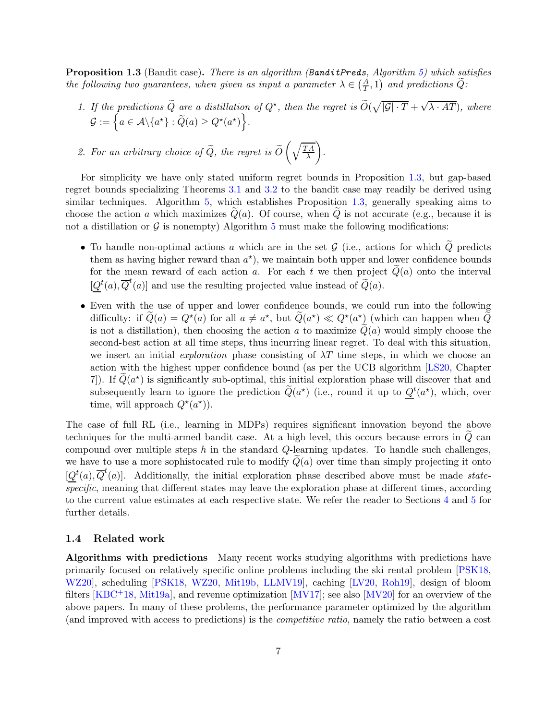<span id="page-6-1"></span>**Proposition 1.3** (Bandit case). There is an algorithm (BanditPreds, Algorithm [5\)](#page-62-0) which satisfies the following two guarantees, when given as input a parameter  $\lambda \in \left(\frac{A}{T}, 1\right)$  and predictions  $\widetilde{Q}$ :

- 1. If the predictions  $\tilde{Q}$  are a distillation of  $Q^*$ , then the regret is  $\tilde{O}(\sqrt{|\mathcal{G}|\cdot T} + \sqrt{\lambda \cdot AT})$ , where  $\mathcal{G} := \left\{ a \in \mathcal{A} \backslash \{a^\star\} : \widetilde{Q}(a) \ge Q^\star(a^\star) \right\}.$
- 2. For an arbitrary choice of  $Q$ , the regret is  $O$  $\int \sqrt{TA}$ λ  $\setminus$ .

For simplicity we have only stated uniform regret bounds in Proposition [1.3,](#page-6-1) but gap-based regret bounds specializing Theorems [3.1](#page-11-1) and [3.2](#page-12-0) to the bandit case may readily be derived using similar techniques. Algorithm [5,](#page-62-0) which establishes Proposition [1.3,](#page-6-1) generally speaking aims to choose the action a which maximizes  $Q(a)$ . Of course, when Q is not accurate (e.g., because it is not a distillation or  $\mathcal G$  is nonempty) Algorithm [5](#page-62-0) must make the following modifications:

- To handle non-optimal actions a which are in the set  $G$  (i.e., actions for which  $Q$  predicts them as having higher reward than  $a^*$ ), we maintain both upper and lower confidence bounds for the mean reward of each action a. For each t we then project  $\tilde{Q}(a)$  onto the interval  $[Q^t(a), \overline{Q}^t(a)]$  and use the resulting projected value instead of  $\widetilde{Q}(a)$ .
- Even with the use of upper and lower confidence bounds, we could run into the following difficulty: if  $Q(a) = Q^*(a)$  for all  $a \neq a^*$ , but  $Q(a^*) \ll Q^*(a^*)$  (which can happen when  $Q$ is not a distillation), then choosing the action a to maximize  $\tilde{Q}(a)$  would simply choose the second-best action at all time steps, thus incurring linear regret. To deal with this situation, we insert an initial *exploration* phase consisting of  $\lambda T$  time steps, in which we choose an action with the highest upper confidence bound (as per the UCB algorithm [\[LS20,](#page-66-6) Chapter 7. If  $\tilde{Q}(a^*)$  is significantly sub-optimal, this initial exploration phase will discover that and subsequently learn to ignore the prediction  $\tilde{Q}(a^*)$  (i.e., round it up to  $Q^t(a^*)$ , which, over time, will approach  $Q^*(a^*)$ .

The case of full RL (i.e., learning in MDPs) requires significant innovation beyond the above techniques for the multi-armed bandit case. At a high level, this occurs because errors in  $Q$  can compound over multiple steps  $h$  in the standard  $Q$ -learning updates. To handle such challenges, we have to use a more sophistocated rule to modify  $Q(a)$  over time than simply projecting it onto  $[Q^t(a), \overline{Q}^t(a)]$ . Additionally, the initial exploration phase described above must be made *state* $specific$ , meaning that different states may leave the exploration phase at different times, according to the current value estimates at each respective state. We refer the reader to Sections [4](#page-13-0) and [5](#page-16-1) for further details.

#### <span id="page-6-0"></span>1.4 Related work

Algorithms with predictions Many recent works studying algorithms with predictions have primarily focused on relatively specific online problems including the ski rental problem [\[PSK18,](#page-66-5) [WZ20\]](#page-67-2), scheduling [\[PSK18,](#page-66-5) [WZ20,](#page-67-2) [Mit19b,](#page-66-7) [LLMV19\]](#page-65-4), caching [\[LV20,](#page-66-4) [Roh19\]](#page-66-8), design of bloom filters  $[KBC^+18, Mit19a]$  $[KBC^+18, Mit19a]$ , and revenue optimization  $[MV17]$ ; see also  $[MV20]$  for an overview of the above papers. In many of these problems, the performance parameter optimized by the algorithm (and improved with access to predictions) is the competitive ratio, namely the ratio between a cost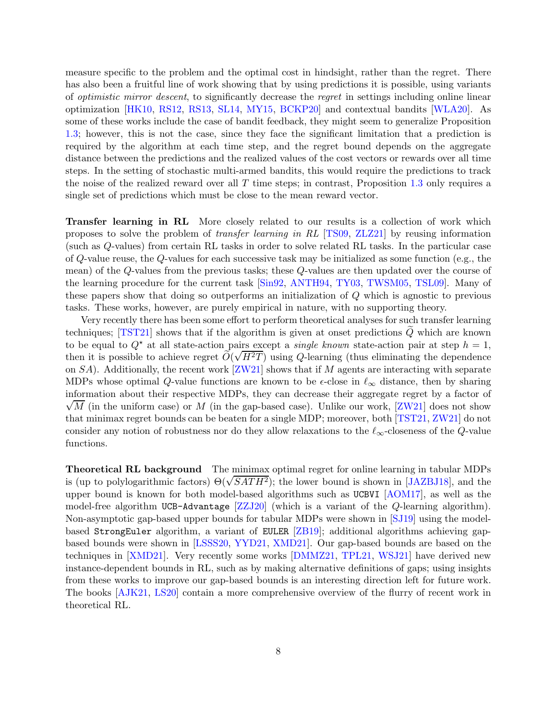measure specific to the problem and the optimal cost in hindsight, rather than the regret. There has also been a fruitful line of work showing that by using predictions it is possible, using variants of optimistic mirror descent, to significantly decrease the regret in settings including online linear optimization [\[HK10,](#page-65-6) [RS12,](#page-66-11) [RS13,](#page-66-12) [SL14,](#page-67-3) [MY15,](#page-66-13) [BCKP20\]](#page-65-7) and contextual bandits [\[WLA20\]](#page-67-4). As some of these works include the case of bandit feedback, they might seem to generalize Proposition [1.3;](#page-6-1) however, this is not the case, since they face the significant limitation that a prediction is required by the algorithm at each time step, and the regret bound depends on the aggregate distance between the predictions and the realized values of the cost vectors or rewards over all time steps. In the setting of stochastic multi-armed bandits, this would require the predictions to track the noise of the realized reward over all  $T$  time steps; in contrast, Proposition [1.3](#page-6-1) only requires a single set of predictions which must be close to the mean reward vector.

Transfer learning in RL More closely related to our results is a collection of work which proposes to solve the problem of transfer learning in RL [\[TS09,](#page-67-0) [ZLZ21\]](#page-68-1) by reusing information (such as Q-values) from certain RL tasks in order to solve related RL tasks. In the particular case of Q-value reuse, the Q-values for each successive task may be initialized as some function (e.g., the mean) of the Q-values from the previous tasks; these Q-values are then updated over the course of the learning procedure for the current task [\[Sin92,](#page-67-5) [ANTH94,](#page-65-8) [TY03,](#page-67-6) [TWSM05,](#page-67-7) [TSL09\]](#page-67-8). Many of these papers show that doing so outperforms an initialization of Q which is agnostic to previous tasks. These works, however, are purely empirical in nature, with no supporting theory.

Very recently there has been some effort to perform theoretical analyses for such transfer learning techniques; [\[TST21\]](#page-67-9) shows that if the algorithm is given at onset predictions  $\tilde{Q}$  which are known to be equal to  $Q^*$  at all state-action pairs except a *single known* state-action pair at step  $h = 1$ , then it is possible to achieve regret  $\tilde{O}(\sqrt{H^2T})$  using Q-learning (thus eliminating the dependence on  $SA$ ). Additionally, the recent work  $[ZW21]$  shows that if M agents are interacting with separate MDPs whose optimal Q-value functions are known to be  $\epsilon$ -close in  $\ell_{\infty}$  distance, then by sharing information about their respective MDPs, they can decrease their aggregate regret by a factor of  $\sqrt{M}$  (in the uniform case) or M (in the gap-based case). Unlike our work, [\[ZW21\]](#page-68-4) does not show that minimax regret bounds can be beaten for a single MDP; moreover, both [\[TST21,](#page-67-9) [ZW21\]](#page-68-4) do not consider any notion of robustness nor do they allow relaxations to the  $\ell_{\infty}$ -closeness of the Q-value functions.

Theoretical RL background The minimax optimal regret for online learning in tabular MDPs is (up to polylogarithmic factors)  $\Theta(\sqrt{SATH^2})$ ; the lower bound is shown in [\[JAZBJ18\]](#page-65-3), and the upper bound is known for both model-based algorithms such as UCBVI [\[AOM17\]](#page-65-9), as well as the model-free algorithm UCB-Advantage [\[ZZJ20\]](#page-68-3) (which is a variant of the Q-learning algorithm). Non-asymptotic gap-based upper bounds for tabular MDPs were shown in [\[SJ19\]](#page-67-1) using the modelbased StrongEuler algorithm, a variant of EULER [\[ZB19\]](#page-68-5); additional algorithms achieving gapbased bounds were shown in [\[LSSS20,](#page-66-14) [YYD21,](#page-68-6) [XMD21\]](#page-68-2). Our gap-based bounds are based on the techniques in [\[XMD21\]](#page-68-2). Very recently some works [\[DMMZ21,](#page-65-10) [TPL21,](#page-67-10) [WSJ21\]](#page-67-11) have derived new instance-dependent bounds in RL, such as by making alternative definitions of gaps; using insights from these works to improve our gap-based bounds is an interesting direction left for future work. The books [\[AJK21,](#page-65-0) [LS20\]](#page-66-6) contain a more comprehensive overview of the flurry of recent work in theoretical RL.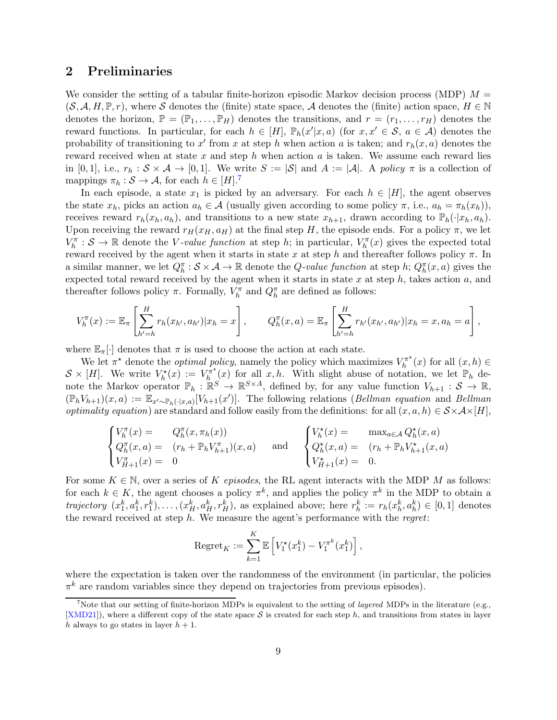## <span id="page-8-0"></span>2 Preliminaries

We consider the setting of a tabular finite-horizon episodic Markov decision process (MDP)  $M =$  $(S, \mathcal{A}, H, \mathbb{P}, r)$ , where S denotes the (finite) state space, A denotes the (finite) action space,  $H \in \mathbb{N}$ denotes the horizon,  $\mathbb{P} = (\mathbb{P}_1, \ldots, \mathbb{P}_H)$  denotes the transitions, and  $r = (r_1, \ldots, r_H)$  denotes the reward functions. In particular, for each  $h \in [H]$ ,  $\mathbb{P}_h(x'|x, a)$  (for  $x, x' \in \mathcal{S}$ ,  $a \in \mathcal{A}$ ) denotes the probability of transitioning to  $x'$  from x at step h when action a is taken; and  $r_h(x, a)$  denotes the reward received when at state x and step h when action  $a$  is taken. We assume each reward lies in [0, 1], i.e.,  $r_h : S \times A \rightarrow [0,1]$ . We write  $S := |S|$  and  $A := |A|$ . A policy  $\pi$  is a collection of mappings  $\pi_h : \mathcal{S} \to \mathcal{A}$ , for each  $h \in [H].^7$ 

In each episode, a state  $x_1$  is picked by an adversary. For each  $h \in [H]$ , the agent observes the state  $x_h$ , picks an action  $a_h \in \mathcal{A}$  (usually given according to some policy  $\pi$ , i.e.,  $a_h = \pi_h(x_h)$ ), receives reward  $r_h(x_h, a_h)$ , and transitions to a new state  $x_{h+1}$ , drawn according to  $\mathbb{P}_h(\cdot|x_h, a_h)$ . Upon receiving the reward  $r_H(x_H, a_H)$  at the final step H, the episode ends. For a policy  $\pi$ , we let  $V_h^{\pi}: \mathcal{S} \to \mathbb{R}$  denote the *V*-value function at step h; in particular,  $V_h^{\pi}(x)$  gives the expected total reward received by the agent when it starts in state x at step h and thereafter follows policy  $\pi$ . In a similar manner, we let  $Q_h^{\pi}$ :  $S \times A \to \mathbb{R}$  denote the Q-value function at step h;  $Q_h^{\pi}(x, a)$  gives the expected total reward received by the agent when it starts in state  $x$  at step  $h$ , takes action  $a$ , and thereafter follows policy  $\pi$ . Formally,  $V_h^{\pi}$  and  $Q_h^{\pi}$  are defined as follows:

$$
V_h^{\pi}(x) := \mathbb{E}_{\pi} \left[ \sum_{h'=h}^H r_h(x_{h'}, a_{h'}) | x_h = x \right], \qquad Q_h^{\pi}(x, a) = \mathbb{E}_{\pi} \left[ \sum_{h'=h}^H r_{h'}(x_{h'}, a_{h'}) | x_h = x, a_h = a \right],
$$

where  $\mathbb{E}_{\pi}[\cdot]$  denotes that  $\pi$  is used to choose the action at each state.

We let  $\pi^*$  denote the *optimal policy*, namely the policy which maximizes  $V_h^{\pi^*}$  $\int_h^{\pi^*}(x)$  for all  $(x,h) \in$  $\mathcal{S} \times [H]$ . We write  $V_h^{\star}(x) := V_h^{\pi^{\star}}$  $\int_h^{\pi^*}(x)$  for all  $x, h$ . With slight abuse of notation, we let  $\mathbb{P}_h$  denote the Markov operator  $\mathbb{P}_h : \mathbb{R}^S \to \mathbb{R}^{S \times A}$ , defined by, for any value function  $V_{h+1} : S \to \mathbb{R}$ ,  $(\mathbb{P}_h V_{h+1})(x, a) := \mathbb{E}_{x' \sim \mathbb{P}_h(\cdot | x, a)}[V_{h+1}(x')]$ . The following relations (*Bellman equation* and *Bellman optimality equation*) are standard and follow easily from the definitions: for all  $(x, a, h) \in S \times A \times [H]$ ,

$$
\begin{cases}\nV_h^{\pi}(x) = & Q_h^{\pi}(x, \pi_h(x)) \\
Q_h^{\pi}(x, a) = & (r_h + \mathbb{P}_h V_{h+1}^{\pi})(x, a) \\
V_{H+1}^{\pi}(x) = & 0\n\end{cases} \text{ and } \begin{cases}\nV_h^{\star}(x) = & \max_{a \in \mathcal{A}} Q_h^{\star}(x, a) \\
Q_h^{\star}(x, a) = & (r_h + \mathbb{P}_h V_{h+1}^{\star}(x, a)) \\
V_{H+1}^{\pi}(x) = & 0.\n\end{cases}
$$

For some  $K \in \mathbb{N}$ , over a series of K episodes, the RL agent interacts with the MDP M as follows: for each  $k \in K$ , the agent chooses a policy  $\pi^k$ , and applies the policy  $\pi^k$  in the MDP to obtain a trajectory  $(x_1^k, a_1^k, r_1^k), \ldots, (x_H^k, a_H^k, r_H^k)$ , as explained above; here  $r_h^k := r_h(x_h^k, a_h^k) \in [0, 1]$  denotes the reward received at step  $h$ . We measure the agent's performance with the *regret*:

$$
\mathrm{Regret}_K := \sum_{k=1}^K \mathbb{E}\left[V_1^{\star}(x_1^k) - V_1^{\pi^k}(x_1^k)\right],
$$

where the expectation is taken over the randomness of the environment (in particular, the policies  $\pi^k$  are random variables since they depend on trajectories from previous episodes).

<sup>&</sup>lt;sup>7</sup>Note that our setting of finite-horizon MDPs is equivalent to the setting of *layered* MDPs in the literature (e.g., [\[XMD21\]](#page-68-2)), where a different copy of the state space  $S$  is created for each step h, and transitions from states in layer h always to go states in layer  $h + 1$ .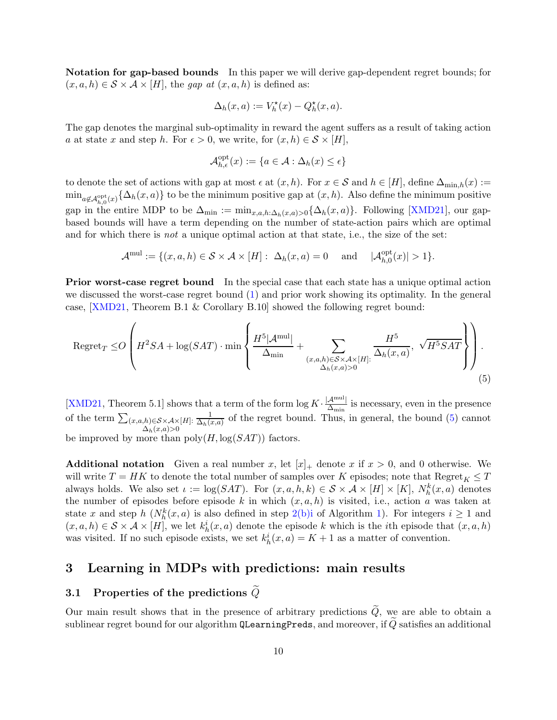Notation for gap-based bounds In this paper we will derive gap-dependent regret bounds; for  $(x, a, h) \in S \times A \times [H]$ , the gap at  $(x, a, h)$  is defined as:

$$
\Delta_h(x, a) := V_h^{\star}(x) - Q_h^{\star}(x, a).
$$

The gap denotes the marginal sub-optimality in reward the agent suffers as a result of taking action a at state x and step h. For  $\epsilon > 0$ , we write, for  $(x, h) \in S \times [H]$ ,

<span id="page-9-2"></span>
$$
\mathcal{A}_{h,\epsilon}^{\mathrm{opt}}(x):=\{a\in\mathcal{A}:\Delta_h(x)\leq\epsilon\}
$$

to denote the set of actions with gap at most  $\epsilon$  at  $(x, h)$ . For  $x \in \mathcal{S}$  and  $h \in [H]$ , define  $\Delta_{\min,h}(x) :=$  $\min_{a \notin \mathcal{A}_{h,0}^{\text{opt}}(x)} \{\Delta_h(x,a)\}\$ to be the minimum positive gap at  $(x,h)$ . Also define the minimum positive gap in the entire MDP to be  $\Delta_{\min} := \min_{x,a,h:\Delta_h(x,a)>0} \{\Delta_h(x,a)\}.$  Following [\[XMD21\]](#page-68-2), our gapbased bounds will have a term depending on the number of state-action pairs which are optimal and for which there is *not* a unique optimal action at that state, i.e., the size of the set:

$$
\mathcal{A}^{\text{mul}} := \{ (x, a, h) \in \mathcal{S} \times \mathcal{A} \times [H] : \Delta_h(x, a) = 0 \text{ and } |\mathcal{A}_{h,0}^{\text{opt}}(x)| > 1 \}.
$$

**Prior worst-case regret bound** In the special case that each state has a unique optimal action we discussed the worst-case regret bound [\(1\)](#page-4-1) and prior work showing its optimality. In the general case, [\[XMD21,](#page-68-2) Theorem B.1 & Corollary B.10] showed the following regret bound:

$$
\operatorname{Regret}_{T} \leq O\left(H^{2}SA + \log(SAT) \cdot \min\left\{\frac{H^{5}|\mathcal{A}^{\operatorname{mul}}|}{\Delta_{\operatorname{min}}} + \sum_{\substack{(x,a,h) \in S \times \mathcal{A} \times [H] : \\ \Delta_{h}(x,a) > 0}} \frac{H^{5}}{\Delta_{h}(x,a)}, \sqrt{H^{5}SAT}\right\}\right).
$$
\n
$$
(5)
$$

[\[XMD21,](#page-68-2) Theorem 5.1] shows that a term of the form  $\log K \cdot \frac{A^{\text{mul}}}{\Delta_{\text{min}}}$  is necessary, even in the presence of the term  $\sum_{\substack{(x,a,h)\in\mathcal{S}\times\mathcal{A}\times[H]:\\Delta_h(x,a)>0}}$ 1  $\frac{1}{\Delta_h(x,a)}$  of the regret bound. Thus, in general, the bound [\(5\)](#page-9-2) cannot be improved by more than  $poly(H, \log(SAT))$  factors.

**Additional notation** Given a real number x, let  $[x]_+$  denote x if  $x > 0$ , and 0 otherwise. We will write  $T = HK$  to denote the total number of samples over K episodes; note that  $Regret_K \leq T$ always holds. We also set  $\iota := \log(SAT)$ . For  $(x, a, h, k) \in S \times A \times [H] \times [K]$ ,  $N_h^k(x, a)$  denotes the number of episodes before episode k in which  $(x, a, h)$  is visited, i.e., action a was taken at state x and step  $h(N_h^k(x, a))$  is also defined in step [2\(b\)i](#page-17-1) of Algorithm [1\)](#page-17-0). For integers  $i \ge 1$  and  $(x, a, h) \in S \times A \times [H]$ , we let  $k_h^i(x, a)$  denote the episode k which is the *i*th episode that  $(x, a, h)$ was visited. If no such episode exists, we set  $k_h^i(x, a) = K + 1$  as a matter of convention.

### <span id="page-9-1"></span><span id="page-9-0"></span>3 Learning in MDPs with predictions: main results

#### 3.1 Properties of the predictions  $Q$

Our main result shows that in the presence of arbitrary predictions  $\tilde{Q}$ , we are able to obtain a sublinear regret bound for our algorithm **QLearningPreds**, and moreover, if  $\tilde{Q}$  satisfies an additional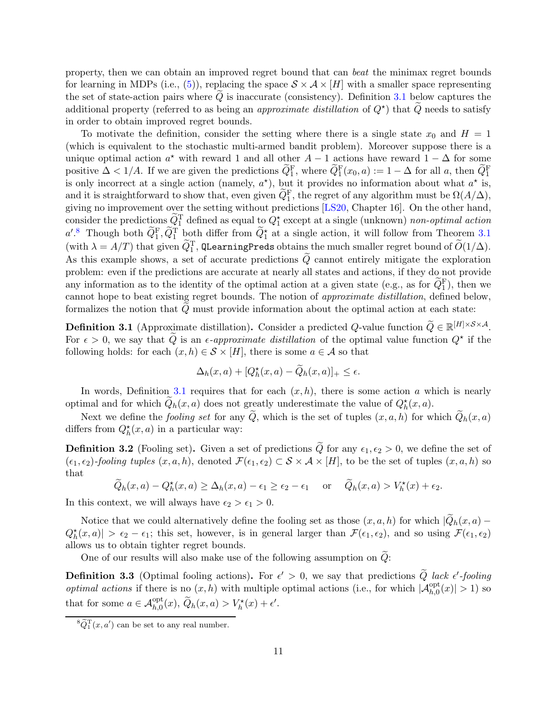property, then we can obtain an improved regret bound that can beat the minimax regret bounds for learning in MDPs (i.e., [\(5\)](#page-9-2)), replacing the space  $S \times A \times [H]$  with a smaller space representing the set of state-action pairs where  $Q$  is inaccurate (consistency). Definition [3.1](#page-10-0) below captures the additional property (referred to as being an *approximate distillation* of  $Q^*$ ) that  $\tilde{Q}$  needs to satisfy in order to obtain improved regret bounds.

To motivate the definition, consider the setting where there is a single state  $x_0$  and  $H = 1$ (which is equivalent to the stochastic multi-armed bandit problem). Moreover suppose there is a unique optimal action  $a^*$  with reward 1 and all other  $A-1$  actions have reward  $1-\Delta$  for some positive  $\Delta < 1/A$ . If we are given the predictions  $\widetilde{Q}_1^{\text{F}}$ , where  $\widetilde{Q}_1^{\text{F}}(x_0, a) := 1 - \Delta$  for all a, then  $\widetilde{Q}_1^{\text{F}}$ is only incorrect at a single action (namely,  $a^*$ ), but it provides no information about what  $a^*$  is, and it is straightforward to show that, even given  $\tilde{Q}_1^{\text{F}}$ , the regret of any algorithm must be  $\Omega(A/\Delta)$ , giving no improvement over the setting without predictions [\[LS20,](#page-66-6) Chapter 16]. On the other hand, consider the predictions  $\tilde{Q}_1^{\mathrm{T}}$  defined as equal to  $Q_1^*$  except at a single (unknown) non-optimal action  $a'^{8}$  Though both  $\tilde{Q}_{1}^{\text{F}}, \tilde{Q}_{1}^{\text{T}}$  both differ from  $\tilde{Q}_{1}^{\star}$  at a single action, it will follow from Theorem [3.1](#page-11-1) (with  $\lambda = A/T$ ) that given  $\widetilde{Q}_1^{\rm T}$ , QLearningPreds obtains the much smaller regret bound of  $\widetilde{O}(1/\Delta).$ As this example shows, a set of accurate predictions  $\tilde{Q}$  cannot entirely mitigate the exploration problem: even if the predictions are accurate at nearly all states and actions, if they do not provide any information as to the identity of the optimal action at a given state (e.g., as for  $\tilde{Q}_1^{\text{F}}$ ), then we cannot hope to beat existing regret bounds. The notion of approximate distillation, defined below, formalizes the notion that  $Q$  must provide information about the optimal action at each state:

<span id="page-10-0"></span>**Definition 3.1** (Approximate distillation). Consider a predicted Q-value function  $\widetilde{Q} \in \mathbb{R}^{|H| \times S \times A}$ . For  $\epsilon > 0$ , we say that  $\tilde{Q}$  is an  $\epsilon$ -approximate distillation of the optimal value function  $Q^*$  if the following holds: for each  $(x, h) \in S \times [H]$ , there is some  $a \in A$  so that

$$
\Delta_h(x,a) + [Q_h^*(x,a) - \widetilde{Q}_h(x,a)]_+ \le \epsilon.
$$

In words, Definition [3.1](#page-10-0) requires that for each  $(x, h)$ , there is some action a which is nearly optimal and for which  $\tilde{Q}_h(x, a)$  does not greatly underestimate the value of  $Q_h^*(x, a)$ .

Next we define the *fooling set* for any Q, which is the set of tuples  $(x, a, h)$  for which  $Q_h(x, a)$ differs from  $Q_h^{\star}(x, a)$  in a particular way:

<span id="page-10-1"></span>**Definition 3.2** (Fooling set). Given a set of predictions  $\tilde{Q}$  for any  $\epsilon_1, \epsilon_2 > 0$ , we define the set of  $(\epsilon_1, \epsilon_2)$ -fooling tuples  $(x, a, h)$ , denoted  $\mathcal{F}(\epsilon_1, \epsilon_2) \subset \mathcal{S} \times \mathcal{A} \times [H]$ , to be the set of tuples  $(x, a, h)$  so that

$$
\widetilde{Q}_h(x,a) - Q_h^{\star}(x,a) \ge \Delta_h(x,a) - \epsilon_1 \ge \epsilon_2 - \epsilon_1 \quad \text{or} \quad \widetilde{Q}_h(x,a) > V_h^{\star}(x) + \epsilon_2.
$$

In this context, we will always have  $\epsilon_2 > \epsilon_1 > 0$ .

Notice that we could alternatively define the fooling set as those  $(x, a, h)$  for which  $|Q_h(x, a) Q_h^{\star}(x, a)| > \epsilon_2 - \epsilon_1$ ; this set, however, is in general larger than  $\mathcal{F}(\epsilon_1, \epsilon_2)$ , and so using  $\mathcal{F}(\epsilon_1, \epsilon_2)$ allows us to obtain tighter regret bounds.

One of our results will also make use of the following assumption on  $\tilde{Q}$ :

<span id="page-10-2"></span>**Definition 3.3** (Optimal fooling actions). For  $\epsilon' > 0$ , we say that predictions Q lack  $\epsilon'$ -fooling *optimal actions* if there is no  $(x, h)$  with multiple optimal actions (i.e., for which  $|\mathcal{A}_{h,0}^{\text{opt}}(x)| > 1$ ) so that for some  $a \in \mathcal{A}_{h,0}^{\text{opt}}(x), \, \widetilde{Q}_h(x,a) > V_h^{\star}(x) + \epsilon'.$ 

 ${}^8\tilde{Q}_1^{\rm T}(x,a')$  can be set to any real number.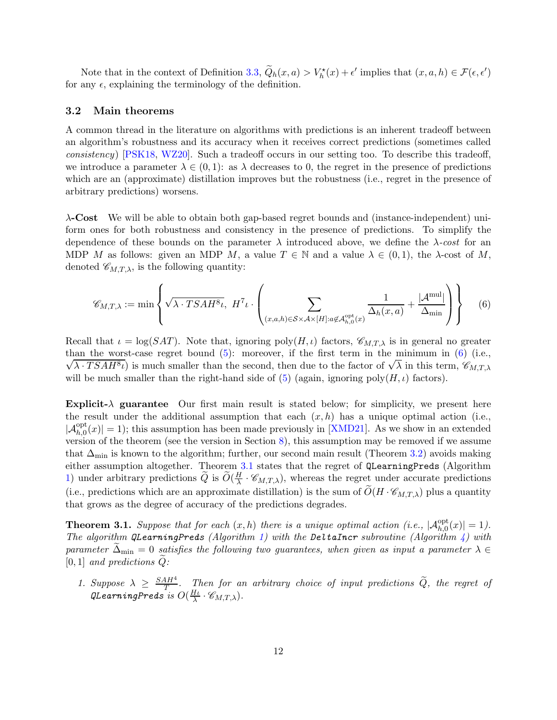Note that in the context of Definition [3.3,](#page-10-2)  $\tilde{Q}_h(x, a) > V_h^*(x) + \epsilon'$  implies that  $(x, a, h) \in \mathcal{F}(\epsilon, \epsilon')$ for any  $\epsilon$ , explaining the terminology of the definition.

#### <span id="page-11-0"></span>3.2 Main theorems

A common thread in the literature on algorithms with predictions is an inherent tradeoff between an algorithm's robustness and its accuracy when it receives correct predictions (sometimes called consistency) [\[PSK18,](#page-66-5) [WZ20\]](#page-67-2). Such a tradeoff occurs in our setting too. To describe this tradeoff, we introduce a parameter  $\lambda \in (0,1)$ : as  $\lambda$  decreases to 0, the regret in the presence of predictions which are an (approximate) distillation improves but the robustness (i.e., regret in the presence of arbitrary predictions) worsens.

 $\lambda$ -Cost We will be able to obtain both gap-based regret bounds and (instance-independent) uniform ones for both robustness and consistency in the presence of predictions. To simplify the dependence of these bounds on the parameter  $\lambda$  introduced above, we define the  $\lambda$ -cost for an MDP M as follows: given an MDP M, a value  $T \in \mathbb{N}$  and a value  $\lambda \in (0,1)$ , the  $\lambda$ -cost of M, denoted  $\mathscr{C}_{M,T,\lambda}$ , is the following quantity:

<span id="page-11-3"></span>
$$
\mathscr{C}_{M,T,\lambda} := \min \left\{ \sqrt{\lambda \cdot TSAH^8\iota}, H^7 \iota \cdot \left( \sum_{(x,a,h) \in S \times A \times [H]: a \notin \mathcal{A}_{h,0}^{\text{opt}}(x)} \frac{1}{\Delta_h(x,a)} + \frac{|\mathcal{A}^{\text{mul}}|}{\Delta_{\text{min}}} \right) \right\}
$$
(6)

Recall that  $\iota = \log(SAT)$ . Note that, ignoring  $\text{poly}(H, \iota)$  factors,  $\mathscr{C}_{M,T,\lambda}$  is in general no greater  $\sqrt{\lambda \cdot TSAH^{8}t}$ ) is much smaller than the second, then due to the factor of  $\sqrt{\lambda}$  in this term,  $\mathscr{C}_{M,T,\lambda}$ than the worst-case regret bound  $(5)$ : moreover, if the first term in the minimum in  $(6)$  (i.e., will be much smaller than the right-hand side of [\(5\)](#page-9-2) (again, ignoring poly $(H, \iota)$  factors).

Explicit- $\lambda$  guarantee Our first main result is stated below; for simplicity, we present here the result under the additional assumption that each  $(x, h)$  has a unique optimal action (i.e.,  $|\mathcal{A}_{h,0}^{\text{opt}}(x)| = 1$ ; this assumption has been made previously in [\[XMD21\]](#page-68-2). As we show in an extended version of the theorem (see the version in Section [8\)](#page-59-0), this assumption may be removed if we assume that  $\Delta_{\text{min}}$  is known to the algorithm; further, our second main result (Theorem [3.2\)](#page-12-0) avoids making either assumption altogether. Theorem [3.1](#page-11-1) states that the regret of QLearningPreds (Algorithm [1\)](#page-17-0) under arbitrary predictions  $\widetilde{Q}$  is  $\widetilde{O}(\frac{H}{\lambda})$  $\frac{H}{\lambda} \cdot \mathscr{C}_{M,T,\lambda}$ , whereas the regret under accurate predictions (i.e., predictions which are an approximate distillation) is the sum of  $\tilde{O}(H \cdot \mathcal{C}_{M,T,\lambda})$  plus a quantity that grows as the degree of accuracy of the predictions degrades.

<span id="page-11-1"></span>**Theorem 3.1.** Suppose that for each  $(x, h)$  there is a unique optimal action (i.e.,  $|\mathcal{A}_{h,0}^{\text{opt}}(x)| = 1$ ). The algorithm QLearningPreds (Algorithm [1\)](#page-17-0) with the DeltaIncr subroutine (Algorithm [4\)](#page-18-0) with parameter  $\Delta_{\min} = 0$  satisfies the following two guarantees, when given as input a parameter  $\lambda \in$  $[0, 1]$  and predictions  $Q$ :

<span id="page-11-2"></span>1. Suppose  $\lambda \geq \frac{SAH^4}{T}$  $\frac{dH^2}{dT}$ . Then for an arbitrary choice of input predictions Q, the regret of QLearningPreds is  $O(\frac{H\nu}{\lambda})$  $\frac{H_L}{\lambda} \cdot \mathscr{C}_{M,T,\lambda}).$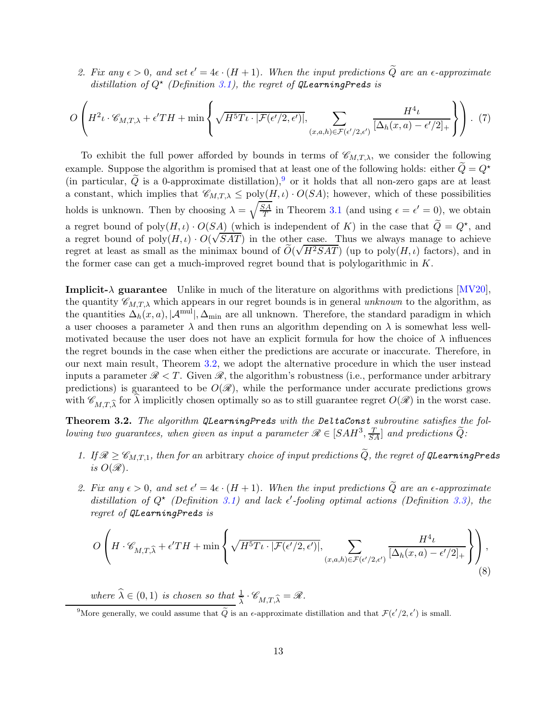2. Fix any  $\epsilon > 0$ , and set  $\epsilon' = 4\epsilon \cdot (H + 1)$ . When the input predictions Q are an  $\epsilon$ -approximate distillation of  $Q^{\star}$  (Definition [3.1\)](#page-10-0), the regret of QLearningPreds is

$$
O\left(H^{2}\iota \cdot \mathscr{C}_{M,T,\lambda} + \epsilon' TH + \min\left\{\sqrt{H^{5}T\iota \cdot |\mathcal{F}(\epsilon'/2,\epsilon')|}, \sum_{(x,a,h)\in \mathcal{F}(\epsilon'/2,\epsilon')} \frac{H^{4}\iota}{[\Delta_{h}(x,a)-\epsilon'/2]_{+}}\right\}\right).
$$
(7)

To exhibit the full power afforded by bounds in terms of  $\mathscr{C}_{M,T,\lambda}$ , we consider the following example. Suppose the algorithm is promised that at least one of the following holds: either  $\tilde{Q}=Q^*$ (in particular,  $\tilde{Q}$  is a 0-approximate distillation),<sup>9</sup> or it holds that all non-zero gaps are at least a constant, which implies that  $\mathscr{C}_{M,T,\lambda} \leq \text{poly}(H,\iota) \cdot O(SA)$ ; however, which of these possibilities holds is unknown. Then by choosing  $\lambda = \sqrt{\frac{SA}{T}}$  $\frac{\delta A}{T}$  in Theorem [3.1](#page-11-1) (and using  $\epsilon = \epsilon' = 0$ ), we obtain a regret bound of  $\text{poly}(H,\iota) \cdot O(S_A)$  (which is independent of K) in the case that  $\tilde{Q} = Q^*$ , and a regret bound of  $poly(H, \iota) \cdot O(\sqrt{SAT})$  in the other case. Thus we always manage to achieve regret at least as small as the minimax bound of  $\widetilde{O}(\sqrt{H^2SAT})$  (up to poly $(H, \iota)$  factors), and in the former case can get a much-improved regret bound that is polylogarithmic in  $K$ .

**Implicit-** $\lambda$  guarantee Unlike in much of the literature on algorithms with predictions  $\text{[MV20]}$ , the quantity  $\mathscr{C}_{M,T,\lambda}$  which appears in our regret bounds is in general unknown to the algorithm, as the quantities  $\Delta_h(x, a)$ ,  $|\mathcal{A}^{\text{mul}}|$ ,  $\Delta_{\text{min}}$  are all unknown. Therefore, the standard paradigm in which a user chooses a parameter  $\lambda$  and then runs an algorithm depending on  $\lambda$  is somewhat less wellmotivated because the user does not have an explicit formula for how the choice of  $\lambda$  influences the regret bounds in the case when either the predictions are accurate or inaccurate. Therefore, in our next main result, Theorem [3.2,](#page-12-0) we adopt the alternative procedure in which the user instead inputs a parameter  $\mathcal{R} < T$ . Given  $\mathcal{R}$ , the algorithm's robustness (i.e., performance under arbitrary predictions) is guaranteed to be  $O(\mathscr{R})$ , while the performance under accurate predictions grows with  $\mathscr{C}_{MT\hat{\lambda}}$  for  $\lambda$  implicitly chosen optimally so as to still guarantee regret  $O(\mathscr{R})$  in the worst case.

<span id="page-12-0"></span>Theorem 3.2. The algorithm QLearningPreds with the DeltaConst subroutine satisfies the following two guarantees, when given as input a parameter  $\mathscr{R} \in [SAH^3, \frac{T}{SA}]$  and predictions  $\widetilde{Q}$ :

- <span id="page-12-2"></span>1. If  $\mathcal{R} \geq \mathcal{C}_{M,T,1}$ , then for an arbitrary choice of input predictions  $\widetilde{Q}$ , the regret of QLearningPreds is  $O(\mathscr{R})$ .
- 2. Fix any  $\epsilon > 0$ , and set  $\epsilon' = 4\epsilon \cdot (H + 1)$ . When the input predictions Q are an  $\epsilon$ -approximate distillation of  $Q^*$  (Definition [3.1\)](#page-10-0) and lack  $\epsilon'$ -fooling optimal actions (Definition [3.3\)](#page-10-2), the regret of QLearningPreds is

<span id="page-12-1"></span>
$$
O\left(H \cdot \mathscr{C}_{M,T,\widehat{\lambda}} + \epsilon' TH + \min\left\{\sqrt{H^5 T \iota \cdot |\mathcal{F}(\epsilon'/2,\epsilon')|}, \sum_{(x,a,h)\in \mathcal{F}(\epsilon'/2,\epsilon')}\frac{H^4 \iota}{[\Delta_h(x,a)-\epsilon'/2]_{+}}\right\}\right),\tag{8}
$$

where  $\widehat{\lambda} \in (0, 1)$  is chosen so that  $\frac{1}{\widehat{\lambda}} \cdot \mathscr{C}_{M,T,\widehat{\lambda}} = \mathscr{R}$ .

<sup>9</sup>More generally, we could assume that  $\tilde{Q}$  is an  $\epsilon$ -approximate distillation and that  $\mathcal{F}(\epsilon'/2, \epsilon')$  is small.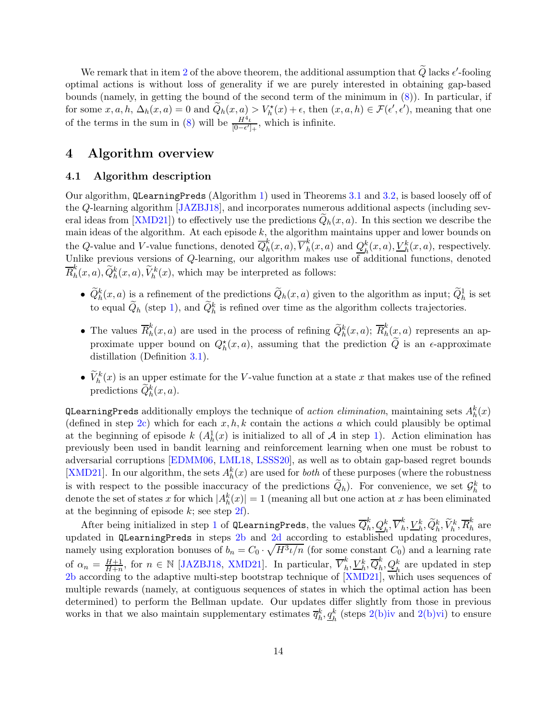We remark that in item [2](#page-12-1) of the above theorem, the additional assumption that  $Q$  lacks  $\epsilon'$ -fooling optimal actions is without loss of generality if we are purely interested in obtaining gap-based bounds (namely, in getting the bound of the second term of the minimum in [\(8\)](#page-12-1)). In particular, if for some  $x, a, h, \Delta_h(x, a) = 0$  and  $\tilde{Q}_h(x, a) > V_h^*(x) + \epsilon$ , then  $(x, a, h) \in \mathcal{F}(\epsilon', \epsilon')$ , meaning that one of the terms in the sum in [\(8\)](#page-12-1) will be  $\frac{H^4\ell}{\ln(-\epsilon')}$  $\frac{H^2t}{[0-\epsilon']_+}$ , which is infinite.

## <span id="page-13-1"></span><span id="page-13-0"></span>4 Algorithm overview

#### 4.1 Algorithm description

Our algorithm, QLearningPreds (Algorithm [1\)](#page-17-0) used in Theorems [3.1](#page-11-1) and [3.2,](#page-12-0) is based loosely off of the Q-learning algorithm [\[JAZBJ18\]](#page-65-3), and incorporates numerous additional aspects (including several ideas from  $[XMD21]$  to effectively use the predictions  $Q_h(x, a)$ . In this section we describe the main ideas of the algorithm. At each episode  $k$ , the algorithm maintains upper and lower bounds on the Q-value and V-value functions, denoted  $\overline{Q}_h^k$  $_{h}^{k}(x,a),\overline{V}_{h}^{k}% (a,b),\overline{v}_{h}^{k}(a,b),\overline{v}_{h}^{k}(a,b),\overline{v}_{h}^{k}(a,b),\overline{v}_{h}^{k}(a,b),\overline{v}_{h}^{k}(a,b),$  $\frac{k}{h}(x,a)$  and  $\frac{Q_h^k}{h}$  $h<sup>k</sup>(x, a), \underline{V}_{h}^{k}(x, a),$  respectively. Unlike previous versions of Q-learning, our algorithm makes use of additional functions, denoted  $\overline{R}^k_h$  $h_h^k(x, a), \widetilde{Q}_h^k(x, a), \widetilde{V}_h^k(x)$ , which may be interpreted as follows:

- $\widetilde{Q}_h^k(x,a)$  is a refinement of the predictions  $\widetilde{Q}_h(x,a)$  given to the algorithm as input;  $\widetilde{Q}_h^1$  is set to equal  $\tilde{Q}_h$  (step [1\)](#page-17-2), and  $\tilde{Q}_h^k$  is refined over time as the algorithm collects trajectories.
- The values  $\overline{R}_h^k$  $h(h_n^k(x, a))$  are used in the process of refining  $\widetilde{Q}_h^k(x, a)$ ;  $\overline{R}_h^k$  $h(n, a)$  represents an approximate upper bound on  $Q_h^*(x, a)$ , assuming that the prediction  $\tilde{Q}$  is an  $\epsilon$ -approximate distillation (Definition [3.1\)](#page-10-0).
- $\widetilde{V}_h^k(x)$  is an upper estimate for the V-value function at a state x that makes use of the refined predictions  $\widetilde{Q}_h^k(x,a)$ .

 $\verb+QLearningPreds+ additionally$  employs the technique of  $action\ elimination,$  maintaining sets  $A_h^k(x)$ (defined in step [2c\)](#page-17-3) which for each  $x, h, k$  contain the actions a which could plausibly be optimal at the beginning of episode  $k(A_h^1(x))$  is initialized to all of A in step [1\)](#page-17-2). Action elimination has previously been used in bandit learning and reinforcement learning when one must be robust to adversarial corruptions [\[EDMM06,](#page-65-11) [LML18,](#page-66-15) [LSSS20\]](#page-66-14), as well as to obtain gap-based regret bounds [\[XMD21\]](#page-68-2). In our algorithm, the sets  $A_h^k(x)$  are used for *both* of these purposes (where the robustness is with respect to the possible inaccuracy of the predictions  $\tilde{Q}_h$ ). For convenience, we set  $\mathcal{G}_h^k$  to denote the set of states x for which  $|A_h^k(x)| = 1$  (meaning all but one action at x has been eliminated at the beginning of episode  $k$ ; see step  $2f$ ).

After being initialized in step [1](#page-17-2) of QLearningPreds, the values  $\overline{Q}_{h}^{k}$  $_{h}^{k},\underline{Q}_{h}^{k},\overline{V}_{h}^{k}$  $_{h}^{k},\underline{V}_{h}^{k},\widetilde{Q}_{h}^{k},\widetilde{V}_{h}^{k},\overline{R}_{h}^{k}$  are updated in QLearningPreds in steps [2b](#page-17-5) and [2d](#page-17-6) according to established updating procedures, namely using exploration bonuses of  $b_n = C_0 \cdot \sqrt{H^3 \iota/n}$  (for some constant  $C_0$ ) and a learning rate of  $\alpha_n = \frac{H+1}{H+n}$ , for  $n \in \mathbb{N}$  [\[JAZBJ18,](#page-65-3) [XMD21\]](#page-68-2). In particular,  $\overline{V}_h^k$  $_{h}^{k},\underline{V}_{h}^{k},\overline{Q}_{h}^{k}$  $\frac{k}{h}, \underline{Q}_{h}^{k}$  are updated in step [2b](#page-17-5) according to the adaptive multi-step bootstrap technique of [\[XMD21\]](#page-68-2), which uses sequences of multiple rewards (namely, at contiguous sequences of states in which the optimal action has been determined) to perform the Bellman update. Our updates differ slightly from those in previous works in that we also maintain supplementary estimates  $\overline{q}_h^k, \underline{q}_h^k$  (steps [2\(b\)iv](#page-17-7) and [2\(b\)vi\)](#page-17-8) to ensure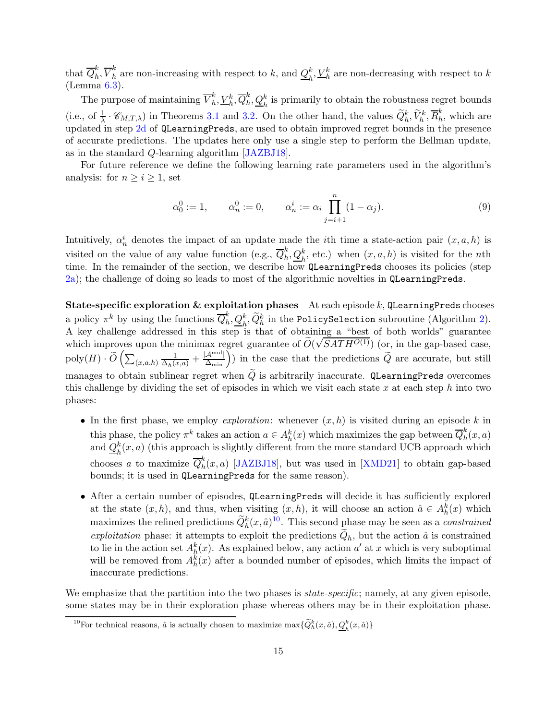that  $\overline{Q}_h^k$  $_{h}^{k},\overline{V}_{h}^{k}$  $\frac{k}{h}$  are non-increasing with respect to k, and  $Q_h^k$  $\frac{k}{h}, \underline{V}_h^k$  are non-decreasing with respect to  $k$ (Lemma [6.3\)](#page-28-0).

The purpose of maintaining  $\overline{V}_h^k$  $_h^k, \underline{V}_h^k, \overline{Q}_h^k$  $\frac{k}{h}, \underline{Q}_h^k$  is primarily to obtain the robustness regret bounds (i.e., of  $\frac{1}{\lambda} \cdot \mathscr{C}_{M,T,\lambda}$ ) in Theorems [3.1](#page-11-1) and [3.2.](#page-12-0) On the other hand, the values  $\widetilde{Q}_h^k, \widetilde{V}_h^k, \overline{R}_h^k$  $\hat{h}$ , which are updated in step  $2d$  of QLearningPreds, are used to obtain improved regret bounds in the presence of accurate predictions. The updates here only use a single step to perform the Bellman update, as in the standard Q-learning algorithm [\[JAZBJ18\]](#page-65-3).

For future reference we define the following learning rate parameters used in the algorithm's analysis: for  $n \geq i \geq 1$ , set

<span id="page-14-0"></span>
$$
\alpha_0^0 := 1, \qquad \alpha_n^0 := 0, \qquad \alpha_n^i := \alpha_i \prod_{j=i+1}^n (1 - \alpha_j). \tag{9}
$$

Intuitively,  $\alpha_n^i$  denotes the impact of an update made the *i*th time a state-action pair  $(x, a, h)$  is visited on the value of any value function (e.g.,  $\overline{Q}_h^k$  $h, Q_h^k$ , etc.) when  $(x, a, h)$  is visited for the *n*th time. In the remainder of the section, we describe how QLearningPreds chooses its policies (step [2a\)](#page-17-9); the challenge of doing so leads to most of the algorithmic novelties in QLearningPreds.

State-specific exploration  $\&$  exploitation phases At each episode  $k$ , QLearningPreds chooses a policy  $\pi^k$  by using the functions  $\overline{Q}_h^k$  $\sum_{h}^{k} \frac{Q_{h}^{k}}{Q_{h}^{k}}$  in the PolicySelection subroutine (Algorithm [2\)](#page-18-1). A key challenge addressed in this step is that of obtaining a "best of both worlds" guarantee which improves upon the minimax regret guarantee of  $\tilde{O}(\sqrt{SATH^{O(1)}})$  (or, in the gap-based case,  $\text{poly}(H) \cdot \widetilde{O}\left(\sum_{(x,a,h)} \frac{1}{\Delta_h(x,a)} + \frac{|\mathcal{A}^{\text{mul}}|}{\Delta_{\text{min}}}\right)$  in the case that the predictions  $\widetilde{Q}$  are accurate, but still manages to obtain sublinear regret when  $\tilde{Q}$  is arbitrarily inaccurate. QLearningPreds overcomes this challenge by dividing the set of episodes in which we visit each state  $x$  at each step h into two phases:

- In the first phase, we employ *exploration*: whenever  $(x, h)$  is visited during an episode k in this phase, the policy  $\pi^k$  takes an action  $a \in A_h^k(x)$  which maximizes the gap between  $\overline{Q}_h^k$  $\int_h^n(x,a)$ and  $Q_h^k(x, a)$  (this approach is slightly different from the more standard UCB approach which chooses a to maximize  $\overline{Q}_h^k$  $h(n, a)$  [\[JAZBJ18\]](#page-65-3), but was used in [\[XMD21\]](#page-68-2) to obtain gap-based bounds; it is used in QLearningPreds for the same reason).
- After a certain number of episodes, QLearningPreds will decide it has sufficiently explored at the state  $(x, h)$ , and thus, when visiting  $(x, h)$ , it will choose an action  $\hat{a} \in A_h^k(x)$  which maximizes the refined predictions  $\tilde{Q}_h^k(x, \hat{a})^{10}$ . This second phase may be seen as a *constrained* exploitation phase: it attempts to exploit the predictions  $Q_h$ , but the action  $\hat{a}$  is constrained to lie in the action set  $A_h^k(x)$ . As explained below, any action a' at x which is very suboptimal will be removed from  $A_h^k(x)$  after a bounded number of episodes, which limits the impact of inaccurate predictions.

We emphasize that the partition into the two phases is *state-specific*; namely, at any given episode, some states may be in their exploration phase whereas others may be in their exploitation phase.

<sup>&</sup>lt;sup>10</sup>For technical reasons,  $\hat{a}$  is actually chosen to maximize  $\max\{\tilde{Q}_h^k(x,\hat{a}),\underline{Q}_h^k(x,\hat{a})\}$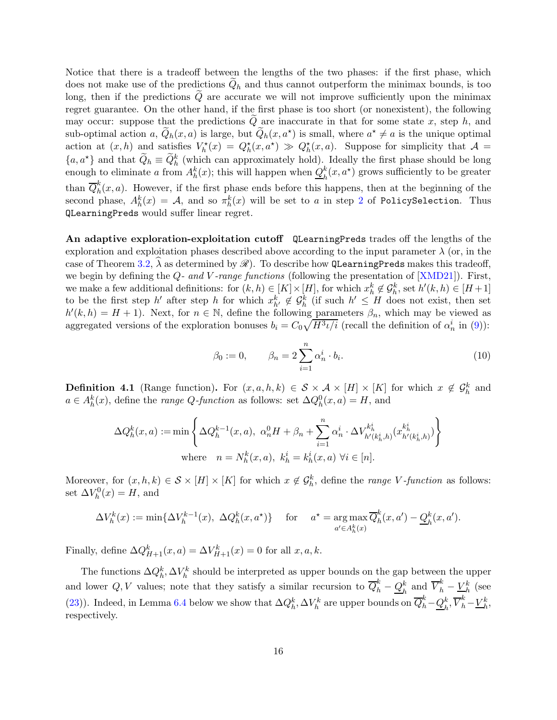Notice that there is a tradeoff between the lengths of the two phases: if the first phase, which does not make use of the predictions  $Q_h$  and thus cannot outperform the minimax bounds, is too long, then if the predictions  $Q$  are accurate we will not improve sufficiently upon the minimax regret guarantee. On the other hand, if the first phase is too short (or nonexistent), the following may occur: suppose that the predictions  $Q$  are inaccurate in that for some state x, step h, and sub-optimal action a,  $\tilde{Q}_h(x,a)$  is large, but  $\tilde{Q}_h(x,a^*)$  is small, where  $a^* \neq a$  is the unique optimal action at  $(x, h)$  and satisfies  $V_h^*(x) = Q_h^*(x, a^*) \gg Q_h^*(x, a)$ . Suppose for simplicity that  $\mathcal{A} =$  ${a, a^*}$  and that  $\tilde{Q}_h \equiv \tilde{Q}_h^k$  (which can approximately hold). Ideally the first phase should be long enough to eliminate a from  $A_h^k(x)$ ; this will happen when  $Q_h^k$  $h \nvert k$  $(x, a^*)$  grows sufficiently to be greater than  $\overline{Q}_h^k$  $\int_h^{\infty}(x, a)$ . However, if the first phase ends before this happens, then at the beginning of the second phase,  $A_h^k(x) = A$ , and so  $\pi_h^k(x)$  will be set to a in step [2](#page-18-2) of PolicySelection. Thus QLearningPreds would suffer linear regret.

An adaptive exploration-exploitation cutoff QLearningPreds trades off the lengths of the exploration and exploitation phases described above according to the input parameter  $\lambda$  (or, in the case of Theorem [3.2,](#page-12-0)  $\lambda$  as determined by  $\mathscr{R}$ ). To describe how QLearningPreds makes this tradeoff, we begin by defining the  $Q$ - and V-range functions (following the presentation of [\[XMD21\]](#page-68-2)). First, we make a few additional definitions: for  $(k, h) \in [K] \times [H]$ , for which  $x_h^k \notin \mathcal{G}_h^k$ , set  $h'(k, h) \in [H+1]$ to be the first step h' after step h for which  $x_{h'}^k \notin \mathcal{G}_h^k$  (if such  $h' \leq H$  does not exist, then set  $h'(k, h) = H + 1$ ). Next, for  $n \in \mathbb{N}$ , define the following parameters  $\beta_n$ , which may be viewed as aggregated versions of the exploration bonuses  $b_i = C_0 \sqrt{H^3 \iota/i}$  (recall the definition of  $\alpha_n^i$  in [\(9\)](#page-14-0)):

<span id="page-15-1"></span>
$$
\beta_0 := 0, \qquad \beta_n = 2 \sum_{i=1}^n \alpha_n^i \cdot b_i. \tag{10}
$$

<span id="page-15-0"></span>**Definition 4.1** (Range function). For  $(x, a, h, k) \in S \times A \times [H] \times [K]$  for which  $x \notin \mathcal{G}_h^k$  and  $a \in A_h^k(x)$ , define the *range Q-function* as follows: set  $\Delta Q_h^0(x, a) = H$ , and

$$
\Delta Q_h^k(x, a) := \min \left\{ \Delta Q_h^{k-1}(x, a), \ \alpha_n^0 H + \beta_n + \sum_{i=1}^n \alpha_n^i \cdot \Delta V_{h'(k_h^i, h)}^{k_h^i}(x_{h'(k_h^i, h)}^{k_h^i}) \right\}
$$
  
where  $n = N_h^k(x, a), k_h^i = k_h^i(x, a) \ \forall i \in [n].$ 

Moreover, for  $(x, h, k) \in S \times [H] \times [K]$  for which  $x \notin \mathcal{G}_h^k$ , define the *range V*-function as follows: set  $\Delta V_h^0(x) = H$ , and

$$
\Delta V_h^k(x) := \min\{\Delta V_h^{k-1}(x), \ \Delta Q_h^k(x, a^\star)\} \quad \text{for} \quad a^\star = \operatorname*{arg\,max}_{a' \in A_h^k(x)} \overline{Q}_h^k(x, a') - \underline{Q}_h^k(x, a').
$$

Finally, define  $\Delta Q_{H+1}^k(x, a) = \Delta V_{H+1}^k(x) = 0$  for all  $x, a, k$ .

The functions  $\Delta Q_h^k$ ,  $\Delta V_h^k$  should be interpreted as upper bounds on the gap between the upper and lower Q, V values; note that they satisfy a similar recursion to  $\overline{Q}_h^k - \underline{Q}_h^k$  and  $\overline{V}_h^k - \underline{V}_h^k$  (see [\(23\)](#page-24-0)). Indeed, in Lemma [6.4](#page-29-1) below we show that  $\Delta Q_h^k$ ,  $\Delta V_h^k$  are upper bounds on  $\overline{Q}_h^k - \underline{Q}_h^k$  $\frac{k}{h}, \overline{V}_h^k - \underline{V}_h^k,$ respectively.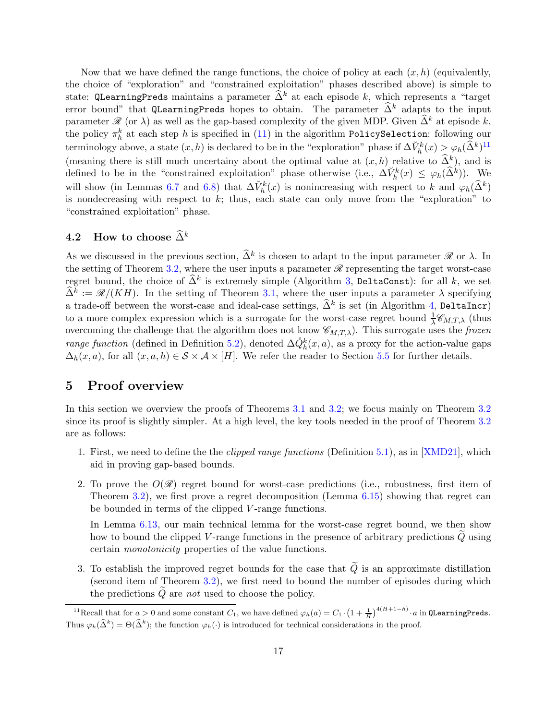Now that we have defined the range functions, the choice of policy at each  $(x, h)$  (equivalently, the choice of "exploration" and "constrained exploitation" phases described above) is simple to state: QLearningPreds maintains a parameter  $\tilde{\Delta}^k$  at each episode k, which represents a "target" error bound" that QLearningPreds hopes to obtain. The parameter  $\widehat{\Delta}^k$  adapts to the input parameter  $\mathscr R$  (or  $\lambda$ ) as well as the gap-based complexity of the given MDP. Given  $\widehat{\Delta}^k$  at episode k, the policy  $\pi_h^k$  at each step  $h$  is specified in [\(11\)](#page-18-3) in the algorithm PolicySelection: following our terminology above, a state  $(x, h)$  is declared to be in the "exploration" phase if  $\Delta V_h^k(x) > \varphi_h(\widehat{\Delta}^k)^{11}$ (meaning there is still much uncertainy about the optimal value at  $(x, h)$  relative to  $\widehat{\Delta}_h^k$ ), and is defined to be in the "constrained exploitation" phase otherwise (i.e.,  $\Delta V_h^k(x) \leq \varphi_h(\widehat{\Delta}^k)$ ). We will show (in Lemmas [6.7](#page-32-0) and [6.8\)](#page-32-1) that  $\Delta V_h^k(x)$  is nonincreasing with respect to k and  $\varphi_h(\hat{\Delta}^k)$ is nondecreasing with respect to  $k$ ; thus, each state can only move from the "exploration" to "constrained exploitation" phase.

### <span id="page-16-0"></span>4.2 How to choose  $\widehat{\Delta}^k$

As we discussed in the previous section,  $\hat{\Delta}^k$  is chosen to adapt to the input parameter  $\mathscr R$  or  $\lambda$ . In the setting of Theorem [3.2,](#page-12-0) where the user inputs a parameter  $\mathscr R$  representing the target worst-case regret bound, the choice of  $\widehat{\Delta}^k$  is extremely simple (Algorithm [3,](#page-18-4) DeltaConst): for all k, we set  $\widehat{\Delta}^k := \mathscr{R}/(KH)$ . In the setting of Theorem [3.1,](#page-11-1) where the user inputs a parameter  $\lambda$  specifying a trade-off between the worst-case and ideal-case settings,  $\widehat{\Delta}^k$  is set (in Algorithm [4,](#page-18-0) DeltaIncr) to a more complex expression which is a surrogate for the worst-case regret bound  $\frac{1}{\lambda} \mathscr{C}_{M,T,\lambda}$  (thus overcoming the challenge that the algorithm does not know  $\mathscr{C}_{M,T,\lambda}$ ). This surrogate uses the frozen *range function* (defined in Definition [5.2\)](#page-23-3), denoted  $\Delta \hat{Q}_h^k(x, a)$ , as a proxy for the action-value gaps  $\Delta_h(x, a)$ , for all  $(x, a, h) \in S \times A \times [H]$ . We refer the reader to Section [5.5](#page-23-0) for further details.

# <span id="page-16-1"></span>5 Proof overview

In this section we overview the proofs of Theorems [3.1](#page-11-1) and [3.2;](#page-12-0) we focus mainly on Theorem [3.2](#page-12-0) since its proof is slightly simpler. At a high level, the key tools needed in the proof of Theorem [3.2](#page-12-0) are as follows:

- 1. First, we need to define the the *clipped range functions* (Definition [5.1\)](#page-19-2), as in [\[XMD21\]](#page-68-2), which aid in proving gap-based bounds.
- 2. To prove the  $O(\mathscr{R})$  regret bound for worst-case predictions (i.e., robustness, first item of Theorem [3.2\)](#page-12-0), we first prove a regret decomposition (Lemma [6.15\)](#page-39-0) showing that regret can be bounded in terms of the clipped V-range functions.

In Lemma [6.13,](#page-35-0) our main technical lemma for the worst-case regret bound, we then show how to bound the clipped  $V$ -range functions in the presence of arbitrary predictions  $Q$  using certain monotonicity properties of the value functions.

3. To establish the improved regret bounds for the case that  $\tilde{Q}$  is an approximate distillation (second item of Theorem [3.2\)](#page-12-0), we first need to bound the number of episodes during which the predictions  $Q$  are not used to choose the policy.

<sup>&</sup>lt;sup>11</sup>Recall that for  $a > 0$  and some constant  $C_1$ , we have defined  $\varphi_h(a) = C_1 \cdot \left(1 + \frac{1}{H}\right)^{4(H+1-h)} \cdot a$  in QLearningPreds. Thus  $\varphi_h(\hat{\Delta}^k) = \Theta(\hat{\Delta}^k)$ ; the function  $\varphi_h(\cdot)$  is introduced for technical considerations in the proof.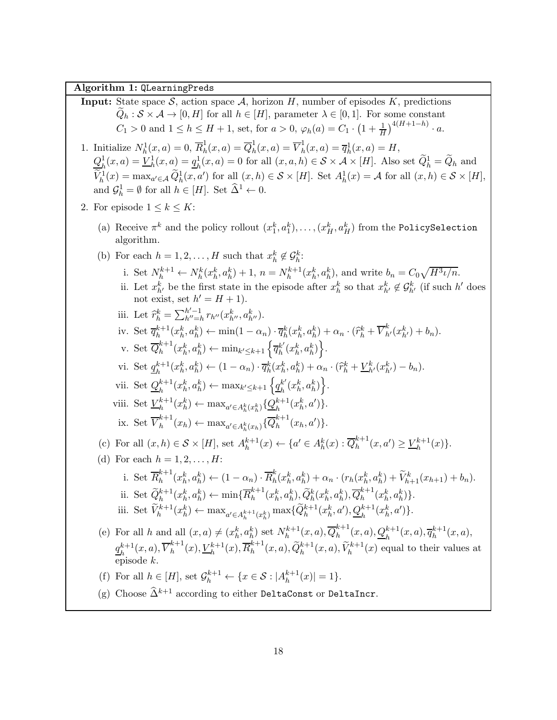<span id="page-17-0"></span>Algorithm 1: QLearningPreds

<span id="page-17-16"></span><span id="page-17-15"></span><span id="page-17-14"></span><span id="page-17-13"></span><span id="page-17-12"></span><span id="page-17-11"></span><span id="page-17-10"></span><span id="page-17-9"></span><span id="page-17-8"></span><span id="page-17-7"></span><span id="page-17-6"></span><span id="page-17-5"></span><span id="page-17-4"></span><span id="page-17-3"></span><span id="page-17-2"></span><span id="page-17-1"></span>**Input:** State space S, action space A, horizon H, number of episodes K, predictions  $Q_h : \mathcal{S} \times \mathcal{A} \to [0, H]$  for all  $h \in [H]$ , parameter  $\lambda \in [0, 1]$ . For some constant  $C_1 > 0$  and  $1 \le h \le H + 1$ , set, for  $a > 0$ ,  $\varphi_h(a) = C_1 \cdot \left(1 + \frac{1}{H}\right)^{4(H+1-h)} \cdot a$ . 1. Initialize  $N_h^1(x,a) = 0$ ,  $\overline{R}_h^1$  $\frac{1}{h}(x,a) = \overline{Q}_h^1$  $\frac{1}{h}(x,a) = \overline{V}_h^1$  $h(t, a) = \overline{q}_h^1(x, a) = H,$  $Q^1_{\scriptscriptstyle\rm L}$  $L_h^1(x,a) = \underline{V}_h^1(x,a) = \underline{q}_h^1$  $h_l(x, a) = 0$  for all  $(x, a, h) \in S \times A \times [H]$ . Also set  $\tilde{Q}_h^1 = \tilde{Q}_h$  and  $\widetilde{V}_h^1(x) = \max_{a' \in \mathcal{A}} \widetilde{Q}_h^1(x, a')$  for all  $(x, h) \in \mathcal{S} \times [H]$ . Set  $A_h^1(x) = \mathcal{A}$  for all  $(x, h) \in \mathcal{S} \times [H]$ , and  $\mathcal{G}_h^1 = \emptyset$  for all  $h \in [H]$ . Set  $\widehat{\Delta}^1 \leftarrow 0$ . 2. For episode  $1 \leq k \leq K$ : (a) Receive  $\pi^k$  and the policy rollout  $(x_1^k, a_1^k), \ldots, (x_H^k, a_H^k)$  from the PolicySelection algorithm. (b) For each  $h = 1, 2, ..., H$  such that  $x_h^k \notin G_h^k$ : i. Set  $N_h^{k+1} \leftarrow N_h^k(x_h^k, a_h^k) + 1, n = N_h^{k+1}$  $h_h^{k+1}(x_h^k, a_h^k)$ , and write  $b_n = C_0 \sqrt{H^3 \iota/n}$ . ii. Let  $x_{h'}^k$  be the first state in the episode after  $x_h^k$  so that  $x_{h'}^k \notin \mathcal{G}_{h'}^k$  (if such h' does not exist, set  $h' = H + 1$ . iii. Let  $\hat{r}_h^k = \sum_{h''=h}^{h'-1} r_{h''}(x_{h''}^k, a_{h''}^k)$ . iv. Set  $\overline{q}_h^{k+1}$  $\frac{k+1}{h}(x_h^k, a_h^k) \leftarrow \min(1 - \alpha_n) \cdot \overline{q}_h^k(x_h^k, a_h^k) + \alpha_n \cdot (\widehat{r}_h^k + \overline{V}_{h'}^k(x_{h'}^k) + b_n).$ v. Set  $\overline{Q}_h^{k+1}$  $h^{k+1}(x_h^k, a_h^k) \leftarrow \min_{k' \leq k+1} \left\{ \overline{q}_h^{k'} \right\}$  $_{h}^{k'}(x_h^k, a_h^k)\Big\}.$ vi. Set  $q_{\scriptscriptstyle h}^{k+1}$  $\mathcal{L}_h^{k+1}(x_h^k, a_h^k) \leftarrow (1 - \alpha_n) \cdot \overline{q}_h^k(x_h^k, a_h^k) + \alpha_n \cdot (\widehat{r}_h^k + \underline{V}_{h'}^k(x_{h'}^k) - b_n).$ vii. Set  $Q_h^{k+1}$  $h_h^{k+1}(x_h^k, a_h^k) \leftarrow \max_{k' \leq k+1} \left\{ \underline{q}_h^{k'}\right\}$  $_{h}^{k'}(x_{h}^{k},a_{h}^{k})\Big\}.$ viii. Set  $\underline{V}_h^{k+1}$  ${}_{h}^{k+1}(x_{h}^{k}) \leftarrow \max_{a' \in A_{h}^{k}(x_{h}^{k})} {\{\mathcal{Q}_{h}^{k+1}(x_{h}^{k},a')\}}.$ ix. Set  $\overline{V}_h^{k+1}$  ${}_{h}^{k+1}(x_h) \leftarrow \max_{a' \in A_h^k(x_h)} {\{\overline{Q}_h^{k+1}\}}$  $h^{n+1}(x_h, a')\}.$ (c) For all  $(x, h) \in S \times [H]$ , set  $A_h^{k+1}$  $h^{k+1}(x) \leftarrow \{a' \in A_h^k(x) : \overline{Q}_h^{k+1}$  $\binom{k+1}{h}(x,a') \geq \frac{V_k^{k+1}}{h}$  $_{h}^{k+1}(x)\}.$ (d) For each  $h = 1, 2, \ldots, H$ : i. Set  $\overline{R}_h^{k+1}$  ${}_{h}^{k+1}(x_h^k, a_h^k) \leftarrow (1 - \alpha_n) \cdot \overline{R}_h^k$  $\int_h^k(x_h^k, a_h^k) + \alpha_n \cdot (r_h(x_h^k, a_h^k) + V_{h+1}^k(x_{h+1}) + b_n).$ ii. Set  $\widetilde{Q}_h^{k+1}(x_h^k, a_h^k) \leftarrow \min\{\overline{R}_h^{k+1}\}$  $_{h}^{k+1}(x_h^k, a_h^k), \widetilde{Q}_h^k(x_h^k, a_h^k), \overline{Q}_h^{k+1}$  $_{h}^{k+1}(x_{h}^{k},a_{h}^{k})\}.$ iii. Set  $\widetilde{V}_h^{k+1}(x_h^k) \leftarrow \max_{a' \in A_h^{k+1}(x_h^k)} \max\{\widetilde{Q}_h^{k+1}(x_h^k, a'), \underline{Q}_h^{k+1}(x_h^k, a')\}.$ (e) For all h and all  $(x, a) \neq (x_h^k, a_h^k)$  set  $N_h^{k+1}$  $\overline{R}_h^{k+1}(x,a), \overline{Q}_h^{k+1}$  $h^{k+1}(x,a), \underline{Q}_h^{k+1}(x,a), \overline{q}_h^{k+1}$ h  $h^{k+1}(x, a),$  $q_{\scriptscriptstyle L}^{k+1}$  $_{h}^{k+1}(x,a),\overline{V}_{h}^{k+1}% (a,a),\overline{V}% _{h}^{k+1}(a,a),\overline{V}_{h}^{k+1}(a,a),\overline{V}_{h}^{k+1}(a,a),\overline{V}_{h}^{k+1}(a,a),\overline{V}_{h}^{k+1}(a,a),\overline{V}_{h}^{k+1}(a,a),\overline{V}_{h}^{k+1}(a,a),\overline{V}_{h}% ^{k+1}(a,a),\overline{V}_{h}^{k+1}(a,a),\overline{V}_{h}% ^{k+1}(a,a),\overline{V}_{h}% ^{k+1}(a,a),\overline{V}_{h}% ^{k$  $_{h}^{k+1}(x), \underline{V}_{h}^{k+1}(x), \overline{R}_{h}^{k+1}$  $\tilde{h}_h^{k+1}(x,a), \tilde{Q}_h^{k+1}(x,a), \tilde{V}_h^{k+1}(x)$  equal to their values at episode k. (f) For all  $h \in [H]$ , set  $\mathcal{G}_h^{k+1} \leftarrow \{x \in \mathcal{S} : |A_h^{k+1}|$  $\binom{k+1}{h}(x) = 1$ . (g) Choose  $\widehat{\Delta}^{k+1}$  according to either <code>DeltaConst</code> or <code>DeltaIncr.</code>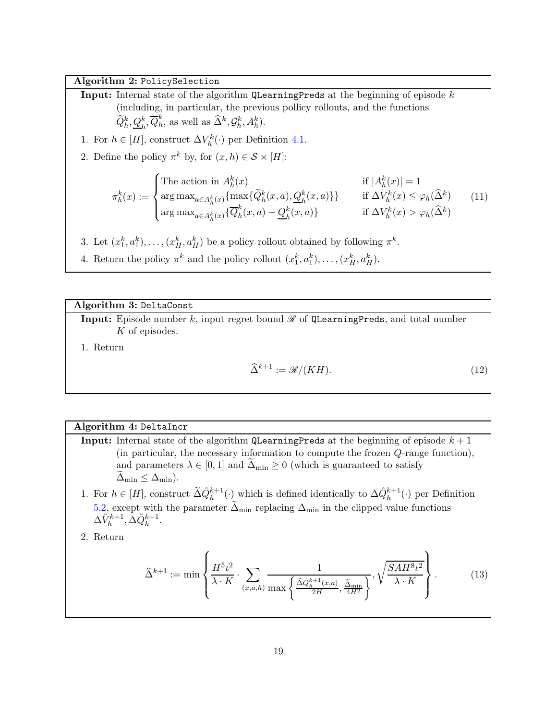#### <span id="page-18-1"></span>Algorithm 2: PolicySelection

<span id="page-18-2"></span>**Input:** Internal state of the algorithm  $Q$ **LearningPreds** at the beginning of episode k (including, in particular, the previous pollicy rollouts, and the functions  $\widetilde{Q}_{h}^{k}, \underline{Q}_{h}^{k}, \overline{Q}_{h}^{k}$  $_h^k$ , as well as  $\widehat{\Delta}^k, \mathcal{G}_h^k, A_h^k$ . 1. For  $h \in [H]$ , construct  $\Delta V_h^k(\cdot)$  per Definition [4.1.](#page-15-0) 2. Define the policy  $\pi^k$  by, for  $(x, h) \in S \times [H]$ :  $\pi_h^k(x) :=$  $\sqrt{ }$  $\int$  $\overline{\mathcal{L}}$ The action in  $A_h^k(x)$  if  $|A_h^k(x)| = 1$  $\arg \max_{a \in A_h^k(x)} \{ \max \{ \widetilde{Q}_h^k(x, a), \underline{Q}_h^k(x, a) \} \}$  if  $\Delta V_h^k(x) \le \varphi_h(\widehat{\Delta}^k)$  $\argmax_{a \in A_h^k(x)} \{\overline{Q}_h^k\}$  $h<sup>k</sup>(x, a) - Q<sup>k</sup>$  $h_h^k(x, a)$  if  $\Delta V_h^k(x) > \varphi_h(\widehat{\Delta}^k)$ (11) 3. Let  $(x_1^k, a_1^k), \ldots, (x_H^k, a_H^k)$  be a policy rollout obtained by following  $\pi^k$ .

4. Return the policy  $\pi^k$  and the policy rollout  $(x_1^k, a_1^k), \ldots, (x_H^k, a_H^k)$ .

Algorithm 3: DeltaConst

<span id="page-18-4"></span>**Input:** Episode number k, input regret bound  $\mathscr R$  of QLearningPreds, and total number K of episodes.

1. Return

<span id="page-18-5"></span><span id="page-18-3"></span>
$$
\widehat{\Delta}^{k+1} := \mathcal{R}/(KH). \tag{12}
$$

#### Algorithm 4: DeltaIncr

- <span id="page-18-0"></span>**Input:** Internal state of the algorithm QLearningPreds at the beginning of episode  $k + 1$ (in particular, the necessary information to compute the frozen Q-range function), and parameters  $\lambda \in [0, 1]$  and  $\Delta_{\min} \geq 0$  (which is guaranteed to satisfy  $\Delta_{\min} \leq \Delta_{\min}$ ).
- <span id="page-18-6"></span>1. For  $h \in [H]$ , construct  $\tilde{\Delta} \dot{Q}_h^{k+1}(\cdot)$  which is defined identically to  $\Delta \dot{Q}_h^{k+1}(\cdot)$  per Definition [5.2,](#page-23-3) except with the parameter  $\Delta_{\min}$  replacing  $\Delta_{\min}$  in the clipped value functions  $\Delta V^{k+1}_h, \Delta \breve{Q}^{k+1}_h.$
- 2. Return

$$
\widehat{\Delta}^{k+1} := \min \left\{ \frac{H^5 \iota^2}{\lambda \cdot K} \cdot \sum_{(x,a,h)} \frac{1}{\max \left\{ \frac{\widetilde{\Delta} \widehat{Q}_{h}^{k+1}(x,a)}{2H}, \frac{\widetilde{\Delta}_{\min}}{4H^2} \right\}}, \sqrt{\frac{SAH^8 \iota^2}{\lambda \cdot K}} \right\}.
$$
(13)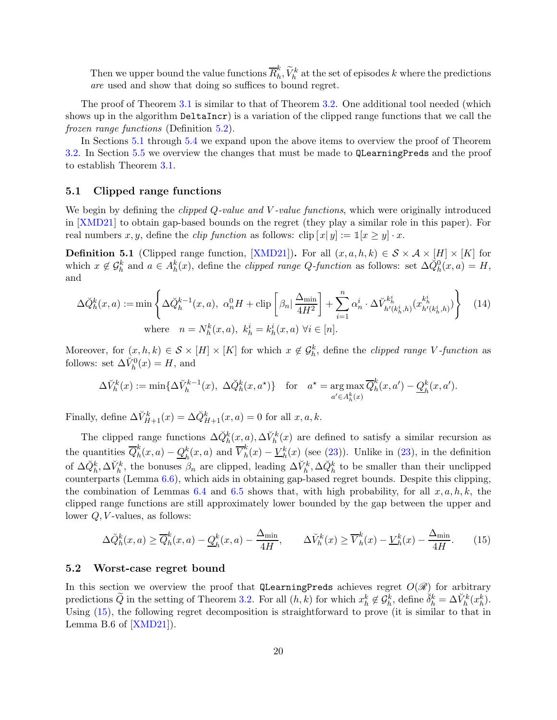Then we upper bound the value functions  $\overline{R}_{h}^{k}$  $\widetilde{h}_h, \widetilde{V}_h^k$  at the set of episodes k where the predictions are used and show that doing so suffices to bound regret.

The proof of Theorem [3.1](#page-11-1) is similar to that of Theorem [3.2.](#page-12-0) One additional tool needed (which shows up in the algorithm DeltaIncr) is a variation of the clipped range functions that we call the frozen range functions (Definition [5.2\)](#page-23-3).

In Sections [5.1](#page-19-0) through [5.4](#page-21-1) we expand upon the above items to overview the proof of Theorem [3.2.](#page-12-0) In Section [5.5](#page-23-0) we overview the changes that must be made to QLearningPreds and the proof to establish Theorem [3.1.](#page-11-1)

#### <span id="page-19-0"></span>5.1 Clipped range functions

We begin by defining the *clipped Q-value and V-value functions*, which were originally introduced in [\[XMD21\]](#page-68-2) to obtain gap-based bounds on the regret (they play a similar role in this paper). For real numbers x, y, define the *clip function* as follows: clip  $[x|y] := \mathbb{1}[x \ge y] \cdot x$ .

<span id="page-19-2"></span>**Definition 5.1** (Clipped range function, [\[XMD21\]](#page-68-2)). For all  $(x, a, h, k) \in S \times A \times [H] \times [K]$  for which  $x \notin \mathcal{G}_h^k$  and  $a \in A_h^k(x)$ , define the *clipped range Q-function* as follows: set  $\Delta \check{Q}_h^0(x, a) = H$ , and

$$
\Delta \breve{Q}_h^k(x, a) := \min \left\{ \Delta \breve{Q}_h^{k-1}(x, a), \ \alpha_n^0 H + \operatorname{clip} \left[ \beta_n \Big| \frac{\Delta_{\min}}{4H^2} \right] + \sum_{i=1}^n \alpha_n^i \cdot \Delta \breve{V}_{h'(k_h^i, h)}^{k_h^i}(x_{h'(k_h^i, h)}^{k_h^i}) \right\} \tag{14}
$$
  
where  $n = N_h^k(x, a), k_h^i = k_h^i(x, a) \ \forall i \in [n].$ 

Moreover, for  $(x, h, k) \in S \times [H] \times [K]$  for which  $x \notin \mathcal{G}_h^k$ , define the *clipped range V*-function as follows: set  $\Delta V_h^0(x) = H$ , and

<span id="page-19-4"></span>
$$
\Delta V_h^k(x) := \min\{\Delta V_h^{k-1}(x), \ \Delta \breve{Q}_h^k(x, a^\star)\} \quad \text{for} \quad a^\star = \argmax_{a' \in A_h^k(x)} \overline{Q}_h^k(x, a') - \underline{Q}_h^k(x, a').
$$

Finally, define  $\Delta V_{H+1}^k(x) = \Delta \check{Q}_{H+1}^k(x, a) = 0$  for all  $x, a, k$ .

The clipped range functions  $\Delta \check{Q}_h^k(x,a), \Delta \check{V}_h^k(x)$  are defined to satisfy a similar recursion as the quantities  $\overline{Q}_h^k$  $h \nvert(x,a) - Q \nvert_h$  $_{h}^{k}(x,a)$  and  $\overline{V}_{h}^{k}$  $h(h)(x) - V_h^k(x)$  (see [\(23\)](#page-24-0)). Unlike in (23), in the definition of  $\Delta \check{Q}_h^k, \Delta \check{V}_h^k$ , the bonuses  $\beta_n$  are clipped, leading  $\Delta \check{V}_h^k, \Delta \check{Q}_h^k$  to be smaller than their unclipped counterparts (Lemma [6.6\)](#page-31-0), which aids in obtaining gap-based regret bounds. Despite this clipping, the combination of Lemmas [6.4](#page-29-1) and [6.5](#page-30-0) shows that, with high probability, for all  $x, a, h, k$ , the clipped range functions are still approximately lower bounded by the gap between the upper and lower  $Q, V$ -values, as follows:

<span id="page-19-3"></span>
$$
\Delta \breve{Q}_h^k(x, a) \ge \overline{Q}_h^k(x, a) - \underline{Q}_h^k(x, a) - \frac{\Delta_{\min}}{4H}, \qquad \Delta \breve{V}_h^k(x) \ge \overline{V}_h^k(x) - \underline{V}_h^k(x) - \frac{\Delta_{\min}}{4H}.\tag{15}
$$

#### <span id="page-19-1"></span>5.2 Worst-case regret bound

In this section we overview the proof that QLearningPreds achieves regret  $O(\mathscr{R})$  for arbitrary predictions  $\widetilde{Q}$  in the setting of Theorem [3.2.](#page-12-0) For all  $(h, k)$  for which  $x_h^k \notin G_h^k$ , define  $\delta_h^k = \Delta V_h^k(x_h^k)$ . Using [\(15\)](#page-19-3), the following regret decomposition is straightforward to prove (it is similar to that in Lemma B.6 of [\[XMD21\]](#page-68-2)).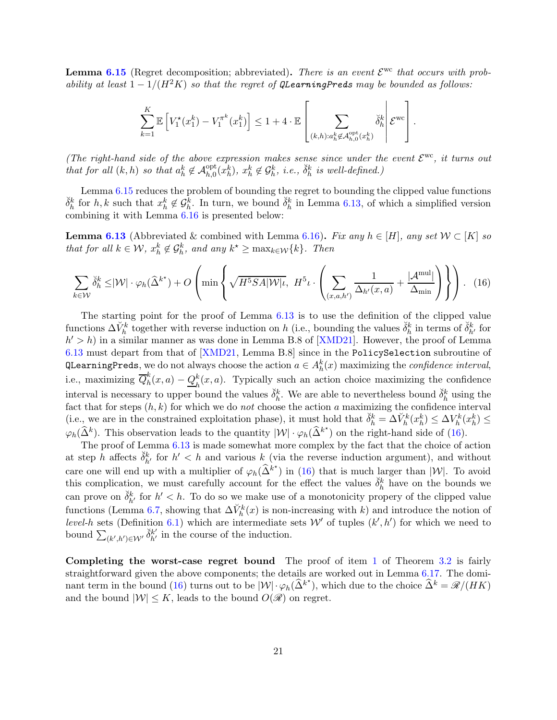**Lemma [6.15](#page-39-0)** (Regret decomposition; abbreviated). There is an event  $\mathcal{E}^{\text{wc}}$  that occurs with probability at least  $1 - 1/(H^2K)$  so that the regret of QLearningPreds may be bounded as follows:

<span id="page-20-0"></span>
$$
\sum_{k=1}^K \mathbb{E}\left[V_1^{\star}(x_1^k) - V_1^{\pi^k}(x_1^k)\right] \le 1 + 4 \cdot \mathbb{E}\left[\sum_{(k,h): a_h^k \notin \mathcal{A}_{h,0}^{\text{opt}}(x_h^k)} \check{\delta}_h^k \middle| \mathcal{E}^{\text{wc}}\right].
$$

(The right-hand side of the above expression makes sense since under the event  $\mathcal{E}^{\rm wc}$ , it turns out that for all  $(k, h)$  so that  $a_h^k \notin \mathcal{A}_{h,0}^{\text{opt}}(x_h^k)$ ,  $x_h^k \notin \mathcal{G}_h^k$ , i.e.,  $\breve{\delta}_h^k$  is well-defined.)

Lemma [6.15](#page-39-0) reduces the problem of bounding the regret to bounding the clipped value functions  $\check{\delta}_h^k$  for  $h, k$  such that  $x_h^k \notin \mathcal{G}_h^k$ . In turn, we bound  $\check{\delta}_h^k$  in Lemma [6.13,](#page-35-0) of which a simplified version combining it with Lemma [6.16](#page-40-0) is presented below:

**Lemma [6.13](#page-35-0)** (Abbreviated & combined with Lemma [6.16\)](#page-40-0). Fix any  $h \in [H]$ , any set  $W \subset [K]$  so that for all  $k \in \mathcal{W}$ ,  $x_h^k \notin \mathcal{G}_h^k$ , and any  $k^* \geq \max_{k \in \mathcal{W}} \{k\}$ . Then

$$
\sum_{k \in \mathcal{W}} \check{\delta}_h^k \leq |\mathcal{W}| \cdot \varphi_h(\hat{\Delta}^{k^*}) + O\left(\min\left\{\sqrt{H^5 S A |\mathcal{W}| \iota}, H^5 \iota \cdot \left(\sum_{(x, a, h') \Delta_{h'}(x, a)} \frac{1}{\Delta_{h'}(x, a)} + \frac{|\mathcal{A}^{\text{mul}}|}{\Delta_{\text{min}}}\right) \right\} \right). (16)
$$

The starting point for the proof of Lemma [6.13](#page-35-0) is to use the definition of the clipped value functions  $\Delta V_h^k$  together with reverse induction on h (i.e., bounding the values  $\check{\delta}_h^k$  in terms of  $\check{\delta}_{h'}^k$  for  $h' > h$ ) in a similar manner as was done in Lemma B.8 of [\[XMD21\]](#page-68-2). However, the proof of Lemma [6.13](#page-35-0) must depart from that of [\[XMD21,](#page-68-2) Lemma B.8] since in the PolicySelection subroutine of QLearningPreds, we do not always choose the action  $a \in A_h^k(x)$  maximizing the *confidence interval*, i.e., maximizing  $\overline{Q}_h^k$  $h_n^k(x,a) - Q_h^k$  $h(n, a)$ . Typically such an action choice maximizing the confidence interval is necessary to upper bound the values  $\check{\delta}_h^k$ . We are able to nevertheless bound  $\check{\delta}_h^k$  using the fact that for steps  $(h, k)$  for which we do not choose the action a maximizing the confidence interval (i.e., we are in the constrained exploitation phase), it must hold that  $\check{\delta}_h^k = \Delta V_h^k(x_h^k) \leq \Delta V_h^k(x_h^k) \leq$  $\varphi_h(\widehat{\Delta}^k)$ . This observation leads to the quantity  $|\mathcal{W}| \cdot \varphi_h(\widehat{\Delta}^{k^*})$  on the right-hand side of [\(16\)](#page-20-0).

The proof of Lemma [6.13](#page-35-0) is made somewhat more complex by the fact that the choice of action at step h affects  $\delta_{h'}^k$  for  $h' < h$  and various k (via the reverse induction argument), and without care one will end up with a multiplier of  $\varphi_h(\hat{\Delta}^{k^*})$  in [\(16\)](#page-20-0) that is much larger than  $|\mathcal{W}|$ . To avoid this complication, we must carefully account for the effect the values  $\check{\delta}_h^k$  have on the bounds we can prove on  $\check{\delta}_{h'}^k$  for  $h' < h$ . To do so we make use of a monotonicity propery of the clipped value functions (Lemma [6.7,](#page-32-0) showing that  $\Delta V_h^k(x)$  is non-increasing with k) and introduce the notion of level-h sets (Definition [6.1\)](#page-34-0) which are intermediate sets  $W'$  of tuples  $(k', h')$  for which we need to bound  $\sum_{(k',h')\in\mathcal{W}'}\check{\delta}^{k'}_{h'}$  in the course of the induction.

Completing the worst-case regret bound The proof of item [1](#page-12-2) of Theorem [3.2](#page-12-0) is fairly straightforward given the above components; the details are worked out in Lemma [6.17.](#page-41-0) The domi-nant term in the bound [\(16\)](#page-20-0) turns out to be  $|\mathcal{W}| \cdot \varphi_h(\hat{\Delta}^{k^*})$ , which due to the choice  $\hat{\Delta}^k = \mathscr{R}/(HK)$ and the bound  $|\mathcal{W}| \leq K$ , leads to the bound  $O(\mathcal{R})$  on regret.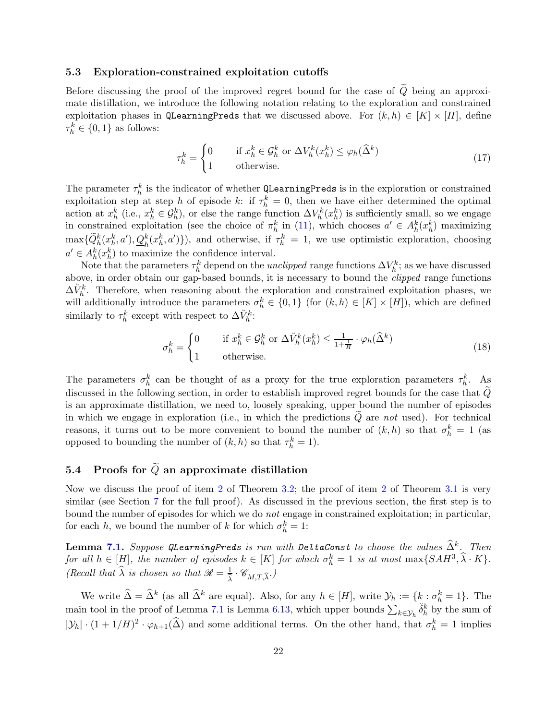#### <span id="page-21-0"></span>5.3 Exploration-constrained exploitation cutoffs

Before discussing the proof of the improved regret bound for the case of  $\tilde{Q}$  being an approximate distillation, we introduce the following notation relating to the exploration and constrained exploitation phases in QLearningPreds that we discussed above. For  $(k, h) \in [K] \times [H]$ , define  $\tau_h^k \in \{0, 1\}$  as follows:

$$
\tau_h^k = \begin{cases}\n0 & \text{if } x_h^k \in \mathcal{G}_h^k \text{ or } \Delta V_h^k(x_h^k) \le \varphi_h(\widehat{\Delta}^k) \\
1 & \text{otherwise.} \n\end{cases} \tag{17}
$$

The parameter  $\tau_h^k$  is the indicator of whether QLearningPreds is in the exploration or constrained exploitation step at step h of episode k: if  $\tau_h^k = 0$ , then we have either determined the optimal action at  $x_h^k$  (i.e.,  $x_h^k \in \mathcal{G}_h^k$ ), or else the range function  $\Delta V_h^k(x_h^k)$  is sufficiently small, so we engage in constrained exploitation (see the choice of  $\pi_h^k$  in [\(11\)](#page-18-3), which chooses  $a' \in A_h^k(x_h^k)$  maximizing  $\max\{\widetilde{Q}_{h}^{k}(x_{h}^{k},a'),\underline{Q}_{h}^{k}(x_{h}^{k},a')\}\)$ , and otherwise, if  $\tau_{h}^{k}=1$ , we use optimistic exploration, choosing  $a' \in A_h^k(x_h^k)$  to maximize the confidence interval.

Note that the parameters  $\tau_h^k$  depend on the *unclipped* range functions  $\Delta V_h^k$ ; as we have discussed above, in order obtain our gap-based bounds, it is necessary to bound the clipped range functions  $\Delta V_h^k$ . Therefore, when reasoning about the exploration and constrained exploitation phases, we will additionally introduce the parameters  $\sigma_h^k \in \{0,1\}$  (for  $(k,h) \in [K] \times [H]$ ), which are defined similarly to  $\tau_h^k$  except with respect to  $\Delta V_h^k$ :

$$
\sigma_h^k = \begin{cases}\n0 & \text{if } x_h^k \in \mathcal{G}_h^k \text{ or } \Delta V_h^k(x_h^k) \le \frac{1}{1 + \frac{1}{H}} \cdot \varphi_h(\widehat{\Delta}^k) \\
1 & \text{otherwise.} \n\end{cases}
$$
\n(18)

The parameters  $\sigma_h^k$  can be thought of as a proxy for the true exploration parameters  $\tau_h^k$ . As discussed in the following section, in order to establish improved regret bounds for the case that  $\tilde{Q}$ is an approximate distillation, we need to, loosely speaking, upper bound the number of episodes in which we engage in exploration (i.e., in which the predictions  $Q$  are not used). For technical reasons, it turns out to be more convenient to bound the number of  $(k,h)$  so that  $\sigma_h^k = 1$  (as opposed to bounding the number of  $(k, h)$  so that  $\tau_h^k = 1$ .

# <span id="page-21-1"></span>5.4 Proofs for  $\widetilde{Q}$  an approximate distillation

Now we discuss the proof of item [2](#page-12-1) of Theorem [3.2;](#page-12-0) the proof of item [2](#page-11-2) of Theorem [3.1](#page-11-1) is very similar (see Section [7](#page-43-0) for the full proof). As discussed in the previous section, the first step is to bound the number of episodes for which we do not engage in constrained exploitation; in particular, for each h, we bound the number of k for which  $\sigma_h^k = 1$ :

**Lemma [7.1.](#page-44-1)** Suppose QLearningPreds is run with DeltaConst to choose the values  $\hat{\Delta}^k$ . Then for all  $h \in [H]$ , the number of episodes  $k \in [K]$  for which  $\sigma_h^k = 1$  is at most  $\max\{SAH^3, \hat{\lambda} \cdot K\}$ . (Recall that  $\widehat{\lambda}$  is chosen so that  $\mathscr{R} = \frac{1}{\widehat{\lambda}}$  $\frac{1}{\hat{\lambda}} \cdot \mathscr{C}_{M,T,\widehat{\lambda}}.)$ 

We write  $\widehat{\Delta} = \widehat{\Delta}^k$  (as all  $\widehat{\Delta}^k$  are equal). Also, for any  $h \in [H]$ , write  $\mathcal{Y}_h := \{k : \sigma_h^k = 1\}$ . The main tool in the proof of Lemma [7.1](#page-44-1) is Lemma [6.13,](#page-35-0) which upper bounds  $\sum_{k\in\mathcal{Y}_h} \check{\delta}_h^k$  by the sum of  $|\mathcal{Y}_h| \cdot (1 + 1/H)^2 \cdot \varphi_{h+1}(\widehat{\Delta})$  and some additional terms. On the other hand, that  $\sigma_h^k = 1$  implies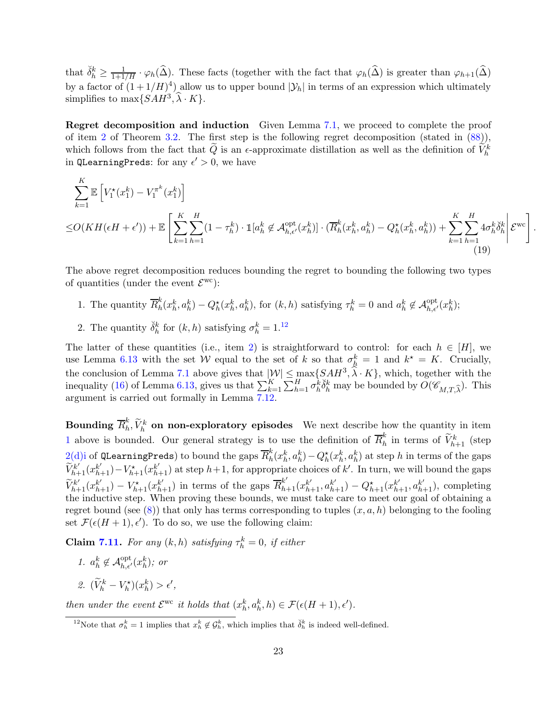that  $\check{\delta}_h^k \geq \frac{1}{1+1/H} \cdot \varphi_h(\widehat{\Delta})$ . These facts (together with the fact that  $\varphi_h(\widehat{\Delta})$  is greater than  $\varphi_{h+1}(\widehat{\Delta})$ by a factor of  $(1+1/H)^4$ ) allow us to upper bound  $|\mathcal{Y}_h|$  in terms of an expression which ultimately simplifies to  $\max\{SAH^3, \hat{\lambda} \cdot K\}.$ 

Regret decomposition and induction Given Lemma [7.1,](#page-44-1) we proceed to complete the proof of item [2](#page-12-1) of Theorem [3.2.](#page-12-0) The first step is the following regret decomposition (stated in  $(88)$ ), which follows from the fact that  $\tilde{Q}$  is an  $\epsilon$ -approximate distillation as well as the definition of  $\tilde{V}_h^k$ in QLearningPreds: for any  $\epsilon' > 0$ , we have

$$
\sum_{k=1}^{K} \mathbb{E}\left[V_{1}^{\star}(x_{1}^{k}) - V_{1}^{\pi^{k}}(x_{1}^{k})\right]
$$
\n
$$
\leq O(KH(\epsilon H + \epsilon')) + \mathbb{E}\left[\sum_{k=1}^{K} \sum_{h=1}^{H} (1 - \tau_{h}^{k}) \cdot \mathbb{1}[a_{h}^{k} \notin \mathcal{A}_{h,\epsilon'}^{\text{opt}}(x_{h}^{k})] \cdot (\overline{R}_{h}^{k}(x_{h}^{k}, a_{h}^{k}) - Q_{h}^{\star}(x_{h}^{k}, a_{h}^{k})) + \sum_{k=1}^{K} \sum_{h=1}^{H} 4\sigma_{h}^{k} \breve{\delta}_{h}^{k}\right] \mathcal{E}^{\text{wc}}\right].
$$
\n(19)

<span id="page-22-1"></span>The above regret decomposition reduces bounding the regret to bounding the following two types of quantities (under the event  $\mathcal{E}^{\text{wc}}$ ):

- <span id="page-22-2"></span><span id="page-22-0"></span>1. The quantity  $\overline{R}_h^k$  $h(k_h^k, a_h^k) - Q_h^{\star}(x_h^k, a_h^k)$ , for  $(k, h)$  satisfying  $\tau_h^k = 0$  and  $a_h^k \notin \mathcal{A}_{h, \epsilon'}^{\text{opt}}(x_h^k)$ ;
- 2. The quantity  $\check{\delta}_h^k$  for  $(k,h)$  satisfying  $\sigma_h^k = 1.^{12}$

The latter of these quantities (i.e., item [2\)](#page-22-0) is straightforward to control: for each  $h \in [H]$ , we use Lemma [6.13](#page-35-0) with the set W equal to the set of k so that  $\sigma_h^k = 1$  and  $k^* = K$ . Crucially, the conclusion of Lemma [7.1](#page-44-1) above gives that  $|\mathcal{W}| \leq \max_{K} \{SAH^3, \hat{\lambda} \cdot K\}$ , which, together with the inequality [\(16\)](#page-20-0) of Lemma [6.13,](#page-35-0) gives us that  $\sum_{k=1}^{K} \sum_{h=1}^{H} \sigma_h^k \check{\delta}_h^k$  may be bounded by  $O(\mathscr{C}_{M,T,\widehat{\lambda}})$ . This argument is carried out formally in Lemma [7.12.](#page-57-0)

 $\textbf{Boundary} \,\, \overline{R}^{k}_{h}$  $\tilde{N}_h, \tilde{V}_h^k$  on non-exploratory episodes We next describe how the quantity in item [1](#page-22-1) above is bounded. Our general strategy is to use the definition of  $\overline{R}_h^k$  $\binom{k}{h}$  in terms of  $\widetilde{V}_{h+1}^k$  (step  $2(\mathrm{d})$ i of QLearningPreds) to bound the gaps  $\overline{R}^k_h$  $h_h(k_h^k, a_h^k) - Q_h^*(x_h^k, a_h^k)$  at step h in terms of the gaps  $\widetilde{V}_{h+1}^{k'}(x_{h+1}^{k'})-V_{h+1}^{\star}(x_{h+1}^{k'})$  at step  $h+1$ , for appropriate choices of k'. In turn, we will bound the gaps  $\widetilde{V}_{h+1}^{k'}(x_{h+1}^{k'})-V_{h+1}^*(x_{h+1}^{k'})$  in terms of the gaps  $\overline{R}_{h+1}^{k'}(x_{h+1}^{k'} , a_{h+1}^{k'})-Q_{h+1}^*(x_{h+1}^{k'}, a_{h+1}^{k'})$ , completing the inductive step. When proving these bounds, we must take care to meet our goal of obtaining a regret bound (see  $(8)$ ) that only has terms corresponding to tuples  $(x, a, h)$  belonging to the fooling set  $\mathcal{F}(\epsilon(H+1), \epsilon')$ . To do so, we use the following claim:

**Claim [7.11.](#page-54-0)** For any  $(k, h)$  satisfying  $\tau_h^k = 0$ , if either

- 1.  $a_h^k \notin \mathcal{A}_{h,\epsilon'}^{\text{opt}}(x_h^k)$ ; or
- 2.  $(\widetilde{V}_h^k V_h^{\star})(x_h^k) > \epsilon',$

then under the event  $\mathcal{E}^{\text{wc}}$  it holds that  $(x_h^k, a_h^k, h) \in \mathcal{F}(\epsilon(H+1), \epsilon').$ 

<sup>&</sup>lt;sup>12</sup>Note that  $\sigma_h^k = 1$  implies that  $x_h^k \notin \mathcal{G}_h^k$ , which implies that  $\check{\delta}_h^k$  is indeed well-defined.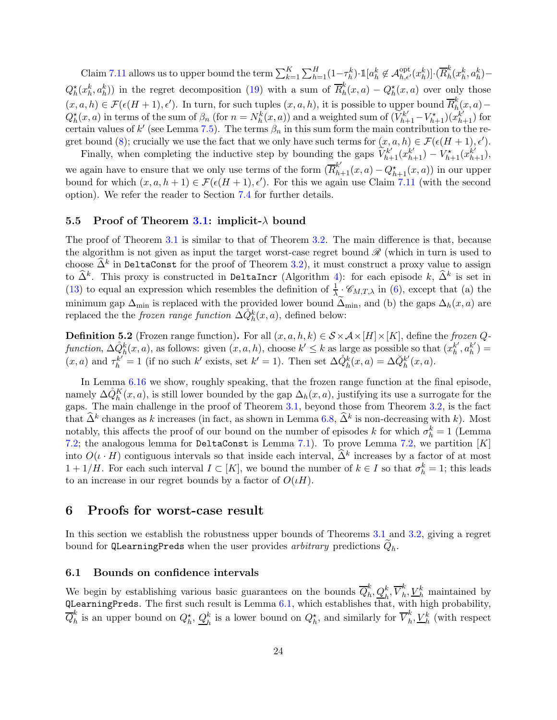Claim [7.11](#page-54-0) allows us to upper bound the term  $\sum_{k=1}^K \sum_{h=1}^H (1-\tau_h^k) \cdot \mathbbm{1}[a_h^k \notin \mathcal{A}_{h,\epsilon'}^{\mathrm{opt}}(x_h^k)] \cdot (\overline{R}_h^k)$  $\frac{\kappa}{h}(x_h^k, a_h^k)$ - $Q_h^{\star}(x_h^k, a_h^k)$  in the regret decomposition [\(19\)](#page-22-2) with a sum of  $\overline{R}_h^k$  $h_h^k(x,a) - Q_h^*(x,a)$  over only those  $(x, a, h) \in \mathcal{F}(\epsilon(H+1), \epsilon')$ . In turn, for such tuples  $(x, a, h)$ , it is possible to upper bound  $\overline{R}_h^k$ er bound  $R_h^{\kappa}(x, a)$  –  $Q_h^{\star}(x, a)$  in terms of the sum of  $\beta_n$  (for  $n = N_h^k(x, a)$ ) and a weighted sum of  $(\widetilde{V}_{h+1}^{k'} - V_{h+1}^{\star})(x_{h+1}^{k'} )$  for certain values of k' (see Lemma [7.5\)](#page-49-0). The terms  $\beta_n$  in this sum form the main contribution to the re-gret bound [\(8\)](#page-12-1); crucially we use the fact that we only have such terms for  $(x, a, h) \in \mathcal{F}(\epsilon(H + 1), \epsilon')$ .

Finally, when completing the inductive step by bounding the gaps  $\tilde{V}_{h+1}^{k'}(x_{h+1}^{k'}) - V_{h+1}^*(x_{h+1}^{k'})$ , we again have to ensure that we only use terms of the form  $(\overline{R}_{h+1}^{k'}(x, a) - Q_{h+1}^*(x, a))$  in our upper bound for which  $(x, a, h + 1) \in \mathcal{F}(\epsilon(H + 1), \epsilon')$ . For this we again use Claim [7.11](#page-54-0) (with the second option). We refer the reader to Section [7.4](#page-52-0) for further details.

#### <span id="page-23-0"></span>5.5 Proof of Theorem [3.1:](#page-11-1) implicit- $\lambda$  bound

The proof of Theorem [3.1](#page-11-1) is similar to that of Theorem [3.2.](#page-12-0) The main difference is that, because the algorithm is not given as input the target worst-case regret bound  $\mathscr R$  (which in turn is used to choose  $\widehat{\Delta}^k$  in DeltaConst for the proof of Theorem [3.2\)](#page-12-0), it must construct a proxy value to assign to  $\widehat{\Delta}^k$ . This proxy is constructed in DeltaIncr (Algorithm [4\)](#page-18-0): for each episode  $k$ ,  $\widehat{\Delta}^k$  is set in [\(13\)](#page-18-5) to equal an expression which resembles the definition of  $\frac{1}{\lambda}$   $\mathscr{C}_{M,T,\lambda}$  in [\(6\)](#page-11-3), except that (a) the minimum gap  $\Delta_{\text{min}}$  is replaced with the provided lower bound  $\Delta_{\text{min}}$ , and (b) the gaps  $\Delta_h(x, a)$  are replaced the the *frozen range function*  $\Delta \dot{Q}_h^k(x, a)$ , defined below:

<span id="page-23-3"></span>**Definition 5.2** (Frozen range function). For all  $(x, a, h, k) \in S \times A \times [H] \times [K]$ , define the frozen Qfunction,  $\Delta \hat{Q}_h^k(x, a)$ , as follows: given  $(x, a, h)$ , choose  $k' \leq k$  as large as possible so that  $(x_h^{k'}$  $_{h}^{k'}, a_{h}^{k'}$  $\binom{k'}{h}$  =  $(x, a)$  and  $\tau_h^{k'} = 1$  (if no such k' exists, set  $k' = 1$ ). Then set  $\Delta \dot{Q}_h^k(x, a) = \Delta \ddot{Q}_h^{k'}$  $_{h}^{k'}(x,a).$ 

In Lemma [6.16](#page-40-0) we show, roughly speaking, that the frozen range function at the final episode, namely  $\Delta \dot{Q}_{h}^{K}(x, a)$ , is still lower bounded by the gap  $\Delta_{h}(x, a)$ , justifying its use a surrogate for the gaps. The main challenge in the proof of Theorem [3.1,](#page-11-1) beyond those from Theorem [3.2,](#page-12-0) is the fact that  $\hat{\Delta}^k$  changes as k increases (in fact, as shown in Lemma [6.8,](#page-32-1)  $\hat{\Delta}^k$  is non-decreasing with k). Most notably, this affects the proof of our bound on the number of episodes k for which  $\sigma_h^k = 1$  (Lemma [7.2;](#page-46-0) the analogous lemma for DeltaConst is Lemma [7.1\)](#page-44-1). To prove Lemma [7.2,](#page-46-0) we partition  $[K]$ into  $O(\iota \cdot H)$  contiguous intervals so that inside each interval,  $\hat{\Delta}^k$  increases by a factor of at most  $1 + 1/H$ . For each such interval  $I \subset [K]$ , we bound the number of  $k \in I$  so that  $\sigma_h^k = 1$ ; this leads to an increase in our regret bounds by a factor of  $O(\iota H)$ .

### <span id="page-23-1"></span>6 Proofs for worst-case result

In this section we establish the robustness upper bounds of Theorems [3.1](#page-11-1) and [3.2,](#page-12-0) giving a regret bound for QLearningPreds when the user provides *arbitrary* predictions  $Q_h$ .

#### <span id="page-23-2"></span>6.1 Bounds on confidence intervals

We begin by establishing various basic guarantees on the bounds  $\overline{Q}_h^k$  $_{h}^{k},\underline{Q}_{h}^{k},\overline{V}_{h}^{k}$  $_h^k$ ,  $V_h^k$  maintained by  $Q$ LearningPreds. The first such result is Lemma  $6.1$ , which establishes that, with high probability,  $\overline{Q}^k_h$  $\frac{k}{h}$  is an upper bound on  $Q_h^{\star}$ ,  $\underline{Q}_h^k$  $\frac{k}{h}$  is a lower bound on  $Q_h^*$ , and similarly for  $\overline{V}_h^k$  $_h^k, \underline{V}_h^k$  (with respect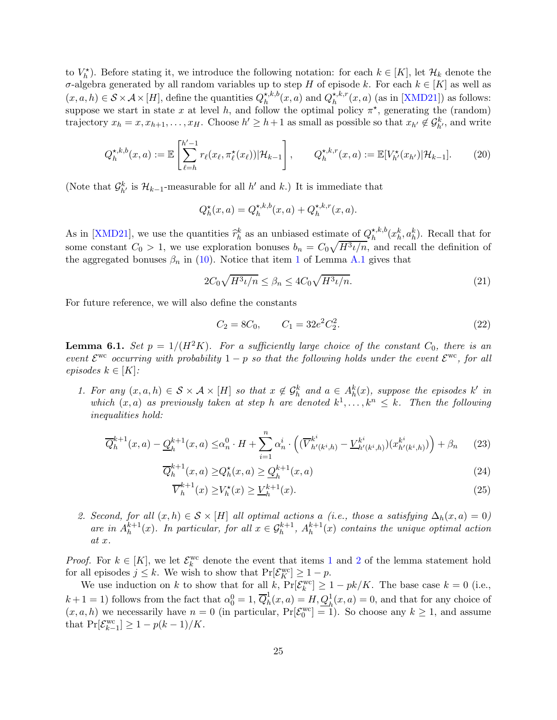to  $V_h^*$ ). Before stating it, we introduce the following notation: for each  $k \in [K]$ , let  $\mathcal{H}_k$  denote the σ-algebra generated by all random variables up to step H of episode k. For each  $k \in [K]$  as well as  $(x, a, h) \in S \times A \times [H]$ , define the quantities  $Q_h^{\star, k, b}$  $h_h^{\star,k,b}(x,a)$  and  $Q_h^{\star,k,r}$  $h^{*,\kappa,r}(x,a)$  (as in [\[XMD21\]](#page-68-2)) as follows: suppose we start in state x at level h, and follow the optimal policy  $\pi^*$ , generating the (random) trajectory  $x_h = x, x_{h+1}, \ldots, x_H$ . Choose  $h' \geq h+1$  as small as possible so that  $x_{h'} \notin \mathcal{G}_{h'}^k$ , and write

$$
Q_h^{\star,k,b}(x,a) := \mathbb{E}\left[\sum_{\ell=h}^{h'-1} r_{\ell}(x_{\ell}, \pi_{\ell}^{\star}(x_{\ell})) | \mathcal{H}_{k-1}\right], \qquad Q_h^{\star,k,r}(x,a) := \mathbb{E}[V_h^{\star}(x_{h'}) | \mathcal{H}_{k-1}].
$$
 (20)

(Note that  $\mathcal{G}_{h'}^k$  is  $\mathcal{H}_{k-1}$ -measurable for all  $h'$  and  $k$ .) It is immediate that

<span id="page-24-6"></span>
$$
Q_h^{\star}(x,a) = Q_h^{\star,k,b}(x,a) + Q_h^{\star,k,r}(x,a).
$$

As in [\[XMD21\]](#page-68-2), we use the quantities  $\hat{r}_h^k$  as an unbiased estimate of  $Q_h^{\star,k,b}$  $h_h^{\star,k,b}(x_h^k, a_h^k)$ . Recall that for some constant  $C_0 > 1$ , we use exploration bonuses  $b_n = C_0 \sqrt{H^3 \iota/n}$ , and recall the definition of the aggregated bonuses  $\beta_n$  in [\(10\)](#page-15-1). Notice that item [1](#page-61-2) of Lemma [A.1](#page-61-3) gives that

$$
2C_0\sqrt{H^3\iota/n} \le \beta_n \le 4C_0\sqrt{H^3\iota/n}.\tag{21}
$$

For future reference, we will also define the constants

<span id="page-24-8"></span><span id="page-24-7"></span><span id="page-24-4"></span><span id="page-24-0"></span>
$$
C_2 = 8C_0, \qquad C_1 = 32e^2C_2^2. \tag{22}
$$

<span id="page-24-1"></span>**Lemma 6.1.** Set  $p = 1/(H^2K)$ . For a sufficiently large choice of the constant  $C_0$ , there is an event  $\mathcal{E}^{\text{wc}}$  occurring with probability  $1-p$  so that the following holds under the event  $\mathcal{E}^{\text{wc}}$ , for all episodes  $k \in [K]$ :

<span id="page-24-2"></span>1. For any  $(x, a, h) \in S \times A \times [H]$  so that  $x \notin \mathcal{G}_h^k$  and  $a \in A_h^k(x)$ , suppose the episodes k' in which  $(x, a)$  as previously taken at step h are denoted  $k^1, \ldots, k^n \leq k$ . Then the following inequalities hold:

$$
\overline{Q}_h^{k+1}(x,a) - \underline{Q}_h^{k+1}(x,a) \leq \alpha_n^0 \cdot H + \sum_{i=1}^n \alpha_n^i \cdot \left( (\overline{V}_{h'(k^i,h)}^{k^i} - \underline{V}_{h'(k^i,h)}^{k^i}) (x_{h'(k^i,h)}^{k^i}) \right) + \beta_n \tag{23}
$$

$$
\overline{Q}_h^{k+1}(x,a) \ge Q_h^{\star}(x,a) \ge \underline{Q}_h^{k+1}(x,a)
$$
\n(24)

<span id="page-24-5"></span>
$$
\overline{V}_h^{k+1}(x) \ge V_h^{\star}(x) \ge \underline{V}_h^{k+1}(x). \tag{25}
$$

<span id="page-24-3"></span>2. Second, for all  $(x, h) \in S \times [H]$  all optimal actions a (i.e., those a satisfying  $\Delta_h(x, a) = 0$ ) are in  $A_h^{k+1}$  $h^{k+1}(x)$ . In particular, for all  $x \in \mathcal{G}_h^{k+1}$ ,  $A_h^{k+1}$  $h^{k+1}(x)$  contains the unique optimal action at x.

*Proof.* For  $k \in [K]$ , we let  $\mathcal{E}_k^{\text{wc}}$  denote the event that items [1](#page-24-2) and [2](#page-24-3) of the lemma statement hold for all episodes  $j \leq k$ . We wish to show that  $Pr[\mathcal{E}_K^{\text{wc}}] \geq 1 - p$ .

We use induction on k to show that for all k,  $Pr[\mathcal{E}_k^{\text{wc}}] \ge 1 - pk/K$ . The base case  $k = 0$  (i.e.,  $k+1=1$ ) follows from the fact that  $\alpha_0^0=1, \overline{Q}_h^1$  $\frac{1}{h}(x,a) = H, \mathcal{Q}_h^1(x,a) = 0$ , and that for any choice of  $(x, a, h)$  we necessarily have  $n = 0$  (in particular,  $\Pr[\mathcal{E}_0^{\text{wc}}] = 1$ ). So choose any  $k \ge 1$ , and assume that  $Pr[\mathcal{E}_{k-1}^{wc}] \ge 1 - p(k-1)/K$ .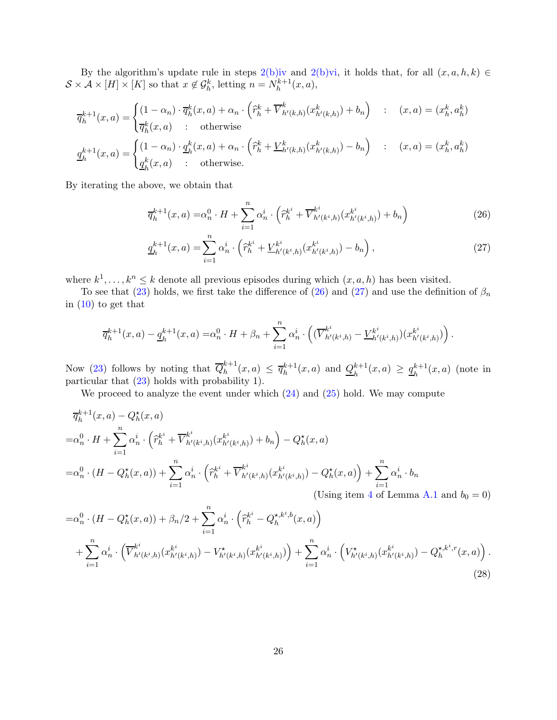By the algorithm's update rule in steps [2\(b\)iv](#page-17-7) and [2\(b\)vi,](#page-17-8) it holds that, for all  $(x, a, h, k) \in$  $S \times A \times [H] \times [K]$  so that  $x \notin \mathcal{G}_h^k$ , letting  $n = N_h^{k+1}$  $h^{k+1}(x, a),$ 

$$
\overline{q}_{h}^{k+1}(x, a) = \begin{cases}\n(1 - \alpha_{n}) \cdot \overline{q}_{h}^{k}(x, a) + \alpha_{n} \cdot (\widehat{r}_{h}^{k} + \overline{V}_{h'(k,h)}^{k}(x_{h'(k,h)}^{k}) + b_{n}) & : (x, a) = (x_{h}^{k}, a_{h}^{k}) \\
\overline{q}_{h}^{k}(x, a) & : \text{otherwise}\n\end{cases}
$$
\n
$$
\underline{q}_{h}^{k+1}(x, a) = \begin{cases}\n(1 - \alpha_{n}) \cdot \underline{q}_{h}^{k}(x, a) + \alpha_{n} \cdot (\widehat{r}_{h}^{k} + \underline{V}_{h'(k,h)}^{k}(x_{h'(k,h)}^{k}) - b_{n}) & : (x, a) = (x_{h}^{k}, a_{h}^{k}) \\
\underline{q}_{h}^{k}(x, a) & : \text{otherwise.}\n\end{cases}
$$

By iterating the above, we obtain that

$$
\overline{q}_{h}^{k+1}(x,a) = \alpha_n^0 \cdot H + \sum_{i=1}^n \alpha_n^i \cdot \left(\widehat{r}_h^{k^i} + \overline{V}_{h'(k^i,h)}^{k^i}(x_{h'(k^i,h)}^{k^i}) + b_n\right)
$$
(26)

<span id="page-25-1"></span><span id="page-25-0"></span>
$$
\underline{q}_h^{k+1}(x,a) = \sum_{i=1}^n \alpha_n^i \cdot \left(\widehat{r}_h^{k^i} + \underline{V}_{h'(k^i,h)}^{k^i}(x_{h'(k^i,h)}^{k^i}) - b_n\right),\tag{27}
$$

where  $k^1, \ldots, k^n \leq k$  denote all previous episodes during which  $(x, a, h)$  has been visited.

To see that [\(23\)](#page-24-0) holds, we first take the difference of [\(26\)](#page-25-0) and [\(27\)](#page-25-1) and use the definition of  $\beta_n$ in  $(10)$  to get that

$$
\overline{q}_{h}^{k+1}(x, a) - \underline{q}_{h}^{k+1}(x, a) = \alpha_n^0 \cdot H + \beta_n + \sum_{i=1}^n \alpha_n^i \cdot \left( (\overline{V}_{h'(k^i, h)}^{k^i} - \underline{V}_{h'(k^i, h)}^{k^i})(x_{h'(k^i, h)}^{k^i}) \right).
$$

Now [\(23\)](#page-24-0) follows by noting that  $\overline{Q}_h^{k+1}$  $\frac{k+1}{h}(x,a) \leq \overline{q}_h^{k+1}$  $h^{k+1}(x, a)$  and  $\mathcal{Q}_h^{k+1}$  $\frac{k+1}{h}(x,a) \geq \frac{q_h^{k+1}}{h}$  $h^{k+1}(x, a)$  (note in particular that [\(23\)](#page-24-0) holds with probability 1).

We proceed to analyze the event under which  $(24)$  and  $(25)$  hold. We may compute

$$
\overline{q}_{h}^{k+1}(x, a) - Q_{h}^{*}(x, a)
$$
\n
$$
= \alpha_{n}^{0} \cdot H + \sum_{i=1}^{n} \alpha_{n}^{i} \cdot (\hat{r}_{h}^{k^{i}} + \overline{V}_{h'(k^{i}, h)}^{k^{i}}(x_{h'(k^{i}, h)}^{k^{i}}) + b_{n}) - Q_{h}^{*}(x, a)
$$
\n
$$
= \alpha_{n}^{0} \cdot (H - Q_{h}^{*}(x, a)) + \sum_{i=1}^{n} \alpha_{n}^{i} \cdot (\hat{r}_{h}^{k^{i}} + \overline{V}_{h'(k^{i}, h)}^{k^{i}}(x_{h'(k^{i}, h)}^{k^{i}}) - Q_{h}^{*}(x, a)) + \sum_{i=1}^{n} \alpha_{n}^{i} \cdot b_{n}
$$
\n(Using item 4 of Lemma A.1 and  $b_{0} = 0$ )

<span id="page-25-2"></span>
$$
= \alpha_n^0 \cdot (H - Q_h^{\star}(x, a)) + \beta_n/2 + \sum_{i=1}^n \alpha_n^i \cdot (\widehat{r}_h^{k^i} - Q_h^{\star, k^i, b}(x, a)) + \sum_{i=1}^n \alpha_n^i \cdot (\overline{V}_{h'(k^i, h)}^{k^i} (x_h^{k^i}) - V_{h'(k^i, h)}^{\star}(x_h^{k^i} - \alpha_h^{k^i, b}(x, a))) + \sum_{i=1}^n \alpha_n^i \cdot (V_{h'(k^i, h)}^{\star}(x_h^{k^i} - Q_h^{\star, k^i}(x, a))) + \sum_{i=1}^n \alpha_n^i \cdot (V_{h'(k^i, h)}^{\star}(x_h^{k^i} - Q_h^{\star, k^i}(x, a)))
$$
\n(28)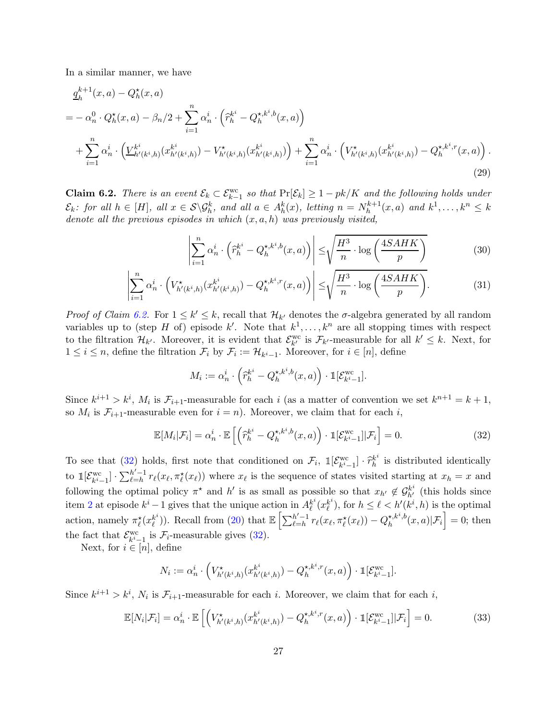In a similar manner, we have

$$
q_h^{k+1}(x, a) - Q_h^{\star}(x, a)
$$
  
=  $-\alpha_n^0 \cdot Q_h^{\star}(x, a) - \beta_n/2 + \sum_{i=1}^n \alpha_n^i \cdot (\hat{r}_h^{k^i} - Q_h^{\star, k^i, b}(x, a))$   
+  $\sum_{i=1}^n \alpha_n^i \cdot (\underline{V}_{h'(k^i, h)}^{k^i}(x_h^{k^i}(x_h)) - V_{h'(k^i, h)}^{k^i}(x_h^{k^i}(x_h))) + \sum_{i=1}^n \alpha_n^i \cdot (V_{h'(k^i, h)}^{\star}(x_h^{k^i}(x_h)) - Q_h^{\star, k^i}(x, a)).$  (29)

<span id="page-26-0"></span>**Claim 6.2.** There is an event  $\mathcal{E}_k \subset \mathcal{E}_{k-1}^{\text{wc}}$  so that  $\Pr[\mathcal{E}_k] \geq 1 - pk/K$  and the following holds under  $\mathcal{E}_k$ : for all  $h \in [H]$ , all  $x \in \mathcal{S} \backslash \mathcal{G}_h^k$ , and all  $a \in A_h^k(x)$ , letting  $n = N_h^{k+1}$  $h_h^{k+1}(x, a)$  and  $k^1, \ldots, k^n \leq k$ denote all the previous episodes in which  $(x, a, h)$  was previously visited,

<span id="page-26-3"></span>
$$
\left| \sum_{i=1}^{n} \alpha_n^i \cdot \left( \widehat{r}_h^{k^i} - Q_h^{\star, k^i, b}(x, a) \right) \right| \le \sqrt{\frac{H^3}{n} \cdot \log \left( \frac{4SAHK}{p} \right)} \tag{30}
$$

$$
\left| \sum_{i=1}^{n} \alpha_n^i \cdot \left( V_{h'(k^i,h)}^{\star} (x_{h'(k^i,h)}^{k^i}) - Q_h^{\star,k^i,r}(x,a) \right) \right| \leq \sqrt{\frac{H^3}{n} \cdot \log \left( \frac{4SAHK}{p} \right)}.
$$
 (31)

Proof of Claim [6.2.](#page-26-0) For  $1 \leq k' \leq k$ , recall that  $\mathcal{H}_{k'}$  denotes the  $\sigma$ -algebra generated by all random variables up to (step H of) episode k'. Note that  $k^1, \ldots, k^n$  are all stopping times with respect to the filtration  $\mathcal{H}_{k'}$ . Moreover, it is evident that  $\mathcal{E}_{k'}^{\text{wc}}$  is  $\mathcal{F}_{k'}$ -measurable for all  $k' \leq k$ . Next, for  $1 \leq i \leq n$ , define the filtration  $\mathcal{F}_i$  by  $\mathcal{F}_i := \mathcal{H}_{k^i-1}$ . Moreover, for  $i \in [n]$ , define

<span id="page-26-1"></span>
$$
M_i := \alpha_n^i \cdot \left(\widehat{r}_h^{k^i} - Q_h^{\star, k^i, b}(x, a)\right) \cdot \mathbb{1}[\mathcal{E}_{k^i-1}^{\text{wc}}].
$$

Since  $k^{i+1} > k^i$ ,  $M_i$  is  $\mathcal{F}_{i+1}$ -measurable for each i (as a matter of convention we set  $k^{n+1} = k+1$ , so  $M_i$  is  $\mathcal{F}_{i+1}$ -measurable even for  $i = n$ ). Moreover, we claim that for each  $i$ ,

$$
\mathbb{E}[M_i|\mathcal{F}_i] = \alpha_n^i \cdot \mathbb{E}\left[\left(\widehat{r}_h^{k^i} - Q_h^{\star,k^i,b}(x,a)\right) \cdot \mathbb{1}[\mathcal{E}_{k^i-1}^{\text{wc}}||\mathcal{F}_i\right] = 0. \tag{32}
$$

To see that [\(32\)](#page-26-1) holds, first note that conditioned on  $\mathcal{F}_i$ ,  $\mathbb{I}[\mathcal{E}_{k-i}^{wc}] \cdot \hat{\tau}_h^{k^i}$  $\kappa$ <sup>t</sup> is distributed identically to  $\mathbb{1}[\mathcal{E}_{k^{i}-1}^{\text{wc}}] \cdot \sum_{\ell=h}^{h'-1} r_{\ell}(x_{\ell}, \pi_{\ell}^{\star}(x_{\ell}))$  where  $x_{\ell}$  is the sequence of states visited starting at  $x_{h} = x$  and following the optimal policy  $\pi^*$  and h' is as small as possible so that  $x_{h'} \notin G_{h'}^{k^i}$  (this holds since item [2](#page-24-3) at episode  $k^{i} - 1$  gives that the unique action in  $A_{\ell}^{k^{i}}$  $_{\ell}^{k^i}(x_{\ell}^{k^i}$  $\ell^{(k)}$ , for  $h \leq \ell < h'(k^i, h)$  is the optimal action, namely  $\pi_{\ell}^{\star}(x_{\ell}^{k^{i}})$  $\mathbb{R}^{(k)}_{\ell}$ )). Recall from [\(20\)](#page-24-6) that  $\mathbb{E}\left[\sum_{\ell=h}^{h'-1} r_{\ell}(x_{\ell}, \pi_{\ell}^{\star}(x_{\ell})) - Q_{h}^{\star, k^{i}, b}\right]$  $\left( \begin{array}{c} \star, k^i, b \\ h \end{array} (x, a) | \mathcal{F}_i \right] = 0$ ; then the fact that  $\mathcal{E}_{k-i-1}^{\text{wc}}$  is  $\mathcal{F}_i$ -measurable gives [\(32\)](#page-26-1).

Next, for  $i \in [n]$ , define

<span id="page-26-2"></span>
$$
N_i := \alpha_n^i \cdot \left( V_{h'(k^i,h)}^{\star}(x_{h'(k^i,h)}^{k^i}) - Q_h^{\star,k^i,r}(x,a) \right) \cdot \mathbb{1}[\mathcal{E}_{k^i-1}^{wc}].
$$

Since  $k^{i+1} > k^i$ ,  $N_i$  is  $\mathcal{F}_{i+1}$ -measurable for each i. Moreover, we claim that for each i,

$$
\mathbb{E}[N_i|\mathcal{F}_i] = \alpha_n^i \cdot \mathbb{E}\left[\left(V_{h'(k^i,h)}^{\star}(x_{h'(k^i,h)}^{k^i}) - Q_h^{\star,k^i,r}(x,a)\right) \cdot \mathbb{1}[\mathcal{E}_{k^i-1}^{\text{wc}}||\mathcal{F}_i] = 0. \tag{33}
$$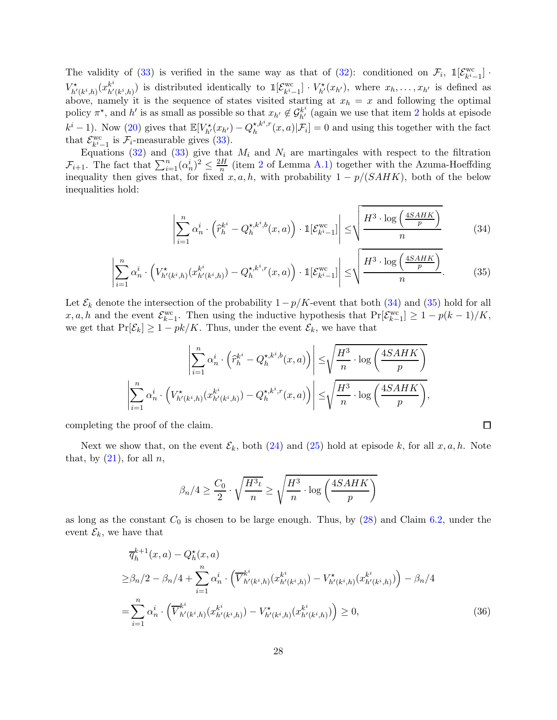The validity of [\(33\)](#page-26-2) is verified in the same way as that of [\(32\)](#page-26-1): conditioned on  $\mathcal{F}_i$ ,  $\mathbb{1}[\mathcal{E}_{k}^{\text{wc}}]$  $\binom{wc}{k^i-1}$ .  $V^{\star}_{h'(k^i,h)}(x^{k^i}_{h'(k^i,h)})$  is distributed identically to  $\mathbb{1}[\mathcal{E}^{\text{wc}}_{k^i,k}]$  $\begin{bmatrix} \nabla \cdot \mathbf{x}_{k-1} & \nabla \cdot \mathbf{x}_{k'}(x_{h'}), \nabla \cdot \mathbf{y}_{k-1} & \nabla \cdot \mathbf{x}_{k'} & \nabla \cdot \mathbf{x}_{k'} \n\end{bmatrix}$ above, namely it is the sequence of states visited starting at  $x_h = x$  and following the optimal policy  $\pi^*$ , and h' is as small as possible so that  $x_{h'} \notin \mathcal{G}_{h'}^{k^i}$  (again we use that item [2](#page-24-3) holds at episode  $k^{i} - 1$ ). Now [\(20\)](#page-24-6) gives that  $\mathbb{E}[V_{h'}^{\star}(x_{h'}) - Q_{h}^{\star, k^{i}, r}]$  $\mathcal{F}_h^{k,k^*,r}(x,a)|\mathcal{F}_i] = 0$  and using this together with the fact that  $\mathcal{E}_{k^i-1}^{\text{wc}}$  is  $\mathcal{F}_i$ -measurable gives [\(33\)](#page-26-2).

Equations [\(32\)](#page-26-1) and [\(33\)](#page-26-2) give that  $M_i$  and  $N_i$  are martingales with respect to the filtration  $\mathcal{F}_{i+1}$ . The fact that  $\sum_{i=1}^{n} (\alpha_n^i)^2 \leq \frac{2H}{n}$  $\frac{H}{n}$  (item [2](#page-61-5) of Lemma [A.1\)](#page-61-3) together with the Azuma-Hoeffding inequality then gives that, for fixed  $x, a, h$ , with probability  $1 - p/(SAHK)$ , both of the below inequalities hold:

$$
\left| \sum_{i=1}^{n} \alpha_n^i \cdot \left( \widehat{r}_h^{k^i} - Q_h^{\star, k^i, b}(x, a) \right) \cdot \mathbb{1}[\mathcal{E}_{k^i-1}^{wc}] \right| \le \sqrt{\frac{H^3 \cdot \log\left(\frac{4SAHK}{p}\right)}{n}} \tag{34}
$$

<span id="page-27-2"></span><span id="page-27-1"></span><span id="page-27-0"></span> $\Box$ 

$$
\left| \sum_{i=1}^{n} \alpha_n^i \cdot \left( V_{h'(k^i,h)}^{\star} (x_{h'(k^i,h)}^{k^i}) - Q_h^{\star,k^i,r}(x,a) \right) \cdot \mathbb{1}[\mathcal{E}_{k^i-1}^{wc}] \right| \leq \sqrt{\frac{H^3 \cdot \log\left(\frac{4SAHK}{p}\right)}{n}}.
$$
 (35)

Let  $\mathcal{E}_k$  denote the intersection of the probability  $1-p/K$ -event that both [\(34\)](#page-27-0) and [\(35\)](#page-27-1) hold for all  $x, a, h$  and the event  $\mathcal{E}_{k-1}^{\text{wc}}$ . Then using the inductive hypothesis that  $\Pr[\mathcal{E}_{k-1}^{\text{wc}}] \ge 1 - p(k-1)/K$ , we get that  $Pr[\mathcal{E}_k] \geq 1 - pk/K$ . Thus, under the event  $\mathcal{E}_k$ , we have that

$$
\left| \sum_{i=1}^{n} \alpha_n^i \cdot \left( \widehat{r}_h^{k^i} - Q_h^{\star, k^i, b}(x, a) \right) \right| \leq \sqrt{\frac{H^3}{n} \cdot \log \left( \frac{4SAHK}{p} \right)}
$$

$$
\left| \sum_{i=1}^{n} \alpha_n^i \cdot \left( V_{h'(k^i, h)}^{\star}(x_{h'(k^i, h)}) - Q_h^{\star, k^i, r}(x, a) \right) \right| \leq \sqrt{\frac{H^3}{n} \cdot \log \left( \frac{4SAHK}{p} \right)},
$$

completing the proof of the claim.

Next we show that, on the event  $\mathcal{E}_k$ , both [\(24\)](#page-24-4) and [\(25\)](#page-24-5) hold at episode k, for all  $x, a, h$ . Note that, by  $(21)$ , for all n,

$$
\beta_n/4 \ge \frac{C_0}{2} \cdot \sqrt{\frac{H^3 \iota}{n}} \ge \sqrt{\frac{H^3}{n} \cdot \log\left(\frac{4SAHK}{p}\right)}
$$

as long as the constant  $C_0$  is chosen to be large enough. Thus, by  $(28)$  and Claim [6.2,](#page-26-0) under the event  $\mathcal{E}_k$ , we have that

$$
\overline{q}_{h}^{k+1}(x, a) - Q_{h}^{\star}(x, a)
$$
\n
$$
\geq \beta_{n}/2 - \beta_{n}/4 + \sum_{i=1}^{n} \alpha_{n}^{i} \cdot \left(\overline{V}_{h'(k^{i}, h)}^{k^{i}}(x_{h'(k^{i}, h)}^{k^{i}}) - V_{h'(k^{i}, h)}^{\star}(x_{h'(k^{i}, h)}^{k^{i}})\right) - \beta_{n}/4
$$
\n
$$
= \sum_{i=1}^{n} \alpha_{n}^{i} \cdot \left(\overline{V}_{h'(k^{i}, h)}^{k^{i}}(x_{h'(k^{i}, h)}^{k^{i}}) - V_{h'(k^{i}, h)}^{\star}(x_{h'(k^{i}, h)}^{k^{i}})\right) \geq 0,
$$
\n(36)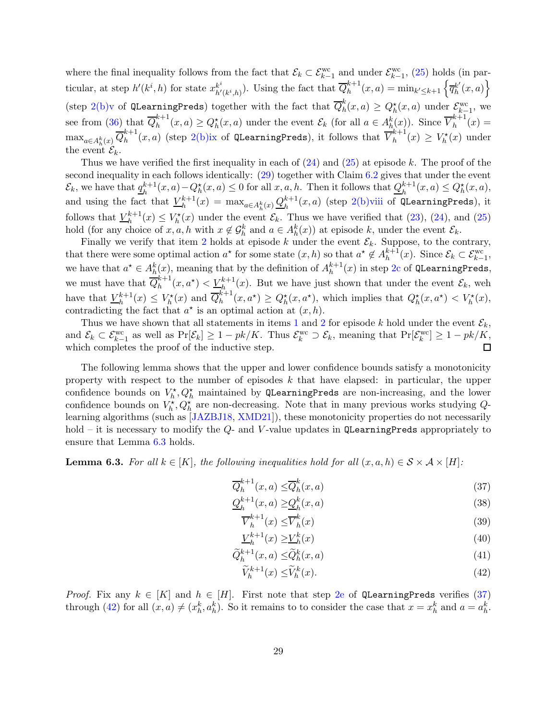where the final inequality follows from the fact that  $\mathcal{E}_k \subset \mathcal{E}_{k-1}^{\text{wc}}$  and under  $\mathcal{E}_{k-1}^{\text{wc}}$ , [\(25\)](#page-24-5) holds (in particular, at step  $h'(k^i, h)$  for state  $x_{h'(k^i, h)}^{k^i}$ ). Using the fact that  $\overline{Q}_h^{k+1}$  $h^{k+1}(x, a) = \min_{k' \leq k+1} \left\{ \overline{q}_{h}^{k'} \right\}$  $_{h}^{k'}(x,a)$ (step [2\(b\)v](#page-17-11) of QLearningPreds) together with the fact that  $\overline{Q}_{h}^{k}$  $h_n^k(x,a) \geq Q_h^*(x,a)$  under  $\mathcal{E}_{k-1}^{\text{wc}},$  we  $\frac{k-1}{1}$ see from [\(36\)](#page-27-2) that  $\overline{Q}_h^{k+1}$  $h^{k+1}(x, a) \ge Q_h^{\star}(x, a)$  under the event  $\mathcal{E}_k$  (for all  $a \in A_h^k(x)$ ). Since  $\overline{V}_h^{k+1}$  $h^{n+1}(x) =$  $\max_{a \in A_h^k(x)} \overline{Q}_h^{k+1}$  $_{h}^{k+1}(x,a)$  (step [2\(b\)ix](#page-17-12) of QLearningPreds), it follows that  $\overline{V}_{h}^{k+1}$  $\binom{k+1}{h}(x) \geq V_h^*(x)$  under the event  $\mathcal{E}_k$ .

Thus we have verified the first inequality in each of  $(24)$  and  $(25)$  at episode k. The proof of the second inequality in each follows identically:  $(29)$  together with Claim  $6.2$  gives that under the event  $\mathcal{E}_k$ , we have that  $q_h^{k+1}$  $h^{k+1}(x, a) - Q_h^{\star}(x, a) \leq 0$  for all  $x, a, h$ . Then it follows that  $Q_h^{k+1}(x, a) \leq Q_h^{\star}(x, a)$ , and using the fact that  $V_h^{k+1}$  $h^{k+1}(x) = \max_{a \in A_h^k(x)} \mathcal{Q}_h^{k+1}$  $h^{k+1}(x, a)$  (step [2\(b\)viii](#page-17-13) of QLearningPreds), it follows that  $V_h^{k+1}$  $\mathcal{L}_h^{k+1}(x) \leq V_h^*(x)$  under the event  $\mathcal{E}_k$ . Thus we have verified that  $(23)$ ,  $(24)$ , and  $(25)$ hold (for any choice of  $x, a, h$  with  $x \notin \mathcal{G}_h^k$  and  $a \in A_h^k(x)$ ) at episode k, under the event  $\mathcal{E}_k$ .

Finally we verify that item [2](#page-24-3) holds at episode k under the event  $\mathcal{E}_k$ . Suppose, to the contrary, that there were some optimal action  $a^*$  for some state  $(x, h)$  so that  $a^* \notin A_h^{k+1}$  $k+1(k)$ . Since  $\mathcal{E}_k \subset \mathcal{E}_{k-1}^{\text{wc}},$ we have that  $a^* \in A_h^k(x)$ , meaning that by the definition of  $A_h^{k+1}$  $h^{k+1}(x)$  in step [2c](#page-17-3) of QLearningPreds, we must have that  $\overline{Q}_h^{k+1}$  $\ell_h^{k+1}(x, a^*) < \underline{V_h^{k+1}}(x)$ . But we have just shown that under the event  $\mathcal{E}_k$ , weh have that  $V_h^{k+1}$  $\overline{h}_h^{k+1}(x) \leq V_h^*(x)$  and  $\overline{Q}_h^{k+1}$  $Q_h^{k+1}(x, a^*) \geq Q_h^*(x, a^*)$ , which implies that  $Q_h^*(x, a^*) < V_h^*(x)$ , contradicting the fact that  $a^*$  is an optimal action at  $(x, h)$ .

Thus we have shown that all statements in items [1](#page-24-2) and [2](#page-24-3) for episode k hold under the event  $\mathcal{E}_k$ , and  $\mathcal{E}_k \subset \mathcal{E}_{k-1}^{\text{wc}}$  as well as  $\Pr[\mathcal{E}_k] \ge 1 - pk/K$ . Thus  $\mathcal{E}_k^{\text{wc}} \supset \mathcal{E}_k$ , meaning that  $\Pr[\mathcal{E}_k^{\text{wc}}] \ge 1 - pk/K$ . which completes the proof of the inductive step.

The following lemma shows that the upper and lower confidence bounds satisfy a monotonicity property with respect to the number of episodes  $k$  that have elapsed: in particular, the upper confidence bounds on  $V_h^{\star}, Q_h^{\star}$  maintained by QLearningPreds are non-increasing, and the lower confidence bounds on  $V_h^{\star}, Q_h^{\star}$  are non-decreasing. Note that in many previous works studying  $Q$ learning algorithms (such as [\[JAZBJ18,](#page-65-3) [XMD21\]](#page-68-2)), these monotonicity properties do not necessarily hold – it is necessary to modify the  $Q$ - and V-value updates in QLearningPreds appropriately to ensure that Lemma [6.3](#page-28-0) holds.

<span id="page-28-0"></span>**Lemma 6.3.** For all  $k \in [K]$ , the following inequalities hold for all  $(x, a, h) \in S \times A \times [H]$ :

$$
\overline{Q}_h^{k+1}(x,a) \leq \overline{Q}_h^k(x,a) \tag{37}
$$

$$
\underline{Q}_h^{k+1}(x,a) \ge \underline{Q}_h^k(x,a) \tag{38}
$$

<span id="page-28-4"></span><span id="page-28-3"></span><span id="page-28-1"></span>
$$
\overline{V}_h^{k+1}(x) \le \overline{V}_h^k(x) \tag{39}
$$

$$
\underline{V}_h^{k+1}(x) \ge \underline{V}_h^k(x) \tag{40}
$$

$$
\widetilde{Q}_h^{k+1}(x,a) \le \widetilde{Q}_h^k(x,a) \tag{41}
$$

<span id="page-28-6"></span><span id="page-28-5"></span><span id="page-28-2"></span>
$$
\widetilde{V}_h^{k+1}(x) \le \widetilde{V}_h^k(x). \tag{42}
$$

*Proof.* Fix any  $k \in [K]$  and  $h \in [H]$ . First note that step [2e](#page-17-14) of QLearningPreds verifies [\(37\)](#page-28-1) through [\(42\)](#page-28-2) for all  $(x, a) \neq (x_h^k, a_h^k)$ . So it remains to to consider the case that  $x = x_h^k$  and  $a = a_h^k$ .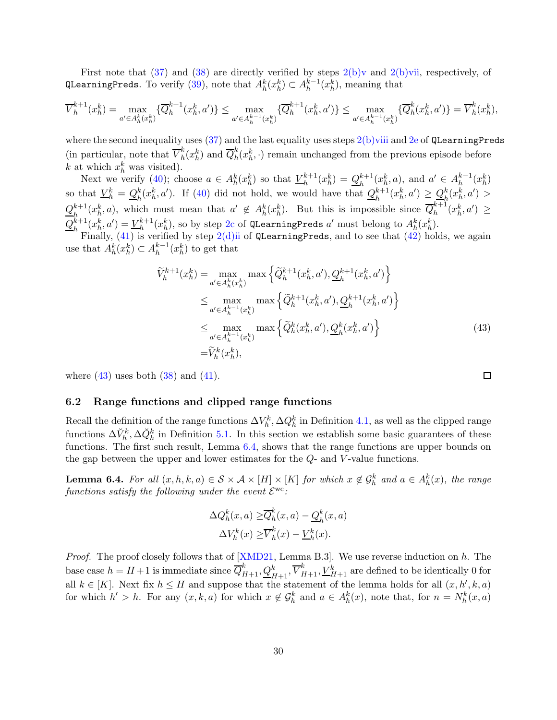First note that  $(37)$  and  $(38)$  are directly verified by steps  $2(b)v$  and  $2(b)v$ ii, respectively, of QLearningPreds. To verify [\(39\)](#page-28-4), note that  $A_h^k(x_h^k) \subset A_h^{k-1}(x_h^k)$ , meaning that

$$
\overline{V}_h^{k+1}(x_h^k) = \max_{a' \in A_h^k(x_h^k)} \{\overline{Q}_h^{k+1}(x_h^k, a')\} \le \max_{a' \in A_h^{k-1}(x_h^k)} \{\overline{Q}_h^{k+1}(x_h^k, a')\} \le \max_{a' \in A_h^{k-1}(x_h^k)} \{\overline{Q}_h^k(x_h^k, a')\} = \overline{V}_h^k(x_h^k),
$$

where the second inequality uses  $(37)$  and the last equality uses steps  $2(b)$ viii and  $2e$  of QLearningPreds (in particular, note that  $\overline{V}_h^k$  ${}_{h}^{k}(x_{h}^{k})$  and  $\overline{Q}_{h}^{k}$  $h_h^k(x_h^k, \cdot)$  remain unchanged from the previous episode before k at which  $x_h^k$  was visited).

Next we verify [\(40\)](#page-28-5); choose  $a \in A_h^k(x_h^k)$  so that  $\underline{V}_h^{k+1}$  $\frac{k+1}{h}(x_h^k) = \underline{Q}_h^{k+1}(x_h^k, a)$ , and  $a' \in A_h^{k-1}(x_h^k)$ so that  $\underline{V}_h^k = \underline{Q}_h^k$  $h_h^k(x_h^k, a')$ . If [\(40\)](#page-28-5) did not hold, we would have that  $Q_h^{k+1}$  $\frac{k+1}{h}(x_h^k, a') \geq \frac{Q_h^k}{h}$  $_{h}^{k}(x_{h}^{k},a')>$  $Q_{\rm \scriptscriptstyle L}^{k+1}$  $h_h^{k+1}(x_h^k, a)$ , which must mean that  $a' \notin A_h^k(x_h^k)$ . But this is impossible since  $\overline{Q}_h^{k+1}$  $h^{\kappa+1}(x_h^k, a') \geq$  $Q_{\rm\scriptscriptstyle L}^{k+1}$  $h^{k+1}(x_h^k, a') = V_h^{k+1}$  $h^{k+1}(x_h^k)$ , so by step [2c](#page-17-3) of QLearningPreds  $a'$  must belong to  $A_h^k(x_h^k)$ .

Finally,  $(41)$  is verified by step  $2(d)$ ii of QLearningPreds, and to see that  $(42)$  holds, we again use that  $A_h^k(x_h^k) \subset A_h^{k-1}(x_h^k)$  to get that

$$
\widetilde{V}_{h}^{k+1}(x_{h}^{k}) = \max_{a' \in A_{h}^{k}(x_{h}^{k})} \max \left\{ \widetilde{Q}_{h}^{k+1}(x_{h}^{k}, a'), \underline{Q}_{h}^{k+1}(x_{h}^{k}, a') \right\}
$$
\n
$$
\leq \max_{a' \in A_{h}^{k-1}(x_{h}^{k})} \max \left\{ \widetilde{Q}_{h}^{k+1}(x_{h}^{k}, a'), \underline{Q}_{h}^{k+1}(x_{h}^{k}, a') \right\}
$$
\n
$$
\leq \max_{a' \in A_{h}^{k-1}(x_{h}^{k})} \max \left\{ \widetilde{Q}_{h}^{k}(x_{h}^{k}, a'), \underline{Q}_{h}^{k}(x_{h}^{k}, a') \right\}
$$
\n
$$
= \widetilde{V}_{h}^{k}(x_{h}^{k}), \tag{43}
$$

where  $(43)$  uses both  $(38)$  and  $(41)$ .

#### <span id="page-29-0"></span>6.2 Range functions and clipped range functions

Recall the definition of the range functions  $\Delta V_h^k$ ,  $\Delta Q_h^k$  in Definition [4.1,](#page-15-0) as well as the clipped range functions  $\Delta V_h^k$ ,  $\Delta \check{Q}_h^k$  in Definition [5.1.](#page-19-2) In this section we establish some basic guarantees of these functions. The first such result, Lemma [6.4,](#page-29-1) shows that the range functions are upper bounds on the gap between the upper and lower estimates for the Q- and V -value functions.

<span id="page-29-1"></span>**Lemma 6.4.** For all  $(x, h, k, a) \in S \times A \times [H] \times [K]$  for which  $x \notin \mathcal{G}_h^k$  and  $a \in A_h^k(x)$ , the range functions satisfy the following under the event  $\mathcal{E}^{\rm wc}$ :

$$
\Delta Q_h^k(x, a) \geq \overline{Q}_h^k(x, a) - \underline{Q}_h^k(x, a)
$$

$$
\Delta V_h^k(x) \geq \overline{V}_h^k(x) - \underline{V}_h^k(x).
$$

*Proof.* The proof closely follows that of  $[XMD21, Lemma B.3]$ . We use reverse induction on h. The base case  $h = H + 1$  is immediate since  $\overline{Q}_{H+1}^k, \underline{Q}_{H+1}^k, \overline{V}_{H+1}^k, \underline{V}_{H+1}^k$  are defined to be identically 0 for all  $k \in [K]$ . Next fix  $h \leq H$  and suppose that the statement of the lemma holds for all  $(x, h', k, a)$ for which  $h' > h$ . For any  $(x, k, a)$  for which  $x \notin \mathcal{G}_h^k$  and  $a \in A_h^k(x)$ , note that, for  $n = N_h^k(x, a)$ 

<span id="page-29-2"></span>
$$
\overline{\Box}
$$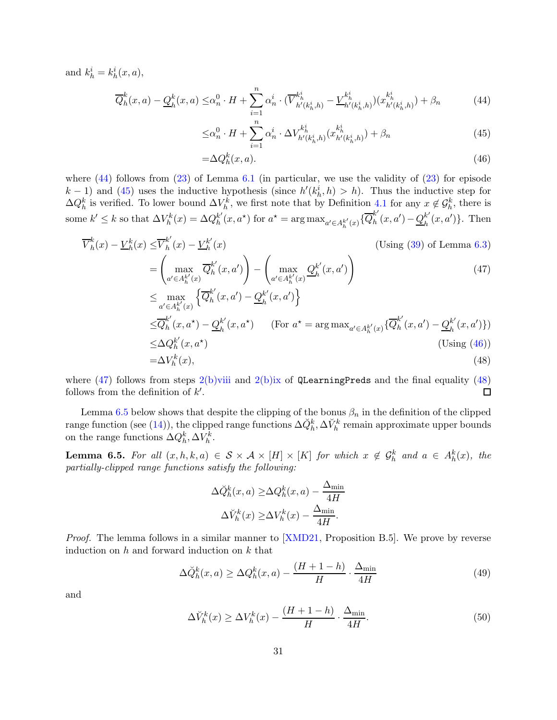and  $k_h^i = k_h^i(x, a)$ ,

$$
\overline{Q}_h^k(x,a) - \underline{Q}_h^k(x,a) \leq \alpha_n^0 \cdot H + \sum_{i=1}^n \alpha_n^i \cdot (\overline{V}_{h'(k_h^i,h)}^{k_h^i} - \underline{V}_{h'(k_h^i,h)}^{k_h^i})(x_{h'(k_h^i,h)}^{k_h^i}) + \beta_n \tag{44}
$$

<span id="page-30-2"></span><span id="page-30-1"></span>
$$
\leq \alpha_n^0 \cdot H + \sum_{i=1}^n \alpha_n^i \cdot \Delta V_{h'(k_h^i, h)}^{k_h^i} (x_{h'(k_h^i, h)}^{k_h^i}) + \beta_n \tag{45}
$$

<span id="page-30-4"></span><span id="page-30-3"></span>
$$
=\Delta Q_h^k(x,a). \tag{46}
$$

where  $(44)$  follows from  $(23)$  of Lemma [6.1](#page-24-1) (in particular, we use the validity of  $(23)$  for episode  $(k-1)$  and [\(45\)](#page-30-2) uses the inductive hypothesis (since  $h'(k_h^i, h) > h$ ). Thus the inductive step for  $\Delta Q_h^k$  is verified. To lower bound  $\Delta V_h^k$ , we first note that by Definition [4.1](#page-15-0) for any  $x \notin \mathcal{G}_h^k$ , there is some  $k' \leq k$  so that  $\Delta V_h^k(x) = \Delta Q_h^{k'}$  $\int_h^h(x, a^*)$  for  $a^* = \arg \max_{a' \in A_h^{k'}(x)} {\{\overline{Q}_h^{k'}\}}$  $h^{k'}(x,a') - Q_h^{k'}$  $_{h}^{k'}(x,a')\}$ . Then

V k h (x) − V k h (x) ≤V k ′ h (x) − V k ′ h (x) (Using [\(39\)](#page-28-4) of Lemma [6.3\)](#page-28-0) = max a ′∈Ak′ h (x) Q k ′ h (x, a′ ) ! − max a ′∈Ak′ h (x) Q k ′ h (x, a′ ) ! (47) ≤ max a ′∈Ak′ h (x) n Q k ′ h (x, a′ ) − Q k ′ h (x, a′ ) o ≤Q k ′ h (x, a<sup>⋆</sup> ) − Q k ′ h (x, a<sup>⋆</sup> ) (For a <sup>⋆</sup> = arg max<sup>a</sup> ′∈Ak′ h (x) {Q k ′ h (x, a′ ) − Q k ′ h (x, a′ )}) ≤∆Q k ′ h (x, a<sup>⋆</sup> ) (Using [\(46\)](#page-30-3)) =∆V k h (x), (48)

where [\(47\)](#page-30-4) follows from steps [2\(b\)viii](#page-17-13) and [2\(b\)ix](#page-17-12) of QLearningPreds and the final equality [\(48\)](#page-30-5) follows from the definition of  $k'$ .  $\Box$ 

Lemma [6.5](#page-30-0) below shows that despite the clipping of the bonus  $\beta_n$  in the definition of the clipped range function (see [\(14\)](#page-19-4)), the clipped range functions  $\Delta \check{Q}_h^k$ ,  $\Delta \check{V}_h^k$  remain approximate upper bounds on the range functions  $\Delta Q_h^k, \Delta V_h^k$ .

<span id="page-30-0"></span>**Lemma 6.5.** For all  $(x, h, k, a) \in S \times A \times [H] \times [K]$  for which  $x \notin G_h^k$  and  $a \in A_h^k(x)$ , the partially-clipped range functions satisfy the following:

<span id="page-30-7"></span><span id="page-30-5"></span>
$$
\Delta \breve{Q}_h^k(x, a) \ge \Delta Q_h^k(x, a) - \frac{\Delta_{\min}}{4H}
$$

$$
\Delta \breve{V}_h^k(x) \ge \Delta V_h^k(x) - \frac{\Delta_{\min}}{4H}.
$$

*Proof.* The lemma follows in a similar manner to [\[XMD21,](#page-68-2) Proposition B.5]. We prove by reverse induction on  $h$  and forward induction on  $k$  that

$$
\Delta \breve{Q}_h^k(x, a) \ge \Delta Q_h^k(x, a) - \frac{(H + 1 - h)}{H} \cdot \frac{\Delta_{\min}}{4H}
$$
\n(49)

and

<span id="page-30-6"></span>
$$
\Delta V_h^k(x) \ge \Delta V_h^k(x) - \frac{(H+1-h)}{H} \cdot \frac{\Delta_{\min}}{4H}.\tag{50}
$$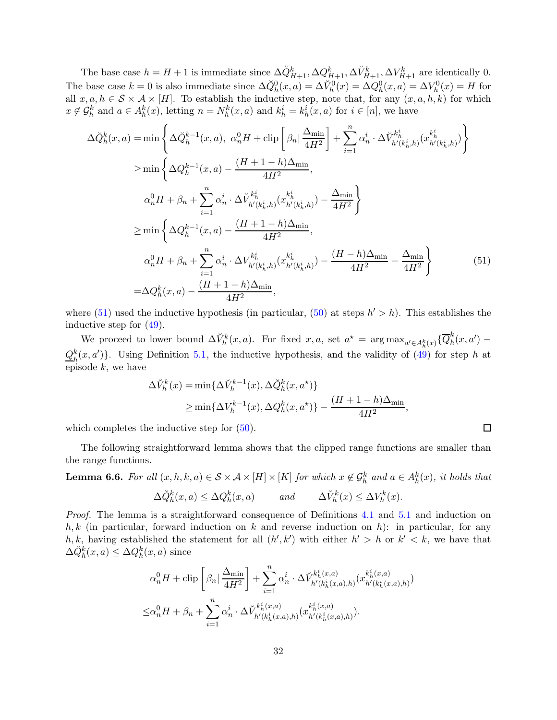The base case  $h = H + 1$  is immediate since  $\Delta \check{Q}_{H+1}^k, \Delta Q_{H+1}^k, \Delta \check{V}_{H+1}^k, \Delta V_{H+1}^k$  are identically 0. The base case  $k = 0$  is also immediate since  $\Delta \check{Q}_h^0(x, a) = \Delta \check{V}_h^0(x) = \Delta Q_h^0(x, a) = \Delta V_h^0(x) = H$  for all  $x, a, h \in S \times A \times [H]$ . To establish the inductive step, note that, for any  $(x, a, h, k)$  for which  $x \notin \mathcal{G}_h^k$  and  $a \in A_h^k(x)$ , letting  $n = N_h^k(x, a)$  and  $k_h^i = k_h^i(x, a)$  for  $i \in [n]$ , we have

$$
\Delta \breve{Q}_{h}^{k}(x, a) = \min \left\{ \Delta \breve{Q}_{h}^{k-1}(x, a), \ \alpha_{n}^{0} H + \text{clip} \left[ \beta_{n} \right] \frac{\Delta_{\min}}{4H^{2}} \right] + \sum_{i=1}^{n} \alpha_{n}^{i} \cdot \Delta \breve{V}_{h'(k_{h}^{i}, h)}^{k_{h}^{i}}(x_{h'(k_{h}^{i}, h)}^{k_{h}^{i}})
$$
\n
$$
\geq \min \left\{ \Delta Q_{h}^{k-1}(x, a) - \frac{(H + 1 - h)\Delta_{\min}}{4H^{2}},
$$
\n
$$
\alpha_{n}^{0} H + \beta_{n} + \sum_{i=1}^{n} \alpha_{n}^{i} \cdot \Delta \breve{V}_{h'(k_{h}^{i}, h)}^{k_{h}^{i}}(x_{h'(k_{h}^{i}, h)}^{k_{h}^{i}}) - \frac{\Delta_{\min}}{4H^{2}} \right\}
$$
\n
$$
\geq \min \left\{ \Delta Q_{h}^{k-1}(x, a) - \frac{(H + 1 - h)\Delta_{\min}}{4H^{2}},
$$
\n
$$
\alpha_{n}^{0} H + \beta_{n} + \sum_{i=1}^{n} \alpha_{n}^{i} \cdot \Delta V_{h'(k_{h}^{i}, h)}^{k_{h}^{i}}(x_{h'(k_{h}^{i}, h)}^{k_{h}^{i}}) - \frac{(H - h)\Delta_{\min}}{4H^{2}} - \frac{\Delta_{\min}}{4H^{2}} \right\}
$$
\n
$$
= \Delta Q_{h}^{k}(x, a) - \frac{(H + 1 - h)\Delta_{\min}}{4H^{2}}, \tag{51}
$$

where  $(51)$  used the inductive hypothesis (in particular,  $(50)$  at steps  $h' > h$ ). This establishes the inductive step for [\(49\)](#page-30-7).

We proceed to lower bound  $\Delta V_h^k(x, a)$ . For fixed  $x, a$ , set  $a^* = \arg \max_{a' \in A_h^k(x)} \{ \overline{Q}_h^k(x, a) \}$  $\int_h^n(x,a')$  –  $Q_{\rm\scriptscriptstyle L}^k$  $h(h_n^k(x, a'))$ . Using Definition [5.1,](#page-19-2) the inductive hypothesis, and the validity of [\(49\)](#page-30-7) for step h at episode  $k$ , we have

$$
\Delta \breve{V}_h^k(x) = \min \{ \Delta \breve{V}_h^{k-1}(x), \Delta \breve{Q}_h^k(x, a^*) \}
$$
  
\n
$$
\geq \min \{ \Delta V_h^{k-1}(x), \Delta Q_h^k(x, a^*) \} - \frac{(H+1-h)\Delta_{\min}}{4H^2},
$$

which completes the inductive step for  $(50)$ .

The following straightforward lemma shows that the clipped range functions are smaller than the range functions.

<span id="page-31-0"></span>**Lemma 6.6.** For all  $(x, h, k, a) \in S \times A \times [H] \times [K]$  for which  $x \notin \mathcal{G}_h^k$  and  $a \in A_h^k(x)$ , it holds that  $\Delta \check{Q}_h^k(x, a) \leq \Delta Q_h^k(x, a)$  and  $\Delta \check{V}_h^k(x) \leq \Delta V_h^k(x)$ .

Proof. The lemma is a straightforward consequence of Definitions [4.1](#page-15-0) and [5.1](#page-19-2) and induction on  $h, k$  (in particular, forward induction on k and reverse induction on h): in particular, for any h, k, having established the statement for all  $(h', k')$  with either  $h' > h$  or  $k' < k$ , we have that  $\Delta \check{Q}_h^k(x,a) \leq \Delta Q_h^k(x,a)$  since

$$
\alpha_n^0 H + \operatorname{clip} \left[ \beta_n \middle| \frac{\Delta_{\min}}{4H^2} \right] + \sum_{i=1}^n \alpha_n^i \cdot \Delta V_{h'(k_h^i(x,a),h)}^{k_h^i(x,a)} (x_{h'(k_h^i(x,a),h)}^{k_h^i(x,a)})
$$
  

$$
\leq \alpha_n^0 H + \beta_n + \sum_{i=1}^n \alpha_n^i \cdot \Delta V_{h'(k_h^i(x,a),h)}^{k_h^i(x,a)} (x_{h'(k_h^i(x,a),h)}^{k_h^i(x,a)}).
$$

<span id="page-31-1"></span>
$$
\Box
$$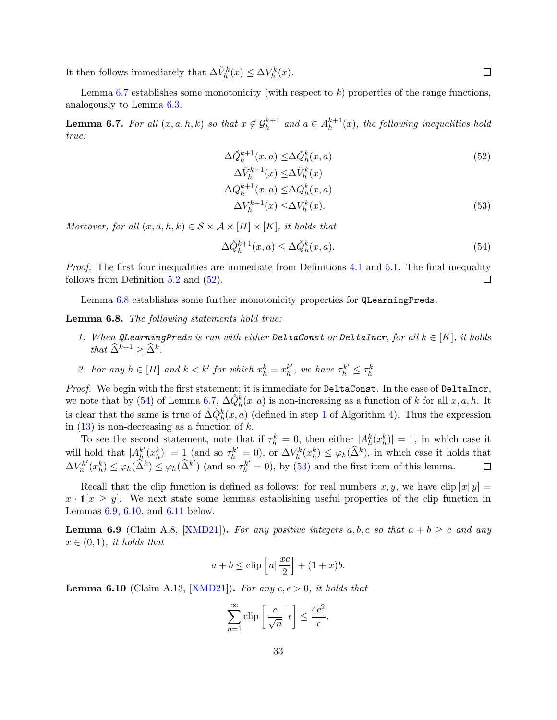It then follows immediately that  $\Delta \breve{V}_h^k(x) \leq \Delta V_h^k(x)$ .

Lemma [6.7](#page-32-0) establishes some monotonicity (with respect to  $k$ ) properties of the range functions, analogously to Lemma [6.3.](#page-28-0)

<span id="page-32-0"></span>**Lemma 6.7.** For all  $(x, a, h, k)$  so that  $x \notin \mathcal{G}_h^{k+1}$  and  $a \in A_h^{k+1}$  $h^{k+1}(x)$ , the following inequalities hold true:

<span id="page-32-4"></span><span id="page-32-2"></span>
$$
\Delta \check{Q}_{h}^{k+1}(x, a) \leq \Delta \check{Q}_{h}^{k}(x, a)
$$
\n
$$
\Delta \check{V}_{h}^{k+1}(x) \leq \Delta \check{V}_{h}^{k}(x)
$$
\n
$$
\Delta Q_{h}^{k+1}(x, a) \leq \Delta Q_{h}^{k}(x, a)
$$
\n
$$
\Delta V_{h}^{k+1}(x) \leq \Delta V_{h}^{k}(x).
$$
\n(53)

Moreover, for all  $(x, a, h, k) \in S \times A \times [H] \times [K]$ , it holds that

<span id="page-32-3"></span>
$$
\Delta \mathring{Q}_h^{k+1}(x, a) \le \Delta \mathring{Q}_h^k(x, a). \tag{54}
$$

Proof. The first four inequalities are immediate from Definitions [4.1](#page-15-0) and [5.1.](#page-19-2) The final inequality follows from Definition [5.2](#page-23-3) and [\(52\)](#page-32-2).  $\Box$ 

Lemma [6.8](#page-32-1) establishes some further monotonicity properties for QLearningPreds.

<span id="page-32-1"></span>Lemma 6.8. The following statements hold true:

- 1. When QLearningPreds is run with either DeltaConst or DeltaIncr, for all  $k \in [K]$ , it holds that  $\widehat{\Delta}^{k+1} \geq \widehat{\Delta}^k$ .
- 2. For any  $h \in [H]$  and  $k < k'$  for which  $x_h^k = x_h^{k'}$  $h'$ , we have  $\tau_h^{k'} \leq \tau_h^k$ .

Proof. We begin with the first statement; it is immediate for DeltaConst. In the case of DeltaIncr, we note that by [\(54\)](#page-32-3) of Lemma [6.7,](#page-32-0)  $\Delta \dot{Q}_h^k(x,a)$  is non-increasing as a function of k for all  $x, a, h$ . It is clear that the same is true of  $\tilde{\Delta} \dot{Q}_h^k(x,a)$  (defined in step [1](#page-18-6) of Algorithm [4\)](#page-18-0). Thus the expression in  $(13)$  is non-decreasing as a function of k.

To see the second statement, note that if  $\tau_h^k = 0$ , then either  $|A_h^k(x_h^k)| = 1$ , in which case it Fo see the second statement, note that if  $h = 0$ , then either  $|A_h(x_h)$ <br>will hold that  $|A_h^{k'}(x_h^k)| = 1$  (and so  $\tau_h^{k'} = 0$ ), or  $\Delta V_h^k(x_h^k) \leq \varphi_h(\widehat{\Delta}^k)$ , in  $\mathcal{L}_h^{k'}(x_h^k)$  = 1 (and so  $\tau_h^{k'} = 0$ ), or  $\Delta V_h^k(x_h^k) \leq \varphi_h(\widehat{\Delta}^k)$ , in which case it holds that  $\Delta V_n^{k'}$  $\mathcal{L}_{n}^{k'}(x_{h}^{k}) \leq \varphi_{h}(\widehat{\Delta}^{k}) \leq \varphi_{h}(\widehat{\Delta}^{k'})$  (and so  $\tau_{h}^{k'} = 0$ ), by [\(53\)](#page-32-4) and the first item of this lemma. □

Recall that the clip function is defined as follows: for real numbers x, y, we have clip  $[x|y] =$  $x \cdot \mathbb{I}[x \geq y]$ . We next state some lemmas establishing useful properties of the clip function in Lemmas [6.9,](#page-32-5) [6.10,](#page-32-6) and [6.11](#page-33-1) below.

<span id="page-32-5"></span>**Lemma 6.9** (Claim A.8, [\[XMD21\]](#page-68-2)). For any positive integers a, b, c so that  $a + b \geq c$  and any  $x \in (0,1)$ , it holds that

$$
a + b \le \text{clip}\left[a\left(\frac{xc}{2}\right) + (1+x)b\right).
$$

<span id="page-32-6"></span>**Lemma 6.10** (Claim A.13, [\[XMD21\]](#page-68-2)). For any  $c, \epsilon > 0$ , it holds that

$$
\sum_{n=1}^{\infty} \operatorname{clip} \left[ \frac{c}{\sqrt{n}} \middle| \epsilon \right] \le \frac{4c^2}{\epsilon}.
$$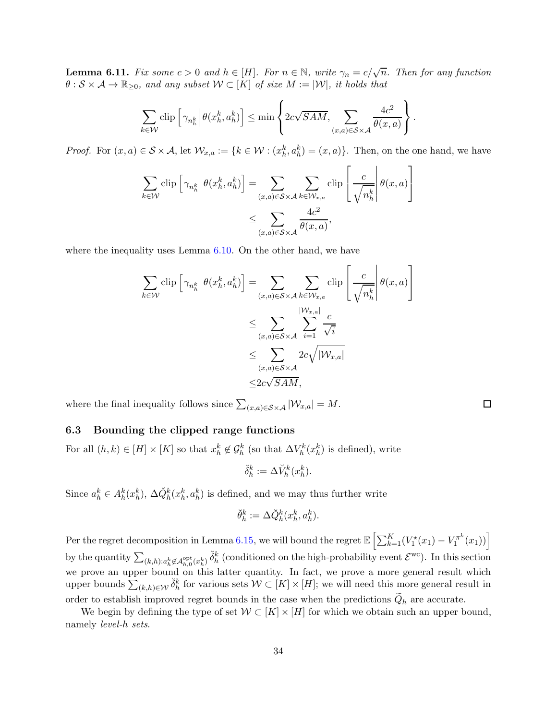<span id="page-33-1"></span>**Lemma 6.11.** Fix some  $c > 0$  and  $h \in [H]$ . For  $n \in \mathbb{N}$ , write  $\gamma_n = c/\sqrt{n}$ . Then for any function  $\theta : \mathcal{S} \times \mathcal{A} \to \mathbb{R}_{\geq 0}$ , and any subset  $\mathcal{W} \subset [K]$  of size  $M := |\mathcal{W}|$ , it holds that

$$
\sum_{k \in \mathcal{W}} \operatorname{clip} \left[ \gamma_{n_h^k} \middle| \theta(x_h^k, a_h^k) \right] \le \min \left\{ 2c\sqrt{SAM}, \sum_{(x, a) \in \mathcal{S} \times \mathcal{A}} \frac{4c^2}{\theta(x, a)} \right\}.
$$

*Proof.* For  $(x, a) \in S \times A$ , let  $\mathcal{W}_{x,a} := \{k \in \mathcal{W} : (x_h^k, a_h^k) = (x, a)\}\$ . Then, on the one hand, we have

$$
\sum_{k \in \mathcal{W}} \text{clip} \left[ \gamma_{n_h^k} \middle| \theta(x_h^k, a_h^k) \right] = \sum_{(x, a) \in \mathcal{S} \times \mathcal{A}} \sum_{k \in \mathcal{W}_{x, a}} \text{clip} \left[ \frac{c}{\sqrt{n_h^k}} \middle| \theta(x, a) \right]
$$

$$
\leq \sum_{(x, a) \in \mathcal{S} \times \mathcal{A}} \frac{4c^2}{\theta(x, a)},
$$

where the inequality uses Lemma [6.10.](#page-32-6) On the other hand, we have

$$
\sum_{k \in \mathcal{W}} \text{clip} \left[ \gamma_{n_h^k} \middle| \theta(x_h^k, a_h^k) \right] = \sum_{(x, a) \in \mathcal{S} \times \mathcal{A}} \sum_{k \in \mathcal{W}_{x, a}} \text{clip} \left[ \frac{c}{\sqrt{n_h^k}} \middle| \theta(x, a) \right]
$$
\n
$$
\leq \sum_{(x, a) \in \mathcal{S} \times \mathcal{A}} \sum_{i=1}^{|\mathcal{W}_{x, a}|} \frac{c}{\sqrt{i}}
$$
\n
$$
\leq \sum_{(x, a) \in \mathcal{S} \times \mathcal{A}} 2c \sqrt{|\mathcal{W}_{x, a}|}
$$
\n
$$
\leq 2c \sqrt{SAM},
$$

where the final inequality follows since  $\sum_{(x,a)\in S\times\mathcal{A}}|\mathcal{W}_{x,a}| = M$ .

### <span id="page-33-0"></span>6.3 Bounding the clipped range functions

For all  $(h, k) \in [H] \times [K]$  so that  $x_h^k \notin \mathcal{G}_h^k$  (so that  $\Delta V_h^k(x_h^k)$  is defined), write

$$
\breve{\delta}^k_h := \Delta V^k_h(x^k_h).
$$

Since  $a_h^k \in A_h^k(x_h^k)$ ,  $\Delta \check{Q}_h^k(x_h^k, a_h^k)$  is defined, and we may thus further write

$$
\breve{\theta}_h^k := \Delta \breve{Q}_h^k(x_h^k, a_h^k).
$$

Per the regret decomposition in Lemma [6.15,](#page-39-0) we will bound the regret  $\mathbb{E}\left[\sum_{k=1}^K (V_1^{\star}(x_1) - V_1^{\pi^k}(x_2))\right]$  $\left[ \frac{\pi^k}{1}(x_1) \right)$ by the quantity  $\sum_{(k,h):a_h^k\not\in\mathcal{A}_{h,0}^{\text{opt}}(x_h^k)} \check{\delta}_h^k$  (conditioned on the high-probability event  $\mathcal{E}^{\text{wc}}$ ). In this section we prove an upper bound on this latter quantity. In fact, we prove a more general result which upper bounds  $\sum_{(k,h)\in\mathcal{W}}\breve{\delta}_h^k$  for various sets  $\mathcal{W}\subset[K]\times[H]$ ; we will need this more general result in order to establish improved regret bounds in the case when the predictions  $Q_h$  are accurate.

We begin by defining the type of set  $W \subset [K] \times [H]$  for which we obtain such an upper bound, namely level-h sets.

 $\Box$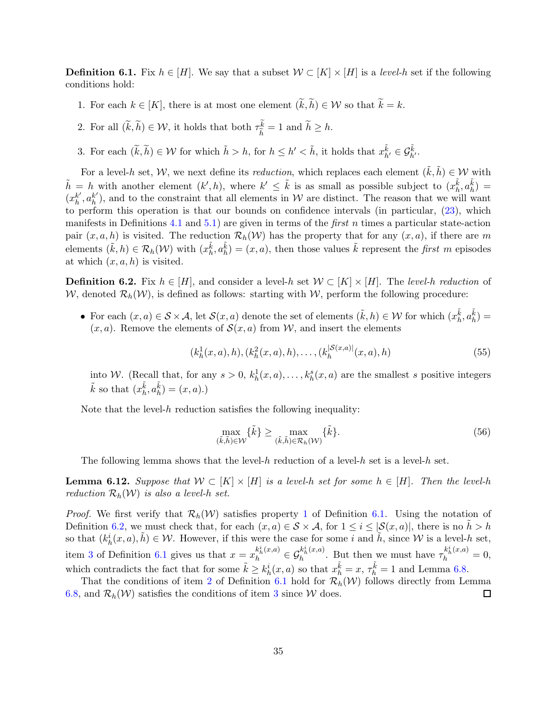<span id="page-34-1"></span><span id="page-34-0"></span>**Definition 6.1.** Fix  $h \in [H]$ . We say that a subset  $W \subset [K] \times [H]$  is a *level-h* set if the following conditions hold:

- <span id="page-34-4"></span>1. For each  $k \in [K]$ , there is at most one element  $(\widetilde{k}, \widetilde{h}) \in \mathcal{W}$  so that  $\widetilde{k} = k$ .
- <span id="page-34-3"></span>2. For all  $(k, \tilde{h}) \in \mathcal{W}$ , it holds that both  $\tau_{\tilde{h}}^k$  $\frac{k}{\tilde{h}} = 1$  and  $h \geq h$ .
- 3. For each  $(\widetilde{k}, \widetilde{h}) \in \mathcal{W}$  for which  $\widetilde{h} > h$ , for  $h \leq h' < \widetilde{h}$ , it holds that  $x_{h'}^{\widetilde{k}} \in \mathcal{G}_{h'}^{\widetilde{k}}$ .

For a level-h set, W, we next define its *reduction*, which replaces each element  $(\tilde{k}, \tilde{h}) \in W$  with  $\tilde{h} = h$  with another element  $(k', h)$ , where  $k' \leq \tilde{k}$  is as small as possible subject to  $(x_h^{\tilde{k}}, a_h^{\tilde{k}}) =$  $(x_h^{k'}$  $_{h}^{k'}, a_h^{k'}$  $h_h^{\kappa}$ ), and to the constraint that all elements in W are distinct. The reason that we will want to perform this operation is that our bounds on confidence intervals (in particular, [\(23\)](#page-24-0), which manifests in Definitions [4.1](#page-15-0) and [5.1\)](#page-19-2) are given in terms of the *first* n times a particular state-action pair  $(x, a, h)$  is visited. The reduction  $\mathcal{R}_h(\mathcal{W})$  has the property that for any  $(x, a)$ , if there are m elements  $(\tilde{k}, h) \in \mathcal{R}_h(\mathcal{W})$  with  $(x_h^{\tilde{k}}, a_h^{\tilde{k}}) = (x, a)$ , then those values  $\tilde{k}$  represent the *first m* episodes at which  $(x, a, h)$  is visited.

<span id="page-34-2"></span>**Definition 6.2.** Fix  $h \in [H]$ , and consider a level-h set  $W \subset [K] \times [H]$ . The level-h reduction of W, denoted  $\mathcal{R}_h(\mathcal{W})$ , is defined as follows: starting with W, perform the following procedure:

• For each  $(x, a) \in S \times A$ , let  $\mathcal{S}(x, a)$  denote the set of elements  $(\tilde{k}, h) \in \mathcal{W}$  for which  $(x_h^{\tilde{k}}, a_h^{\tilde{k}}) =$  $(x, a)$ . Remove the elements of  $\mathcal{S}(x, a)$  from W, and insert the elements

$$
(k_h^1(x, a), h), (k_h^2(x, a), h), \dots, (k_h^{|S(x, a)|}(x, a), h)
$$
\n(55)

into W. (Recall that, for any  $s > 0$ ,  $k_h^1(x, a)$ , ...,  $k_h^s(x, a)$  are the smallest s positive integers  $\tilde{k}$  so that  $(x_h^{\tilde{k}}, a_h^{\tilde{k}}) = (x, a)$ .)

Note that the level- $h$  reduction satisfies the following inequality:

$$
\max_{(\tilde{k},\tilde{h})\in\mathcal{W}}\{\tilde{k}\} \ge \max_{(\tilde{k},\tilde{h})\in\mathcal{R}_h(\mathcal{W})}\{\tilde{k}\}.\tag{56}
$$

The following lemma shows that the level-h reduction of a level-h set is a level-h set.

<span id="page-34-5"></span>**Lemma 6.12.** Suppose that  $W \subset [K] \times [H]$  is a level-h set for some  $h \in [H]$ . Then the level-h reduction  $\mathcal{R}_h(\mathcal{W})$  is also a level-h set.

*Proof.* We first verify that  $\mathcal{R}_h(\mathcal{W})$  satisfies property [1](#page-34-1) of Definition [6.1.](#page-34-0) Using the notation of Definition [6.2,](#page-34-2) we must check that, for each  $(x, a) \in S \times A$ , for  $1 \leq i \leq |\mathcal{S}(x, a)|$ , there is no  $\tilde{h} > h$ so that  $(k_h^i(x, a), \tilde{h}) \in \mathcal{W}$ . However, if this were the case for some i and  $\tilde{h}$ , since W is a level-h set, item [3](#page-34-3) of Definition [6.1](#page-34-0) gives us that  $x = x_h^{k_h^i(x,a)} \in \mathcal{G}_h^{k_h^i(x,a)}$  $h_h^{k_h^i(x,a)}$ . But then we must have  $\tau_h^{k_h^i(x,a)} = 0$ , which contradicts the fact that for some  $\tilde{k} \geq k_h^i(x, a)$  so that  $x_h^{\tilde{k}} = x$ ,  $\tau_h^{\tilde{k}} = 1$  and Lemma [6.8.](#page-32-1)

That the conditions of item [2](#page-34-4) of Definition [6.1](#page-34-0) hold for  $\mathcal{R}_h(\mathcal{W})$  follows directly from Lemma [6.8,](#page-32-1) and  $\mathcal{R}_h(\mathcal{W})$  satisfies the conditions of item [3](#page-34-3) since W does.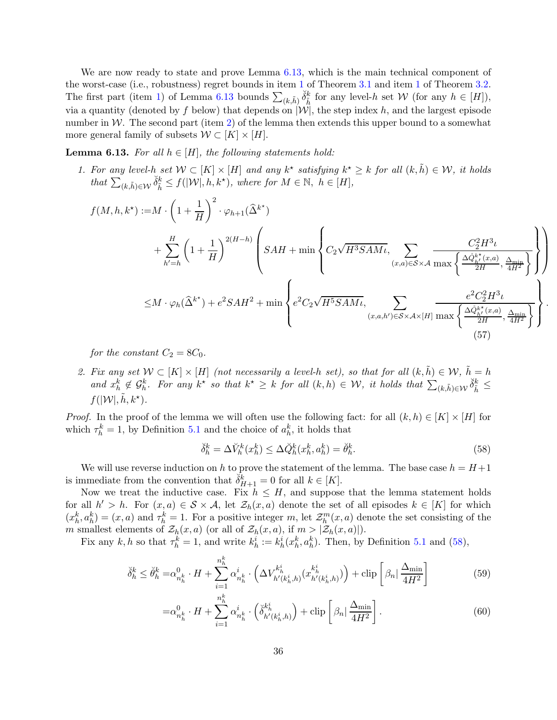We are now ready to state and prove Lemma [6.13,](#page-35-0) which is the main technical component of the worst-case (i.e., robustness) regret bounds in item [1](#page-60-0) of Theorem [3.1](#page-11-1) and item [1](#page-59-1) of Theorem [3.2.](#page-12-0) The first part (item [1\)](#page-35-1) of Lemma [6.13](#page-35-0) bounds  $\sum_{(k,\tilde{h})} \check{\delta}_{\tilde{h}}^k$  for any level-h set W (for any  $h \in [H]$ ), via a quantity (denoted by f below) that depends on  $|\mathcal{W}|$ , the step index h, and the largest episode number in  $W$ . The second part (item [2\)](#page-35-2) of the lemma then extends this upper bound to a somewhat more general family of subsets  $W \subset [K] \times [H]$ .

<span id="page-35-1"></span><span id="page-35-0"></span>**Lemma 6.13.** For all  $h \in [H]$ , the following statements hold:

1. For any level-h set  $W \subset [K] \times [H]$  and any  $k^*$  satisfying  $k^* \geq k$  for all  $(k, \tilde{h}) \in W$ , it holds that  $\sum_{(k,\tilde{h})\in\mathcal{W}}\check{\delta}_{\tilde{h}}^k \leq f(|\mathcal{W}|, h, k^*)$ , where for  $M \in \mathbb{N}, h \in [H]$ ,

$$
f(M, h, k^{*}) := M \cdot \left(1 + \frac{1}{H}\right)^{2} \cdot \varphi_{h+1}(\hat{\Delta}^{k^{*}})
$$
  
+ 
$$
\sum_{h'=h}^{H} \left(1 + \frac{1}{H}\right)^{2(H-h)} \left(SAH + \min\left\{C_{2}\sqrt{H^{3}SAM\iota}, \sum_{(x, a) \in S \times A} \frac{C_{2}^{2}H^{3}\iota}{\max\left\{\frac{\Delta \hat{\phi}_{h'}^{k^{*}}(x, a)}{2H}, \frac{\Delta_{\min}}{4H^{2}}\right\}}\right\}\right)
$$
  

$$
\leq M \cdot \varphi_{h}(\hat{\Delta}^{k^{*}}) + e^{2}SAH^{2} + \min\left\{e^{2}C_{2}\sqrt{H^{5}SAM\iota}, \sum_{(x, a, h') \in S \times A \times [H]} \frac{e^{2}C_{2}^{2}H^{3}\iota}{\max\left\{\frac{\Delta \hat{\phi}_{h'}^{k^{*}}(x, a)}{2H}, \frac{\Delta_{\min}}{4H^{2}}\right\}}\right\}.
$$
  
(57)

for the constant  $C_2 = 8C_0$ .

<span id="page-35-2"></span>2. Fix any set  $\mathcal{W} \subset [K] \times [H]$  (not necessarily a level-h set), so that for all  $(k, \tilde{h}) \in \mathcal{W}$ ,  $\tilde{h} = h$ and  $x_h^k \notin \mathcal{G}_h^k$ . For any  $k^*$  so that  $k^* \geq k$  for all  $(k, h) \in \mathcal{W}$ , it holds that  $\sum_{(k, \tilde{h}) \in \mathcal{W}} \check{\delta}_{\tilde{h}}^k \leq$  $f(|\mathcal{W}|, \tilde{h}, k^{\star}).$ 

*Proof.* In the proof of the lemma we will often use the following fact: for all  $(k, h) \in [K] \times [H]$  for which  $\tau_h^k = 1$ , by Definition [5.1](#page-19-2) and the choice of  $a_h^k$ , it holds that

<span id="page-35-5"></span><span id="page-35-3"></span>
$$
\check{\delta}_h^k = \Delta \check{V}_h^k(x_h^k) \le \Delta \check{Q}_h^k(x_h^k, a_h^k) = \check{\theta}_h^k. \tag{58}
$$

We will use reverse induction on h to prove the statement of the lemma. The base case  $h = H+1$ is immediate from the convention that  $\check{\delta}_{H+1}^k = 0$  for all  $k \in [K]$ .

Now we treat the inductive case. Fix  $h \leq H$ , and suppose that the lemma statement holds for all  $h' > h$ . For  $(x, a) \in S \times A$ , let  $\mathcal{Z}_h(x, a)$  denote the set of all episodes  $k \in [K]$  for which  $(x_h^k, a_h^k) = (x, a)$  and  $\tau_h^k = 1$ . For a positive integer m, let  $\mathcal{Z}_h^m(x, a)$  denote the set consisting of the m smallest elements of  $\mathcal{Z}_h(x, a)$  (or all of  $\mathcal{Z}_h(x, a)$ , if  $m > |\mathcal{Z}_h(x, a)|$ ).

Fix any k, h so that  $\tau_h^k = 1$ , and write  $k_h^i := k_h^i(x_h^k, a_h^k)$ . Then, by Definition [5.1](#page-19-2) and [\(58\)](#page-35-3),

$$
\breve{\delta}_{h}^{k} \leq \breve{\theta}_{h}^{k} = \alpha_{n_{h}^{k}}^{0} \cdot H + \sum_{i=1}^{n_{h}^{k}} \alpha_{n_{h}^{k}}^{i} \cdot \left(\Delta V_{h'(k_{h}^{i}, h)}^{k_{h}^{i}}(x_{h'(k_{h}^{i}, h)}^{k_{h}^{i}})\right) + \operatorname{clip}\left[\beta_{n} | \frac{\Delta_{\min}}{4H^{2}}\right]
$$
(59)

<span id="page-35-4"></span>
$$
=\alpha_{n_h^k}^0 \cdot H + \sum_{i=1}^{n_h^k} \alpha_{n_h^k}^i \cdot \left(\check{\delta}_{h'(k_h^i,h)}^{k_h^i}\right) + \operatorname{clip}\left[\beta_n \mid \frac{\Delta_{\min}}{4H^2}\right].\tag{60}
$$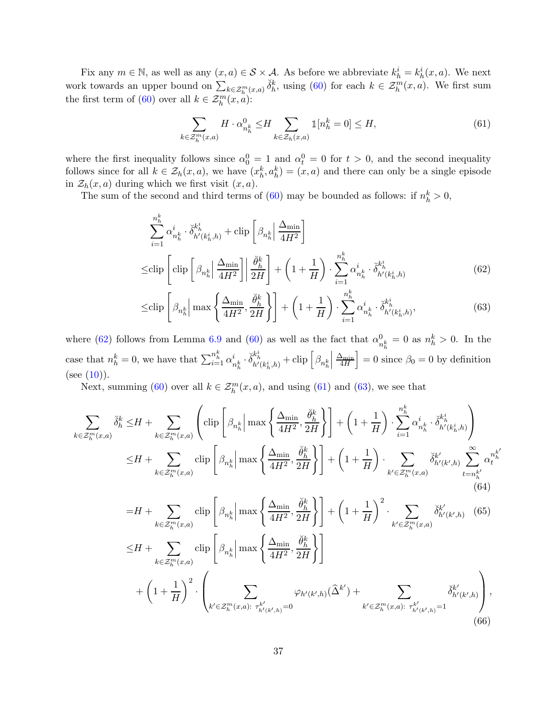Fix any  $m \in \mathbb{N}$ , as well as any  $(x, a) \in S \times A$ . As before we abbreviate  $k_h^i = k_h^i(x, a)$ . We next work towards an upper bound on  $\sum_{k \in \mathcal{Z}_h^m(x,a)} \check{\delta}_h^k$ , using [\(60\)](#page-35-4) for each  $k \in \mathcal{Z}_h^m(x,a)$ . We first sum the first term of [\(60\)](#page-35-4) over all  $k \in \mathcal{Z}_h^{m \in \mathcal{Z}_h}$ .

<span id="page-36-1"></span><span id="page-36-0"></span>
$$
\sum_{k \in \mathcal{Z}_h^m(x,a)} H \cdot \alpha_{n_h^k}^0 \le H \sum_{k \in \mathcal{Z}_h(x,a)} \mathbb{1}[n_h^k = 0] \le H,\tag{61}
$$

where the first inequality follows since  $\alpha_0^0 = 1$  and  $\alpha_t^0 = 0$  for  $t > 0$ , and the second inequality follows since for all  $k \in \mathcal{Z}_h(x,a)$ , we have  $(x_h^k, a_h^k) = (x,a)$  and there can only be a single episode in  $\mathcal{Z}_h(x, a)$  during which we first visit  $(x, a)$ .

The sum of the second and third terms of [\(60\)](#page-35-4) may be bounded as follows: if  $n_h^k > 0$ ,

$$
\sum_{i=1}^{n_h^k} \alpha_{n_h^k}^i \cdot \breve{\delta}_{h'(k_h^i, h)}^{k_h^i} + \text{clip}\left[\beta_{n_h^k}\right] \frac{\Delta_{\min}}{4H^2}\right]
$$
\n
$$
\leq \text{clip}\left[\text{clip}\left[\beta_{n_h^k}\right] \frac{\Delta_{\min}}{4H^2}\right] \left|\frac{\breve{\theta}_h^k}{2H}\right| + \left(1 + \frac{1}{H}\right) \cdot \sum_{i=1}^{n_h^k} \alpha_{n_h^k}^i \cdot \breve{\delta}_{h'(k_h^i, h)}^{k_h^i} \tag{62}
$$
\n
$$
\leq \text{li}\left[\begin{array}{ccc} \text{all} & \text{if } \Delta_{\min} & \breve{\theta}_h^k \end{array}\right] \cdot \left(1 + \frac{1}{H}\right) \cdot \sum_{i=1}^{n_h^k} \alpha_{n_h^k}^i \cdot \breve{\delta}_{h'(k_h^i, h)}^{k_h^i} \tag{62}
$$

<span id="page-36-2"></span>
$$
\leq \n\text{clip}\left[\beta_{n_h^k}\middle|\max\left\{\frac{\Delta_{\min}}{4H^2},\frac{\breve{\theta}_h^k}{2H}\right\}\right] + \left(1 + \frac{1}{H}\right) \cdot \sum_{i=1}^{n_h^k} \alpha_{n_h^k}^i \cdot \breve{\delta}_{h'(k_h^i,h)}^{k_h^i},\tag{63}
$$

where [\(62\)](#page-36-0) follows from Lemma [6.9](#page-32-5) and [\(60\)](#page-35-4) as well as the fact that  $\alpha_n^0$  $\frac{0}{n_h^k} = 0$  as  $n_h^k > 0$ . In the h case that  $n_h^k = 0$ , we have that  $\sum_{i=1}^{n_h^k} \alpha_i^i$  $\frac{i}{n_h^k} \cdot \breve{\delta}^{k_h^i}_{h'(k_h^i,h)} + \text{clip} \left[ \beta_{n_h^k} \right]$   $\frac{\Delta_{\min}}{4H}$  $\Big] = 0$  since  $\beta_0 = 0$  by definition  $(see (10)).$  $(see (10)).$  $(see (10)).$ 

Next, summing [\(60\)](#page-35-4) over all  $k \in \mathcal{Z}_h^m(x,a)$ , and using [\(61\)](#page-36-1) and [\(63\)](#page-36-2), we see that

$$
\sum_{k \in \mathcal{Z}_h^m(x,a)} \breve{\delta}_h^k \le H + \sum_{k \in \mathcal{Z}_h^m(x,a)} \left( \text{clip} \left[ \beta_{n_h^k} \middle| \max \left\{ \frac{\Delta_{\min}}{4H^2}, \frac{\breve{\theta}_h^k}{2H} \right\} \right] + \left( 1 + \frac{1}{H} \right) \cdot \sum_{i=1}^{n_h^k} \alpha_{n_h^k}^i \cdot \breve{\delta}_{h'(k_h^i,h)}^{k_i^i} \right) \le H + \sum_{k \in \mathcal{Z}_h^m(x,a)} \text{clip} \left[ \beta_{n_h^k} \middle| \max \left\{ \frac{\Delta_{\min}}{4H^2}, \frac{\breve{\theta}_h^k}{2H} \right\} \right] + \left( 1 + \frac{1}{H} \right) \cdot \sum_{k' \in \mathcal{Z}_h^m(x,a)} \breve{\delta}_{h'(k',h)}^{k'} \sum_{t=n_h^{k'}}^{\infty} \alpha_t^{n_h^{k'}} \tag{64}
$$

<span id="page-36-5"></span><span id="page-36-4"></span><span id="page-36-3"></span>
$$
=H+\sum_{k\in\mathcal{Z}_{h}^{m}(x,a)}\text{clip}\left[\beta_{n_{h}^{k}}\Big|\max\left\{\frac{\Delta_{\min}}{4H^{2}},\frac{\breve{\theta}_{h}^{k}}{2H}\right\}\right]+\left(1+\frac{1}{H}\right)^{2}\cdot\sum_{k'\in\mathcal{Z}_{h}^{m}(x,a)}\breve{\delta}_{h'(k',h)}^{k'}\quad(65)
$$

$$
\leq H+\sum_{k\in\mathcal{Z}_{h}^{m}(x,a)}\text{clip}\left[\beta_{n_{h}^{k}}\Big|\max\left\{\frac{\Delta_{\min}}{4H^{2}},\frac{\breve{\theta}_{h}^{k}}{2H}\right\}\right]
$$

$$
+\left(1+\frac{1}{H}\right)^{2}\cdot\left(\sum_{k'\in\mathcal{Z}_{h}^{m}(x,a):\ \tau_{h'(k',h)}^{k'}=0}\varphi_{h'(k',h)}(\widehat{\Delta}^{k'})+\sum_{k'\in\mathcal{Z}_{h}^{m}(x,a):\ \tau_{h'(k',h)}^{k'}=1}\breve{\delta}_{h'(k',h)}^{k'}\right),\tag{66}
$$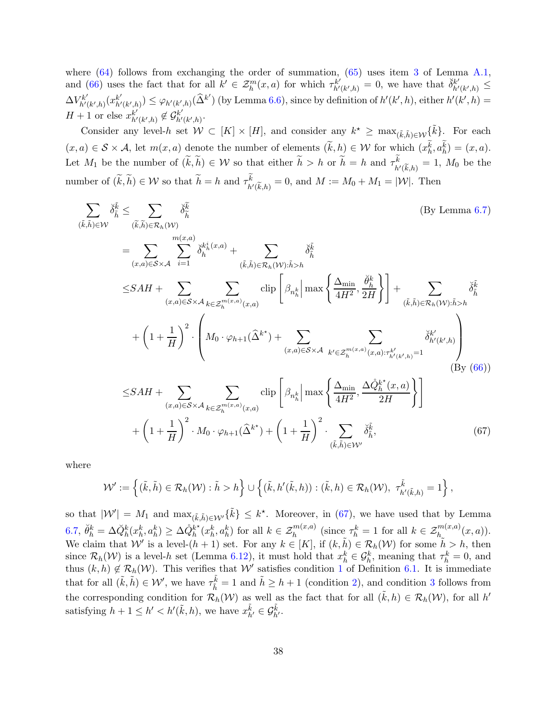where  $(64)$  follows from exchanging the order of summation,  $(65)$  uses item [3](#page-61-6) of Lemma [A.1,](#page-61-3) and [\(66\)](#page-36-5) uses the fact that for all  $k' \in \mathcal{Z}_h^m(x,a)$  for which  $\tau_{h'}^{k'}$  $\overline{h'}_{h'(k',h)}^{k'} = 0$ , we have that  $\overline{\delta}_{h'}^{k'}$  $\ddot{h'}(k',h) \triangleq$  $\Delta V^{k'}_{b'}$  $h^{\prime}(k^{\prime},h)\big(x_{h^{\prime}}^{k^{\prime}}$  $\mathcal{L}_{h'(k',h)}^{k'}$   $\leq \varphi_{h'(k',h)}(\widehat{\Delta}^{k'})$  (by Lemma [6.6\)](#page-31-0), since by definition of  $h'(k',h)$ , either  $h'(k',h)$  =  $H + 1$  or else  $x_{h'}^{k'}$  $_{h^{\prime}(k^{\prime},h)}^{k^{\prime}}\not\in\mathcal{G}_{h^{\prime}}^{k^{\prime}}$  $_{h^{\prime}(k^{\prime},h)}^{k^{\prime}}.$ 

Consider any level-h set  $W \subset [K] \times [H]$ , and consider any  $k^* \geq \max_{(\tilde{k}, \tilde{h}) \in \mathcal{W}} {\{\tilde{k}\}}$ . For each  $(x, a) \in S \times A$ , let  $m(x, a)$  denote the number of elements  $(\tilde{k}, h) \in W$  for which  $(x_h^k, a_h^k) = (x, a)$ . Let  $M_1$  be the number of  $(k, \tilde{h}) \in \mathcal{W}$  so that either  $\tilde{h} > h$  or  $\tilde{h} = h$  and  $\tau^k_{h'(\tilde{k}, h)} = 1$ ,  $M_0$  be the number of  $(k, \tilde{h}) \in W$  so that  $\tilde{h} = h$  and  $\tau^k_{h'(\tilde{k}, h)} = 0$ , and  $M := M_0 + M_1 = |\mathcal{W}|$ . Then

$$
\sum_{(\tilde{k},\tilde{h})\in\mathcal{W}} \check{\delta}_{\tilde{h}}^{\tilde{k}} \leq \sum_{(\tilde{k},\tilde{h})\in\mathcal{R}_{h}(\mathcal{W})} \check{\delta}_{\tilde{h}}^{\tilde{k}}
$$
\n
$$
= \sum_{(x,a)\in\mathcal{S}\times\mathcal{A}} \sum_{i=1}^{m(x,a)} \check{\delta}_{\tilde{h}}^{\tilde{k}_{\tilde{h}}^i(x,a)} + \sum_{(\tilde{k},\tilde{h})\in\mathcal{R}_{h}(\mathcal{W}): \tilde{h}>h} \check{\delta}_{\tilde{h}}^{\tilde{k}}
$$
\n
$$
\leq SAH + \sum_{(x,a)\in\mathcal{S}\times\mathcal{A}} \sum_{k\in\mathcal{Z}_{h}^{m(x,a)}(x,a)} \text{clip}\left[\beta_{n_{\tilde{h}}} \bigg| \max\left\{\frac{\Delta_{\min}}{4H^2}, \frac{\check{\theta}_{\tilde{h}}^k}{2H}\right\}\right] + \sum_{(\tilde{k},\tilde{h})\in\mathcal{R}_{h}(\mathcal{W}): \tilde{h}>h} \check{\delta}_{\tilde{h}}^{\tilde{k}}
$$
\n
$$
+ \left(1 + \frac{1}{H}\right)^2 \cdot \left(M_0 \cdot \varphi_{h+1}(\hat{\Delta}^{k^*}) + \sum_{(x,a)\in\mathcal{S}\times\mathcal{A}} \sum_{k'\in\mathcal{Z}_{h}^{m(x,a)}(x,a): \tau_{h'(k',h)}^{k'}=1} \check{\delta}_{h'(k',h)}^{k'}
$$
\n
$$
\leq SAH + \sum_{(x,a)\in\mathcal{S}\times\mathcal{A}} \sum_{k\in\mathcal{Z}_{h}^{m(x,a)}(x,a)} \text{clip}\left[\beta_{n_{\tilde{h}}} \bigg| \max\left\{\frac{\Delta_{\min}}{4H^2}, \frac{\Delta_{\tilde{Q}_{h}^{k^*}}(x,a)}{2H}\right\}\right]
$$
\n
$$
+ \left(1 + \frac{1}{H}\right)^2 \cdot M_0 \cdot \varphi_{h+1}(\hat{\Delta}^{k^*}) + \left(1 + \frac{1}{H}\right)^2 \cdot \sum_{(\tilde{k},\tilde{h})\in\mathcal{W}'} \check{\delta}_{\tilde{h}}^{\tilde{k}}, \
$$

where

<span id="page-37-0"></span>
$$
\mathcal{W}' := \left\{ (\tilde{k}, \tilde{h}) \in \mathcal{R}_h(\mathcal{W}) : \tilde{h} > h \right\} \cup \left\{ (\tilde{k}, h'(\tilde{k}, h)) : (\tilde{k}, h) \in \mathcal{R}_h(\mathcal{W}), \ \tau_{h'(\tilde{k}, h)}^{\tilde{k}} = 1 \right\},\
$$

so that  $|W'| = M_1$  and  $\max_{(\tilde{k}, \tilde{h}) \in \mathcal{W}'} {\{\tilde{k}\}} \leq k^*$ . Moreover, in [\(67\)](#page-37-0), we have used that by Lemma [6.7,](#page-32-0)  $\breve{\theta}_h^k = \Delta \breve{Q}_h^k(x_h^k, a_h^k) \geq \Delta \mathring{Q}_h^{k^\star}$  $h^{\star}(x_h^k, a_h^k)$  for all  $k \in \mathcal{Z}_h^{m(x,a)}$  (since  $\tau_h^k = 1$  for all  $k \in \mathcal{Z}_{h_\infty}^{m(x,a)}(x,a)$ ). We claim that W' is a level- $(h + 1)$  set. For any  $k \in [K]$ , if  $(k, \tilde{h}) \in \mathcal{R}_h(\mathcal{W})$  for some  $\tilde{h} > h$ , then since  $\mathcal{R}_h(\mathcal{W})$  is a level-h set (Lemma [6.12\)](#page-34-5), it must hold that  $x_h^k \in \mathcal{G}_h^k$ , meaning that  $\tau_h^k = 0$ , and thus  $(k, h) \notin \mathcal{R}_h(\mathcal{W})$ . This verifies that  $\mathcal{W}'$  satisfies condition [1](#page-34-1) of Definition [6.1.](#page-34-0) It is immediate that for all  $(\tilde{k}, \tilde{h}) \in \mathcal{W}'$ , we have  $\tau_{\tilde{h}}^{\tilde{k}} = 1$  and  $\tilde{h} \geq h + 1$  (condition [2\)](#page-34-4), and condition [3](#page-34-3) follows from the corresponding condition for  $\mathcal{R}_h(\mathcal{W})$  as well as the fact that for all  $(\tilde{k}, h) \in \mathcal{R}_h(\mathcal{W})$ , for all  $h'$ satisfying  $h + 1 \leq h' < h'(\tilde{k}, h)$ , we have  $x_{h'}^{\tilde{k}} \in \mathcal{G}_{h'}^{\tilde{k}}$ .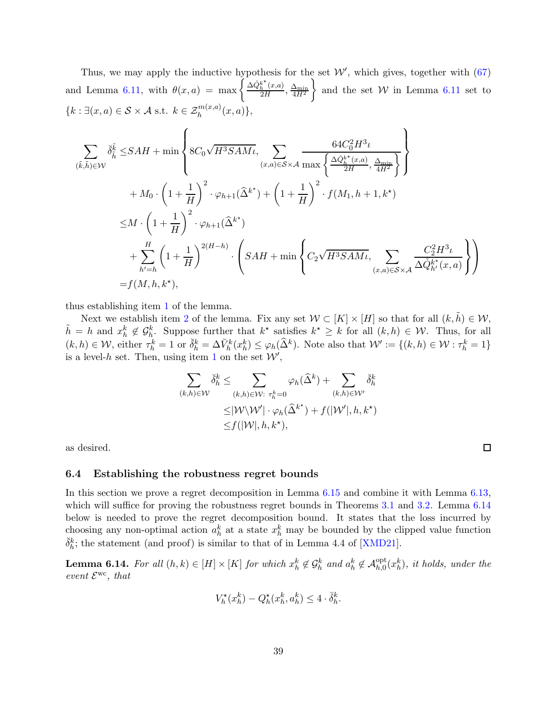Thus, we may apply the inductive hypothesis for the set  $W'$ , which gives, together with  $(67)$ and Lemma [6.11,](#page-33-1) with  $\theta(x,a) = \max \left\{ \frac{\Delta \hat{Q}_h^{k^*}}{2!} \right\}$  $\frac{k}{h} (x,a)$  $\frac{\hbar}{2H}^{(x,a)}$ ,  $\frac{\Delta_{\min}}{4H^2}$  $\mathcal{L}$ and the set  $W$  in Lemma [6.11](#page-33-1) set to  ${k : \exists (x, a) \in S \times A \text{ s.t. } k \in \mathcal{Z}_h^{m(x,a)}(x,a) }$ ,

$$
\sum_{(\tilde{k},\tilde{h})\in\mathcal{W}} \check{\delta}_{\tilde{h}}^{\tilde{k}} \leq SAH + \min\left\{ 8C_0\sqrt{H^3SAM\iota}, \sum_{(x,a)\in S\times\mathcal{A}} \frac{64C_0^2H^3\iota}{\max\left\{ \frac{\Delta \hat{\phi}_{h}^{k*}(x,a)}{2H}, \frac{\Delta_{\min}}{4H^2} \right\}} \right\} \n+ M_0 \cdot \left( 1 + \frac{1}{H} \right)^2 \cdot \varphi_{h+1}(\hat{\Delta}^{k^*}) + \left( 1 + \frac{1}{H} \right)^2 \cdot f(M_1, h+1, k^*) \n\leq M \cdot \left( 1 + \frac{1}{H} \right)^2 \cdot \varphi_{h+1}(\hat{\Delta}^{k^*}) \n+ \sum_{h'=h}^H \left( 1 + \frac{1}{H} \right)^{2(H-h)} \cdot \left( SAH + \min\left\{ C_2\sqrt{H^3SAM\iota}, \sum_{(x,a)\in S\times\mathcal{A}} \frac{C_2^2H^3\iota}{\Delta \hat{Q}_{h'}^{k*}(x,a)} \right\} \right) \n= f(M, h, k^*),
$$

thus establishing item [1](#page-35-1) of the lemma.

Next we establish item [2](#page-35-2) of the lemma. Fix any set  $W \subset [K] \times [H]$  so that for all  $(k, \tilde{h}) \in \mathcal{W}$ ,  $\tilde{h} = h$  and  $x_h^k \notin \mathcal{G}_h^k$ . Suppose further that  $k^*$  satisfies  $k^* \geq k$  for all  $(k, h) \in \mathcal{W}$ . Thus, for all  $(k, h) \in \mathcal{W}$ , either  $\tau_h^k = 1$  or  $\breve{\delta}_h^k = \Delta V_h^k(x_h^k) \leq \varphi_h(\widehat{\Delta}^k)$ . Note also that  $\mathcal{W}' := \{(k, h) \in \mathcal{W} : \tau_h^k = 1\}$ is a level-h set. Then, using item [1](#page-35-1) on the set  $\mathcal{W}',$ 

$$
\sum_{(k,h)\in\mathcal{W}} \check{\delta}_h^k \leq \sum_{(k,h)\in\mathcal{W}: \ \tau_h^k=0} \varphi_h(\widehat{\Delta}^k) + \sum_{(k,h)\in\mathcal{W}'} \check{\delta}_h^k
$$
  
\n
$$
\leq |W\backslash\mathcal{W}'| \cdot \varphi_h(\widehat{\Delta}^{k^*}) + f(|W'|, h, k^*)
$$
  
\n
$$
\leq f(|W|, h, k^*),
$$

<span id="page-38-0"></span>as desired.

#### 6.4 Establishing the robustness regret bounds

In this section we prove a regret decomposition in Lemma [6.15](#page-39-0) and combine it with Lemma [6.13,](#page-35-0) which will suffice for proving the robustness regret bounds in Theorems [3.1](#page-11-1) and [3.2.](#page-12-0) Lemma [6.14](#page-38-1) below is needed to prove the regret decomposition bound. It states that the loss incurred by choosing any non-optimal action  $a_h^k$  at a state  $x_h^k$  may be bounded by the clipped value function  $\check{\delta}_h^k$ ; the statement (and proof) is similar to that of in Lemma 4.4 of [\[XMD21\]](#page-68-2).

<span id="page-38-1"></span>**Lemma 6.14.** For all  $(h, k) \in [H] \times [K]$  for which  $x_h^k \notin \mathcal{G}_h^k$  and  $a_h^k \notin \mathcal{A}_{h,0}^{\text{opt}}(x_h^k)$ , it holds, under the event  $\mathcal{E}^{\rm wc}$ , that

$$
V_h^{\star}(x_h^k) - Q_h^{\star}(x_h^k, a_h^k) \le 4 \cdot \breve{\delta}_h^k
$$

.

 $\Box$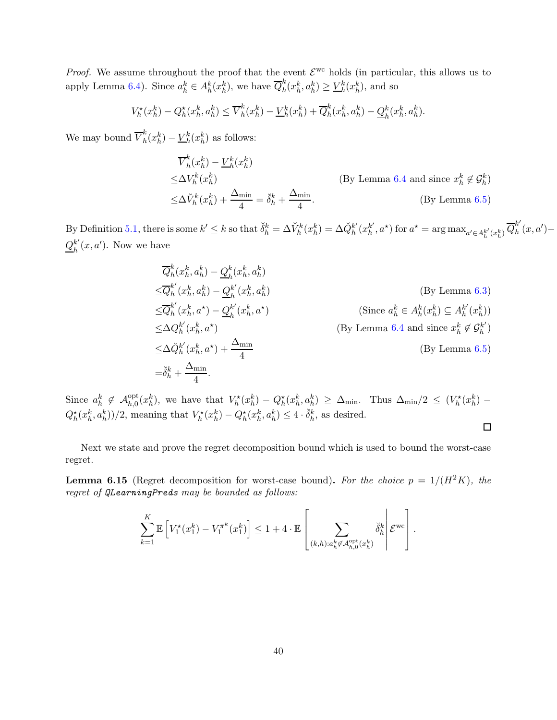*Proof.* We assume throughout the proof that the event  $\mathcal{E}^{\text{wc}}$  holds (in particular, this allows us to apply Lemma [6.4\)](#page-29-1). Since  $a_h^k \in A_h^k(x_h^k)$ , we have  $\overline{Q}_h^k$  $h(k_h^k, a_h^k) \geq \underline{V}_h^k(x_h^k)$ , and so

$$
V_h^{\star}(x_h^k) - Q_h^{\star}(x_h^k, a_h^k) \le \overline{V}_h^k(x_h^k) - \underline{V}_h^k(x_h^k) + \overline{Q}_h^k(x_h^k, a_h^k) - \underline{Q}_h^k(x_h^k, a_h^k).
$$

We may bound  $\overline{V}_h^k$  $h(k_h^k) - V_h^k(x_h^k)$  as follows:

$$
\overline{V}_{h}^{k}(x_{h}^{k}) - \underline{V}_{h}^{k}(x_{h}^{k})
$$
\n
$$
\leq \Delta V_{h}^{k}(x_{h}^{k}) + \frac{\Delta_{\min}}{4} = \breve{\delta}_{h}^{k} + \frac{\Delta_{\min}}{4}.
$$
\n(By Lemma 6.4 and since  $x_{h}^{k} \notin \mathcal{G}_{h}^{k}$ )

\n(By Lemma 6.5)

By Definition [5.1,](#page-19-2) there is some  $k' \leq k$  so that  $\breve{\delta}_h^k = \Delta V_h^k(x_h^k) = \Delta \breve{Q}_h^{k'}$  $_{h}^{k'}(x_{h}^{k'}$  $h'$ ,  $a^{\star}$ ) for  $a^{\star} = \arg \max_{a' \in A_h^{k'}(x_h^k)} \overline{Q}_h^{k'}$  $\int_h^n (x, a') Q_{\scriptscriptstyle L}^{k'}$  $\binom{k}{h}(x,a')$ . Now we have

$$
\overline{Q}_{h}^{k}(x_{h}^{k}, a_{h}^{k}) - \underline{Q}_{h}^{k}(x_{h}^{k}, a_{h}^{k})
$$
\n
$$
\leq \overline{Q}_{h}^{k'}(x_{h}^{k}, a_{h}^{k}) - \underline{Q}_{h}^{k'}(x_{h}^{k}, a_{h}^{k})
$$
\n
$$
\leq \overline{Q}_{h}^{k'}(x_{h}^{k}, a^*) - \underline{Q}_{h}^{k'}(x_{h}^{k}, a^*)
$$
\n(Since  $a_{h}^{k} \in A_{h}^{k}(x_{h}^{k}) \subseteq A_{h}^{k'}(x_{h}^{k})$ )\n
$$
\leq \Delta Q_{h}^{k'}(x_{h}^{k}, a^*)
$$
\n(Since  $a_{h}^{k} \in A_{h}^{k}(x_{h}^{k}) \subseteq A_{h}^{k'}(x_{h}^{k})$ )\n
$$
\leq \Delta \widetilde{Q}_{h}^{k'}(x_{h}^{k}, a^*) + \frac{\Delta_{\min}}{4}
$$
\n(Siy Lemma 6.4 and since  $x_{h}^{k} \notin \mathcal{G}_{h}^{k'}$ )\n(Sy Lemma 6.5)\n
$$
= \widetilde{\delta}_{h}^{k} + \frac{\Delta_{\min}}{4}.
$$

Since  $a_h^k \notin \mathcal{A}_{h,0}^{\text{opt}}(x_h^k)$ , we have that  $V_h^{\star}(x_h^k) - Q_h^{\star}(x_h^k, a_h^k) \geq \Delta_{\text{min}}$ . Thus  $\Delta_{\text{min}}/2 \leq (V_h^{\star}(x_h^k) Q_h^{\star}(x_h^k, a_h^k)$ /2, meaning that  $V_h^{\star}(x_h^k) - Q_h^{\star}(x_h^k, a_h^k) \leq 4 \cdot \tilde{\delta}_h^k$ , as desired.  $\Box$ 

Next we state and prove the regret decomposition bound which is used to bound the worst-case regret.

<span id="page-39-0"></span>**Lemma 6.15** (Regret decomposition for worst-case bound). For the choice  $p = 1/(H^2K)$ , the regret of QLearningPreds may be bounded as follows:

$$
\sum_{k=1}^K \mathbb{E}\left[V_1^{\star}(x_1^k) - V_1^{\pi^k}(x_1^k)\right] \le 1 + 4 \cdot \mathbb{E}\left[\sum_{(k,h): a_h^k \not\in \mathcal{A}_{h,0}^{\text{opt}}(x_h^k)} \check{\delta}_h^k \middle| \mathcal{E}^{\text{wc}}\right].
$$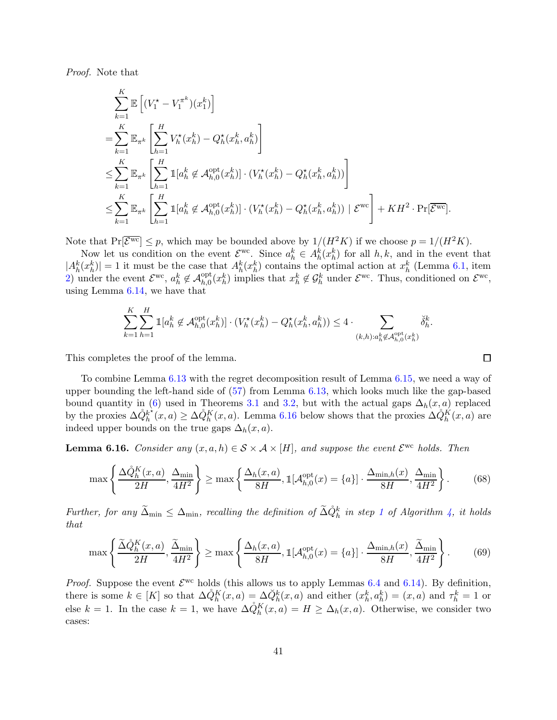Proof. Note that

$$
\sum_{k=1}^{K} \mathbb{E}\left[ (V_1^{\star} - V_1^{\pi^k})(x_1^k) \right]
$$
\n
$$
= \sum_{k=1}^{K} \mathbb{E}_{\pi^k} \left[ \sum_{h=1}^{H} V_h^{\star}(x_h^k) - Q_h^{\star}(x_h^k, a_h^k) \right]
$$
\n
$$
\leq \sum_{k=1}^{K} \mathbb{E}_{\pi^k} \left[ \sum_{h=1}^{H} \mathbb{1}[a_h^k \notin \mathcal{A}_{h,0}^{\text{opt}}(x_h^k)] \cdot (V_h^{\star}(x_h^k) - Q_h^{\star}(x_h^k, a_h^k)) \right]
$$
\n
$$
\leq \sum_{k=1}^{K} \mathbb{E}_{\pi^k} \left[ \sum_{h=1}^{H} \mathbb{1}[a_h^k \notin \mathcal{A}_{h,0}^{\text{opt}}(x_h^k)] \cdot (V_h^{\star}(x_h^k) - Q_h^{\star}(x_h^k, a_h^k)) \mid \mathcal{E}^{\text{wc}} \right] + KH^2 \cdot \Pr[\mathcal{E}^{\text{wc}}].
$$

Note that  $Pr[\overline{\mathcal{E}^{\text{wc}}}] \leq p$ , which may be bounded above by  $1/(H^2K)$  if we choose  $p = 1/(H^2K)$ .

Now let us condition on the event  $\mathcal{E}^{\text{wc}}$ . Since  $a_h^k \in A_h^k(x_h^k)$  for all  $h, k$ , and in the event that  $|A_h^k(x_h^k)| = 1$  it must be the case that  $A_h^k(x_h^k)$  contains the optimal action at  $x_h^k$  (Lemma [6.1,](#page-24-1) item [2\)](#page-24-3) under the event  $\mathcal{E}^{\text{wc}}, a_h^k \notin \mathcal{A}_{h,0}^{\text{opt}}(x_h^k)$  implies that  $x_h^k \notin \mathcal{G}_h^k$  under  $\mathcal{E}^{\text{wc}}$ . Thus, conditioned on  $\mathcal{E}^{\text{wc}}$ , using Lemma [6.14,](#page-38-1) we have that

$$
\sum_{k=1}^K \sum_{h=1}^H \mathbb{1}[a_h^k \notin \mathcal{A}_{h,0}^{\text{opt}}(x_h^k)] \cdot (V_h^\star(x_h^k) - Q_h^\star(x_h^k, a_h^k)) \le 4 \cdot \sum_{(k,h): a_h^k \notin \mathcal{A}_{h,0}^{\text{opt}}(x_h^k)} \check{\delta}_h^k
$$

This completes the proof of the lemma.

To combine Lemma [6.13](#page-35-0) with the regret decomposition result of Lemma [6.15,](#page-39-0) we need a way of upper bounding the left-hand side of  $(57)$  from Lemma  $6.13$ , which looks much like the gap-based bound quantity in [\(6\)](#page-11-3) used in Theorems [3.1](#page-11-1) and [3.2,](#page-12-0) but with the actual gaps  $\Delta_h(x, a)$  replaced by the proxies  $\Delta \hat{Q}_h^{k^*}$  $h_h^{k^*}(x, a) \geq \Delta \mathcal{O}_h^K(x, a)$ . Lemma [6.16](#page-40-0) below shows that the proxies  $\Delta \mathcal{O}_h^K(x, a)$  are indeed upper bounds on the true gaps  $\Delta_h(x, a)$ .

<span id="page-40-0"></span>**Lemma 6.16.** Consider any  $(x, a, h) \in S \times A \times [H]$ , and suppose the event  $\mathcal{E}^{\text{wc}}$  holds. Then

$$
\max\left\{\frac{\Delta\dot{Q}_h^K(x,a)}{2H},\frac{\Delta_{\min}}{4H^2}\right\} \ge \max\left\{\frac{\Delta_h(x,a)}{8H}, \mathbb{1}[\mathcal{A}_{h,0}^{\text{opt}}(x) = \{a\}] \cdot \frac{\Delta_{\min,h}(x)}{8H},\frac{\Delta_{\min}}{4H^2}\right\}.
$$
 (68)

Further, for any  $\tilde{\Delta}_{\text{min}} \leq \Delta_{\text{min}}$ , recalling the definition of  $\tilde{\Delta} \dot{Q}_h^k$  in step [1](#page-18-6) of Algorithm [4,](#page-18-0) it holds that

$$
\max\left\{\frac{\tilde{\Delta}\dot{Q}_{h}^{K}(x,a)}{2H},\frac{\tilde{\Delta}_{\min}}{4H^{2}}\right\} \geq \max\left\{\frac{\Delta_{h}(x,a)}{8H},\mathbb{I}[\mathcal{A}_{h,0}^{\text{opt}}(x)=\{a\}]\cdot\frac{\Delta_{\min,h}(x)}{8H},\frac{\tilde{\Delta}_{\min}}{4H^{2}}\right\}.
$$
 (69)

*Proof.* Suppose the event  $\mathcal{E}^{\text{wc}}$  holds (this allows us to apply Lemmas [6.4](#page-29-1) and [6.14\)](#page-38-1). By definition, there is some  $k \in [K]$  so that  $\Delta \dot{Q}_h^K(x, a) = \Delta \ddot{Q}_h^k(x, a)$  and either  $(x_h^k, a_h^k) = (x, a)$  and  $\tau_h^k = 1$  or else  $k = 1$ . In the case  $k = 1$ , we have  $\Delta \dot{Q}_h^K(x, a) = H \ge \Delta_h(x, a)$ . Otherwise, we consider two cases:

<span id="page-40-2"></span><span id="page-40-1"></span>口

.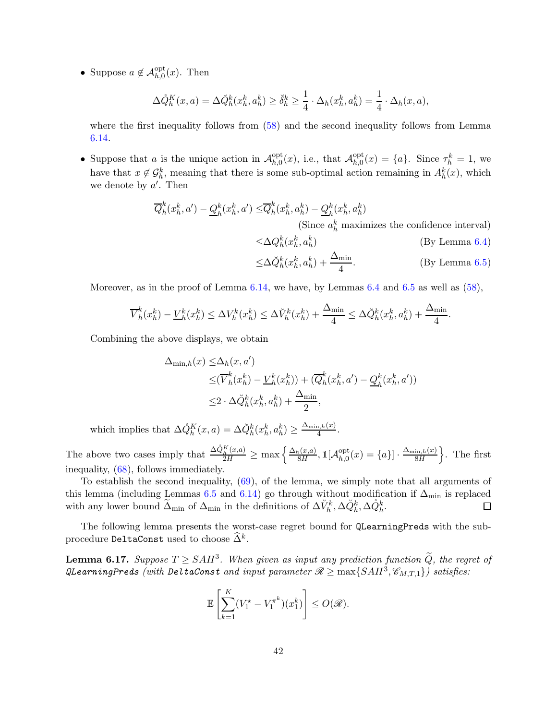• Suppose  $a \notin \mathcal{A}_{h,0}^{\text{opt}}(x)$ . Then

$$
\Delta \mathring{Q}_h^K(x, a) = \Delta \mathring{Q}_h^k(x_h^k, a_h^k) \ge \mathring{\delta}_h^k \ge \frac{1}{4} \cdot \Delta_h(x_h^k, a_h^k) = \frac{1}{4} \cdot \Delta_h(x, a),
$$

where the first inequality follows from  $(58)$  and the second inequality follows from Lemma [6.14.](#page-38-1)

• Suppose that  $a$  is the unique action in  $\mathcal{A}_{h,0}^{\text{opt}}$  $\mathcal{A}_{h,0}^{\text{opt}}(x)$ , i.e., that  $\mathcal{A}_{h,0}^{\text{opt}}$  $_{h,0}^{\text{opt}}(x) = \{a\}.$  Since  $\tau_h^k = 1$ , we have that  $x \notin \mathcal{G}_h^k$ , meaning that there is some sub-optimal action remaining in  $A_h^k(x)$ , which we denote by  $a'$ . Then

$$
\overline{Q}_h^k(x_h^k, a') - \underline{Q}_h^k(x_h^k, a') \leq \overline{Q}_h^k(x_h^k, a_h^k) - \underline{Q}_h^k(x_h^k, a_h^k)
$$

(Since  $a_h^k$  maximizes the confidence interval)

$$
\leq \Delta Q_h^k(x_h^k, a_h^k) \tag{By Lemma 6.4}
$$

$$
\leq \Delta \breve{Q}_h^k(x_h^k, a_h^k) + \frac{\Delta_{\min}}{4}.\tag{By Lemma 6.5}
$$

Moreover, as in the proof of Lemma  $6.14$ , we have, by Lemmas  $6.4$  and  $6.5$  as well as  $(58)$ .

$$
\overline{V}_h^k(x_h^k) - \underline{V}_h^k(x_h^k) \le \Delta V_h^k(x_h^k) \le \Delta \breve{V}_h^k(x_h^k) + \frac{\Delta_{\min}}{4} \le \Delta \breve{Q}_h^k(x_h^k, a_h^k) + \frac{\Delta_{\min}}{4}.
$$

Combining the above displays, we obtain

$$
\Delta_{\min,h}(x) \leq \Delta_h(x, a')
$$
  
\n
$$
\leq (\overline{V}_h^k(x_h^k) - \underline{V}_h^k(x_h^k)) + (\overline{Q}_h^k(x_h^k, a') - \underline{Q}_h^k(x_h^k, a'))
$$
  
\n
$$
\leq 2 \cdot \Delta \breve{Q}_h^k(x_h^k, a_h^k) + \frac{\Delta_{\min}}{2},
$$

which implies that  $\Delta \dot{Q}_h^K(x, a) = \Delta \ddot{Q}_h^k(x_h^k, a_h^k) \ge \frac{\Delta_{\min,h}(x)}{4}$  $\frac{a,h(\mu)}{4}$ .

The above two cases imply that  $\frac{\Delta \hat{Q}_h^K(x,a)}{2H} \ge \max \left\{ \frac{\Delta_h(x,a)}{8H} \right\}$  $_{8H}^{\frac{(1)}{8H}},1$   $[\mathcal{A}_{h,0}^{\mathrm{opt}}]$  $\frac{\mathrm{opt}}{h,0}(x) = \{a\} \cdot \frac{\Delta_{\min,h}(x)}{8H}$ 8H o . The first inequality, [\(68\)](#page-40-1), follows immediately.

To establish the second inequality, [\(69\)](#page-40-2), of the lemma, we simply note that all arguments of this lemma (including Lemmas [6.5](#page-30-0) and [6.14\)](#page-38-1) go through without modification if  $\Delta_{\text{min}}$  is replaced with any lower bound  $\widetilde{\Delta}_{\min}$  of  $\Delta_{\min}$  in the definitions of  $\Delta V_h^k$ ,  $\Delta \check{Q}_h^k$ ,  $\Delta \check{Q}_h^k$ . □

The following lemma presents the worst-case regret bound for QLearningPreds with the subprocedure DeltaConst used to choose  $\widehat{\Delta}^k$ .

<span id="page-41-0"></span>**Lemma 6.17.** Suppose  $T \geq SAH^3$ . When given as input any prediction function  $\widetilde{Q}$ , the regret of QLearningPreds (with DeltaConst and input parameter  $\mathscr{R} \geq \max\{SAH^3, \mathscr{C}_{M,T,1}\}$ ) satisfies:

$$
\mathbb{E}\left[\sum_{k=1}^K (V_1^{\star} - V_1^{\pi^k})(x_1^k)\right] \le O(\mathscr{R}).
$$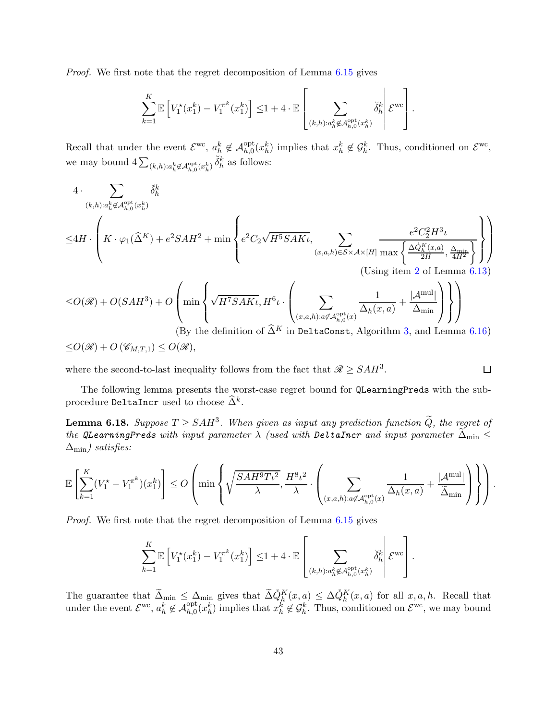Proof. We first note that the regret decomposition of Lemma [6.15](#page-39-0) gives

$$
\sum_{k=1}^K \mathbb{E}\left[V_1^{\star}(x_1^k) - V_1^{\pi^k}(x_1^k)\right] \leq 1 + 4 \cdot \mathbb{E}\left[\sum_{(k,h): a_k^k \notin \mathcal{A}_{h,0}^{\text{opt}}(x_k^k)} \check{\delta}_h^k \middle| \mathcal{E}^{\text{wc}}\right].
$$

Recall that under the event  $\mathcal{E}^{\text{wc}}, a_h^k \notin \mathcal{A}_{h,0}^{\text{opt}}(x_h^k)$  implies that  $x_h^k \notin \mathcal{G}_h^k$ . Thus, conditioned on  $\mathcal{E}^{\text{wc}},$ we may bound  $4\sum_{(k,h):a_h^k \notin \mathcal{A}_{h,0}^{\text{opt}}(x_h^k)} \check{\delta}_h^k$  as follows:

4. 
$$
\sum_{(k,h):a_h^k \notin \mathcal{A}_{h,0}^{\text{opt}}(x_h^k)} \check{\delta}_h^k
$$
  
\n
$$
\leq 4H \cdot \left( K \cdot \varphi_1(\hat{\Delta}^K) + e^2 SA H^2 + \min \left\{ e^2 C_2 \sqrt{H^5 S AK\iota}, \sum_{(x,a,h) \in S \times \mathcal{A} \times [H]} \frac{e^2 C_2^2 H^3 \iota}{\max \left\{ \frac{\Delta \hat{Q}_h^K(x,a)}{2H}, \frac{\Delta_{\min}}{4H^2} \right\}} \right\} \right)
$$
  
\n(Using item 2 of Lemma 6.13)

$$
\leq O(\mathscr{R}) + O(SAH^3) + O\left(\min\left\{\sqrt{H^7SAK\iota}, H^6\iota \cdot \left(\sum_{(x,a,h):a\not\in \mathcal{A}_{h,0}^{\text{opt}}(x)}\frac{1}{\Delta_h(x,a)} + \frac{|\mathcal{A}^{\text{mul}}|}{\Delta_{\text{min}}}\right)\right\}\right)
$$
  
(By the definition of  $\widehat{\Delta}^K$  in **DeltaConst**, Algorithm 3, and Lemma 6.16)

$$
\le O(\mathscr{R}) + O(\mathscr{C}_{M,T,1}) \le O(\mathscr{R}),
$$

where the second-to-last inequality follows from the fact that  $\mathcal{R} \geq SAH^3$ .

$$
\Box
$$

The following lemma presents the worst-case regret bound for QLearningPreds with the subprocedure DeltaIncr used to choose  $\widehat{\Delta}^k$ .

<span id="page-42-0"></span>**Lemma 6.18.** Suppose  $T \geq SAH^3$ . When given as input any prediction function  $\widetilde{Q}$ , the regret of the QLearningPreds with input parameter  $\lambda$  (used with DeltaIncr and input parameter  $\tilde{\Delta}_{min} \leq$  $\Delta_{\text{min}}$ ) satisfies:

$$
\mathbb{E}\left[\sum_{k=1}^K (V_1^{\star}-V_1^{\pi^k})(x_1^k)\right] \leq O\left(\min\left\{\sqrt{\frac{SAH^9T\iota^2}{\lambda}},\frac{H^8\iota^2}{\lambda}\cdot\left(\sum_{(x,a,h):a\not\in\mathcal{A}_{h,0}^{\text{opt}}(x)}\frac{1}{\Delta_h(x,a)}+\frac{|\mathcal{A}^{\text{mul}}|}{\widetilde{\Delta}_{\text{min}}}\right)\right\}\right).
$$

Proof. We first note that the regret decomposition of Lemma [6.15](#page-39-0) gives

$$
\sum_{k=1}^K \mathbb{E}\left[V_1^{\star}(x_1^k) - V_1^{\pi^k}(x_1^k)\right] \leq 1 + 4 \cdot \mathbb{E}\left[\sum_{(k,h): a_h^k \not\in \mathcal{A}_{h,0}^{\mathrm{opt}}(x_h^k)} \breve{\delta}_h^k \middle| \mathcal{E}^{\mathrm{wc}}\right].
$$

The guarantee that  $\widetilde{\Delta}_{\min} \leq \Delta_{\min}$  gives that  $\widetilde{\Delta}_{\mathcal{O}_{h}}^{\mathcal{N}}(x,a) \leq \Delta_{\mathcal{O}_{h}}^{\mathcal{N}}(x,a)$  for all  $x, a, h$ . Recall that under the event  $\mathcal{E}^{\text{wc}}, a_h^k \notin \mathcal{A}_{h,0}^{\text{opt}}(x_h^k)$  implies that  $x_h^k \notin \mathcal{G}_h^k$ . Thus, conditioned on  $\mathcal{E}^{\text{wc}}$ , we may bound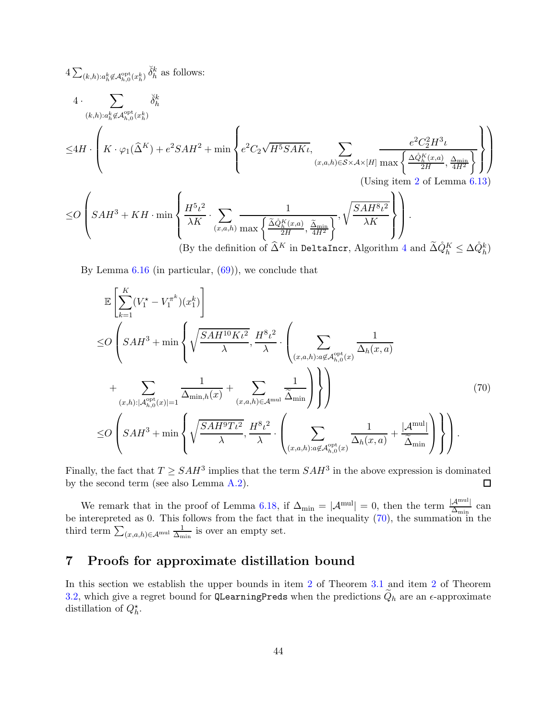$$
4 \sum_{(k,h):a_h^k \notin \mathcal{A}_{h,0}^{\text{opt}}(x_h^k)} \check{\delta}_h^k \text{ as follows:}
$$
\n
$$
4 \cdot \sum_{(k,h):a_h^k \notin \mathcal{A}_{h,0}^{\text{opt}}(x_h^k)} \check{\delta}_h^k
$$
\n
$$
\leq 4H \cdot \left( K \cdot \varphi_1(\hat{\Delta}^K) + e^2 SA H^2 + \min \left\{ e^2 C_2 \sqrt{H^5 SAKt}, \sum_{(x,a,h) \in S \times A \times [H]} \frac{e^2 C_2^2 H^3 t}{\max \left\{ \frac{\Delta \mathcal{O}_h^K(x,a)}{2H}, \frac{\Delta_{\min}}{4H^2} \right\}} \right\} \right)
$$
\n(Using item 2 of Lemma 6.13)

≤O SAH<sup>3</sup> <sup>+</sup> KH · min H<sup>5</sup> ι 2 λK · X (x,a,h) 1 max <sup>∆</sup><sup>e</sup> <sup>Q</sup>˚<sup>K</sup> h (x,a) 2H , ∆e min 4H<sup>2</sup> , r SAH<sup>8</sup> ι 2 λK . (By the definition of <sup>∆</sup><sup>b</sup> <sup>K</sup> in DeltaIncr, Algorithm [4](#page-18-0) and <sup>∆</sup>eQ˚<sup>K</sup> <sup>h</sup> <sup>≤</sup> <sup>∆</sup>Q˚<sup>k</sup> h )

By Lemma  $6.16$  (in particular,  $(69)$ ), we conclude that

<span id="page-43-1"></span>
$$
\mathbb{E}\left[\sum_{k=1}^{K}(V_{1}^{*}-V_{1}^{\pi^{k}})(x_{1}^{k})\right]
$$
\n
$$
\leq O\left(SAH^{3}+\min\left\{\sqrt{\frac{SAH^{10}K\iota^{2}}{\lambda}},\frac{H^{8}\iota^{2}}{\lambda}\cdot\left(\sum_{(x,a,h):a\notin\mathcal{A}_{h,0}^{\text{opt}}(x)}\frac{1}{\Delta_{h}(x,a)}\right.\right.\right.
$$
\n
$$
+\sum_{(x,h):|\mathcal{A}_{h,0}^{\text{opt}}(x)|=1}\frac{1}{\Delta_{\min,h}(x)}+\sum_{(x,a,h)\in\mathcal{A}^{\text{mul}}}\frac{1}{\widetilde{\Delta}_{\min}}\right\}\right)\right\})
$$
\n
$$
\leq O\left(SAH^{3}+\min\left\{\sqrt{\frac{SAH^{9}T\iota^{2}}{\lambda}},\frac{H^{8}\iota^{2}}{\lambda}\cdot\left(\sum_{(x,a,h):a\notin\mathcal{A}_{h,0}^{\text{opt}}(x)}\frac{1}{\Delta_{h}(x,a)}+\frac{|\mathcal{A}^{\text{mul}}|}{\widetilde{\Delta}_{\text{min}}}\right)\right\}\right).
$$
\n(70)

Finally, the fact that  $T \geq SAH^3$  implies that the term  $SAH^3$  in the above expression is dominated by the second term (see also Lemma [A.2\)](#page-61-7).  $\Box$ 

We remark that in the proof of Lemma [6.18,](#page-42-0) if  $\Delta_{\min} = |\mathcal{A}^{\text{mul}}| = 0$ , then the term  $\frac{|\mathcal{A}^{\text{mul}}|}{\Delta_{\min}}$  can be interepreted as 0. This follows from the fact that in the inequality [\(70\)](#page-43-1), the summation in the third term  $\sum_{(x,a,h)\in\mathcal{A}^{\rm mul}}\frac{1}{\Delta_{\rm m}}$  $\frac{1}{\Delta_{\min}}$  is over an empty set.

# <span id="page-43-0"></span>7 Proofs for approximate distillation bound

In this section we establish the upper bounds in item [2](#page-11-2) of Theorem [3.1](#page-11-1) and item [2](#page-12-1) of Theorem [3.2,](#page-12-0) which give a regret bound for QLearningPreds when the predictions  $Q_h$  are an  $\epsilon$ -approximate distillation of  $Q_h^*$ .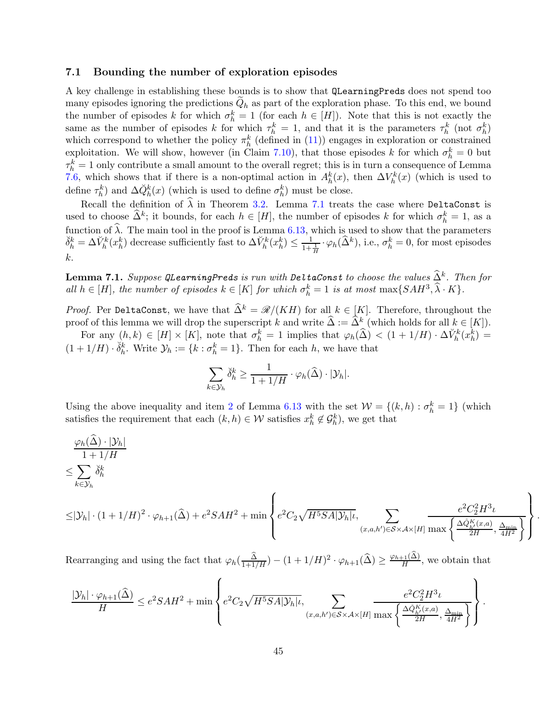#### <span id="page-44-0"></span>7.1 Bounding the number of exploration episodes

A key challenge in establishing these bounds is to show that QLearningPreds does not spend too many episodes ignoring the predictions  $Q_h$  as part of the exploration phase. To this end, we bound the number of episodes k for which  $\sigma_h^k = 1$  (for each  $h \in [H]$ ). Note that this is not exactly the same as the number of episodes k for which  $\tau_h^k = 1$ , and that it is the parameters  $\tau_h^k$  (not  $\sigma_h^k$ ) which correspond to whether the policy  $\pi_h^k$  (defined in [\(11\)](#page-18-3)) engages in exploration or constrained exploitation. We will show, however (in Claim [7.10\)](#page-54-1), that those episodes k for which  $\sigma_h^k = 0$  but  $\tau_h^k = 1$  only contribute a small amount to the overall regret; this is in turn a consequence of Lemma [7.6,](#page-51-1) which shows that if there is a non-optimal action in  $A_h^k(x)$ , then  $\Delta V_h^k(x)$  (which is used to define  $\tau_h^k$ ) and  $\Delta \check{Q}_h^k(x)$  (which is used to define  $\sigma_h^k$ ) must be close.

Recall the definition of  $\hat{\lambda}$  in Theorem [3.2.](#page-12-0) Lemma [7.1](#page-44-1) treats the case where DeltaConst is used to choose  $\widehat{\Delta}^k$ ; it bounds, for each  $h \in [H]$ , the number of episodes k for which  $\sigma_h^k = 1$ , as a function of  $\hat{\lambda}$ . The main tool in the proof is Lemma [6.13,](#page-35-0) which is used to show that the parameters  $\delta_h^k = \Delta V_h^k(x_h^k)$  decrease sufficiently fast to  $\Delta V_h^k(x_h^k) \le \frac{1}{1 + \frac{1}{H}} \cdot \varphi_h(\hat{\Delta}^k)$ , i.e.,  $\sigma_h^k = 0$ , for most episodes k.

<span id="page-44-1"></span>**Lemma 7.1.** Suppose QLearningPreds is run with DeltaConst to choose the values  $\widehat{\Delta}^k$ . Then for all  $h \in [H]$ , the number of episodes  $k \in [K]$  for which  $\sigma_h^k = 1$  is at most  $\max\{SAH^3, \hat{\lambda} \cdot K\}$ .

*Proof.* Per DeltaConst, we have that  $\widehat{\Delta}^k = \mathcal{R}/(KH)$  for all  $k \in [K]$ . Therefore, throughout the proof of this lemma we will drop the superscript k and write  $\widehat{\Delta} := \widehat{\Delta}^k$  (which holds for all  $k \in [K]$ ).

For any  $(h, k) \in [H] \times [K]$ , note that  $\sigma_h^k = 1$  implies that  $\varphi_h(\widehat{\Delta}) < (1 + 1/H) \cdot \Delta V_h^k(x_h^k) =$  $(1+1/H) \cdot \check{\delta}_h^k$ . Write  $\mathcal{Y}_h := \{k : \sigma_h^k = 1\}$ . Then for each h, we have that

$$
\sum_{k\in\mathcal{Y}_h} \breve{\delta}_h^k \ge \frac{1}{1+1/H} \cdot \varphi_h(\widehat{\Delta}) \cdot |\mathcal{Y}_h|.
$$

Using the above inequality and item [2](#page-35-2) of Lemma [6.13](#page-35-0) with the set  $W = \{(k, h) : \sigma_h^k = 1\}$  (which satisfies the requirement that each  $(k, h) \in \mathcal{W}$  satisfies  $x_h^k \notin \mathcal{G}_h^k$ , we get that

$$
\frac{\varphi_h(\widehat{\Delta}) \cdot |\mathcal{Y}_h|}{1 + 1/H}
$$
\n
$$
\leq \sum_{k \in \mathcal{Y}_h} \breve{\delta}_h^k
$$
\n
$$
\leq |\mathcal{Y}_h| \cdot (1 + 1/H)^2 \cdot \varphi_{h+1}(\widehat{\Delta}) + e^2 SA H^2 + \min \left\{ e^2 C_2 \sqrt{H^5 SA |\mathcal{Y}_h|} t, \sum_{(x, a, h') \in S \times A \times [H]} \frac{e^2 C_2^2 H^3 t}{\max \left\{ \frac{\Delta \widehat{Q}_h^K(x, a)}{2H}, \frac{\Delta_{\min}}{4H^2} \right\}} \right\}
$$

.

Rearranging and using the fact that  $\varphi_h(\frac{\hat{\Delta}}{1+1/H}) - (1+1/H)^2 \cdot \varphi_{h+1}(\hat{\Delta}) \ge \frac{\varphi_{h+1}(\hat{\Delta})}{H}$ , we obtain that

$$
\frac{|\mathcal{Y}_h|\cdot\varphi_{h+1}(\widehat{\Delta})}{H}\leq e^2SAH^2+\min\left\{e^2C_2\sqrt{H^5SA|\mathcal{Y}_h|}\iota,\sum_{(x,a,h')\in\mathcal{S}\times\mathcal{A}\times[H]}\frac{e^2C_2^2H^3\iota}{\max\left\{\frac{\Delta\hat{\phi}_h^K(x,a)}{2H},\frac{\Delta_{\min}}{4H^2}\right\}}\right\}.
$$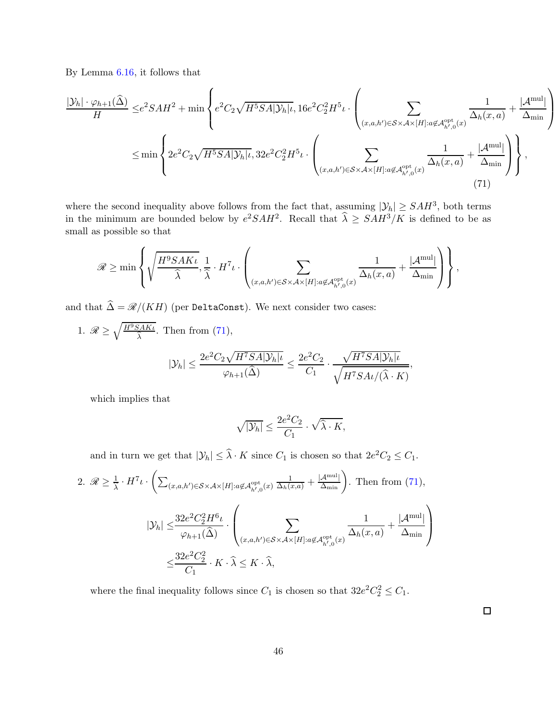By Lemma [6.16,](#page-40-0) it follows that

$$
\frac{|\mathcal{Y}_h| \cdot \varphi_{h+1}(\hat{\Delta})}{H} \le e^{2}SAH^2 + \min\left\{ e^2C_2\sqrt{H^5SA|\mathcal{Y}_h|_{\iota}}, 16e^2C_2^2H^5\iota \cdot \left( \sum_{(x,a,h') \in S \times A \times [H]: a \notin A_{h',0}^{\text{opt}}(x)} \frac{1}{\Delta_h(x,a)} + \frac{|\mathcal{A}^{\text{mul}}|}{\Delta_{\text{min}}} \right) \right\}
$$
  

$$
\le \min\left\{ 2e^2C_2\sqrt{H^5SA|\mathcal{Y}_h|_{\iota}}, 32e^2C_2^2H^5\iota \cdot \left( \sum_{(x,a,h') \in S \times A \times [H]: a \notin A_{h',0}^{\text{opt}}(x)} \frac{1}{\Delta_h(x,a)} + \frac{|\mathcal{A}^{\text{mul}}|}{\Delta_{\text{min}}} \right) \right\},
$$
(71)

where the second inequality above follows from the fact that, assuming  $|\mathcal{Y}_h| \geq SAH^3$ , both terms in the minimum are bounded below by  $e^2SAH^2$ . Recall that  $\hat{\lambda} \geq SAH^3/K$  is defined to be as small as possible so that

$$
\mathscr{R} \geq \min \left\{ \sqrt{\frac{H^9SAK\iota}{\hat{\lambda}}}, \frac{1}{\hat{\lambda}} \cdot H^7 \iota \cdot \left( \sum_{(x, a, h') \in \mathcal{S} \times \mathcal{A} \times [H]: a \not \in \mathcal{A}_{h', 0}^{\mathrm{opt}}(x)} \frac{1}{\Delta_h(x, a)} + \frac{|\mathcal{A}^{\mathrm{mul}}|}{\Delta_{\mathrm{min}}} \right) \right\},
$$

and that  $\widehat{\Delta} = \mathcal{R}/(KH)$  (per DeltaConst). We next consider two cases:

1. 
$$
\mathcal{R} \ge \sqrt{\frac{H^9 S AK\iota}{\hat{\lambda}}}
$$
. Then from (71),  

$$
|\mathcal{Y}_h| \le \frac{2e^2 C_2 \sqrt{H^7 S A |\mathcal{Y}_h| \iota}}{\varphi_{h+1}(\hat{\Delta})} \le \frac{2e^2 C_2}{C_1} \cdot \frac{\sqrt{H^7 S A |\mathcal{Y}_h| \iota}}{\sqrt{H^7 S A \iota/(\hat{\lambda} \cdot K)}},
$$

which implies that

<span id="page-45-0"></span>
$$
\sqrt{|\mathcal{Y}_h|} \le \frac{2e^2C_2}{C_1} \cdot \sqrt{\widehat{\lambda} \cdot K},
$$

and in turn we get that  $|\mathcal{Y}_h| \leq \hat{\lambda} \cdot K$  since  $C_1$  is chosen so that  $2e^2C_2 \leq C_1$ .

2. 
$$
\mathcal{R} \ge \frac{1}{\lambda} \cdot H^7 \iota \cdot \left( \sum_{(x,a,h') \in \mathcal{S} \times \mathcal{A} \times [H]: a \notin \mathcal{A}_{h',0}^{\text{opt}}(x) } \frac{1}{\Delta_h(x,a)} + \frac{|\mathcal{A}^{\text{mul}}|}{\Delta_{\text{min}}} \right)
$$
. Then from (71),  

$$
|\mathcal{Y}_h| \le \frac{32e^2C_2^2H^6\iota}{\varphi_{h+1}(\widehat{\Delta})} \cdot \left( \sum_{(x,a,h') \in \mathcal{S} \times \mathcal{A} \times [H]: a \notin \mathcal{A}_{h',0}^{\text{opt}}(x) } \frac{1}{\Delta_h(x,a)} + \frac{|\mathcal{A}^{\text{mul}}|}{\Delta_{\text{min}}} \right)
$$

$$
\le \frac{32e^2C_2^2}{C_1} \cdot K \cdot \widehat{\lambda} \le K \cdot \widehat{\lambda},
$$

where the final inequality follows since  $C_1$  is chosen so that  $32e^2C_2^2 \leq C_1$ .

 $\Box$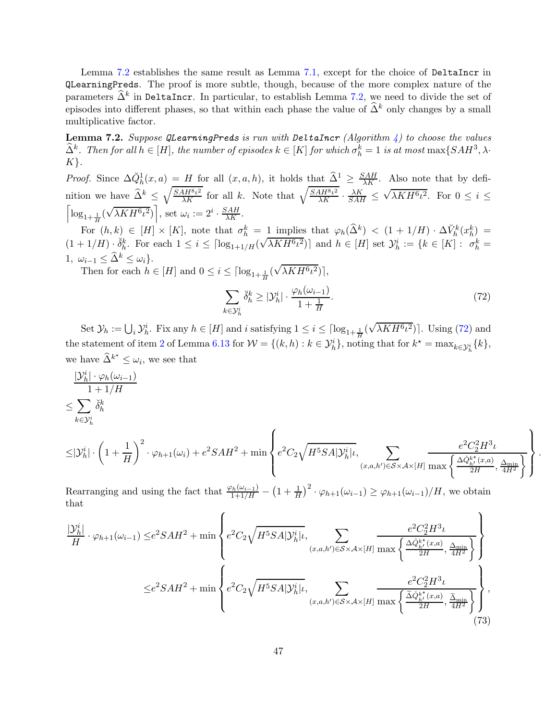Lemma [7.2](#page-46-0) establishes the same result as Lemma [7.1,](#page-44-1) except for the choice of DeltaIncr in QLearningPreds. The proof is more subtle, though, because of the more complex nature of the parameters  $\hat{\Delta}^k$  in DeltaIncr. In particular, to establish Lemma [7.2,](#page-46-0) we need to divide the set of episodes into different phases, so that within each phase the value of  $\hat{\Delta}^k$  only changes by a small multiplicative factor.

<span id="page-46-0"></span>Lemma 7.2. Suppose QLearningPreds is run with DeltaIncr (Algorithm [4\)](#page-18-0) to choose the values  $\widehat{\Delta}^k$ . Then for all  $h \in [H]$ , the number of episodes  $k \in [K]$  for which  $\sigma_h^k = 1$  is at most  $\max\{SAH^3, \lambda\}$ .  $K$ .

*Proof.* Since  $\Delta \check{Q}_h^1(x,a) = H$  for all  $(x,a,h)$ , it holds that  $\hat{\Delta}^1 \geq \frac{SAH}{\lambda K}$ . Also note that by definition we have  $\widehat{\Delta}^k \leq \sqrt{\frac{SAH^8\iota^2}{\lambda K}}$  for all k. Note that  $\sqrt{\frac{SAH^8\iota^2}{\lambda K}} \cdot \frac{\lambda K}{SAH} \leq$  $\sqrt{\lambda KH^6 \iota^2}$ . For  $0 \leq i \leq$  $\left[ \log_{1+\frac{1}{H}}(\sqrt{\lambda KH^6 \iota^2}) \right]$ , set  $\omega_i := 2^i \cdot \frac{SAH}{\lambda K}$ . H

For  $(h, k) \in [H] \times [K]$ , note that  $\sigma_h^k = 1$  implies that  $\varphi_h(\widehat{\Delta}^k) < (1 + 1/H) \cdot \Delta V_h^k(x_h^k) =$  $(1+1/H) \cdot \check{\delta}_h^k$ . For each  $1 \leq i \leq \lceil \log_{1+1/H}(\sqrt{\lambda KH^6\iota^2}) \rceil$  and  $h \in [H]$  set  $\mathcal{Y}_h^i := \{k \in [K] : \sigma_h^k = h \}$ 1,  $\omega_{i-1} \leq \widehat{\Delta}^k \leq \omega_i$ .

Then for each  $h \in [H]$  and  $0 \leq i \leq \lceil \log_{1+\frac{1}{H}}(\sqrt{\lambda KH^6 \iota^2}) \rceil$ ,

$$
\sum_{k \in \mathcal{Y}_h^i} \breve{\delta}_h^k \ge |\mathcal{Y}_h^i| \cdot \frac{\varphi_h(\omega_{i-1})}{1 + \frac{1}{H}}.\tag{72}
$$

<span id="page-46-2"></span><span id="page-46-1"></span>.

Set  $\mathcal{Y}_h := \bigcup_i \mathcal{Y}_h^i$ . Fix any  $h \in [H]$  and i satisfying  $1 \leq i \leq \lceil \log_{1+\frac{1}{H}}(\sqrt{\lambda K H^6 \iota^2}) \rceil$ . Using [\(72\)](#page-46-1) and the statement of item [2](#page-35-2) of Lemma [6.13](#page-35-0) for  $W = \{(k, h) : k \in \mathcal{Y}_h^i\}$ , noting that for  $k^* = \max_{k \in \mathcal{Y}_h^i} \{k\},$ we have  $\widehat{\Delta}^{k^*} \leq \omega_i$ , we see that

$$
\frac{|\mathcal{Y}_h^i| \cdot \varphi_h(\omega_{i-1})}{1 + 1/H}
$$
  

$$
\leq \sum_{k \in \mathcal{Y}_h^i} \breve{\delta}_h^k
$$

$$
\leq \!\! |\mathcal{Y}^i_h|\cdot \left(1+\frac{1}{H}\right)^2\cdot \varphi_{h+1}(\omega_i) + e^2 S A H^2 + \min\left\{ e^2 C_2 \sqrt{H^5 S A |\mathcal{Y}^i_h|} \iota, \sum_{(x,a,h')\in \mathcal{S}\times\mathcal{A}\times [H]}\frac{e^2 C_2^2 H^3 \iota}{\max\left\{\frac{\Delta \hat{Q}_{h'}^{k^*}(x,a)}{2H}, \frac{\Delta_{\min}}{4H^2}\right\}}\right\}
$$

Rearranging and using the fact that  $\frac{\varphi_h(\omega_{i-1})}{1+1/H} - (1+\frac{1}{H})^2 \cdot \varphi_{h+1}(\omega_{i-1}) \geq \varphi_{h+1}(\omega_{i-1})/H$ , we obtain that  $\epsilon$ 

$$
\frac{|\mathcal{Y}_h^i|}{H} \cdot \varphi_{h+1}(\omega_{i-1}) \leq e^2 SA H^2 + \min \left\{ e^2 C_2 \sqrt{H^5 SA |\mathcal{Y}_h^i| t}, \sum_{(x,a,h') \in S \times \mathcal{A} \times [H]} \frac{e^2 C_2^2 H^3 t}{\max \left\{ \frac{\Delta \hat{\phi}_{h'}^{k^*}(x,a)}{2H}, \frac{\Delta_{\text{min}}}{4H^2} \right\}} \right\}
$$
  

$$
\leq e^2 SA H^2 + \min \left\{ e^2 C_2 \sqrt{H^5 SA |\mathcal{Y}_h^i| t}, \sum_{(x,a,h') \in S \times \mathcal{A} \times [H]} \frac{e^2 C_2^2 H^3 t}{\max \left\{ \frac{\tilde{\Delta} \hat{\phi}_{h'}^{k^*}(x,a)}{2H}, \frac{\tilde{\Delta}_{\text{min}}}{4H^2} \right\}} \right\},
$$
(73)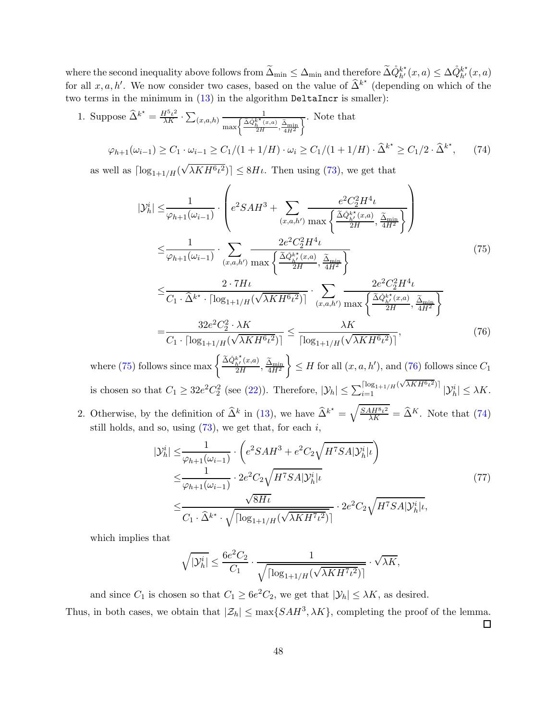where the second inequality above follows from  $\widetilde{\Delta}_{min} \leq \Delta_{min}$  and therefore  $\widetilde{\Delta} \dot{Q}_{h'}^{k^{\star}}(x, a) \leq \Delta \dot{Q}_{h'}^{k^{\star}}(x, a)$ for all  $x, a, h'$ . We now consider two cases, based on the value of  $\hat{\Delta}^{k^*}$  (depending on which of the two terms in the minimum in  $(13)$  in the algorithm DeltaIncr is smaller):

1. Suppose 
$$
\hat{\Delta}^{k^*} = \frac{H^5 \iota^2}{\lambda K} \cdot \sum_{(x,a,h)} \frac{1}{\max\left\{\frac{\tilde{\Delta} \dot{Q}_h^{k^*}(x,a)}{2H}, \frac{\tilde{\Delta}_{\min}}{4H^2}\right\}}
$$
. Note that  
\n
$$
\varphi_{h+1}(\omega_{i-1}) \ge C_1 \cdot \omega_{i-1} \ge C_1/(1+1/H) \cdot \omega_i \ge C_1/(1+1/H) \cdot \hat{\Delta}^{k^*} \ge C_1/2 \cdot \hat{\Delta}^{k^*}, \tag{74}
$$

as well as  $\lceil \log_{1+1/H}(\sqrt{\lambda KH^6 \iota^2}) \rceil \leq 8H\iota$ . Then using [\(73\)](#page-46-2), we get that

<span id="page-47-2"></span><span id="page-47-0"></span>
$$
|\mathcal{Y}_{h}^{i}| \leq \frac{1}{\varphi_{h+1}(\omega_{i-1})} \cdot \left(e^{2}SAH^{3} + \sum_{(x,a,h') \text{ max}} \frac{e^{2}C_{2}^{2}H^{4} \iota}{\frac{\tilde{\Delta}\hat{\phi}_{h'}^{k*}(x,a)}{2H}, \frac{\tilde{\Delta}_{\text{min}}}{4H^{2}}} \right)
$$
  
\n
$$
\leq \frac{1}{\varphi_{h+1}(\omega_{i-1})} \cdot \sum_{(x,a,h') \text{ max}} \frac{2e^{2}C_{2}^{2}H^{4} \iota}{\frac{\tilde{\Delta}\hat{\phi}_{h'}^{k*}(x,a)}{2H}, \frac{\tilde{\Delta}_{\text{min}}}{4H^{2}}} \right)
$$
  
\n
$$
\leq \frac{2 \cdot 7H\iota}{C_{1} \cdot \hat{\Delta}^{k*} \cdot \lceil \log_{1+1/H}(\sqrt{\lambda KH^{6} \iota^{2}}) \rceil} \cdot \sum_{(x,a,h') \text{ max}} \frac{2e^{2}C_{2}^{2}H^{4} \iota}{\frac{\tilde{\Delta}\hat{\phi}_{h'}^{k*}(x,a)}{2H}, \frac{\tilde{\Delta}_{\text{min}}}{4H^{2}}} \right)
$$
  
\n
$$
= \frac{32e^{2}C_{2}^{2} \cdot \lambda K}{C_{1} \cdot \lceil \log_{1+1/H}(\sqrt{\lambda KH^{6} \iota^{2}}) \rceil} \leq \frac{\lambda K}{\lceil \log_{1+1/H}(\sqrt{\lambda KH^{6} \iota^{2}}) \rceil},
$$
\n(76)

where [\(75\)](#page-47-0) follows since  $\max\left\{\frac{\tilde{\Delta}\dot{Q}_{h'}^{k^*}(x,a)}{2H}\right\}$  $\frac{\Delta_{h'}(x,a)}{2H}, \frac{\Delta_{\min}}{4H^2}$  $\mathcal{L}$  $\leq H$  for all  $(x, a, h')$ , and  $(76)$  follows since  $C_1$ is chosen so that  $C_1 \geq 32e^2C_2^2$  (see [\(22\)](#page-24-8)). Therefore,  $|\mathcal{Y}_h| \leq \sum_{i=1}^{\lceil \log_{1+1/H}(\sqrt{\lambda KH^6\iota^2}) \rceil} |\mathcal{Y}_h^i| \leq \lambda K$ .

2. Otherwise, by the definition of  $\hat{\Delta}^k$  in [\(13\)](#page-18-5), we have  $\hat{\Delta}^{k^*} = \sqrt{\frac{SAH^8\iota^2}{\lambda K}} = \hat{\Delta}^K$ . Note that [\(74\)](#page-47-2) still holds, and so, using  $(73)$ , we get that, for each i,

<span id="page-47-1"></span>
$$
|\mathcal{Y}_h^i| \leq \frac{1}{\varphi_{h+1}(\omega_{i-1})} \cdot \left(e^2 SA H^3 + e^2 C_2 \sqrt{H^7 SA |\mathcal{Y}_h^i| \iota}\right)
$$
  
\n
$$
\leq \frac{1}{\varphi_{h+1}(\omega_{i-1})} \cdot 2e^2 C_2 \sqrt{H^7 SA |\mathcal{Y}_h^i| \iota}
$$
  
\n
$$
\leq \frac{\sqrt{8H\iota}}{C_1 \cdot \widehat{\Delta}^{k^*} \cdot \sqrt{\lceil \log_{1+1/H}(\sqrt{\lambda K H^7 \iota^2}) \rceil}} \cdot 2e^2 C_2 \sqrt{H^7 SA |\mathcal{Y}_h^i| \iota},
$$
\n(77)

which implies that

$$
\sqrt{|\mathcal{Y}_h^i|} \leq \frac{6e^2C_2}{C_1} \cdot \frac{1}{\sqrt{\lceil \log_{1+1/H}(\sqrt{\lambda K H^7 \iota^2}) \rceil}} \cdot \sqrt{\lambda K},
$$

and since  $C_1$  is chosen so that  $C_1 \ge 6e^2C_2$ , we get that  $|\mathcal{Y}_h| \le \lambda K$ , as desired.

Thus, in both cases, we obtain that  $|\mathcal{Z}_h| \leq \max\{SAH^3, \lambda K\}$ , completing the proof of the lemma.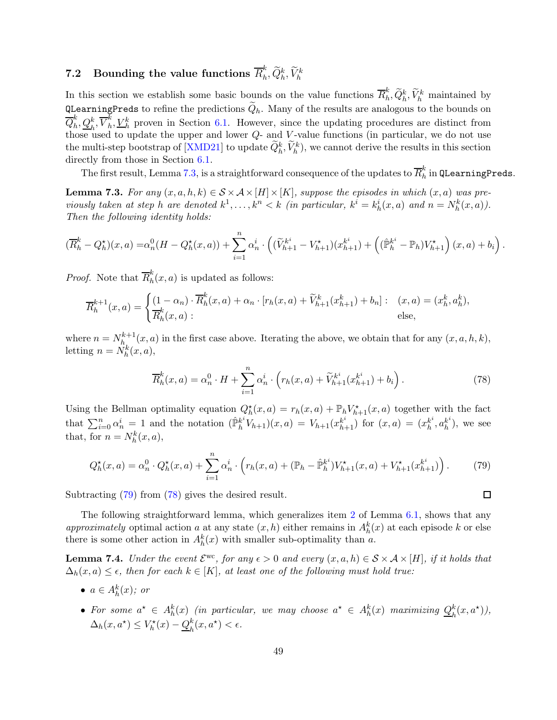#### <span id="page-48-0"></span>7.2 Bounding the value functions  $\overline{R}^k_h$  $_h^k, \overline{Q}_h^k, \overline{V}_h^k$

In this section we establish some basic bounds on the value functions  $\overline{R}_h^k$  $\tilde{h}_h, \tilde{Q}_h^k, \tilde{V}_h^k$  maintained by QLearningPreds to refine the predictions  $Q_h$ . Many of the results are analogous to the bounds on  $\overline{Q}^k_h$  $_{h}^{k},\underline{Q}_{h}^{k},\overline{V}_{h}^{k}$  $h<sub>h</sub>$ ,  $V<sub>h</sub><sup>k</sup>$  proven in Section [6.1.](#page-23-2) However, since the updating procedures are distinct from those used to update the upper and lower  $Q$ - and V-value functions (in particular, we do not use the multi-step bootstrap of  $[XMD21]$  to update  $\tilde{Q}_h^k, \tilde{V}_h^k$ , we cannot derive the results in this section directly from those in Section  $6.1$ .

The first result, Lemma [7.3,](#page-48-1) is a straightforward consequence of the updates to  $\overline{R}_h^k$  $_h^{\kappa}$  in QLearningPreds.

<span id="page-48-1"></span>**Lemma 7.3.** For any  $(x, a, h, k) \in S \times A \times [H] \times [K]$ , suppose the episodes in which  $(x, a)$  was previously taken at step h are denoted  $k^1, \ldots, k^n < k$  (in particular,  $k^i = k_h^i(x, a)$  and  $n = N_h^k(x, a)$ ). Then the following identity holds:

$$
(\overline{R}_{h}^{k} - Q_{h}^{\star})(x, a) = \alpha_{n}^{0}(H - Q_{h}^{\star}(x, a)) + \sum_{i=1}^{n} \alpha_{n}^{i} \cdot \left( (\widetilde{V}_{h+1}^{k^{i}} - V_{h+1}^{\star})(x_{h+1}^{k^{i}}) + \left( (\widehat{\mathbb{P}}_{h}^{k^{i}} - \mathbb{P}_{h})V_{h+1}^{\star} \right)(x, a) + b_{i} \right).
$$

*Proof.* Note that  $\overline{R}_h^k$  $\int_{h}^{n}(x,a)$  is updated as follows:

$$
\overline{R}_h^{k+1}(x,a) = \begin{cases} (1 - \alpha_n) \cdot \overline{R}_h^k(x,a) + \alpha_n \cdot [r_h(x,a) + \widetilde{V}_{h+1}^k(x_{h+1}^k) + b_n] : & (x,a) = (x_h^k, a_h^k), \\ \overline{R}_h^k(x,a) : & \text{else,} \end{cases}
$$

where  $n = N_h^{k+1}$  $h_1^{k+1}(x, a)$  in the first case above. Iterating the above, we obtain that for any  $(x, a, h, k)$ , letting  $n = \tilde{N}_h^k(x, a),$ 

$$
\overline{R}_h^k(x, a) = \alpha_n^0 \cdot H + \sum_{i=1}^n \alpha_n^i \cdot \left( r_h(x, a) + \widetilde{V}_{h+1}^{k^i}(x_{h+1}^{k^i}) + b_i \right). \tag{78}
$$

<span id="page-48-3"></span><span id="page-48-2"></span> $\Box$ 

Using the Bellman optimality equation  $Q_h^{\star}(x, a) = r_h(x, a) + \mathbb{P}_h V_{h+1}^{\star}(x, a)$  together with the fact that  $\sum_{i=0}^{n} \alpha_n^i = 1$  and the notation  $(\hat{\mathbb{P}}_h^{k^i})$  $h_0^{k^i}V_{h+1}(x, a) = V_{h+1}(x_{h+1}^{k^i})$  for  $(x, a) = (x_h^{k^i})$  $_{h}^{k^{i}},a_{h}^{k^{i}}$  $\binom{k^i}{h}$ , we see that, for  $n = N_h^k(x, a)$ ,

$$
Q_h^{\star}(x, a) = \alpha_n^0 \cdot Q_h^{\star}(x, a) + \sum_{i=1}^n \alpha_n^i \cdot \left( r_h(x, a) + (\mathbb{P}_h - \hat{\mathbb{P}}_h^{k^i}) V_{h+1}^{\star}(x, a) + V_{h+1}^{\star}(x_{h+1}^{k^i}) \right). \tag{79}
$$

Subtracting [\(79\)](#page-48-2) from [\(78\)](#page-48-3) gives the desired result.

The following straightforward lemma, which generalizes item [2](#page-24-3) of Lemma [6.1,](#page-24-1) shows that any approximately optimal action a at any state  $(x, h)$  either remains in  $A_h^k(x)$  at each episode k or else there is some other action in  $A_h^k(x)$  with smaller sub-optimality than a.

<span id="page-48-4"></span>**Lemma 7.4.** Under the event  $\mathcal{E}^{\text{wc}}$ , for any  $\epsilon > 0$  and every  $(x, a, h) \in \mathcal{S} \times \mathcal{A} \times [H]$ , if it holds that  $\Delta_h(x, a) \leq \epsilon$ , then for each  $k \in [K]$ , at least one of the following must hold true:

- $a \in A_h^k(x)$ ; or
- For some  $a^* \in A_h^k(x)$  (in particular, we may choose  $a^* \in A_h^k(x)$  maximizing  $Q_h^k$  $_{h}^{k}(x,a^{\star})),$  $\Delta_h(x, a^*) \leq V_h^*(x) - Q_h^k$  $_{h}^{k}(x,a^{\star})<\epsilon.$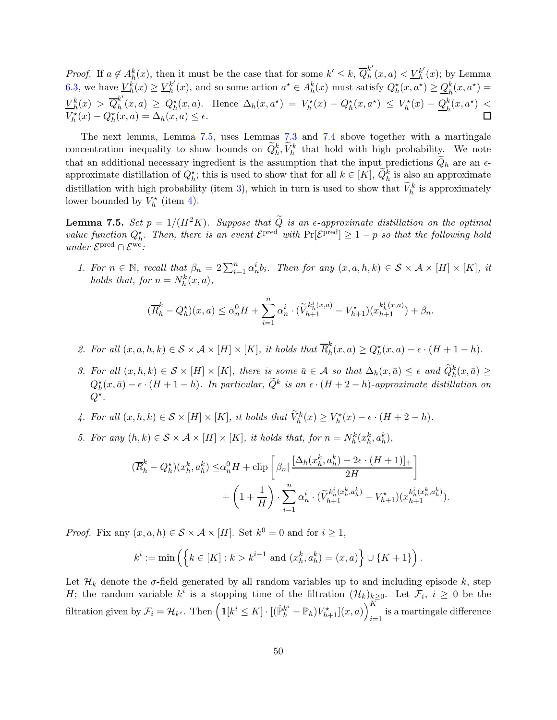*Proof.* If  $a \notin A_h^k(x)$ , then it must be the case that for some  $k' \leq k$ ,  $\overline{Q}_h^{k'}$  $_{h}^{k'}(x,a) < \underline{V}_{h}^{k'}$  $_{h}^{k'}(x)$ ; by Lemma [6.3,](#page-28-0) we have  $V_h^{\vec{k}}(x) \geq V_h^{k'}$  $h'(x)$ , and so some action  $a^* \in A_h^k(x)$  must satisfy  $Q_h^*(x, a^*) \geq \underline{Q}_h^k(x, a^*) =$ h  $V_h^k(x) > \overline{Q}_h^{k'}$  $h_h^{\kappa}(x,a) \geq Q_h^{\star}(x,a)$ . Hence  $\Delta_h(x,a^{\star}) = V_h^{\star}(x) - Q_h^{\star}(x,a^{\star}) \leq V_h^{\star}(x) - Q_h^k(x,a^{\star}) \leq$  $V_h^{\star}(x) - Q_h^{\star}(x, a) = \Delta_h(x, a) \le \epsilon.$ 

The next lemma, Lemma [7.5,](#page-49-0) uses Lemmas [7.3](#page-48-1) and [7.4](#page-48-4) above together with a martingale concentration inequality to show bounds on  $\tilde{Q}_h^k$ ,  $\tilde{V}_h^k$  that hold with high probability. We note that an additional necessary ingredient is the assumption that the input predictions  $Q_h$  are an  $\epsilon$ approximate distillation of  $Q_h^*$ ; this is used to show that for all  $k \in [K]$ ,  $\widetilde{Q}_h^k$  is also an approximate distillation with high probability (item [3\)](#page-49-1), which in turn is used to show that  $\tilde{V}_h^k$  is approximately lower bounded by  $V_h^{\star}$  (item [4\)](#page-49-2).

<span id="page-49-0"></span>**Lemma 7.5.** Set  $p = 1/(H^2K)$ . Suppose that  $\tilde{Q}$  is an  $\epsilon$ -approximate distillation on the optimal value function  $Q_h^*$ . Then, there is an event  $\mathcal{E}^{\text{pred}}$  with  $\Pr[\mathcal{E}^{\text{pred}}] \geq 1 - p$  so that the following hold under  $\mathcal{E}^{\text{pred}} \cap \mathcal{E}^{\text{wc}}$ :

<span id="page-49-3"></span>1. For  $n \in \mathbb{N}$ , recall that  $\beta_n = 2 \sum_{i=1}^n \alpha_n^i b_i$ . Then for any  $(x, a, h, k) \in S \times A \times [H] \times [K]$ , it holds that, for  $n = N_h^k(x, a)$ ,

$$
(\overline{R}_{h}^{k} - Q_{h}^{*})(x, a) \leq \alpha_{n}^{0}H + \sum_{i=1}^{n} \alpha_{n}^{i} \cdot (\widetilde{V}_{h+1}^{k_{h}^{i}(x, a)} - V_{h+1}^{*})(x_{h+1}^{k_{h}^{i}(x, a)}) + \beta_{n}.
$$

<span id="page-49-4"></span><span id="page-49-1"></span>2. For all  $(x, a, h, k) \in S \times A \times [H] \times [K]$ , it holds that  $\overline{R}_h^k$  $h_n^{\kappa}(x,a) \geq Q_h^{\star}(x,a) - \epsilon \cdot (H + 1 - h).$ 

- 3. For all  $(x, h, k) \in S \times [H] \times [K]$ , there is some  $\bar{a} \in A$  so that  $\Delta_h(x, \bar{a}) \leq \epsilon$  and  $\widetilde{Q}_h^k(x, \bar{a}) \geq \epsilon$  $Q_h^{\star}(x,\bar{a})-\epsilon\cdot(H+1-h)$ . In particular,  $\widetilde{Q}^k$  is an  $\epsilon\cdot(H+2-h)$ -approximate distillation on  $Q^{\star}.$
- <span id="page-49-5"></span><span id="page-49-2"></span>4. For all  $(x, h, k) \in S \times [H] \times [K]$ , it holds that  $\widetilde{V}_h^k(x) \geq V_h^*(x) - \epsilon \cdot (H + 2 - h)$ .

5. For any  $(h, k) \in S \times A \times [H] \times [K]$ , it holds that, for  $n = N_h^k(x_h^k, a_h^k)$ ,

$$
(\overline{R}_{h}^{k} - Q_{h}^{\star})(x_{h}^{k}, a_{h}^{k}) \leq \alpha_{n}^{0} H + \text{clip}\left[\beta_{n} | \frac{[\Delta_{h}(x_{h}^{k}, a_{h}^{k}) - 2\epsilon \cdot (H+1)]_{+}}{2H}\right] + \left(1 + \frac{1}{H}\right) \cdot \sum_{i=1}^{n} \alpha_{n}^{i} \cdot (\widetilde{V}_{h+1}^{k_{h}^{i}(x_{h}^{k}, a_{h}^{k})} - V_{h+1}^{\star})(x_{h+1}^{k_{h}^{i}(x_{h}^{k}, a_{h}^{k})}).
$$

*Proof.* Fix any  $(x, a, h) \in S \times A \times [H]$ . Set  $k^0 = 0$  and for  $i \ge 1$ ,

$$
k^{i} := \min \left( \left\{ k \in [K] : k > k^{i-1} \text{ and } (x_{h}^{k}, a_{h}^{k}) = (x, a) \right\} \cup \{ K + 1 \} \right).
$$

Let  $\mathcal{H}_k$  denote the  $\sigma$ -field generated by all random variables up to and including episode k, step H; the random variable  $k^i$  is a stopping time of the filtration  $(\mathcal{H}_k)_{\substack{k \geq 0 \\ k \geq 0}}$ . Let  $\mathcal{F}_i$ ,  $i \geq 0$  be the filtration given by  $\mathcal{F}_i = \mathcal{H}_{k^i}$ . Then  $\left( \mathbb{1}[k^i \leq K] \cdot [(\hat{\mathbb{P}}_h^{k^i} - \mathbb{P}_h) V_{h+1}^*](x, a) \right)_{i=1}^K$ is a martingale difference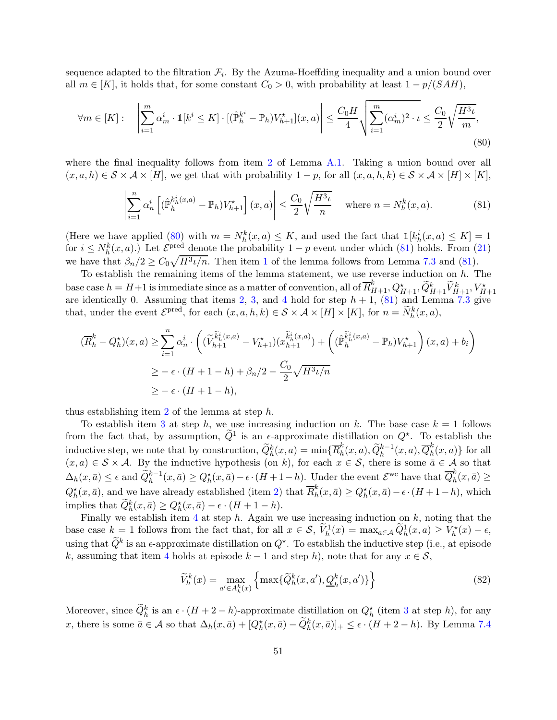sequence adapted to the filtration  $\mathcal{F}_i$ . By the Azuma-Hoeffding inequality and a union bound over all  $m \in [K]$ , it holds that, for some constant  $C_0 > 0$ , with probability at least  $1 - p/(SAH)$ ,

$$
\forall m \in [K]: \quad \left| \sum_{i=1}^{m} \alpha_m^i \cdot \mathbb{1}[k^i \le K] \cdot [(\hat{\mathbb{P}}_h^{k^i} - \mathbb{P}_h) V_{h+1}^*](x, a) \right| \le \frac{C_0 H}{4} \sqrt{\sum_{i=1}^{m} (\alpha_m^i)^2 \cdot \iota} \le \frac{C_0}{2} \sqrt{\frac{H^3 \iota}{m}},
$$
\n(80)

where the final inequality follows from item [2](#page-61-5) of Lemma  $A.1$ . Taking a union bound over all  $(x, a, h) \in S \times A \times [H]$ , we get that with probability  $1 - p$ , for all  $(x, a, h, k) \in S \times A \times [H] \times [K]$ ,

<span id="page-50-1"></span><span id="page-50-0"></span>
$$
\left| \sum_{i=1}^{n} \alpha_n^i \left[ (\hat{\mathbb{P}}_h^{k_h^i(x,a)} - \mathbb{P}_h) V_{h+1}^{\star} \right] (x, a) \right| \le \frac{C_0}{2} \sqrt{\frac{H^3 \iota}{n}} \quad \text{where } n = N_h^k(x, a). \tag{81}
$$

(Here we have applied [\(80\)](#page-50-0) with  $m = N_h^k(x, a) \leq K$ , and used the fact that  $\mathbb{1}[k_h^i(x, a) \leq K] = 1$ for  $i \leq N_h^k(x,a)$ .) Let  $\mathcal{E}^{\text{pred}}$  denote the probability  $1-p$  event under which [\(81\)](#page-50-1) holds. From [\(21\)](#page-24-7) we have that  $\beta_n/2 \geq C_0 \sqrt{H^3 \iota/n}$ . Then item [1](#page-49-3) of the lemma follows from Lemma [7.3](#page-48-1) and [\(81\)](#page-50-1).

To establish the remaining items of the lemma statement, we use reverse induction on  $h$ . The base case  $h = H+1$  is immediate since as a matter of convention, all of  $\overline{R}_{H+1}^k, Q_{H+1}^{\star}, \widetilde{Q}_{H+1}^k, \widetilde{V}_{H+1}^k, V_{H+1}^{\star}$ are identically 0. Assuming that items [2,](#page-49-4) [3,](#page-49-1) and [4](#page-49-2) hold for step  $h + 1$ , [\(81\)](#page-50-1) and Lemma [7.3](#page-48-1) give that, under the event  $\mathcal{E}^{\text{pred}}$ , for each  $(x, a, h, k) \in \mathcal{S} \times \mathcal{A} \times [H] \times [K]$ , for  $n = \widetilde{N}_{h}^{k}(x, a)$ ,

$$
(\overline{R}_{h}^{k} - Q_{h}^{\star})(x, a) \geq \sum_{i=1}^{n} \alpha_{n}^{i} \cdot \left( (\widetilde{V}_{h+1}^{\widetilde{k}_{h}^{i}(x, a)} - V_{h+1}^{\star})(x_{h+1}^{\widetilde{k}_{h}^{i}(x, a)}) + \left( (\widehat{\mathbb{P}}_{h}^{\widetilde{k}_{h}^{i}(x, a)} - \mathbb{P}_{h}) V_{h+1}^{\star} \right) (x, a) + b_{i} \right)
$$
  

$$
\geq -\epsilon \cdot (H + 1 - h) + \beta_{n}/2 - \frac{C_{0}}{2} \sqrt{H^{3} \iota/n}
$$
  

$$
\geq -\epsilon \cdot (H + 1 - h),
$$

thus establishing item [2](#page-49-4) of the lemma at step h.

To establish item [3](#page-49-1) at step h, we use increasing induction on k. The base case  $k = 1$  follows from the fact that, by assumption,  $\hat{Q}^1$  is an  $\epsilon$ -approximate distillation on  $Q^*$ . To establish the inductive step, we note that by construction,  $\widetilde{Q}_{h}^{k}(x, a) = \min\{\overline{R}_{h}^{k}$  $h^k_h(x,a), \widetilde{Q}^{k-1}_h(x,a), \overline{Q}^k_h$  $h(n, a)$  for all  $(x, a) \in S \times A$ . By the inductive hypothesis (on k), for each  $x \in S$ , there is some  $\overline{a} \in A$  so that  $\Delta_h(x, \bar{a}) \leq \epsilon$  and  $\widetilde{Q}_h^{k-1}(x, \bar{a}) \geq Q_h^{\star}(x, \bar{a}) - \epsilon \cdot (H + 1 - h)$ . Under the event  $\mathcal{E}^{\text{wc}}$  have that  $\overline{Q}_h^k$  $\frac{\kappa}{h}(x,\bar{a})\geq$  $Q_h^{\star}(x, \bar{a})$ , and we have already established (item [2\)](#page-49-4) that  $\overline{R}_h^k$  $h_h^k(x, \bar{a}) \geq Q_h^*(x, \bar{a}) - \epsilon \cdot (H + 1 - h),$  which implies that  $\widetilde{Q}_h^k(x, \bar{a}) \geq Q_h^*(x, \bar{a}) - \epsilon \cdot (H + 1 - h)$ .

Finally we establish item [4](#page-49-2) at step  $h$ . Again we use increasing induction on  $k$ , noting that the base case  $k = 1$  follows from the fact that, for all  $x \in S$ ,  $\widetilde{V}_h^1(x) = \max_{a \in A} \widetilde{Q}_h^1(x, a) \ge V_h^*(x) - \epsilon$ , using that  $\tilde{Q}^k$  is an  $\epsilon$ -approximate distillation on  $Q^*$ . To establish the inductive step (i.e., at episode k, assuming that item [4](#page-49-2) holds at episode  $k-1$  and step h), note that for any  $x \in \mathcal{S}$ ,

<span id="page-50-2"></span>
$$
\widetilde{V}_h^k(x) = \max_{a' \in A_h^k(x)} \left\{ \max \{ \widetilde{Q}_h^k(x, a'), \underline{Q}_h^k(x, a') \} \right\} \tag{82}
$$

Moreover, since  $\widetilde{Q}_h^k$  is an  $\epsilon \cdot (H + 2 - h)$ -approximate distillation on  $Q_h^{\star}$  (item [3](#page-49-1) at step h), for any x, there is some  $\bar{a} \in \mathcal{A}$  so that  $\Delta_h(x, \bar{a}) + [Q_h^*(x, \bar{a}) - \tilde{Q}_h^k(x, \bar{a})]_+ \leq \epsilon \cdot (H + 2 - h)$ . By Lemma [7.4](#page-48-4)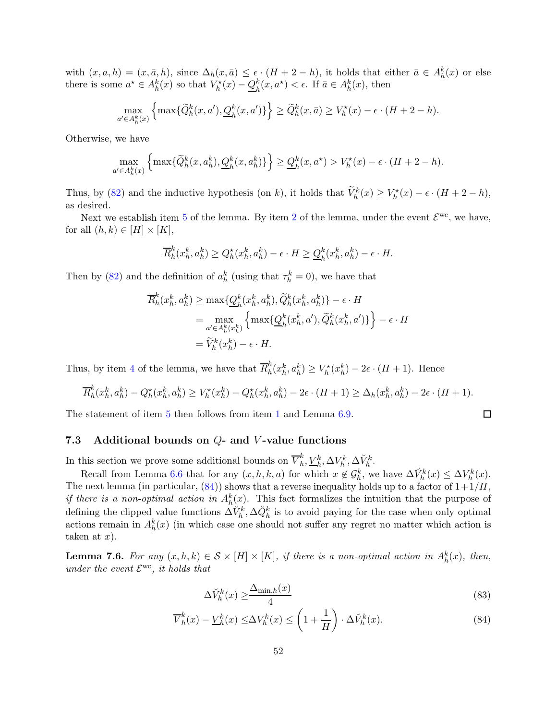with  $(x, a, h) = (x, \bar{a}, h)$ , since  $\Delta_h(x, \bar{a}) \leq \epsilon \cdot (H + 2 - h)$ , it holds that either  $\bar{a} \in A_h^k(x)$  or else there is some  $a^* \in A_h^k(x)$  so that  $V_h^*(x) - Q_h^k$  $_{h}^{k}(x, a^{\star}) < \epsilon$ . If  $\bar{a} \in A_{h}^{k}(x)$ , then

$$
\max_{a' \in A_h^k(x)} \left\{ \max \{ \widetilde{Q}_h^k(x, a'), \underline{Q}_h^k(x, a') \} \right\} \ge \widetilde{Q}_h^k(x, \bar{a}) \ge V_h^*(x) - \epsilon \cdot (H + 2 - h).
$$

Otherwise, we have

$$
\max_{a' \in A_h^k(x)} \left\{ \max \{ \widetilde{Q}_h^k(x, a_h^k), \underline{Q}_h^k(x, a_h^k) \} \right\} \ge \underline{Q}_h^k(x, a^\star) > V_h^\star(x) - \epsilon \cdot (H + 2 - h).
$$

Thus, by [\(82\)](#page-50-2) and the inductive hypothesis (on k), it holds that  $\widetilde{V}_h^k(x) \geq V_h^*(x) - \epsilon \cdot (H + 2 - h)$ , as desired.

Next we establish item [5](#page-49-5) of the lemma. By item [2](#page-49-4) of the lemma, under the event  $\mathcal{E}^{\text{wc}}$ , we have, for all  $(h, k) \in [H] \times [K]$ ,

$$
\overline{R}_h^k(x_h^k, a_h^k) \ge Q_h^*(x_h^k, a_h^k) - \epsilon \cdot H \ge \underline{Q}_h^k(x_h^k, a_h^k) - \epsilon \cdot H.
$$

Then by [\(82\)](#page-50-2) and the definition of  $a_h^k$  (using that  $\tau_h^k = 0$ ), we have that

$$
\overline{R}_h^k(x_h^k, a_h^k) \ge \max\{\underline{Q}_h^k(x_h^k, a_h^k), \widetilde{Q}_h^k(x_h^k, a_h^k)\} - \epsilon \cdot H
$$
  
= 
$$
\max_{a' \in A_h^k(x_h^k)} \left\{ \max\{\underline{Q}_h^k(x_h^k, a'), \widetilde{Q}_h^k(x_h^k, a')\} \right\} - \epsilon \cdot H
$$
  
= 
$$
\widetilde{V}_h^k(x_h^k) - \epsilon \cdot H.
$$

Thus, by item [4](#page-49-2) of the lemma, we have that  $\overline{R}_h^k$  $h_k^k(x_h^k, a_h^k) \ge V_h^*(x_h^k) - 2\epsilon \cdot (H+1)$ . Hence

$$
\overline{R}_h^k(x_h^k, a_h^k) - Q_h^{\star}(x_h^k, a_h^k) \ge V_h^{\star}(x_h^k) - Q_h^{\star}(x_h^k, a_h^k) - 2\epsilon \cdot (H+1) \ge \Delta_h(x_h^k, a_h^k) - 2\epsilon \cdot (H+1).
$$

<span id="page-51-0"></span>The statement of item [5](#page-49-5) then follows from item [1](#page-49-3) and Lemma [6.9.](#page-32-5)

#### 7.3 Additional bounds on  $Q$ - and  $V$ -value functions

In this section we prove some additional bounds on  $\overline{V}_h^k$  $_h^k, \underline{V}_h^k, \Delta V_h^k, \Delta \breve{V}_h^k.$ 

Recall from Lemma [6.6](#page-31-0) that for any  $(x, h, k, a)$  for which  $x \notin \mathcal{G}_h^k$ , we have  $\Delta V_h^k(x) \leq \Delta V_h^k(x)$ . The next lemma (in particular,  $(84)$ ) shows that a reverse inequality holds up to a factor of  $1+1/H$ , *if there is a non-optimal action in*  $A_h^k(x)$ . This fact formalizes the intuition that the purpose of defining the clipped value functions  $\Delta V_h^k$ ,  $\Delta \tilde{Q}_h^k$  is to avoid paying for the case when only optimal actions remain in  $A_h^k(x)$  (in which case one should not suffer any regret no matter which action is taken at  $x$ ).

<span id="page-51-1"></span>**Lemma 7.6.** For any  $(x, h, k) \in S \times [H] \times [K]$ , if there is a non-optimal action in  $A_h^k(x)$ , then, under the event  $\mathcal{E}^{\rm wc}$ , it holds that

$$
\Delta \breve{V}_h^k(x) \ge \frac{\Delta_{\min,h}(x)}{4} \tag{83}
$$

<span id="page-51-3"></span><span id="page-51-2"></span>口

$$
\overline{V}_h^k(x) - \underline{V}_h^k(x) \le \Delta V_h^k(x) \le \left(1 + \frac{1}{H}\right) \cdot \Delta \breve{V}_h^k(x). \tag{84}
$$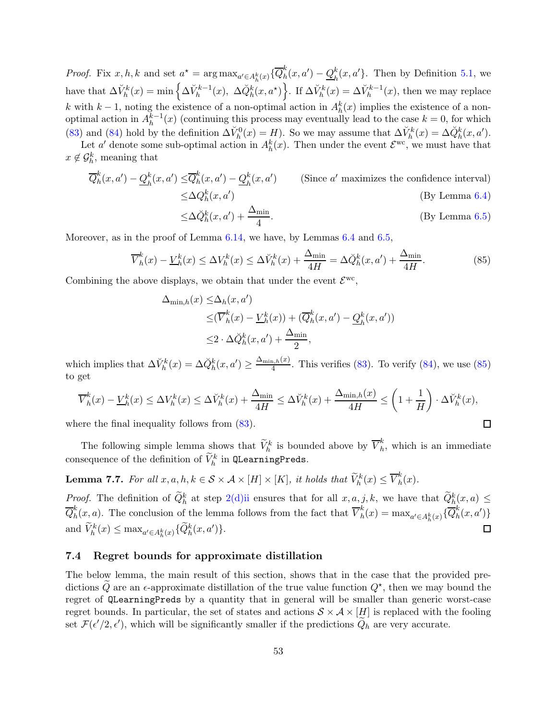*Proof.* Fix  $x, h, k$  and set  $a^* = \arg \max_{a' \in A_h^k(x)} \{ \overline{Q}_h^k\}$  $h<sup>k</sup>(x, a') - Q_h<sup>k</sup>$  $h_h^k(x, a')$ . Then by Definition [5.1,](#page-19-2) we have that  $\Delta V_h^k(x) = \min \left\{ \Delta V_h^{k-1}(x), \ \Delta \check{Q}_h^k(x, a^{\star}) \right\}$ . If  $\Delta V_h^k(x) = \Delta V_h^{k-1}(x)$ , then we may replace k with  $k-1$ , noting the existence of a non-optimal action in  $A_h^k(x)$  implies the existence of a nonoptimal action in  $A_h^{k-1}(x)$  (continuing this process may eventually lead to the case  $k = 0$ , for which [\(83\)](#page-51-3) and [\(84\)](#page-51-2) hold by the definition  $\Delta V_h^0(x) = H$ ). So we may assume that  $\Delta V_h^k(x) = \Delta \check{Q}_h^k(x, a')$ .

Let a' denote some sub-optimal action in  $A_h^k(x)$ . Then under the event  $\mathcal{E}^{\text{wc}}$ , we must have that  $x \notin \mathcal{G}_h^k$ , meaning that

$$
\overline{Q}_h^k(x, a') - \underline{Q}_h^k(x, a') \le \overline{Q}_h^k(x, a') - \underline{Q}_h^k(x, a')
$$
 (Since *a'* maximizes the confidence interval)  
\n
$$
\le \Delta Q_h^k(x, a')
$$
 (By Lemma 6.4)

<span id="page-52-1"></span>
$$
\leq \Delta \breve{Q}_h^k(x, a') + \frac{\Delta_{\min}}{4}.\tag{By Lemma 6.5}
$$

Moreover, as in the proof of Lemma [6.14,](#page-38-1) we have, by Lemmas [6.4](#page-29-1) and [6.5,](#page-30-0)

$$
\overline{V}_h^k(x) - \underline{V}_h^k(x) \le \Delta V_h^k(x) \le \Delta \breve{V}_h^k(x) + \frac{\Delta_{\min}}{4H} = \Delta \breve{Q}_h^k(x, a') + \frac{\Delta_{\min}}{4H}.\tag{85}
$$

Combining the above displays, we obtain that under the event  $\mathcal{E}^{\rm wc}$ ,

$$
\Delta_{\min,h}(x) \leq \Delta_h(x, a')
$$
  
\n
$$
\leq (\overline{V}_h^k(x) - \underline{V}_h^k(x)) + (\overline{Q}_h^k(x, a') - \underline{Q}_h^k(x, a'))
$$
  
\n
$$
\leq 2 \cdot \Delta \breve{Q}_h^k(x, a') + \frac{\Delta_{\min}}{2},
$$

which implies that  $\Delta V_h^k(x) = \Delta \check{Q}_h^k(x, a') \ge \frac{\Delta_{\min,h}(x)}{4}$  $\frac{a_1h(x)}{4}$ . This verifies [\(83\)](#page-51-3). To verify [\(84\)](#page-51-2), we use [\(85\)](#page-52-1) to get

$$
\overline{V}_h^k(x) - \underline{V}_h^k(x) \le \Delta V_h^k(x) \le \Delta \breve{V}_h^k(x) + \frac{\Delta_{\min}}{4H} \le \Delta \breve{V}_h^k(x) + \frac{\Delta_{\min,h}(x)}{4H} \le \left(1 + \frac{1}{H}\right) \cdot \Delta \breve{V}_h^k(x),
$$
  
ere the final inequality follows from (83).

where the final inequality follows from  $(83)$ .

The following simple lemma shows that  $\widetilde{V}_h^k$  is bounded above by  $\overline{V}_h^k$  $\hat{h}$ , which is an immediate consequence of the definition of  $\widetilde{V}_h^k$  in QLearningPreds.

<span id="page-52-2"></span>**Lemma 7.7.** For all  $x, a, h, k \in S \times A \times [H] \times [K]$ , it holds that  $\widetilde{V}_h^k(x) \leq \overline{V}_h^k$  $\int_h^n(x)$ .

*Proof.* The definition of  $\tilde{Q}_h^k$  at step 2(d) ii ensures that for all  $x, a, j, k$ , we have that  $\tilde{Q}_h^k(x, a) \leq$  $\overline{Q}^k_h$  $h^k(h(x, a)$ . The conclusion of the lemma follows from the fact that  $\overline{V}_h^k$  $h(k) = \max_{a' \in A_h^k(x)} \{ \overline{Q}_h^k\}$  $\binom{n}{h}(x,a')\}$ and  $\widetilde{V}_h^k(x) \leq \max_{a' \in A_h^k(x)} \{\widetilde{Q}_h^k(x, a')\}.$  $\Box$ 

#### <span id="page-52-0"></span>7.4 Regret bounds for approximate distillation

The below lemma, the main result of this section, shows that in the case that the provided predictions  $\tilde{Q}$  are an  $\epsilon$ -approximate distillation of the true value function  $Q^*$ , then we may bound the regret of QLearningPreds by a quantity that in general will be smaller than generic worst-case regret bounds. In particular, the set of states and actions  $S \times A \times [H]$  is replaced with the fooling set  $\mathcal{F}(\epsilon'/2, \epsilon')$ , which will be significantly smaller if the predictions  $Q_h$  are very accurate.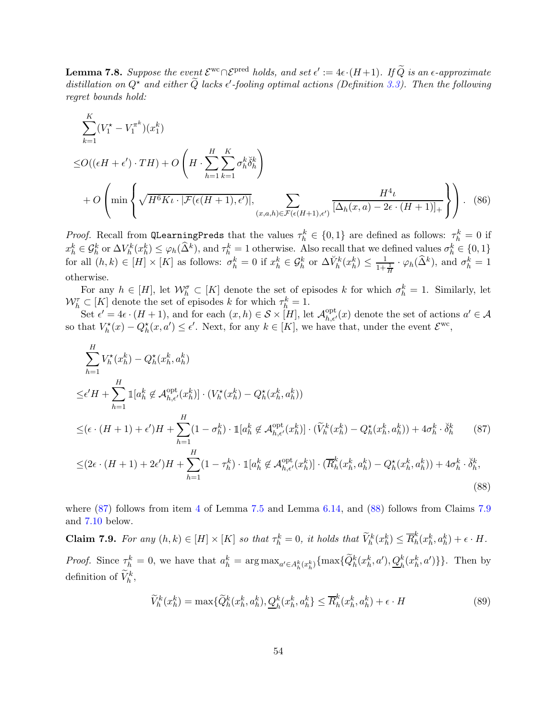<span id="page-53-4"></span>**Lemma 7.8.** Suppose the event  $\mathcal{E}^{\text{wc}} \cap \mathcal{E}^{\text{pred}}$  holds, and set  $\epsilon' := 4\epsilon \cdot (H+1)$ . If  $\widetilde{Q}$  is an  $\epsilon$ -approximate distillation on  $Q^*$  and either  $\tilde{Q}$  lacks  $\epsilon'$ -fooling optimal actions (Definition [3.3\)](#page-10-2). Then the following regret bounds hold:

<span id="page-53-3"></span>
$$
\sum_{k=1}^{K} (V_1^* - V_1^{\pi^k})(x_1^k)
$$
  
\n
$$
\leq O((\epsilon H + \epsilon') \cdot TH) + O\left(H \cdot \sum_{h=1}^{H} \sum_{k=1}^{K} \sigma_h^k \check{\delta}_h^k\right)
$$
  
\n
$$
+ O\left(\min\left\{\sqrt{H^6 K \iota \cdot |\mathcal{F}(\epsilon(H+1), \epsilon')|}, \sum_{(x, a, h) \in \mathcal{F}(\epsilon(H+1), \epsilon')}\frac{H^4 \iota}{[\Delta_h(x, a) - 2\epsilon \cdot (H+1)]_+}\right\}\right).
$$
 (86)

*Proof.* Recall from QLearningPreds that the values  $\tau_h^k \in \{0,1\}$  are defined as follows:  $\tau_h^k = 0$  if  $x_h^k \in \mathcal{G}_h^k$  or  $\Delta V_h^k(x_h^k) \leq \varphi_h(\hat{\Delta}^k)$ , and  $\tau_h^k = 1$  otherwise. Also recall that we defined values  $\sigma_h^k \in \{0,1\}$ for all  $(h, k) \in [H] \times [K]$  as follows:  $\sigma_h^k = 0$  if  $x_h^k \in \mathcal{G}_h^k$  or  $\Delta V_h^k(x_h^k) \le \frac{1}{1 + \frac{1}{H}} \cdot \varphi_h(\widehat{\Delta}^k)$ , and  $\sigma_h^k = 1$ otherwise.

For any  $h \in [H]$ , let  $\mathcal{W}_h^{\sigma} \subset [K]$  denote the set of episodes k for which  $\sigma_h^k = 1$ . Similarly, let  $\mathcal{W}^{\tau}_{h} \subset [K]$  denote the set of episodes k for which  $\tau_{h}^{k} = 1$ .

Set  $\epsilon' = 4\epsilon \cdot (H+1)$ , and for each  $(x, h) \in S \times [H]$ , let  $\mathcal{A}_{h, \epsilon'}^{\text{opt}}(x)$  denote the set of actions  $a' \in \mathcal{A}$ so that  $V_h^{\star}(x) - Q_h^{\star}(x, a') \leq \epsilon'$ . Next, for any  $k \in [K]$ , we have that, under the event  $\mathcal{E}^{\text{wc}}$ ,

$$
\sum_{h=1}^{H} V_{h}^{*}(x_{h}^{k}) - Q_{h}^{*}(x_{h}^{k}, a_{h}^{k})
$$
\n
$$
\leq \epsilon' H + \sum_{h=1}^{H} \mathbb{1}[a_{h}^{k} \notin \mathcal{A}_{h,\epsilon'}^{\text{opt}}(x_{h}^{k})] \cdot (V_{h}^{*}(x_{h}^{k}) - Q_{h}^{*}(x_{h}^{k}, a_{h}^{k}))
$$
\n
$$
\leq (\epsilon \cdot (H+1) + \epsilon')H + \sum_{h=1}^{H} (1 - \sigma_{h}^{k}) \cdot \mathbb{1}[a_{h}^{k} \notin \mathcal{A}_{h,\epsilon'}^{\text{opt}}(x_{h}^{k})] \cdot (\widetilde{V}_{h}^{k}(x_{h}^{k}) - Q_{h}^{*}(x_{h}^{k}, a_{h}^{k})) + 4\sigma_{h}^{k} \cdot \breve{\delta}_{h}^{k} \qquad (87)
$$
\n
$$
\leq (2\epsilon \cdot (H+1) + 2\epsilon')H + \sum_{h=1}^{H} (1 - \tau_{h}^{k}) \cdot \mathbb{1}[a_{h}^{k} \notin \mathcal{A}_{h,\epsilon'}^{\text{opt}}(x_{h}^{k})] \cdot (\overline{R}_{h}^{k}(x_{h}^{k}, a_{h}^{k}) - Q_{h}^{*}(x_{h}^{k}, a_{h}^{k})) + 4\sigma_{h}^{k} \cdot \breve{\delta}_{h}^{k},
$$
\n(88)

where  $(87)$  follows from item [4](#page-49-2) of Lemma [7.5](#page-49-0) and Lemma [6.14,](#page-38-1) and  $(88)$  follows from Claims [7.9](#page-53-2) and [7.10](#page-54-1) below.

<span id="page-53-2"></span>**Claim 7.9.** For any  $(h, k) \in [H] \times [K]$  so that  $\tau_h^k = 0$ , it holds that  $\widetilde{V}_h^k(x_h^k) \leq \overline{R}_h^k$  $h_k^k(x_h^k, a_h^k) + \epsilon \cdot H$ . *Proof.* Since  $\tau_h^k = 0$ , we have that  $a_h^k = \arg \max_{a' \in A_h^k(x_h^k)} {\max \{ \widetilde{Q}_h^k(x_h^k, a'), \underline{Q}_h^k(x_h^k, a') \}}$ . Then by definition of  $\widetilde{V}_h^k$ ,

<span id="page-53-1"></span><span id="page-53-0"></span>
$$
\widetilde{V}_h^k(x_h^k) = \max\{\widetilde{Q}_h^k(x_h^k, a_h^k), \underline{Q}_h^k(x_h^k, a_h^k) \le \overline{R}_h^k(x_h^k, a_h^k) + \epsilon \cdot H
$$
\n(89)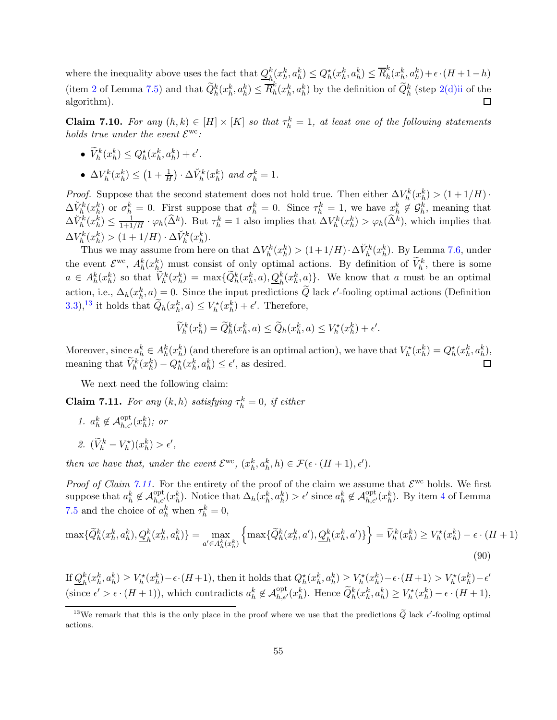$h_i^k(x_h^k, a_h^k) \leq Q_h^\star(x_h^k, a_h^k) \leq \overline{R}_h^k$ where the inequality above uses the fact that  $Q_{\mu}^{k}$  $h^k(h^k, a^k) + \epsilon \cdot (H + 1 - h)$ (item [2](#page-49-4) of Lemma [7.5\)](#page-49-0) and that  $\widetilde{Q}_h^k(x_h^k, a_h^k) \leq \overline{R}_h^k$  $h_h^k(x_h^k, a_h^k)$  by the definition of  $\widetilde{Q}_h^k$  (step [2\(d\)ii](#page-17-16) of the  $\Box$ algorithm).

<span id="page-54-1"></span>**Claim 7.10.** For any  $(h, k) \in [H] \times [K]$  so that  $\tau_h^k = 1$ , at least one of the following statements holds true under the event  $\mathcal{E}^{\rm wc}$ :

- $\widetilde{V}_h^k(x_h^k) \leq Q_h^*(x_h^k, a_h^k) + \epsilon'.$
- $\Delta V_h^k(x_h^k) \leq \left(1 + \frac{1}{H}\right) \cdot \Delta V_h^k(x_h^k)$  and  $\sigma_h^k = 1$ .

*Proof.* Suppose that the second statement does not hold true. Then either  $\Delta V_h^k(x_h^k) > (1 + 1/H)$ . *h* h (x<sub>h</sub>)  $\vee$  (1+1/*h*).<br>  $\Delta V_h^k(x_h^k)$  or  $\sigma_h^k = 0$ . First suppose that  $\sigma_h^k = 0$ . Since  $\tau_h^k = 1$ , we have  $x_h^k \notin G_h^k$ , meaning that  $\Delta V_h^k(x_h^k) \leq \frac{1}{1+1/H} \cdot \varphi_h(\widehat{\Delta}^k)$ . But  $\tau_h^k = 1$  also implies that  $\Delta V_h^k(x_h^k) > \varphi_h(\widehat{\Delta}^k)$ , which implies that  $\Delta V_h^k(x_h^k) > (1 + 1/H) \cdot \Delta V_h^k(x_h^k).$ 

Thus we may assume from here on that  $\Delta V_h^k(x_h^k) > (1+1/H) \cdot \Delta V_h^k(x_h^k)$ . By Lemma [7.6,](#page-51-1) under the event  $\mathcal{E}^{\text{wc}}, A_h^k(x_h^k)$  must consist of only optimal actions. By definition of  $\widetilde{V}_h^k$ , there is some  $a \in A_h^k(x_h^k)$  so that  $\widetilde{V}_h^k(x_h^k) = \max{\{\widetilde{Q}_h^k(x_h^k, a), \underline{Q}_h^k(x_h^k, a)\}}$ . We know that a must be an optimal action, i.e.,  $\Delta_h(x_h^k, a) = 0$ . Since the input predictions  $\tilde{Q}$  lack  $\epsilon'$ -fooling optimal actions (Definition [3.3\)](#page-10-2),<sup>13</sup> it holds that  $\tilde{Q}_h(x_h^k, a) \leq V_h^*(x_h^k) + \epsilon'$ . Therefore,

$$
\widetilde{V}_h^k(x_h^k) = \widetilde{Q}_h^k(x_h^k, a) \le \widetilde{Q}_h(x_h^k, a) \le V_h^{\star}(x_h^k) + \epsilon'.
$$

Moreover, since  $a_h^k \in A_h^k(x_h^k)$  (and therefore is an optimal action), we have that  $V_h^*(x_h^k) = Q_h^*(x_h^k, a_h^k)$ , meaning that  $\tilde{V}_h^k(x_h^k) - Q_h^*(x_h^k, a_h^k) \le \epsilon'$ , as desired.

We next need the following claim:

<span id="page-54-0"></span>**Claim 7.11.** For any  $(k, h)$  satisfying  $\tau_h^k = 0$ , if either

1.  $a_h^k \notin \mathcal{A}_{h,\epsilon'}^{\text{opt}}(x_h^k)$ ; or 2.  $(\tilde{V}_h^k - V_h^{\star})(x_h^k) > \epsilon',$ 

then we have that, under the event  $\mathcal{E}^{\rm wc}$ ,  $(x_h^k, a_h^k, h) \in \mathcal{F}(\epsilon \cdot (H+1), \epsilon').$ 

*Proof of Claim [7.11.](#page-54-0)* For the entirety of the proof of the claim we assume that  $\mathcal{E}^{\text{wc}}$  holds. We first suppose that  $a_h^k \notin \mathcal{A}_{h,\epsilon'}^{\text{opt}}(x_h^k)$ . Notice that  $\Delta_h(x_h^k, a_h^k) > \epsilon'$  since  $a_h^k \notin \mathcal{A}_{h,\epsilon'}^{\text{opt}}(x_h^k)$ . By item [4](#page-49-2) of Lemma [7.5](#page-49-0) and the choice of  $a_h^k$  when  $\tau_h^k = 0$ ,

$$
\max\{\widetilde{Q}_{h}^{k}(x_{h}^{k}, a_{h}^{k}), \underline{Q}_{h}^{k}(x_{h}^{k}, a_{h}^{k})\} = \max_{a' \in A_{h}^{k}(x_{h}^{k})} \left\{\max\{\widetilde{Q}_{h}^{k}(x_{h}^{k}, a'), \underline{Q}_{h}^{k}(x_{h}^{k}, a')\}\right\} = \widetilde{V}_{h}^{k}(x_{h}^{k}) \ge V_{h}^{*}(x_{h}^{k}) - \epsilon \cdot (H+1)
$$
\n(90)

If  $Q_h^k$  $h^k(x_h^k, a_h^k) \geq V_h^{\star}(x_h^k) - \epsilon \cdot (H+1)$ , then it holds that  $Q_h^{\star}(x_h^k, a_h^k) \geq V_h^{\star}(x_h^k) - \epsilon \cdot (H+1) > V_h^{\star}(x_h^k) - \epsilon'$ (since  $\epsilon' > \epsilon \cdot (H+1)$ ), which contradicts  $a_h^k \notin \mathcal{A}_{h,\epsilon'}^{\text{opt}}(x_h^k)$ . Hence  $\widetilde{Q}_h^k(x_h^k, a_h^k) \ge V_h^*(x_h^k) - \epsilon \cdot (H+1)$ ,

<sup>&</sup>lt;sup>13</sup>We remark that this is the only place in the proof where we use that the predictions  $\tilde{Q}$  lack  $\epsilon'$ -fooling optimal actions.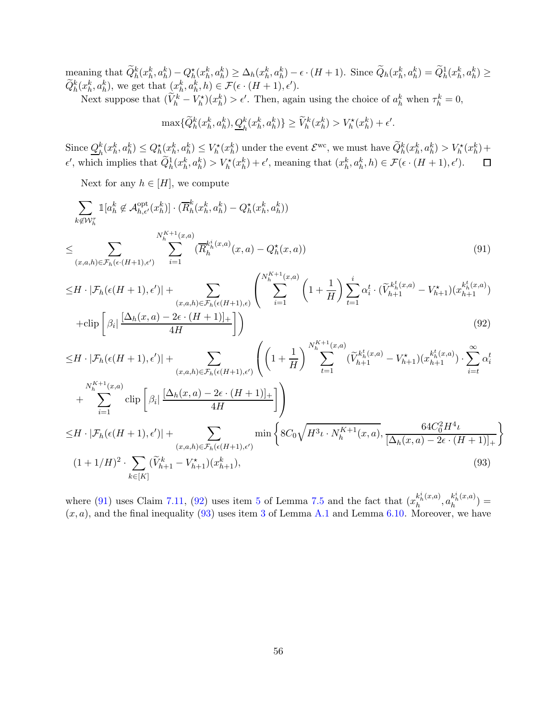$\text{ meaning that } \widetilde{Q}_{h}^{k}(x_{h}^{k}, a_{h}^{k}) - Q_{h}^{\star}(x_{h}^{k}, a_{h}^{k}) \geq \Delta_{h}(x_{h}^{k}, a_{h}^{k}) - \epsilon \cdot (H+1).$  Since  $\widetilde{Q}_{h}(x_{h}^{k}, a_{h}^{k}) = \widetilde{Q}_{h}^{1}(x_{h}^{k}, a_{h}^{k}) \geq$  $\widetilde{Q}_{h}^{k}(x_{h}^{k}, a_{h}^{k}),$  we get that  $(x_{h}^{k}, a_{h}^{k}, h) \in \mathcal{F}(\epsilon \cdot (H+1), \epsilon').$ 

Next suppose that  $(\widetilde{V}_h^k - V_h^*)(x_h^k) > \epsilon'$ . Then, again using the choice of  $a_h^k$  when  $\tau_h^k = 0$ ,

<span id="page-55-1"></span><span id="page-55-0"></span> $\max\{\widetilde{Q}_{h}^{k}(x_h^k, a_h^k), \underline{Q}_{h}^{k}(x_h^k, a_h^k)\}\geq \widetilde{V}_h^{k}(x_h^k) > V_h^{\star}(x_h^k) + \epsilon'.$ 

Since  $Q_h^k$  $h_k^k(x_h^k, a_h^k) \leq Q_h^*(x_h^k, a_h^k) \leq V_h^*(x_h^k)$  under the event  $\mathcal{E}^{\text{wc}}$ , we must have  $\widetilde{Q}_h^k(x_h^k, a_h^k) > V_h^*(x_h^k) +$  $\epsilon'$ , which implies that  $\widetilde{Q}_h^1(x_h^k, a_h^k) > V_h^*(x_h^k) + \epsilon'$ , meaning that  $(x_h^k, a_h^k, h) \in \mathcal{F}(\epsilon \cdot (H+1), \epsilon').$ 

Next for any  $h \in [H]$ , we compute

$$
\sum_{k \notin \mathcal{W}_h^{\tau}} \mathbb{1}[a_h^k \notin \mathcal{A}_{h,\epsilon'}^{\text{opt}}(x_h^k)] \cdot (\overline{R}_h^k(x_h^k, a_h^k) - Q_h^\star(x_h^k, a_h^k))
$$
\n
$$
\leq \sum_{(x,a,h)\in \mathcal{F}_h(\epsilon\cdot(H+1),\epsilon')} \sum_{i=1}^{N_h^{\kappa+1}(x,a)} (\overline{R}_h^{k_h^\star}(x,a) - Q_h^\star(x,a)) \tag{91}
$$

$$
\leq H \cdot |\mathcal{F}_h(\epsilon(H+1), \epsilon')| + \sum_{(x, a, h) \in \mathcal{F}_h(\epsilon(H+1), \epsilon)} \left( \sum_{i=1}^{N_h^{K+1}(x, a)} \left( 1 + \frac{1}{H} \right) \sum_{t=1}^i \alpha_i^t \cdot (\widetilde{V}_{h+1}^{k_h^t(x, a)} - V_{h+1}^{\star}) (x_{h+1}^{k_h^t(x, a)}) \right)
$$

$$
+ \operatorname{clip}\left[\beta_i \left| \frac{\left[\Delta_h(x, a) - 2\epsilon \cdot (H+1)\right]_+}{4H} \right]\right) \tag{92}
$$

$$
\leq H \cdot |\mathcal{F}_h(\epsilon(H+1), \epsilon')| + \sum_{(x, a, h) \in \mathcal{F}_h(\epsilon(H+1), \epsilon')} \left( \left( 1 + \frac{1}{H} \right)^{N_h^{K+1}(x, a)} \left( \tilde{V}_{h+1}^{k_h^t(x, a)} - V_{h+1}^{\star} \right) (x_{h+1}^{k_h^t(x, a)}) \cdot \sum_{i=t}^{\infty} \alpha_i^t \right) + \sum_{i=1}^{N_h^{K+1}(x, a)} \text{clip} \left[ \beta_i \left| \frac{\left( \Delta_h(x, a) - 2\epsilon \cdot (H+1) \right]_+}{4H} \right] \right) \n\leq H \cdot |\mathcal{F}_h(\epsilon(H+1), \epsilon')| + \sum_{(x, a, h) \in \mathcal{F}_h(\epsilon(H+1), \epsilon')} \min \left\{ 8C_0 \sqrt{H^3 \iota \cdot N_h^{K+1}(x, a)}, \frac{64C_0^2 H^4 \iota}{\left[ \Delta_h(x, a) - 2\epsilon \cdot (H+1) \right]_+} \right\} \n(1+1/H)^2 \cdot \sum_{k \in [K]} (\tilde{V}_{h+1}^k - V_{h+1}^{\star}) (x_{h+1}^k), \tag{93}
$$

<span id="page-55-2"></span>where [\(91\)](#page-55-0) uses Claim [7.11,](#page-54-0) [\(92\)](#page-55-1) uses item [5](#page-49-5) of Lemma [7.5](#page-49-0) and the fact that  $(x_h^{k_h^i(x,a)})$  $\frac{k_{h}^{i}(x,a)}{h}, a_{h}^{k_{h}^{i}(x,a)}$  $\binom{n_h(x,a)}{h}$  =  $(x, a)$ , and the final inequality  $(93)$  $(93)$  $(93)$  uses item 3 of Lemma [A.1](#page-61-3) and Lemma [6.10.](#page-32-6) Moreover, we have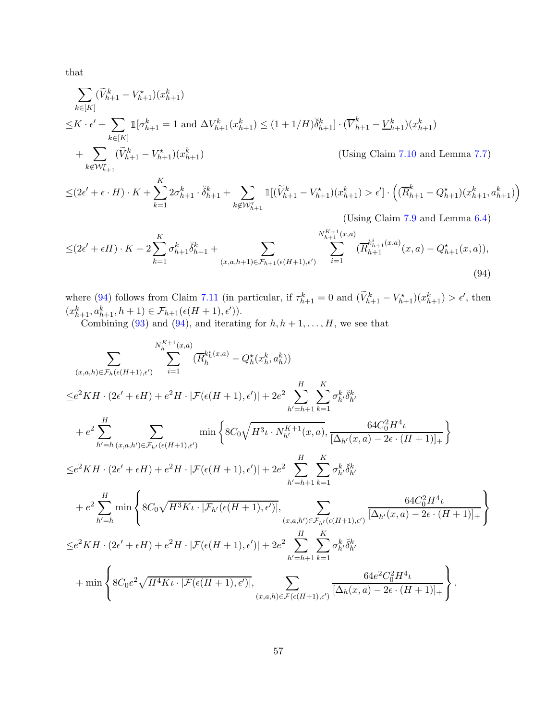that

$$
\sum_{k \in [K]} (\widetilde{V}_{h+1}^{k} - V_{h+1}^{*})(x_{h+1}^{k})
$$
\n
$$
\leq K \cdot \epsilon' + \sum_{k \in [K]} \mathbb{1}[\sigma_{h+1}^{k} = 1 \text{ and } \Delta V_{h+1}^{k}(x_{h+1}^{k}) \leq (1 + 1/H)\delta_{h+1}^{k}] \cdot (\overline{V}_{h+1}^{k} - \underline{V}_{h+1}^{k})(x_{h+1}^{k})
$$
\n
$$
+ \sum_{k \notin \mathcal{W}_{h+1}^{r}} (\widetilde{V}_{h+1}^{k} - V_{h+1}^{*})(x_{h+1}^{k})
$$
\n
$$
\leq (2\epsilon' + \epsilon \cdot H) \cdot K + \sum_{k=1}^{K} 2\sigma_{h+1}^{k} \cdot \delta_{h+1}^{k} + \sum_{k \notin \mathcal{W}_{h+1}^{r}} \mathbb{1}[(\widetilde{V}_{h+1}^{k} - V_{h+1}^{*})(x_{h+1}^{k}) > \epsilon'] \cdot \left( (\overline{R}_{h+1}^{k} - Q_{h+1}^{*})(x_{h+1}^{k}, a_{h+1}^{k}) \right)
$$

$$
1 \cdot o_{h+1} + \sum_{k \notin \mathcal{W}_{h+1}^{\tau}} \mathbb{1}(V_{h+1} - V_{h+1})(x_{h+1}) > \epsilon \cdot \left( (R_{h+1} - Q_{h+1})(x_{h+1}, a_{h+1}) \right)
$$

<span id="page-56-0"></span>(Using Claim [7.9](#page-53-2) and Lemma [6.4\)](#page-29-1)

$$
\leq (2\epsilon' + \epsilon H) \cdot K + 2 \sum_{k=1}^{K} \sigma_{h+1}^{k} \check{\delta}_{h+1}^{k} + \sum_{(x,a,h+1) \in \mathcal{F}_{h+1}(\epsilon(H+1),\epsilon')} \sum_{i=1}^{N_{h+1}^{K+1}(x,a)} (\overline{R}_{h+1}^{k_{h+1}^{i}(x,a)}(x,a) - Q_{h+1}^{\star}(x,a)),
$$
\n(94)

where [\(94\)](#page-56-0) follows from Claim [7.11](#page-54-0) (in particular, if  $\tau_{h+1}^k = 0$  and  $(\tilde{V}_{h+1}^k - V_{h+1}^*) (x_{h+1}^k) > \epsilon'$ , then  $(x_{h+1}^k, a_{h+1}^k, h+1) \in \mathcal{F}_{h+1}(\epsilon(H+1), \epsilon').$ 

Combining [\(93\)](#page-55-2) and [\(94\)](#page-56-0), and iterating for  $h, h+1, \ldots, H$ , we see that

$$
\sum_{(x,a,h)\in\mathcal{F}_h(\epsilon(H+1),\epsilon')} \sum_{i=1}^{N_h^{K+1}(x,a)} (\overline{R}_h^{k_h^i(x,a)} - Q_h^*(x_h^k, a_h^k))
$$
\n
$$
\leq e^2KH \cdot (2\epsilon' + \epsilon H) + e^2H \cdot |\mathcal{F}(\epsilon(H+1),\epsilon')| + 2e^2 \sum_{h'=h+1}^H \sum_{k=1}^K \sigma_h^k \delta_h^k
$$
\n
$$
+ e^2 \sum_{h'=h}^H \sum_{(x,a,h')\in\mathcal{F}_h/(\epsilon(H+1),\epsilon')} \min \left\{ 8C_0 \sqrt{H^3\iota \cdot N_{h'}^{K+1}(x,a)}, \frac{64C_0^2 H^4 \iota}{[\Delta_{h'}(x,a) - 2\epsilon \cdot (H+1)]_+} \right\}
$$
\n
$$
\leq e^2KH \cdot (2\epsilon' + \epsilon H) + e^2H \cdot |\mathcal{F}(\epsilon(H+1),\epsilon')| + 2e^2 \sum_{h'=h+1}^H \sum_{k=1}^K \sigma_h^k \delta_h^k
$$
\n
$$
+ e^2 \sum_{h'=h}^H \min \left\{ 8C_0 \sqrt{H^3K\iota \cdot |\mathcal{F}_{h'}(\epsilon(H+1),\epsilon')|}, \sum_{(x,a,h')\in\mathcal{F}_{h'}(\epsilon(H+1),\epsilon')} \frac{64C_0^2 H^4 \iota}{[\Delta_{h'}(x,a) - 2\epsilon \cdot (H+1)]_+} \right\}
$$
\n
$$
\leq e^2KH \cdot (2\epsilon' + \epsilon H) + e^2H \cdot |\mathcal{F}(\epsilon(H+1),\epsilon')| + 2e^2 \sum_{h'=h+1}^H \sum_{k=1}^K \sigma_h^k \delta_h^k
$$
\n
$$
+ \min \left\{ 8C_0 e^2 \sqrt{H^4K\iota \cdot |\mathcal{F}(\epsilon(H+1),\epsilon')|}, \sum_{(x,a,h)\in\mathcal{F}(\epsilon(H+1),\epsilon')} \frac{64e^2 C_0^2 H^4 \iota}{[\Delta_h(x,a) - 2\epsilon \cdot (H+1)]_+} \right\}.
$$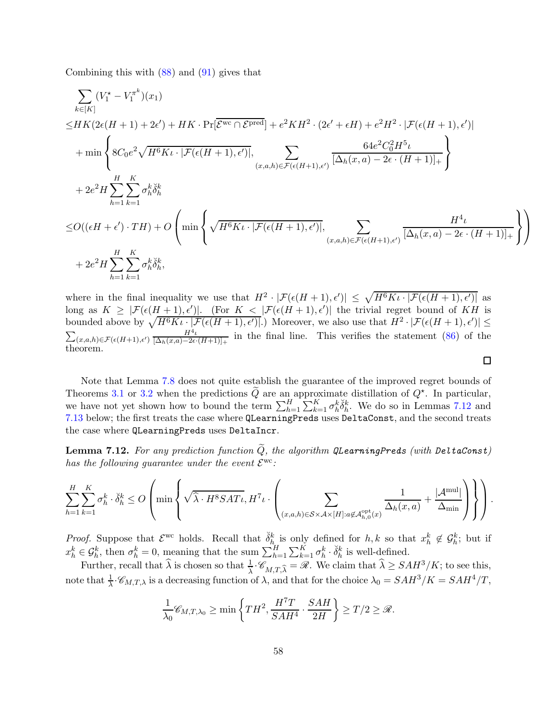Combining this with [\(88\)](#page-53-0) and [\(91\)](#page-55-0) gives that

$$
\sum_{k\in[K]} (V_1^* - V_1^{\pi^k})(x_1)
$$
\n
$$
\leq HK(2\epsilon(H+1) + 2\epsilon') + HK \cdot \Pr[\overline{\mathcal{E}^{\text{wc}} \cap \mathcal{E}^{\text{pred}}}] + e^2KH^2 \cdot (2\epsilon' + \epsilon H) + e^2H^2 \cdot |\mathcal{F}(\epsilon(H+1), \epsilon')|
$$
\n
$$
+ \min \left\{ 8C_0e^2 \sqrt{H^6K\iota} \cdot |\mathcal{F}(\epsilon(H+1), \epsilon')|, \sum_{(x, a, h) \in \mathcal{F}(\epsilon(H+1), \epsilon')}\frac{64e^2C_0^2H^5\iota}{[\Delta_h(x, a) - 2\epsilon \cdot (H+1)]_+} \right\}
$$
\n
$$
+ 2e^2H \sum_{h=1}^H \sum_{k=1}^K \sigma_h^k \check{\delta}_h^k
$$
\n
$$
\leq O\left((\epsilon H + \epsilon') \cdot TH\right) + O\left(\min \left\{\sqrt{H^6K\iota} \cdot |\mathcal{F}(\epsilon(H+1), \epsilon')|, \sum_{(x, a, h) \in \mathcal{F}(\epsilon(H+1), \epsilon')}\frac{H^4\iota}{[\Delta_h(x, a) - 2\epsilon \cdot (H+1)]_+}\right\}\right)
$$
\n
$$
+ 2e^2H \sum_{h=1}^H \sum_{k=1}^K \sigma_h^k \check{\delta}_h^k,
$$

where in the final inequality we use that  $H^2 \cdot |\mathcal{F}(\epsilon(H+1), \epsilon')| \leq \sqrt{H^6K\iota \cdot |\mathcal{F}(\epsilon(H+1), \epsilon')|}$  as long as  $K \geq |\mathcal{F}(\epsilon(H+1), \epsilon')|$ . (For  $K < |\mathcal{F}(\epsilon(H+1), \epsilon')|$  the trivial regret bound of KH is bounded above by  $\sqrt{H^6K\iota\cdot[\mathcal{F}(\epsilon(H+1),\epsilon')]}.$  Moreover, we also use that  $H^2\cdot|\mathcal{F}(\epsilon(H+1),\epsilon')|\leq$  $\sum_{(x,a,h)\in\mathcal{F}(\epsilon(H+1),\epsilon')} \frac{H^4\iota}{[\Delta_h(x,a)-2\epsilon]}$  $\frac{H^2t}{[\Delta_h(x,a)-2\epsilon\cdot(H+1)]_+}$  in the final line. This verifies the statement [\(86\)](#page-53-3) of the theorem.

Note that Lemma [7.8](#page-53-4) does not quite establish the guarantee of the improved regret bounds of Theorems [3.1](#page-11-1) or [3.2](#page-12-0) when the predictions  $\tilde{Q}$  are an approximate distillation of  $Q^*$ . In particular, we have not yet shown how to bound the term  $\sum_{h=1}^{H} \sum_{k=1}^{K} \sigma_h^k \check{\delta}_h^k$ . We do so in Lemmas [7.12](#page-57-0) and [7.13](#page-58-0) below; the first treats the case where QLearningPreds uses DeltaConst, and the second treats the case where QLearningPreds uses DeltaIncr.

<span id="page-57-0"></span>**Lemma 7.12.** For any prediction function  $\widetilde{Q}$ , the algorithm QLearningPreds (with DeltaConst) has the following guarantee under the event  $\mathcal{E}^{\rm wc}$ :

$$
\sum_{h=1}^H \sum_{k=1}^K \sigma_h^k \cdot \check{\delta}_h^k \leq O\left(\min\left\{\sqrt{\hat{\lambda} \cdot H^8SAT\iota}, H^7 \iota \cdot \left(\sum_{(x,a,h) \in \mathcal{S} \times \mathcal{A} \times [H]: a \not\in \mathcal{A}_{h,0}^{\text{opt}}(x)} \frac{1}{\Delta_h(x,a)} + \frac{|\mathcal{A}^{\text{mul}}|}{\Delta_{\min}}\right)\right\}\right).
$$

*Proof.* Suppose that  $\mathcal{E}^{\text{wc}}$  holds. Recall that  $\delta_{h}^{k}$  is only defined for  $h, k$  so that  $x_h^k \notin \mathcal{G}_h^k$ ; but if  $x_h^k \in \mathcal{G}_h^k$ , then  $\sigma_h^k = 0$ , meaning that the sum  $\sum_{h=1}^H \sum_{k=1}^K \sigma_h^k \cdot \check{\delta}_h^k$  is well-defined.

Further, recall that  $\hat{\lambda}$  is chosen so that  $\frac{1}{\lambda} \cdot \mathscr{C}_{M,T,\hat{\lambda}} = \mathscr{R}$ . We claim that  $\hat{\lambda} \geq SAH^3/K$ ; to see this, note that  $\frac{1}{\lambda} \cdot \mathcal{C}_{M,T,\lambda}$  is a decreasing function of  $\lambda$ , and that for the choice  $\lambda_0 = SAH^3/K = SAH^4/T$ ,

$$
\frac{1}{\lambda_0} \mathscr{C}_{M,T,\lambda_0} \ge \min\left\{TH^2, \frac{H^7T}{SAH^4} \cdot \frac{SAH}{2H}\right\} \ge T/2 \ge \mathscr{R}.
$$

 $\Box$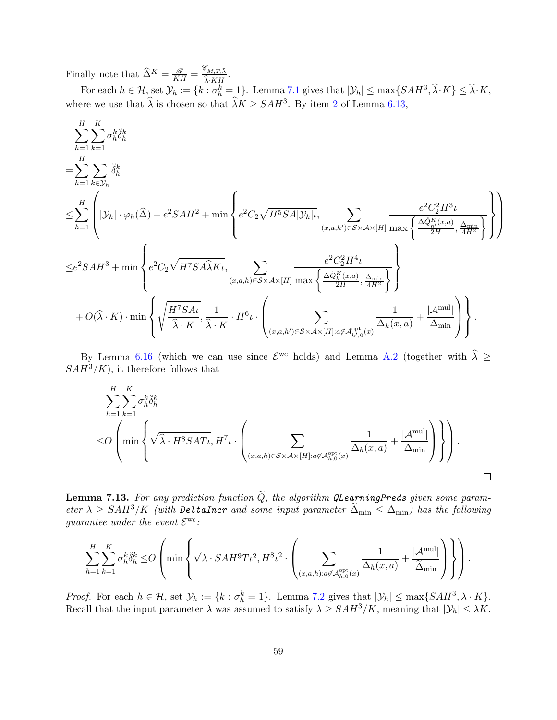Finally note that  $\widehat{\Delta}^K = \frac{\mathscr{R}}{KH} = \frac{\mathscr{C}_{M,T,\widehat{\lambda}}}{\widehat{\lambda} \cdot KH}$ .  $\lambda$ · $KH$ 

For each  $h \in \mathcal{H}$ , set  $\mathcal{Y}_h := \{k : \sigma_h^k = 1\}$ . Lemma [7.1](#page-44-1) gives that  $|\mathcal{Y}_h| \le \max\{SAH^3, \hat{\lambda} \cdot K\} \le \hat{\lambda} \cdot K$ , where we use that  $\hat{\lambda}$  is chosen so that  $\hat{\lambda}K \geq SAH^3$ . By item [2](#page-35-2) of Lemma [6.13,](#page-35-0)

$$
\begin{split} &\sum_{h=1}^{H}\sum_{k=1}^{K}\sigma_{h}^{k}\check{\delta}_{h}^{k}\\ =&\sum_{h=1}^{H}\left(\left|\mathcal{Y}_{h}\right|\cdot\varphi_{h}(\widehat{\Delta})+e^{2}SAH^{2}+\min\left\{e^{2}C_{2}\sqrt{H^{5}SA}|\mathcal{Y}_{h}|t,\sum_{(x,a,h')\in S\times\mathcal{A}\times[H]}\frac{e^{2}C_{2}^{2}H^{3}\iota}{\max\left\{\frac{\Delta\mathcal{Q}_{h}^{K}(x,a)}{2H},\frac{\Delta_{\min}}{4H^{2}}\right\}}\right\}\right)\\ \leq &e^{2}SAH^{3}+\min\left\{e^{2}C_{2}\sqrt{H^{7}SA}\widehat{\lambda K}\iota,\sum_{(x,a,h)\in S\times\mathcal{A}\times[H]}\frac{e^{2}C_{2}^{2}H^{4}\iota}{\max\left\{\frac{\Delta\mathcal{Q}_{h}^{K}(x,a)}{2H},\frac{\Delta_{\min}}{4H^{2}}\right\}}\right\}\\ &+O(\widehat{\lambda}\cdot K)\cdot\min\left\{\sqrt{\frac{H^{7}SA}{\widehat{\lambda}\cdot K}},\frac{1}{\widehat{\lambda}\cdot K}\cdot H^{6}\iota.\left(\sum_{(x,a,h')\in S\times\mathcal{A}\times[H]:a\not\in\mathcal{A}_{h',0}^{\mathrm{opt}}(x)}\frac{1}{\Delta_{h}(x,a)}+\frac{|\mathcal{A}^{\mathrm{mul}}|}{\Delta_{\min}}\right)\right\}.\end{split}
$$

By Lemma [6.16](#page-40-0) (which we can use since  $\mathcal{E}^{\text{wc}}$  holds) and Lemma [A.2](#page-61-7) (together with  $\hat{\lambda} \geq$  $SAH^3/K$ , it therefore follows that

$$
\sum_{h=1}^{H} \sum_{k=1}^{K} \sigma_h^k \breve{\delta}_h^k
$$
  
\n
$$
\leq O\left(\min\left\{\sqrt{\widehat{\lambda} \cdot H^8SAT\iota}, H^7\iota \cdot \left(\sum_{(x,a,h)\in S\times A\times [H]: a\not\in A_{h,0}^{\text{opt}}(x)} \frac{1}{\Delta_h(x,a)} + \frac{|\mathcal{A}^{\text{mul}}|}{\Delta_{\text{min}}}\right)\right\}\right).
$$

<span id="page-58-0"></span>**Lemma 7.13.** For any prediction function  $\widetilde{Q}$ , the algorithm QLearningPreds given some parameter  $\lambda \geq SAH^3/K$  (with DeltaIncr and some input parameter  $\tilde{\Delta}_{min} \leq \Delta_{min}$ ) has the following guarantee under the event  $\mathcal{E}^{\rm wc}$ :

$$
\sum_{h=1}^H\sum_{k=1}^K\sigma^k_h\breve{\delta}^k_h \leq O\left(\min\left\{\sqrt{\lambda\cdot SAH^9T\iota^2},H^8\iota^2\cdot\left(\sum_{(x,a,h):a\not\in\mathcal{A}^{\rm opt}_{h,0}(x)}\frac{1}{\Delta_h(x,a)}+\frac{|\mathcal{A}^{\rm mul}|}{\widetilde{\Delta}_{\rm min}}\right)\right\}\right).
$$

*Proof.* For each  $h \in \mathcal{H}$ , set  $\mathcal{Y}_h := \{k : \sigma_h^k = 1\}$ . Lemma [7.2](#page-46-0) gives that  $|\mathcal{Y}_h| \le \max\{SAH^3, \lambda \cdot K\}$ . Recall that the input parameter  $\lambda$  was assumed to satisfy  $\lambda \geq SAH^3/K$ , meaning that  $|\mathcal{Y}_h| \leq \lambda K$ .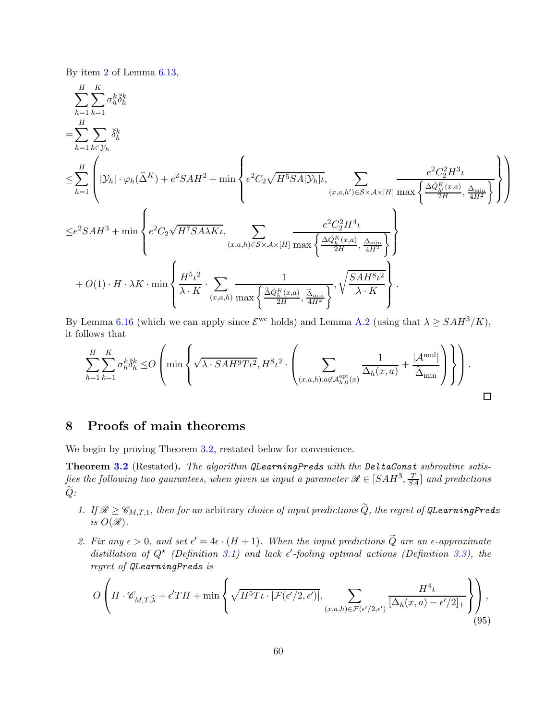By item [2](#page-35-2) of Lemma [6.13,](#page-35-0)

$$
\begin{split} & \sum_{h=1}^{H} \sum_{k=1}^{K} \sigma_h^k \check{\delta}_h^k \\ =& \sum_{h=1}^{H} \left( |\mathcal{Y}_h| \cdot \varphi_h(\widehat{\Delta}^K) + e^2 SA H^2 + \min \left\{ e^2 C_2 \sqrt{H^5 SA |\mathcal{Y}_h|} t, \sum_{(x,a,h') \in S \times A \times [H]} \frac{e^2 C_2^2 H^3 \iota}{\max \left\{ \frac{\Delta \hat{Q}_h^K(x,a)}{2H}, \frac{\Delta_{\min}}{4H^2} \right\}} \right\} \right) \\ \leq & e^2 SA H^3 + \min \left\{ e^2 C_2 \sqrt{H^7 SA \lambda K} t, \sum_{(x,a,h) \in S \times A \times [H]} \frac{e^2 C_2^2 H^4 \iota}{\max \left\{ \frac{\Delta \hat{Q}_h^K(x,a)}{2H}, \frac{\Delta_{\min}}{4H^2} \right\}} \right\} \\ & + O(1) \cdot H \cdot \lambda K \cdot \min \left\{ \frac{H^5 \iota^2}{\lambda \cdot K} \cdot \sum_{(x,a,h)} \frac{1}{\max \left\{ \frac{\Delta \hat{Q}_h^K(x,a)}{2H}, \frac{\Delta_{\min}}{4H^2} \right\}} \cdot \sqrt{\frac{SA H^8 \iota^2}{\lambda \cdot K}} \right\} . \end{split}
$$

By Lemma [6.16](#page-40-0) (which we can apply since  $\mathcal{E}^{wc}$  holds) and Lemma [A.2](#page-61-7) (using that  $\lambda \geq SAH^3/K$ ), it follows that

$$
\sum_{h=1}^{H}\sum_{k=1}^{K}\sigma_h^k\check{\delta}_h^k\leq O\left(\min\left\{\sqrt{\lambda\cdot\mathit{SAH^9T\iota^2}},H^8\iota^2\cdot\left(\sum_{(x,a,h):a\not\in\mathcal{A}_{h,0}^{\textrm{opt}}(x)}\frac{1}{\Delta_h(x,a)}+\frac{|\mathcal{A}^{\textrm{mul}}|}{\widetilde{\Delta}_{\textrm{min}}}\right)\right\}\right).
$$

# <span id="page-59-0"></span>8 Proofs of main theorems

We begin by proving Theorem [3.2,](#page-12-0) restated below for convenience.

Theorem [3.2](#page-12-0) (Restated). The algorithm QLearningPreds with the DeltaConst subroutine satisfies the following two guarantees, when given as input a parameter  $\mathscr{R} \in [SAH^3, \frac{T}{SA}]$  and predictions  $Q:$ 

- <span id="page-59-1"></span>1. If  $\mathcal{R} \geq \mathcal{C}_{M,T,1}$ , then for an arbitrary choice of input predictions  $\widetilde{Q}$ , the regret of QLearningPreds is  $O(\mathcal{R})$ .
- 2. Fix any  $\epsilon > 0$ , and set  $\epsilon' = 4\epsilon \cdot (H + 1)$ . When the input predictions Q are an  $\epsilon$ -approximate distillation of  $Q^*$  (Definition [3.1\)](#page-10-0) and lack  $\epsilon'$ -fooling optimal actions (Definition [3.3\)](#page-10-2), the regret of QLearningPreds is

$$
O\left(H \cdot \mathscr{C}_{M,T,\widehat{\lambda}} + \epsilon' TH + \min\left\{\sqrt{H^5 T \iota \cdot |\mathcal{F}(\epsilon'/2,\epsilon')|}, \sum_{(x,a,h)\in \mathcal{F}(\epsilon'/2,\epsilon')}\frac{H^4 \iota}{[\Delta_h(x,a)-\epsilon'/2]_+}\right\}\right),\tag{95}
$$

<span id="page-59-2"></span> $\mathbf{r}$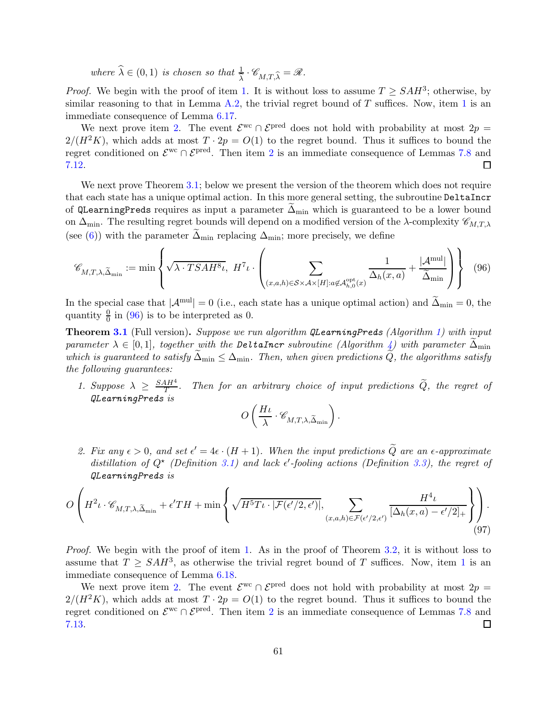where  $\widehat{\lambda} \in (0, 1)$  is chosen so that  $\frac{1}{\widehat{\lambda}} \cdot \mathscr{C}_{M,T,\widehat{\lambda}} = \mathscr{R}$ .

*Proof.* We begin with the proof of item [1.](#page-59-1) It is without loss to assume  $T \geq SAH^3$ ; otherwise, by similar reasoning to that in Lemma [A.2,](#page-61-7) the trivial regret bound of  $T$  suffices. Now, item [1](#page-59-1) is an immediate consequence of Lemma [6.17.](#page-41-0)

We next prove item [2.](#page-59-2) The event  $\mathcal{E}^{\text{wc}} \cap \mathcal{E}^{\text{pred}}$  does not hold with probability at most  $2p =$  $2/(H^2K)$ , which adds at most  $T \cdot 2p = O(1)$  to the regret bound. Thus it suffices to bound the regret conditioned on  $\mathcal{E}^{\text{wc}} \cap \mathcal{E}^{\text{pred}}$ . Then item [2](#page-59-2) is an immediate consequence of Lemmas [7.8](#page-53-4) and [7.12.](#page-57-0)

We next prove Theorem [3.1;](#page-11-1) below we present the version of the theorem which does not require that each state has a unique optimal action. In this more general setting, the subroutine DeltaIncr of QLearningPreds requires as input a parameter  $\Delta_{\text{min}}$  which is guaranteed to be a lower bound on  $\Delta_{\text{min}}$ . The resulting regret bounds will depend on a modified version of the  $\lambda$ -complexity  $\mathscr{C}_{M,T,\lambda}$ (see [\(6\)](#page-11-3)) with the parameter  $\Delta_{\min}$  replacing  $\Delta_{\min}$ ; more precisely, we define

$$
\mathscr{C}_{M,T,\lambda,\widetilde{\Delta}_{\min}} := \min \left\{ \sqrt{\lambda \cdot T S A H^8 \iota}, H^7 \iota \cdot \left( \sum_{(x,a,h) \in S \times \mathcal{A} \times [H]: a \notin \mathcal{A}_{h,0}^{\text{opt}}(x)} \frac{1}{\Delta_h(x,a)} + \frac{|\mathcal{A}^{\text{mul}}|}{\widetilde{\Delta}_{\min}} \right) \right\} \tag{96}
$$

In the special case that  $|\mathcal{A}^{mul}| = 0$  (i.e., each state has a unique optimal action) and  $\tilde{\Delta}_{min} = 0$ , the quantity  $\frac{0}{0}$  in [\(96\)](#page-60-1) is to be interpreted as 0.

**Theorem [3.1](#page-11-1)** (Full version). Suppose we run algorithm QLearningPreds (Algorithm [1\)](#page-17-0) with input parameter  $\lambda \in [0,1]$ , together with the DeltaIncr subroutine (Algorithm [4\)](#page-18-0) with parameter  $\Delta_{\min}$ which is guaranteed to satisfy  $\Delta_{\min} \leq \Delta_{\min}$ . Then, when given predictions Q, the algorithms satisfy the following guarantees:

<span id="page-60-0"></span>1. Suppose  $\lambda \geq \frac{SAH^4}{T}$  $T^{\frac{HH}{T}}$ . Then for an arbitrary choice of input predictions Q, the regret of QLearningPreds is

<span id="page-60-1"></span>
$$
O\left(\frac{H\iota}{\lambda}\cdot \mathscr{C}_{M,T,\lambda, \widetilde{\Delta}_{\min}}\right).
$$

<span id="page-60-2"></span>2. Fix any  $\epsilon > 0$ , and set  $\epsilon' = 4\epsilon \cdot (H + 1)$ . When the input predictions Q are an  $\epsilon$ -approximate distillation of  $Q^*$  (Definition [3.1\)](#page-10-0) and lack  $\epsilon'$ -fooling actions (Definition [3.3\)](#page-10-2), the regret of QLearningPreds is

$$
O\left(H^{2}\iota\cdot \mathscr{C}_{M,T,\lambda,\widetilde{\Delta}_{\min}}+\epsilon'TH+\min\left\{\sqrt{H^{5}T\iota\cdot|\mathcal{F}(\epsilon'/2,\epsilon')|},\sum_{(x,a,h)\in\mathcal{F}(\epsilon'/2,\epsilon')}\frac{H^{4}\iota}{[\Delta_{h}(x,a)-\epsilon'/2]_{+}}\right\}\right). \tag{97}
$$

Proof. We begin with the proof of item [1.](#page-60-0) As in the proof of Theorem [3.2,](#page-12-0) it is without loss to assume that  $T \geq SAH^3$ , as otherwise the trivial regret bound of T suffices. Now, item [1](#page-60-0) is an immediate consequence of Lemma [6.18.](#page-42-0)

We next prove item [2.](#page-60-2) The event  $\mathcal{E}^{\text{wc}} \cap \mathcal{E}^{\text{pred}}$  does not hold with probability at most  $2p =$  $2/(H^2K)$ , which adds at most  $T \cdot 2p = O(1)$  to the regret bound. Thus it suffices to bound the regret conditioned on  $\mathcal{E}^{\text{wc}} \cap \mathcal{E}^{\text{pred}}$ . Then item [2](#page-60-2) is an immediate consequence of Lemmas [7.8](#page-53-4) and [7.13.](#page-58-0)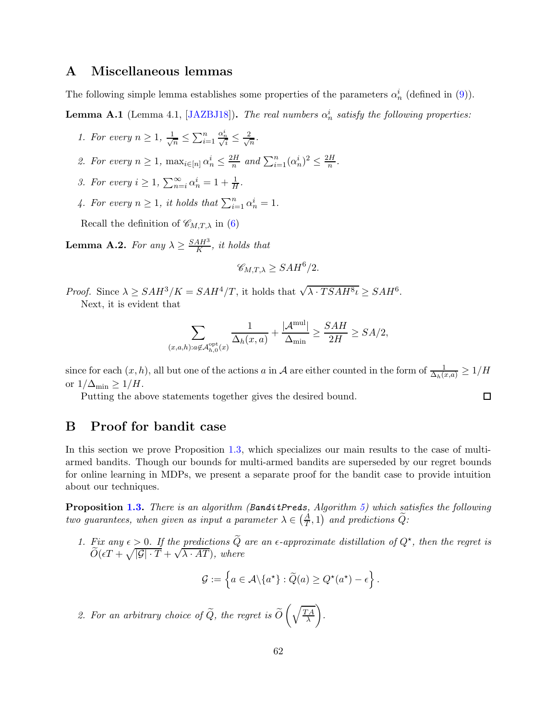# <span id="page-61-0"></span>A Miscellaneous lemmas

The following simple lemma establishes some properties of the parameters  $\alpha_n^i$  (defined in [\(9\)](#page-14-0)).

<span id="page-61-3"></span><span id="page-61-2"></span>**Lemma A.1** (Lemma 4.1, [\[JAZBJ18\]](#page-65-3)). The real numbers  $\alpha_n^i$  satisfy the following properties:

- <span id="page-61-5"></span>1. For every  $n \geq 1, \frac{1}{\sqrt{n}}$  $\frac{1}{n} \leq \sum_{i=1}^n$  $\frac{\alpha_n^i}{\sqrt{i}} \leq \frac{2}{\sqrt{i}}$  $\frac{1}{n}$ .
- <span id="page-61-6"></span>2. For every  $n \geq 1$ ,  $\max_{i \in [n]} \alpha_n^i \leq \frac{2H}{n}$  $\frac{n}{n}$  and  $\sum_{i=1}^{n} (\alpha_n^i)^2 \leq \frac{2H}{n}$  $\frac{n}{n}$ .
- <span id="page-61-4"></span>3. For every  $i \geq 1$ ,  $\sum_{n=i}^{\infty} \alpha_n^i = 1 + \frac{1}{H}$ .
- 4. For every  $n \geq 1$ , it holds that  $\sum_{i=1}^{n} \alpha_n^i = 1$ .

Recall the definition of  $\mathscr{C}_{M,T,\lambda}$  in [\(6\)](#page-11-3)

<span id="page-61-7"></span>**Lemma A.2.** For any  $\lambda \ge \frac{SAH^3}{K}$  $\frac{AH^{\circ}}{K}$ , it holds that

$$
\mathscr{C}_{M,T,\lambda} \geq SAH^6/2.
$$

Proof. Since  $\lambda \geq SAH^3/K = SAH^4/T$ , it holds that  $\sqrt{\lambda \cdot TSAH^8\iota} \geq SAH^6$ . Next, it is evident that

$$
\sum_{(x,a,h):a\not\in\mathcal{A}_{h,0}^{\text{opt}}(x)}\frac{1}{\Delta_h(x,a)} + \frac{|\mathcal{A}^{\text{mul}}|}{\Delta_{\text{min}}} \ge \frac{SAH}{2H} \ge SA/2,
$$

since for each  $(x, h)$ , all but one of the actions a in A are either counted in the form of  $\frac{1}{\Delta_h(x,a)} \geq 1/H$ or  $1/\Delta_{\min} \geq 1/H$ .

 $\Box$ 

Putting the above statements together gives the desired bound.

## <span id="page-61-1"></span>B Proof for bandit case

In this section we prove Proposition [1.3,](#page-6-1) which specializes our main results to the case of multiarmed bandits. Though our bounds for multi-armed bandits are superseded by our regret bounds for online learning in MDPs, we present a separate proof for the bandit case to provide intuition about our techniques.

<span id="page-61-8"></span>**Proposition [1.3.](#page-6-1)** There is an algorithm (BanditPreds, Algorithm [5\)](#page-62-0) which satisfies the following two guarantees, when given as input a parameter  $\lambda \in \left(\frac{A}{T}, 1\right)$  and predictions  $\widetilde{Q}$ :

1. Fix any  $\epsilon > 0$ . If the predictions  $\tilde{Q}$  are an  $\epsilon$ -approximate distillation of  $Q^*$ , then the regret is  $\widetilde{O}(\epsilon T + \sqrt{|\mathcal{G}| \cdot T} + \sqrt{\lambda \cdot AT})$ , where

$$
\mathcal{G} := \left\{ a \in \mathcal{A} \backslash \{a^{\star}\} : \widetilde{Q}(a) \ge Q^{\star}(a^{\star}) - \epsilon \right\}.
$$

<span id="page-61-9"></span>2. For an arbitrary choice of  $Q$ , the regret is  $O$  $\int \frac{TA}{T A}$ λ  $\setminus$ .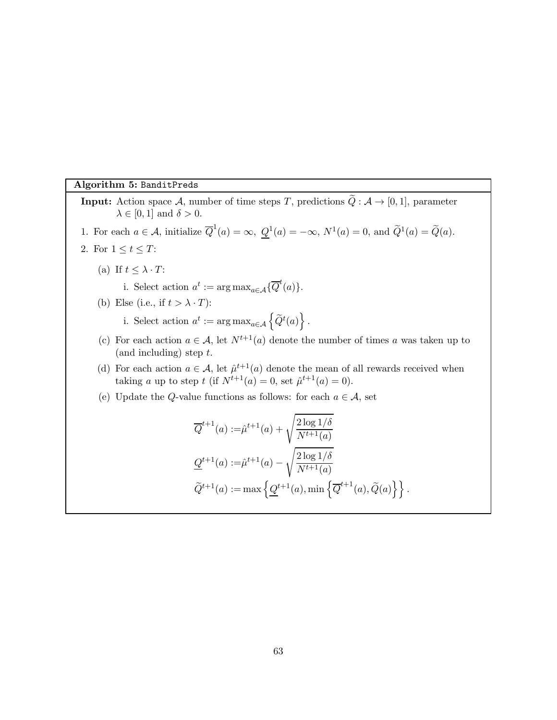#### Algorithm 5: BanditPreds

<span id="page-62-0"></span>**Input:** Action space A, number of time steps T, predictions  $\widetilde{Q}$  :  $A \rightarrow [0, 1]$ , parameter  $\lambda \in [0, 1]$  and  $\delta > 0$ .

- 1. For each  $a \in \mathcal{A}$ , initialize  $\overline{Q}^1(a) = \infty$ ,  $\underline{Q}^1(a) = -\infty$ ,  $N^1(a) = 0$ , and  $\widetilde{Q}^1(a) = \widetilde{Q}(a)$ .
- 2. For  $1 \leq t \leq T$ :
	- (a) If  $t \leq \lambda \cdot T$ :

i. Select action  $a^t := \arg \max_{a \in \mathcal{A}} \{ \overline{Q}^t(a) \}.$ 

- (b) Else (i.e., if  $t > \lambda \cdot T$ ):
	- i. Select action  $a^t := \arg \max_{a \in \mathcal{A}} \left\{ \widetilde{Q}^t(a) \right\}.$
- (c) For each action  $a \in \mathcal{A}$ , let  $N^{t+1}(a)$  denote the number of times a was taken up to  $($ and including $)$  step  $t$ .
- (d) For each action  $a \in \mathcal{A}$ , let  $\hat{\mu}^{t+1}(a)$  denote the mean of all rewards received when taking *a* up to step *t* (if  $N^{t+1}(a) = 0$ , set  $\hat{\mu}^{t+1}(a) = 0$ ).
- (e) Update the Q-value functions as follows: for each  $a \in \mathcal{A}$ , set

$$
\overline{Q}^{t+1}(a) := \hat{\mu}^{t+1}(a) + \sqrt{\frac{2 \log 1/\delta}{N^{t+1}(a)}}
$$
  

$$
\underline{Q}^{t+1}(a) := \hat{\mu}^{t+1}(a) - \sqrt{\frac{2 \log 1/\delta}{N^{t+1}(a)}}
$$
  

$$
\widetilde{Q}^{t+1}(a) := \max \{ \underline{Q}^{t+1}(a), \min \{ \overline{Q}^{t+1}(a), \widetilde{Q}(a) \} \}.
$$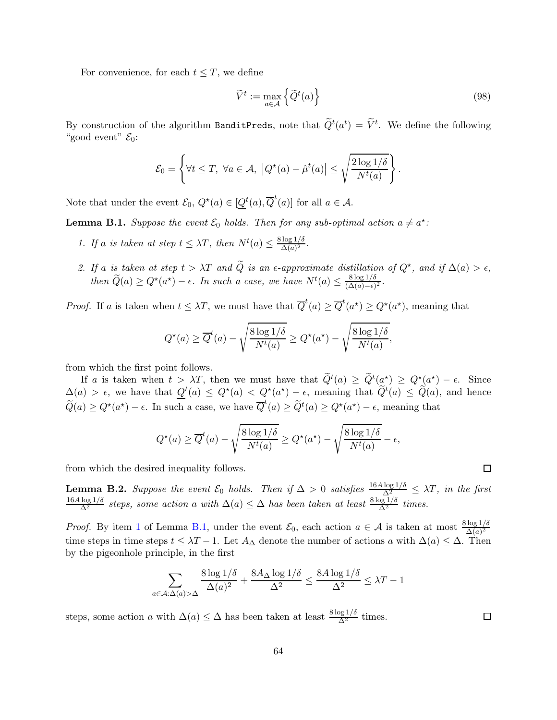For convenience, for each  $t \leq T$ , we define

$$
\widetilde{V}^t := \max_{a \in \mathcal{A}} \left\{ \widetilde{Q}^t(a) \right\} \tag{98}
$$

By construction of the algorithm BanditPreds, note that  $\tilde{Q}^t(a^t) = \tilde{V}^t$ . We define the following "good event"  $\mathcal{E}_0$ :

$$
\mathcal{E}_0 = \left\{ \forall t \leq T, \ \forall a \in \mathcal{A}, \ \left| Q^*(a) - \hat{\mu}^t(a) \right| \leq \sqrt{\frac{2 \log 1/\delta}{N^t(a)}} \right\}.
$$

Note that under the event  $\mathcal{E}_0$ ,  $Q^*(a) \in [\underline{Q}^t(a), \overline{Q}^t(a)]$  for all  $a \in \mathcal{A}$ .

<span id="page-63-1"></span><span id="page-63-0"></span>**Lemma B.1.** Suppose the event  $\mathcal{E}_0$  holds. Then for any sub-optimal action  $a \neq a^*$ :

- <span id="page-63-2"></span>1. If a is taken at step  $t \leq \lambda T$ , then  $N^t(a) \leq \frac{8 \log 1/\delta}{\Delta(a)^2}$  $\frac{\log 1/\sigma}{\Delta(a)^2}$ .
- 2. If a is taken at step  $t > \lambda T$  and  $\tilde{Q}$  is an  $\epsilon$ -approximate distillation of  $Q^*$ , and if  $\Delta(a) > \epsilon$ , then  $\widetilde{Q}(a) \ge Q^{\star}(a^{\star}) - \epsilon$ . In such a case, we have  $N^{t}(a) \le \frac{8 \log 1/\delta}{(\Delta(a) - \epsilon)}$  $\frac{\delta \log 1/\delta}{(\Delta(a)-\epsilon)^2}$ .

*Proof.* If a is taken when  $t \leq \lambda T$ , we must have that  $\overline{Q}^t(a) \geq \overline{Q}^t(a^*) \geq Q^*(a^*)$ , meaning that

$$
Q^{\star}(a) \ge \overline{Q}^t(a) - \sqrt{\frac{8 \log 1/\delta}{N^t(a)}} \ge Q^{\star}(a^{\star}) - \sqrt{\frac{8 \log 1/\delta}{N^t(a)}},
$$

from which the first point follows.

If a is taken when  $t > \lambda T$ , then we must have that  $\tilde{Q}^t(a) \geq \tilde{Q}^t(a^*) \geq Q^*(a^*) - \epsilon$ . Since  $\Delta(a) > \epsilon$ , we have that  $Q^t(a) \leq Q^{\star}(a) < Q^{\star}(a^{\star}) - \epsilon$ , meaning that  $\widetilde{Q}^t(a) \leq \widetilde{Q}(a)$ , and hence  $\widetilde{Q}(a) \ge Q^{\star}(a^{\star}) - \epsilon$ . In such a case, we have  $\overline{Q}^{t}(a) \ge \widetilde{Q}^{t}(a) \ge Q^{\star}(a^{\star}) - \epsilon$ , meaning that

$$
Q^{\star}(a) \ge \overline{Q}^t(a) - \sqrt{\frac{8 \log 1/\delta}{N^t(a)}} \ge Q^{\star}(a^{\star}) - \sqrt{\frac{8 \log 1/\delta}{N^t(a)}} - \epsilon,
$$

from which the desired inequality follows.

<span id="page-63-3"></span>**Lemma B.2.** Suppose the event  $\mathcal{E}_0$  holds. Then if  $\Delta > 0$  satisfies  $\frac{16A \log 1/\delta}{\Delta^2} \leq \lambda T$ , in the first  $\frac{16A \log 1/\delta}{\Delta^2}$  steps, some action a with  $\Delta(a) \leq \Delta$  has been taken at least  $\frac{8 \log 1/\delta}{\Delta^2}$  time

*Proof.* By item [1](#page-63-0) of Lemma [B.1,](#page-63-1) under the event  $\mathcal{E}_0$ , each action  $a \in \mathcal{A}$  is taken at most  $\frac{8 \log 1/\delta}{\Delta(a)^2}$ time steps in time steps  $t \leq \lambda T - 1$ . Let  $A_{\Delta}$  denote the number of actions a with  $\Delta(a) \leq \Delta$ . Then by the pigeonhole principle, in the first

$$
\sum_{a \in \mathcal{A}: \Delta(a) > \Delta} \frac{8 \log 1/\delta}{\Delta(a)^2} + \frac{8A_\Delta \log 1/\delta}{\Delta^2} \le \frac{8A \log 1/\delta}{\Delta^2} \le \lambda T - 1
$$

steps, some action a with  $\Delta(a) \leq \Delta$  has been taken at least  $\frac{8 \log 1/\delta}{\Delta^2}$  times.

 $\Box$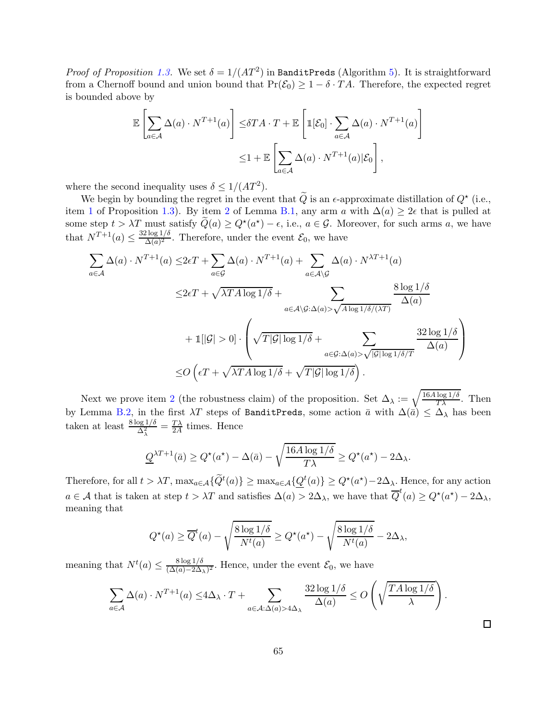*Proof of Proposition [1.3.](#page-6-1)* We set  $\delta = 1/(AT^2)$  in BanditPreds (Algorithm [5\)](#page-62-0). It is straightforward from a Chernoff bound and union bound that  $Pr(\mathcal{E}_0) \geq 1 - \delta \cdot TA$ . Therefore, the expected regret is bounded above by

$$
\mathbb{E}\left[\sum_{a\in\mathcal{A}}\Delta(a)\cdot N^{T+1}(a)\right] \leq \delta TA\cdot T + \mathbb{E}\left[\mathbb{1}[\mathcal{E}_0]\cdot \sum_{a\in\mathcal{A}}\Delta(a)\cdot N^{T+1}(a)\right]
$$

$$
\leq 1 + \mathbb{E}\left[\sum_{a\in\mathcal{A}}\Delta(a)\cdot N^{T+1}(a)|\mathcal{E}_0\right],
$$

where the second inequality uses  $\delta \leq 1/(AT^2)$ .

We begin by bounding the regret in the event that  $\tilde{Q}$  is an  $\epsilon$ -approximate distillation of  $Q^*$  (i.e., item [1](#page-61-8) of Proposition [1.3\)](#page-6-1). By item [2](#page-63-2) of Lemma [B.1,](#page-63-1) any arm a with  $\Delta(a) \geq 2\epsilon$  that is pulled at some step  $t > \lambda T$  must satisfy  $\tilde{Q}(a) \ge Q^{\star}(a^{\star}) - \epsilon$ , i.e.,  $a \in \mathcal{G}$ . Moreover, for such arms a, we have that  $N^{T+1}(a) \leq \frac{32 \log 1/\delta}{\Delta(a)^2}$  $\frac{\sum_{i=0}^{10} (a_i)^2}{\Delta(a_i)^2}$ . Therefore, under the event  $\mathcal{E}_0$ , we have

$$
\sum_{a \in \mathcal{A}} \Delta(a) \cdot N^{T+1}(a) \leq 2\epsilon T + \sum_{a \in \mathcal{G}} \Delta(a) \cdot N^{T+1}(a) + \sum_{a \in \mathcal{A} \setminus \mathcal{G}} \Delta(a) \cdot N^{\lambda T+1}(a)
$$
\n
$$
\leq 2\epsilon T + \sqrt{\lambda T A \log 1/\delta} + \sum_{a \in \mathcal{A} \setminus \mathcal{G}: \Delta(a) > \sqrt{A \log 1/\delta}/\langle \lambda T \rangle} \frac{8 \log 1/\delta}{\Delta(a)}
$$
\n
$$
+ 1[|\mathcal{G}| > 0] \cdot \left( \sqrt{T |\mathcal{G}| \log 1/\delta} + \sum_{a \in \mathcal{G}: \Delta(a) > \sqrt{|\mathcal{G}| \log 1/\delta}/T} \frac{32 \log 1/\delta}{\Delta(a)} \right)
$$
\n
$$
\leq O\left(\epsilon T + \sqrt{\lambda T A \log 1/\delta} + \sqrt{T |\mathcal{G}| \log 1/\delta}\right).
$$

Next we prove item [2](#page-61-9) (the robustness claim) of the proposition. Set  $\Delta_{\lambda} := \sqrt{\frac{16A \log 1/\delta}{T\lambda}}$ . Then by Lemma [B.2,](#page-63-3) in the first  $\lambda T$  steps of BanditPreds, some action  $\bar{a}$  with  $\Delta(\bar{a}) \leq \Delta_{\lambda}$  has been taken at least  $\frac{8 \log 1/\delta}{\Delta_{\lambda}^2} = \frac{T\lambda}{2A}$  $\frac{T\lambda}{2A}$  times. Hence

$$
\underline{Q}^{\lambda T+1}(\bar{a}) \ge Q^\star(a^\star) - \Delta(\bar{a}) - \sqrt{\frac{16A\log 1/\delta}{T\lambda}} \ge Q^\star(a^\star) - 2\Delta_\lambda.
$$

Therefore, for all  $t > \lambda T$ ,  $\max_{a \in \mathcal{A}} \{\widetilde{Q}^t(a)\} \geq \max_{a \in \mathcal{A}} \{\underline{Q}^t(a)\} \geq Q^{\star}(a^{\star}) - 2\Delta_{\lambda}$ . Hence, for any action  $a \in \mathcal{A}$  that is taken at step  $t > \lambda T$  and satisfies  $\Delta(a) > 2\Delta_{\lambda}$ , we have that  $\overline{Q}^t(a) \ge Q^{\star}(a^{\star}) - 2\Delta_{\lambda}$ , meaning that

$$
Q^{\star}(a) \geq \overline{Q}^{t}(a) - \sqrt{\frac{8 \log 1/\delta}{N^{t}(a)}} \geq Q^{\star}(a^{\star}) - \sqrt{\frac{8 \log 1/\delta}{N^{t}(a)}} - 2\Delta_{\lambda},
$$

meaning that  $N^t(a) \leq \frac{8 \log 1/\delta}{(\Delta(a) - 2\Delta)}$  $\frac{\log_2 1/\sigma}{(\Delta(a)-2\Delta_\lambda)^2}$ . Hence, under the event  $\mathcal{E}_0$ , we have

$$
\sum_{a \in \mathcal{A}} \Delta(a) \cdot N^{T+1}(a) \le 4\Delta_{\lambda} \cdot T + \sum_{a \in \mathcal{A}: \Delta(a) > 4\Delta_{\lambda}} \frac{32 \log 1/\delta}{\Delta(a)} \le O\left(\sqrt{\frac{TA \log 1/\delta}{\lambda}}\right).
$$

 $\Box$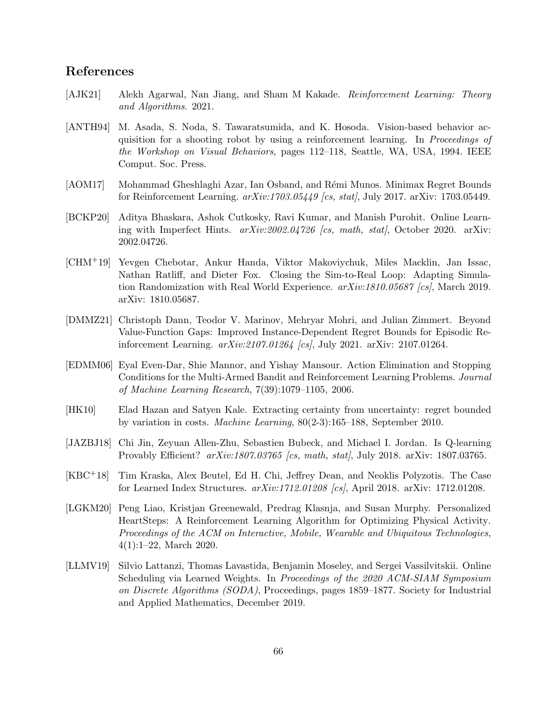# References

- <span id="page-65-0"></span>[AJK21] Alekh Agarwal, Nan Jiang, and Sham M Kakade. Reinforcement Learning: Theory and Algorithms. 2021.
- <span id="page-65-8"></span>[ANTH94] M. Asada, S. Noda, S. Tawaratsumida, and K. Hosoda. Vision-based behavior acquisition for a shooting robot by using a reinforcement learning. In Proceedings of the Workshop on Visual Behaviors, pages 112–118, Seattle, WA, USA, 1994. IEEE Comput. Soc. Press.
- <span id="page-65-9"></span>[AOM17] Mohammad Gheshlaghi Azar, Ian Osband, and Rémi Munos. Minimax Regret Bounds for Reinforcement Learning.  $arXiv:1703.05449$  [cs. stat], July 2017.  $arXiv: 1703.05449$ .
- <span id="page-65-7"></span>[BCKP20] Aditya Bhaskara, Ashok Cutkosky, Ravi Kumar, and Manish Purohit. Online Learning with Imperfect Hints.  $arXiv:2002.04726$  [cs, math, stat], October 2020. arXiv: 2002.04726.
- <span id="page-65-1"></span>[CHM+19] Yevgen Chebotar, Ankur Handa, Viktor Makoviychuk, Miles Macklin, Jan Issac, Nathan Ratliff, and Dieter Fox. Closing the Sim-to-Real Loop: Adapting Simulation Randomization with Real World Experience. arXiv:1810.05687 [cs], March 2019. arXiv: 1810.05687.
- <span id="page-65-10"></span>[DMMZ21] Christoph Dann, Teodor V. Marinov, Mehryar Mohri, and Julian Zimmert. Beyond Value-Function Gaps: Improved Instance-Dependent Regret Bounds for Episodic Reinforcement Learning. arXiv:2107.01264 [cs], July 2021. arXiv: 2107.01264.
- <span id="page-65-11"></span>[EDMM06] Eyal Even-Dar, Shie Mannor, and Yishay Mansour. Action Elimination and Stopping Conditions for the Multi-Armed Bandit and Reinforcement Learning Problems. Journal of Machine Learning Research, 7(39):1079–1105, 2006.
- <span id="page-65-6"></span>[HK10] Elad Hazan and Satyen Kale. Extracting certainty from uncertainty: regret bounded by variation in costs. Machine Learning, 80(2-3):165–188, September 2010.
- <span id="page-65-3"></span>[JAZBJ18] Chi Jin, Zeyuan Allen-Zhu, Sebastien Bubeck, and Michael I. Jordan. Is Q-learning Provably Efficient?  $arXiv:1807.03765$  [cs, math, stat], July 2018. arXiv: 1807.03765.
- <span id="page-65-5"></span>[KBC+18] Tim Kraska, Alex Beutel, Ed H. Chi, Jeffrey Dean, and Neoklis Polyzotis. The Case for Learned Index Structures. arXiv:1712.01208 [cs], April 2018. arXiv: 1712.01208.
- <span id="page-65-2"></span>[LGKM20] Peng Liao, Kristjan Greenewald, Predrag Klasnja, and Susan Murphy. Personalized HeartSteps: A Reinforcement Learning Algorithm for Optimizing Physical Activity. Proceedings of the ACM on Interactive, Mobile, Wearable and Ubiquitous Technologies, 4(1):1–22, March 2020.
- <span id="page-65-4"></span>[LLMV19] Silvio Lattanzi, Thomas Lavastida, Benjamin Moseley, and Sergei Vassilvitskii. Online Scheduling via Learned Weights. In *Proceedings of the 2020 ACM-SIAM Symposium* on Discrete Algorithms (SODA), Proceedings, pages 1859–1877. Society for Industrial and Applied Mathematics, December 2019.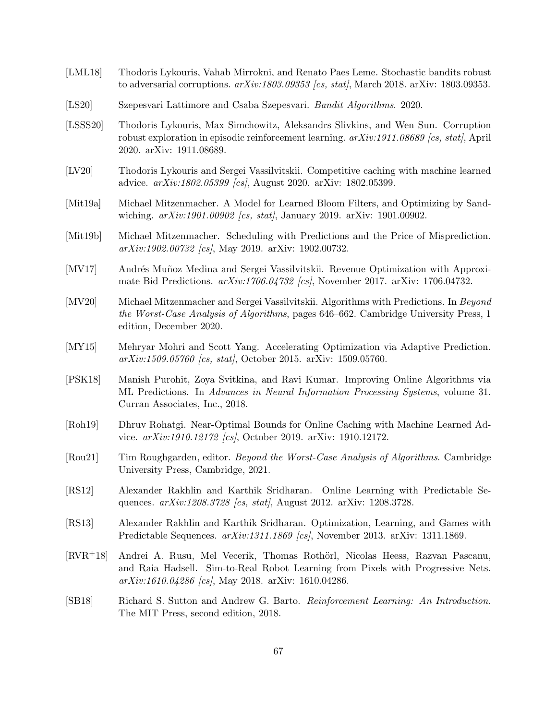- <span id="page-66-15"></span>[LML18] Thodoris Lykouris, Vahab Mirrokni, and Renato Paes Leme. Stochastic bandits robust to adversarial corruptions.  $arXiv:1803.09353$  [cs, stat], March 2018. arXiv: 1803.09353.
- <span id="page-66-6"></span>[LS20] Szepesvari Lattimore and Csaba Szepesvari. Bandit Algorithms. 2020.
- <span id="page-66-14"></span>[LSSS20] Thodoris Lykouris, Max Simchowitz, Aleksandrs Slivkins, and Wen Sun. Corruption robust exploration in episodic reinforcement learning.  $arXiv:1911.08689$  [cs, stat], April 2020. arXiv: 1911.08689.
- <span id="page-66-4"></span>[LV20] Thodoris Lykouris and Sergei Vassilvitskii. Competitive caching with machine learned advice. arXiv:1802.05399 [cs], August 2020. arXiv: 1802.05399.
- <span id="page-66-9"></span>[Mit19a] Michael Mitzenmacher. A Model for Learned Bloom Filters, and Optimizing by Sandwiching.  $arXiv:1901.00902$  [cs, stat], January 2019. arXiv: 1901.00902.
- <span id="page-66-7"></span>[Mit19b] Michael Mitzenmacher. Scheduling with Predictions and the Price of Misprediction. arXiv:1902.00732 [cs], May 2019. arXiv: 1902.00732.
- <span id="page-66-10"></span>[MV17] Andrés Muñoz Medina and Sergei Vassilvitskii. Revenue Optimization with Approximate Bid Predictions. arXiv:1706.04732 [cs], November 2017. arXiv: 1706.04732.
- <span id="page-66-1"></span>[MV20] Michael Mitzenmacher and Sergei Vassilvitskii. Algorithms with Predictions. In Beyond the Worst-Case Analysis of Algorithms, pages 646–662. Cambridge University Press, 1 edition, December 2020.
- <span id="page-66-13"></span>[MY15] Mehryar Mohri and Scott Yang. Accelerating Optimization via Adaptive Prediction. arXiv:1509.05760 [cs, stat], October 2015. arXiv: 1509.05760.
- <span id="page-66-5"></span>[PSK18] Manish Purohit, Zoya Svitkina, and Ravi Kumar. Improving Online Algorithms via ML Predictions. In Advances in Neural Information Processing Systems, volume 31. Curran Associates, Inc., 2018.
- <span id="page-66-8"></span>[Roh19] Dhruv Rohatgi. Near-Optimal Bounds for Online Caching with Machine Learned Advice. arXiv:1910.12172 [cs], October 2019. arXiv: 1910.12172.
- <span id="page-66-0"></span>[Rou21] Tim Roughgarden, editor. Beyond the Worst-Case Analysis of Algorithms. Cambridge University Press, Cambridge, 2021.
- <span id="page-66-11"></span>[RS12] Alexander Rakhlin and Karthik Sridharan. Online Learning with Predictable Sequences.  $arXiv:1208.3728$  [cs, stat], August 2012. arXiv: 1208.3728.
- <span id="page-66-12"></span>[RS13] Alexander Rakhlin and Karthik Sridharan. Optimization, Learning, and Games with Predictable Sequences. arXiv:1311.1869 [cs], November 2013. arXiv: 1311.1869.
- <span id="page-66-3"></span>[RVR<sup>+</sup>18] Andrei A. Rusu, Mel Vecerik, Thomas Rothörl, Nicolas Heess, Razvan Pascanu, and Raia Hadsell. Sim-to-Real Robot Learning from Pixels with Progressive Nets.  $arXiv:1610.04286$  [cs], May 2018. arXiv: 1610.04286.
- <span id="page-66-2"></span>[SB18] Richard S. Sutton and Andrew G. Barto. Reinforcement Learning: An Introduction. The MIT Press, second edition, 2018.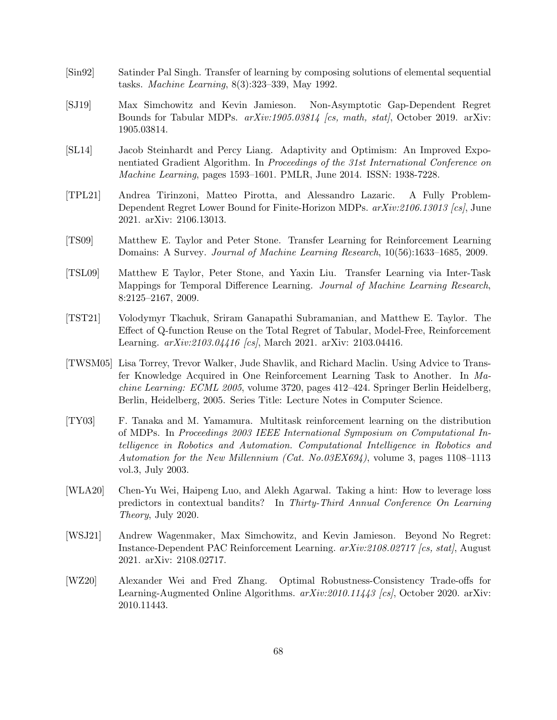- <span id="page-67-5"></span>[Sin92] Satinder Pal Singh. Transfer of learning by composing solutions of elemental sequential tasks. Machine Learning, 8(3):323–339, May 1992.
- <span id="page-67-1"></span>[SJ19] Max Simchowitz and Kevin Jamieson. Non-Asymptotic Gap-Dependent Regret Bounds for Tabular MDPs.  $arXiv:1905.03814$  [cs, math, stat], October 2019. arXiv: 1905.03814.
- <span id="page-67-3"></span>[SL14] Jacob Steinhardt and Percy Liang. Adaptivity and Optimism: An Improved Exponentiated Gradient Algorithm. In Proceedings of the 31st International Conference on Machine Learning, pages 1593–1601. PMLR, June 2014. ISSN: 1938-7228.
- <span id="page-67-10"></span>[TPL21] Andrea Tirinzoni, Matteo Pirotta, and Alessandro Lazaric. A Fully Problem-Dependent Regret Lower Bound for Finite-Horizon MDPs. arXiv:2106.13013 [cs], June 2021. arXiv: 2106.13013.
- <span id="page-67-0"></span>[TS09] Matthew E. Taylor and Peter Stone. Transfer Learning for Reinforcement Learning Domains: A Survey. Journal of Machine Learning Research, 10(56):1633–1685, 2009.
- <span id="page-67-8"></span>[TSL09] Matthew E Taylor, Peter Stone, and Yaxin Liu. Transfer Learning via Inter-Task Mappings for Temporal Difference Learning. Journal of Machine Learning Research, 8:2125–2167, 2009.
- <span id="page-67-9"></span>[TST21] Volodymyr Tkachuk, Sriram Ganapathi Subramanian, and Matthew E. Taylor. The Effect of Q-function Reuse on the Total Regret of Tabular, Model-Free, Reinforcement Learning.  $arXiv:2103.04416$  [cs], March 2021. arXiv: 2103.04416.
- <span id="page-67-7"></span>[TWSM05] Lisa Torrey, Trevor Walker, Jude Shavlik, and Richard Maclin. Using Advice to Transfer Knowledge Acquired in One Reinforcement Learning Task to Another. In Machine Learning: ECML 2005, volume 3720, pages 412–424. Springer Berlin Heidelberg, Berlin, Heidelberg, 2005. Series Title: Lecture Notes in Computer Science.
- <span id="page-67-6"></span>[TY03] F. Tanaka and M. Yamamura. Multitask reinforcement learning on the distribution of MDPs. In Proceedings 2003 IEEE International Symposium on Computational Intelligence in Robotics and Automation. Computational Intelligence in Robotics and Automation for the New Millennium (Cat. No.03EX694), volume 3, pages 1108–1113 vol.3, July 2003.
- <span id="page-67-4"></span>[WLA20] Chen-Yu Wei, Haipeng Luo, and Alekh Agarwal. Taking a hint: How to leverage loss predictors in contextual bandits? In Thirty-Third Annual Conference On Learning Theory, July 2020.
- <span id="page-67-11"></span>[WSJ21] Andrew Wagenmaker, Max Simchowitz, and Kevin Jamieson. Beyond No Regret: Instance-Dependent PAC Reinforcement Learning. arXiv:2108.02717 [cs, stat], August 2021. arXiv: 2108.02717.
- <span id="page-67-2"></span>[WZ20] Alexander Wei and Fred Zhang. Optimal Robustness-Consistency Trade-offs for Learning-Augmented Online Algorithms.  $arXiv:2010.11443$  [cs], October 2020. arXiv: 2010.11443.